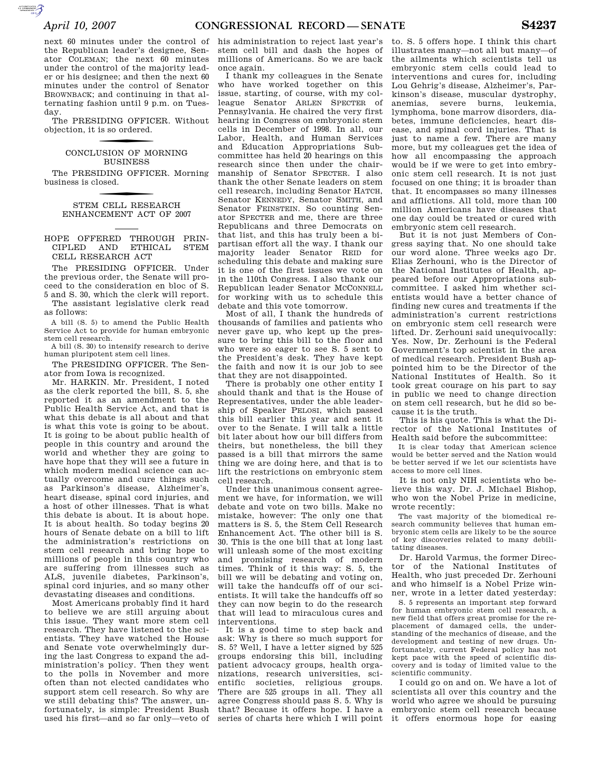$\mathcal{F}$ 

next 60 minutes under the control of the Republican leader's designee, Senator COLEMAN; the next 60 minutes under the control of the majority leader or his designee; and then the next 60 minutes under the control of Senator BROWNBACK; and continuing in that alternating fashion until 9 p.m. on Tuesday.

The PRESIDING OFFICER. Without objection, it is so ordered.

# CONCLUSION OF MORNING BUSINESS

The PRESIDING OFFICER. Morning business is closed.

# STEM CELL RESEARCH ENHANCEMENT ACT OF 2007

HOPE OFFERED THROUGH PRIN-CIPLED AND ETHICAL STEM CELL RESEARCH ACT

The PRESIDING OFFICER. Under the previous order, the Senate will proceed to the consideration en bloc of S. 5 and S. 30, which the clerk will report.

The assistant legislative clerk read as follows:

A bill (S. 5) to amend the Public Health Service Act to provide for human embryonic stem cell research.

A bill (S. 30) to intensify research to derive human pluripotent stem cell lines.

The PRESIDING OFFICER. The Senator from Iowa is recognized.

Mr. HARKIN. Mr. President, I noted as the clerk reported the bill, S. 5, she reported it as an amendment to the Public Health Service Act, and that is what this debate is all about and that is what this vote is going to be about. It is going to be about public health of people in this country and around the world and whether they are going to have hope that they will see a future in which modern medical science can actually overcome and cure things such as Parkinson's disease, Alzheimer's, heart disease, spinal cord injuries, and a host of other illnesses. That is what this debate is about. It is about hope. It is about health. So today begins 20 hours of Senate debate on a bill to lift the administration's restrictions on stem cell research and bring hope to millions of people in this country who are suffering from illnesses such as ALS, juvenile diabetes, Parkinson's, spinal cord injuries, and so many other devastating diseases and conditions.

Most Americans probably find it hard to believe we are still arguing about this issue. They want more stem cell research. They have listened to the scientists. They have watched the House and Senate vote overwhelmingly during the last Congress to expand the administration's policy. Then they went to the polls in November and more often than not elected candidates who support stem cell research. So why are we still debating this? The answer, unfortunately, is simple: President Bush used his first—and so far only—veto of

his administration to reject last year's stem cell bill and dash the hopes of millions of Americans. So we are back once again.

I thank my colleagues in the Senate who have worked together on this issue, starting, of course, with my colleague Senator ARLEN SPECTER of Pennsylvania. He chaired the very first hearing in Congress on embryonic stem cells in December of 1998. In all, our Labor, Health, and Human Services and Education Appropriations Subcommittee has held 20 hearings on this research since then under the chairmanship of Senator SPECTER. I also thank the other Senate leaders on stem cell research, including Senator HATCH, Senator KENNEDY, Senator SMITH, and Senator FEINSTEIN. So counting Senator SPECTER and me, there are three Republicans and three Democrats on that list, and this has truly been a bipartisan effort all the way. I thank our majority leader Senator REID for scheduling this debate and making sure it is one of the first issues we vote on in the 110th Congress. I also thank our Republican leader Senator MCCONNELL for working with us to schedule this debate and this vote tomorrow.

Most of all, I thank the hundreds of thousands of families and patients who never gave up, who kept up the pressure to bring this bill to the floor and who were so eager to see S. 5 sent to the President's desk. They have kept the faith and now it is our job to see that they are not disappointed.

There is probably one other entity I should thank and that is the House of Representatives, under the able leadership of Speaker PELOSI, which passed this bill earlier this year and sent it over to the Senate. I will talk a little bit later about how our bill differs from theirs, but nonetheless, the bill they passed is a bill that mirrors the same thing we are doing here, and that is to lift the restrictions on embryonic stem cell research.

Under this unanimous consent agreement we have, for information, we will debate and vote on two bills. Make no mistake, however: The only one that matters is S. 5, the Stem Cell Research Enhancement Act. The other bill is S. 30. This is the one bill that at long last will unleash some of the most exciting and promising research of modern times. Think of it this way: S. 5, the bill we will be debating and voting on, will take the handcuffs off of our scientists. It will take the handcuffs off so they can now begin to do the research that will lead to miraculous cures and interventions.

It is a good time to step back and ask: Why is there so much support for S. 5? Well, I have a letter signed by 525 groups endorsing this bill, including patient advocacy groups, health organizations, research universities, scientific societies, religious groups. There are 525 groups in all. They all agree Congress should pass S. 5. Why is that? Because it offers hope. I have a

to. S. 5 offers hope. I think this chart illustrates many—not all but many—of the ailments which scientists tell us embryonic stem cells could lead to interventions and cures for, including Lou Gehrig's disease, Alzheimer's, Parkinson's disease, muscular dystrophy, anemias, severe burns, leukemia, lymphoma, bone marrow disorders, diabetes, immune deficiencies, heart disease, and spinal cord injuries. That is just to name a few. There are many more, but my colleagues get the idea of how all encompassing the approach would be if we were to get into embryonic stem cell research. It is not just focused on one thing; it is broader than that. It encompasses so many illnesses and afflictions. All told, more than 100 million Americans have diseases that one day could be treated or cured with embryonic stem cell research.

But it is not just Members of Congress saying that. No one should take our word alone. Three weeks ago Dr. Elias Zerhouni, who is the Director of the National Institutes of Health, appeared before our Appropriations subcommittee. I asked him whether scientists would have a better chance of finding new cures and treatments if the administration's current restrictions on embryonic stem cell research were lifted. Dr. Zerhouni said unequivocally: Yes. Now, Dr. Zerhouni is the Federal Government's top scientist in the area of medical research. President Bush appointed him to be the Director of the National Institutes of Health. So it took great courage on his part to say in public we need to change direction on stem cell research, but he did so because it is the truth.

This is his quote. This is what the Director of the National Institutes of Health said before the subcommittee:

It is clear today that American science would be better served and the Nation would be better served if we let our scientists have access to more cell lines.

It is not only NIH scientists who believe this way. Dr. J. Michael Bishop, who won the Nobel Prize in medicine, wrote recently:

The vast majority of the biomedical research community believes that human embryonic stem cells are likely to be the source of key discoveries related to many debilitating diseases.

Dr. Harold Varmus, the former Director of the National Institutes of Health, who just preceded Dr. Zerhouni and who himself is a Nobel Prize winner, wrote in a letter dated yesterday:

S. 5 represents an important step forward for human embryonic stem cell research, a new field that offers great promise for the replacement of damaged cells, the understanding of the mechanics of disease, and the development and testing of new drugs. Unfortunately, current Federal policy has not kept pace with the speed of scientific discovery and is today of limited value to the scientific community.

series of charts here which I will point it offers enormous hope for easing I could go on and on. We have a lot of scientists all over this country and the world who agree we should be pursuing embryonic stem cell research because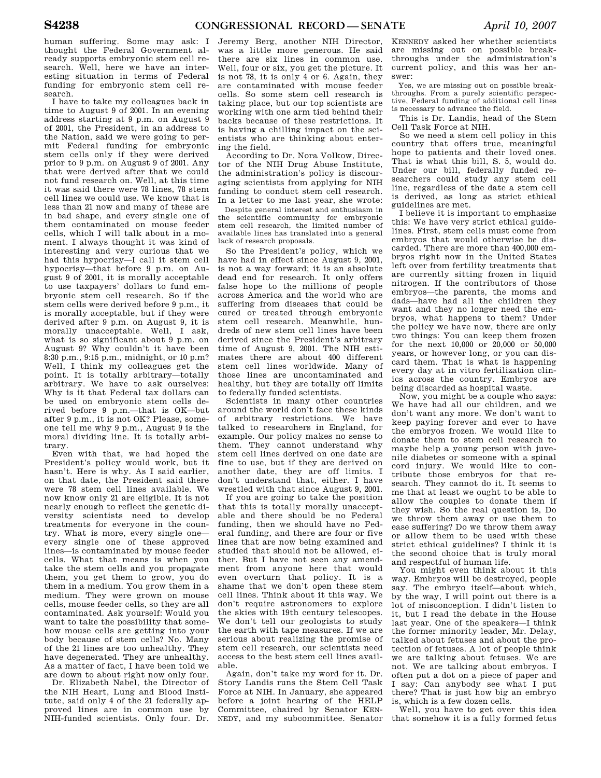human suffering. Some may ask: I thought the Federal Government already supports embryonic stem cell research. Well, here we have an interesting situation in terms of Federal funding for embryonic stem cell research.

I have to take my colleagues back in time to August 9 of 2001. In an evening address starting at 9 p.m. on August 9 of 2001, the President, in an address to the Nation, said we were going to permit Federal funding for embryonic stem cells only if they were derived prior to 9 p.m. on August 9 of 2001. Any that were derived after that we could not fund research on. Well, at this time it was said there were 78 lines, 78 stem cell lines we could use. We know that is less than 21 now and many of these are in bad shape, and every single one of them contaminated on mouse feeder cells, which I will talk about in a moment. I always thought it was kind of interesting and very curious that we had this hypocrisy—I call it stem cell hypocrisy—that before 9 p.m. on August 9 of 2001, it is morally acceptable to use taxpayers' dollars to fund embryonic stem cell research. So if the stem cells were derived before 9 p.m., it is morally acceptable, but if they were derived after 9 p.m. on August 9, it is morally unacceptable. Well, I ask, what is so significant about 9 p.m. on August 9? Why couldn't it have been 8:30 p.m., 9:15 p.m., midnight, or 10 p.m? Well, I think my colleagues get the point. It is totally arbitrary—totally arbitrary. We have to ask ourselves: Why is it that Federal tax dollars can be used on embryonic stem cells derived before 9 p.m.—that is OK—but after 9 p.m., it is not OK? Please, someone tell me why 9 p.m., August 9 is the moral dividing line. It is totally arbitrary.

Even with that, we had hoped the President's policy would work, but it hasn't. Here is why. As I said earlier, on that date, the President said there were 78 stem cell lines available. We now know only 21 are eligible. It is not nearly enough to reflect the genetic diversity scientists need to develop treatments for everyone in the country. What is more, every single one every single one of these approved lines—is contaminated by mouse feeder cells. What that means is when you take the stem cells and you propagate them, you get them to grow, you do them in a medium. You grow them in a medium. They were grown on mouse cells, mouse feeder cells, so they are all contaminated. Ask yourself: Would you want to take the possibility that somehow mouse cells are getting into your body because of stem cells? No. Many of the 21 lines are too unhealthy. They have degenerated. They are unhealthy. As a matter of fact, I have been told we are down to about right now only four.

Dr. Elizabeth Nabel, the Director of the NIH Heart, Lung and Blood Institute, said only 4 of the 21 federally approved lines are in common use by NIH-funded scientists. Only four. Dr.

Jeremy Berg, another NIH Director, was a little more generous. He said there are six lines in common use. Well, four or six, you get the picture. It is not 78, it is only 4 or 6. Again, they are contaminated with mouse feeder cells. So some stem cell research is taking place, but our top scientists are working with one arm tied behind their backs because of these restrictions. It is having a chilling impact on the scientists who are thinking about entering the field.

According to Dr. Nora Volkow, Director of the NIH Drug Abuse Institute, the administration's policy is discouraging scientists from applying for NIH funding to conduct stem cell research. In a letter to me last year, she wrote:

Despite general interest and enthusiasm in the scientific community for embryonic stem cell research, the limited number of available lines has translated into a general lack of research proposals.

So the President's policy, which we have had in effect since August 9, 2001, is not a way forward; it is an absolute dead end for research. It only offers false hope to the millions of people across America and the world who are suffering from diseases that could be cured or treated through embryonic stem cell research. Meanwhile, hundreds of new stem cell lines have been derived since the President's arbitrary time of August 9, 2001. The NIH estimates there are about 400 different stem cell lines worldwide. Many of those lines are uncontaminated and healthy, but they are totally off limits to federally funded scientists.

Scientists in many other countries around the world don't face these kinds of arbitrary restrictions. We have talked to researchers in England, for example. Our policy makes no sense to them. They cannot understand why stem cell lines derived on one date are fine to use, but if they are derived on another date, they are off limits. I don't understand that, either. I have wrestled with that since August 9, 2001.

If you are going to take the position that this is totally morally unacceptable and there should be no Federal funding, then we should have no Federal funding, and there are four or five lines that are now being examined and studied that should not be allowed, either. But I have not seen any amendment from anyone here that would even overturn that policy. It is a shame that we don't open these stem cell lines. Think about it this way. We don't require astronomers to explore the skies with 19th century telescopes. We don't tell our geologists to study the earth with tape measures. If we are serious about realizing the promise of stem cell research, our scientists need access to the best stem cell lines available.

Again, don't take my word for it. Dr. Story Landis runs the Stem Cell Task Force at NIH. In January, she appeared before a joint hearing of the HELP Committee, chaired by Senator KEN-NEDY, and my subcommittee. Senator

KENNEDY asked her whether scientists are missing out on possible breakthroughs under the administration's current policy, and this was her answer:

Yes, we are missing out on possible breakthroughs. From a purely scientific perspective, Federal funding of additional cell lines is necessary to advance the field.

This is Dr. Landis, head of the Stem Cell Task Force at NIH.

So we need a stem cell policy in this country that offers true, meaningful hope to patients and their loved ones. That is what this bill, S. 5, would do. Under our bill, federally funded researchers could study any stem cell line, regardless of the date a stem cell is derived, as long as strict ethical guidelines are met.

I believe it is important to emphasize this: We have very strict ethical guidelines. First, stem cells must come from embryos that would otherwise be discarded. There are more than 400,000 embryos right now in the United States left over from fertility treatments that are currently sitting frozen in liquid nitrogen. If the contributors of those embryos—the parents, the moms and dads—have had all the children they want and they no longer need the embryos, what happens to them? Under the policy we have now, there are only two things: You can keep them frozen for the next 10,000 or 20,000 or 50,000 years, or however long, or you can discard them. That is what is happening every day at in vitro fertilization clinics across the country. Embryos are being discarded as hospital waste.

Now, you might be a couple who says: We have had all our children, and we don't want any more. We don't want to keep paying forever and ever to have the embryos frozen. We would like to donate them to stem cell research to maybe help a young person with juvenile diabetes or someone with a spinal cord injury. We would like to contribute those embryos for that research. They cannot do it. It seems to me that at least we ought to be able to allow the couples to donate them if they wish. So the real question is, Do we throw them away or use them to ease suffering? Do we throw them away or allow them to be used with these strict ethical guidelines? I think it is the second choice that is truly moral and respectful of human life.

You might even think about it this way. Embryos will be destroyed, people say. The embryo itself—about which, by the way, I will point out there is a lot of misconception. I didn't listen to it, but I read the debate in the House last year. One of the speakers—I think the former minority leader, Mr. Delay, talked about fetuses and about the protection of fetuses. A lot of people think we are talking about fetuses. We are not. We are talking about embryos. I often put a dot on a piece of paper and I say: Can anybody see what I put there? That is just how big an embryo is, which is a few dozen cells.

Well, you have to get over this idea that somehow it is a fully formed fetus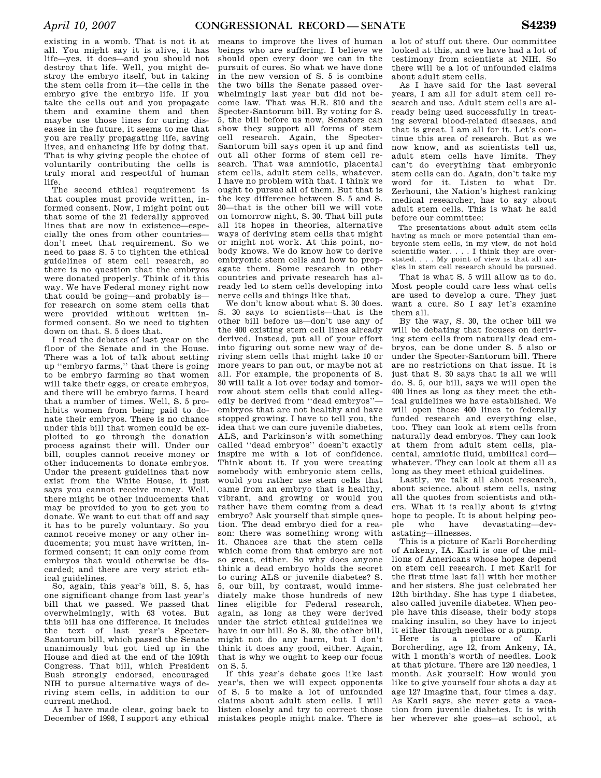existing in a womb. That is not it at all. You might say it is alive, it has life—yes, it does—and you should not destroy that life. Well, you might destroy the embryo itself, but in taking the stem cells from it—the cells in the embryo give the embryo life. If you take the cells out and you propagate them and examine them and then maybe use those lines for curing diseases in the future, it seems to me that you are really propagating life, saving lives, and enhancing life by doing that. That is why giving people the choice of voluntarily contributing the cells is truly moral and respectful of human life.

The second ethical requirement is that couples must provide written, informed consent. Now, I might point out that some of the 21 federally approved lines that are now in existence—especially the ones from other countries don't meet that requirement. So we need to pass S. 5 to tighten the ethical guidelines of stem cell research, so there is no question that the embryos were donated properly. Think of it this way. We have Federal money right now that could be going—and probably is for research on some stem cells that were provided without written informed consent. So we need to tighten down on that. S. 5 does that.

I read the debates of last year on the floor of the Senate and in the House. There was a lot of talk about setting up ''embryo farms,'' that there is going to be embryo farming so that women will take their eggs, or create embryos, and there will be embryo farms. I heard that a number of times. Well, S. 5 prohibits women from being paid to donate their embryos. There is no chance under this bill that women could be exploited to go through the donation process against their will. Under our bill, couples cannot receive money or other inducements to donate embryos. Under the present guidelines that now exist from the White House, it just says you cannot receive money. Well, there might be other inducements that may be provided to you to get you to donate. We want to cut that off and say it has to be purely voluntary. So you cannot receive money or any other inducements; you must have written, informed consent; it can only come from embryos that would otherwise be discarded; and there are very strict ethical guidelines.

So, again, this year's bill, S. 5, has one significant change from last year's bill that we passed. We passed that overwhelmingly, with 63 votes. But this bill has one difference. It includes the text of last year's Specter-Santorum bill, which passed the Senate unanimously but got tied up in the House and died at the end of the 109th Congress. That bill, which President Bush strongly endorsed, encouraged NIH to pursue alternative ways of deriving stem cells, in addition to our current method.

As I have made clear, going back to December of 1998, I support any ethical

means to improve the lives of human beings who are suffering. I believe we should open every door we can in the pursuit of cures. So what we have done in the new version of S. 5 is combine the two bills the Senate passed overwhelmingly last year but did not become law. That was H.R. 810 and the Specter-Santorum bill. By voting for S. 5, the bill before us now, Senators can show they support all forms of stem cell research. Again, the Specter-Santorum bill says open it up and find out all other forms of stem cell research. That was amniotic, placental stem cells, adult stem cells, whatever. I have no problem with that. I think we ought to pursue all of them. But that is the key difference between S. 5 and S. 30—that is the other bill we will vote on tomorrow night, S. 30. That bill puts all its hopes in theories, alternative ways of deriving stem cells that might or might not work. At this point, nobody knows. We do know how to derive embryonic stem cells and how to propagate them. Some research in other countries and private research has already led to stem cells developing into nerve cells and things like that.

We don't know about what S. 30 does. S. 30 says to scientists—that is the other bill before us—don't use any of the 400 existing stem cell lines already derived. Instead, put all of your effort into figuring out some new way of deriving stem cells that might take 10 or more years to pan out, or maybe not at all. For example, the proponents of S. 30 will talk a lot over today and tomorrow about stem cells that could allegedly be derived from ''dead embryos'' embryos that are not healthy and have stopped growing. I have to tell you, the idea that we can cure juvenile diabetes, ALS, and Parkinson's with something called ''dead embryos'' doesn't exactly inspire me with a lot of confidence. Think about it. If you were treating somebody with embryonic stem cells, would you rather use stem cells that came from an embryo that is healthy, vibrant, and growing or would you rather have them coming from a dead embryo? Ask yourself that simple question. The dead embryo died for a reason: there was something wrong with it. Chances are that the stem cells which come from that embryo are not so great, either. So why does anyone think a dead embryo holds the secret to curing ALS or juvenile diabetes? S. 5, our bill, by contrast, would immediately make those hundreds of new lines eligible for Federal research, again, as long as they were derived under the strict ethical guidelines we have in our bill. So S. 30, the other bill, might not do any harm, but I don't think it does any good, either. Again, that is why we ought to keep our focus on S. 5.

If this year's debate goes like last year's, then we will expect opponents of S. 5 to make a lot of unfounded claims about adult stem cells. I will listen closely and try to correct those mistakes people might make. There is

a lot of stuff out there. Our committee looked at this, and we have had a lot of testimony from scientists at NIH. So there will be a lot of unfounded claims about adult stem cells.

As I have said for the last several years, I am all for adult stem cell research and use. Adult stem cells are already being used successfully in treating several blood-related diseases, and that is great. I am all for it. Let's continue this area of research. But as we now know, and as scientists tell us, adult stem cells have limits. They can't do everything that embryonic stem cells can do. Again, don't take my word for it. Listen to what Dr. Zerhouni, the Nation's highest ranking medical researcher, has to say about adult stem cells. This is what he said before our committee:

The presentations about adult stem cells having as much or more potential than embryonic stem cells, in my view, do not hold scientific water. . . . I think they are overstated. . . . My point of view is that all angles in stem cell research should be pursued.

That is what S. 5 will allow us to do. Most people could care less what cells are used to develop a cure. They just want a cure. So I say let's examine them all.

By the way, S. 30, the other bill we will be debating that focuses on deriving stem cells from naturally dead embryos, can be done under S. 5 also or under the Specter-Santorum bill. There are no restrictions on that issue. It is just that S. 30 says that is all we will do. S. 5, our bill, says we will open the 400 lines as long as they meet the ethical guidelines we have established. We will open those 400 lines to federally funded research and everything else, too. They can look at stem cells from naturally dead embryos. They can look at them from adult stem cells, placental, amniotic fluid, umbilical cord whatever. They can look at them all as long as they meet ethical guidelines.

Lastly, we talk all about research, about science, about stem cells, using all the quotes from scientists and others. What it is really about is giving hope to people. It is about helping people who have devastating—devdevastating—devastating—illnesses.

This is a picture of Karli Borcherding of Ankeny, IA. Karli is one of the millions of Americans whose hopes depend on stem cell research. I met Karli for the first time last fall with her mother and her sisters. She just celebrated her 12th birthday. She has type 1 diabetes, also called juvenile diabetes. When people have this disease, their body stops making insulin, so they have to inject it either through needles or a pump.

Here is a picture of Karli Borcherding, age 12, from Ankeny, IA, with 1 month's worth of needles. Look at that picture. There are 120 needles, 1 month. Ask yourself: How would you like to give yourself four shots a day at age 12? Imagine that, four times a day. As Karli says, she never gets a vacation from juvenile diabetes. It is with her wherever she goes—at school, at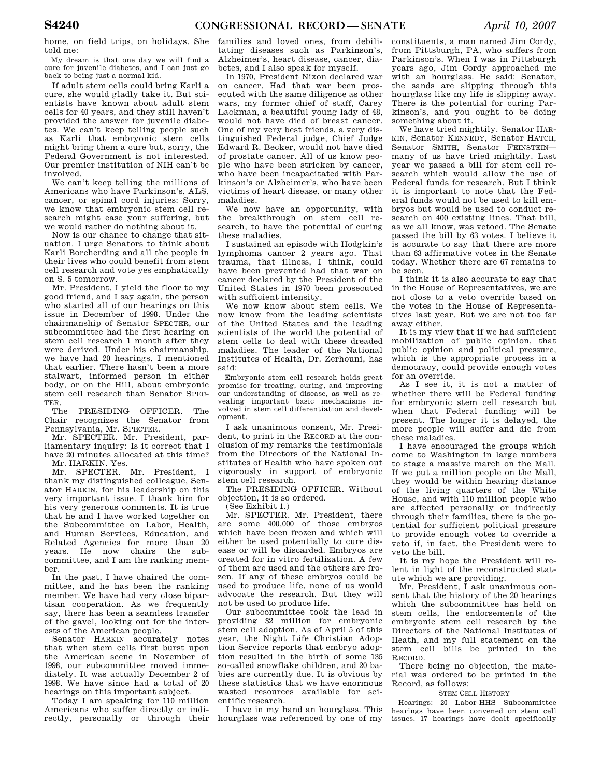home, on field trips, on holidays. She told me:

My dream is that one day we will find a cure for juvenile diabetes, and I can just go back to being just a normal kid.

If adult stem cells could bring Karli a cure, she would gladly take it. But scientists have known about adult stem cells for 40 years, and they still haven't provided the answer for juvenile diabetes. We can't keep telling people such as Karli that embryonic stem cells might bring them a cure but, sorry, the Federal Government is not interested. Our premier institution of NIH can't be involved.

We can't keep telling the millions of Americans who have Parkinson's, ALS, cancer, or spinal cord injuries: Sorry, we know that embryonic stem cell research might ease your suffering, but we would rather do nothing about it.

Now is our chance to change that situation. I urge Senators to think about Karli Borcherding and all the people in their lives who could benefit from stem cell research and vote yes emphatically on S. 5 tomorrow.

Mr. President, I yield the floor to my good friend, and I say again, the person who started all of our hearings on this issue in December of 1998. Under the chairmanship of Senator SPECTER, our subcommittee had the first hearing on stem cell research 1 month after they were derived. Under his chairmanship, we have had 20 hearings. I mentioned that earlier. There hasn't been a more stalwart, informed person in either body, or on the Hill, about embryonic stem cell research than Senator SPEC-TER.

The PRESIDING OFFICER. The Chair recognizes the Senator from Pennsylvania, Mr. SPECTER.

Mr. SPECTER. Mr. President, parliamentary inquiry: Is it correct that I have 20 minutes allocated at this time? Mr. HARKIN. Yes.

Mr. SPECTER. Mr. President, I thank my distinguished colleague, Senator HARKIN, for his leadership on this very important issue. I thank him for his very generous comments. It is true that he and I have worked together on the Subcommittee on Labor, Health, and Human Services, Education, and Related Agencies for more than 20 years. He now chairs the subcommittee, and I am the ranking member.

In the past, I have chaired the committee, and he has been the ranking member. We have had very close bipartisan cooperation. As we frequently say, there has been a seamless transfer of the gavel, looking out for the interests of the American people.

Senator HARKIN accurately notes that when stem cells first burst upon the American scene in November of 1998, our subcommittee moved immediately. It was actually December 2 of 1998. We have since had a total of 20 hearings on this important subject.

Today I am speaking for 110 million Americans who suffer directly or indirectly, personally or through their hourglass was referenced by one of my

families and loved ones, from debilitating diseases such as Parkinson's, Alzheimer's, heart disease, cancer, diabetes, and I also speak for myself.

In 1970, President Nixon declared war on cancer. Had that war been prosecuted with the same diligence as other wars, my former chief of staff, Carey Lackman, a beautiful young lady of 48, would not have died of breast cancer. One of my very best friends, a very distinguished Federal judge, Chief Judge Edward R. Becker, would not have died of prostate cancer. All of us know people who have been stricken by cancer, who have been incapacitated with Parkinson's or Alzheimer's, who have been victims of heart disease, or many other maladies.

We now have an opportunity, with the breakthrough on stem cell research, to have the potential of curing these maladies.

I sustained an episode with Hodgkin's lymphoma cancer 2 years ago. That trauma, that illness, I think, could have been prevented had that war on cancer declared by the President of the United States in 1970 been prosecuted with sufficient intensity.

We now know about stem cells. We now know from the leading scientists of the United States and the leading scientists of the world the potential of stem cells to deal with these dreaded maladies. The leader of the National Institutes of Health, Dr. Zerhouni, has said:

Embryonic stem cell research holds great promise for treating, curing, and improving our understanding of disease, as well as revealing important basic mechanisms involved in stem cell differentiation and development.

I ask unanimous consent, Mr. President, to print in the RECORD at the conclusion of my remarks the testimonials from the Directors of the National Institutes of Health who have spoken out vigorously in support of embryonic stem cell research.

The PRESIDING OFFICER. Without objection, it is so ordered.

(See Exhibit 1.)

Mr. SPECTER. Mr. President, there are some 400,000 of those embryos which have been frozen and which will either be used potentially to cure disease or will be discarded. Embryos are created for in vitro fertilization. A few of them are used and the others are frozen. If any of these embryos could be used to produce life, none of us would advocate the research. But they will not be used to produce life.

Our subcommittee took the lead in providing \$2 million for embryonic stem cell adoption. As of April 5 of this year, the Night Life Christian Adoption Service reports that embryo adoption resulted in the birth of some 135 so-called snowflake children, and 20 babies are currently due. It is obvious by these statistics that we have enormous wasted resources available for scientific research.

I have in my hand an hourglass. This

constituents, a man named Jim Cordy, from Pittsburgh, PA, who suffers from Parkinson's. When I was in Pittsburgh years ago, Jim Cordy approached me with an hourglass. He said: Senator, the sands are slipping through this hourglass like my life is slipping away. There is the potential for curing Parkinson's, and you ought to be doing something about it.

We have tried mightily. Senator HAR-KIN, Senator KENNEDY, Senator HATCH Senator SMITH, Senator FEINSTEIN many of us have tried mightily. Last year we passed a bill for stem cell research which would allow the use of Federal funds for research. But I think it is important to note that the Federal funds would not be used to kill embryos but would be used to conduct research on 400 existing lines. That bill, as we all know, was vetoed. The Senate passed the bill by 63 votes. I believe it is accurate to say that there are more than 63 affirmative votes in the Senate today. Whether there are 67 remains to be seen.

I think it is also accurate to say that in the House of Representatives, we are not close to a veto override based on the votes in the House of Representatives last year. But we are not too far away either.

It is my view that if we had sufficient mobilization of public opinion, that public opinion and political pressure, which is the appropriate process in a democracy, could provide enough votes for an override.

As I see it, it is not a matter of whether there will be Federal funding for embryonic stem cell research but when that Federal funding will be present. The longer it is delayed, the more people will suffer and die from these maladies.

I have encouraged the groups which come to Washington in large numbers to stage a massive march on the Mall. If we put a million people on the Mall, they would be within hearing distance of the living quarters of the White House, and with 110 million people who are affected personally or indirectly through their families, there is the potential for sufficient political pressure to provide enough votes to override a veto if, in fact, the President were to veto the bill.

It is my hope the President will relent in light of the reconstructed statute which we are providing.

Mr. President, I ask unanimous consent that the history of the 20 hearings which the subcommittee has held on stem cells, the endorsements of the embryonic stem cell research by the Directors of the National Institutes of Heath, and my full statement on the stem cell bills be printed in the RECORD.

There being no objection, the material was ordered to be printed in the Record, as follows:

#### STEM CELL HISTORY

Hearings: 20 Labor-HHS Subcommittee hearings have been convened on stem cell issues. 17 hearings have dealt specifically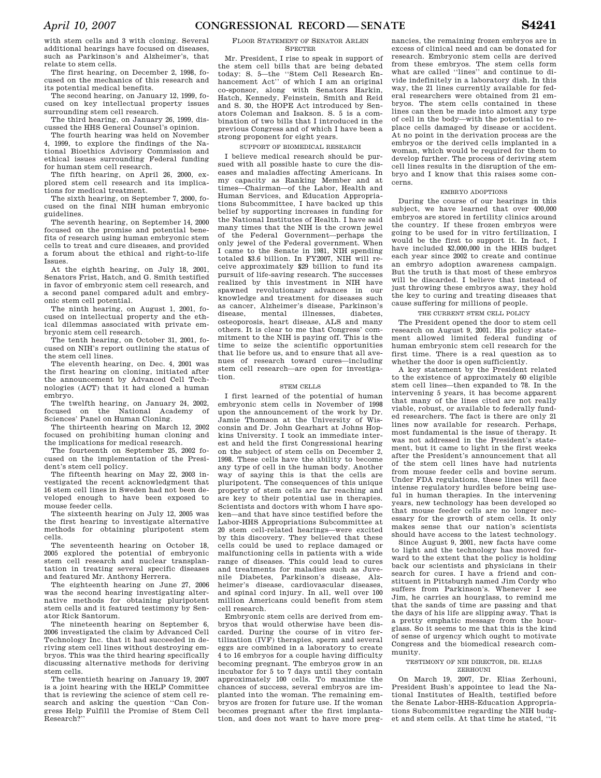with stem cells and 3 with cloning. Several additional hearings have focused on diseases, such as Parkinson's and Alzheimer's, that relate to stem cells.

The first hearing, on December 2, 1998, focused on the mechanics of this research and its potential medical benefits.

The second hearing, on January 12, 1999, focused on key intellectual property issues surrounding stem cell research.

The third hearing, on January 26, 1999, discussed the HHS General Counsel's opinion.

The fourth hearing was held on November 4, 1999, to explore the findings of the National Bioethics Advisory Commission and ethical issues surrounding Federal funding for human stem cell research.

The fifth hearing, on April 26, 2000, explored stem cell research and its implications for medical treatment.

The sixth hearing, on September 7, 2000, focused on the final NIH human embryonic guidelines.

The seventh hearing, on September 14, 2000 focused on the promise and potential benefits of research using human embryonic stem cells to treat and cure diseases, and provided a forum about the ethical and right-to-life Issues.

At the eighth hearing, on July 18, 2001, Senators Frist, Hatch, and G. Smith testified in favor of embryonic stem cell research, and a second panel compared adult and embryonic stem cell potential.

The ninth hearing, on August 1, 2001, focused on intellectual property and the ethical dilemmas associated with private embryonic stem cell research.

The tenth hearing, on October 31, 2001, focused on NIH's report outlining the status of the stem cell lines.

The eleventh hearing, on Dec. 4, 2001 was the first hearing on cloning, initiated after the announcement by Advanced Cell Technologies (ACT) that it had cloned a human embryo.

The twelfth hearing, on January 24, 2002, focused on the National Academy of Sciences' Panel on Human Cloning.

The thirteenth hearing on March 12, 2002 focused on prohibiting human cloning and the implications for medical research.

The fourteenth on September 25, 2002 focused on the implementation of the President's stem cell policy.

The fifteenth hearing on May 22, 2003 investigated the recent acknowledgment that 16 stem cell lines in Sweden had not been developed enough to have been exposed to mouse feeder cells.

The sixteenth hearing on July 12, 2005 was the first hearing to investigate alternative methods for obtaining pluripotent stem cells.

The seventeenth hearing on October 18, 2005 explored the potential of embryonic stem cell research and nuclear transplantation in treating several specific diseases and featured Mr. Anthony Herrera.

The eighteenth hearing on June 27, 2006 was the second hearing investigating alternative methods for obtaining pluripotent stem cells and it featured testimony by Senator Rick Santorum.

The nineteenth hearing on September 6, 2006 investigated the claim by Advanced Cell Technology Inc. that it had succeeded in deriving stem cell lines without destroying embryos. This was the third hearing specifically discussing alternative methods for deriving stem cells.

The twentieth hearing on January 19, 2007 is a joint hearing with the HELP Committee that is reviewing the science of stem cell research and asking the question ''Can Congress Help Fulfill the Promise of Stem Cell Research?''

#### FLOOR STATEMENT OF SENATOR ARLEN SPECTER

Mr. President, I rise to speak in support of the stem cell bills that are being debated today: S. 5—the ''Stem Cell Research Enhancement Act'' of which I am an original co-sponsor, along with Senators Harkin, Hatch, Kennedy, Feinstein, Smith and Reid and S. 30, the HOPE Act introduced by Senators Coleman and Isakson. S. 5 is a combination of two bills that I introduced in the previous Congress and of which I have been a strong proponent for eight years.

SUPPORT OF BIOMEDICAL RESEARCH

I believe medical research should be pursued with all possible haste to cure the diseases and maladies affecting Americans. In my capacity as Ranking Member and at times—Chairman—of the Labor, Health and Human Services, and Education Appropriations Subcommittee, I have backed up this belief by supporting increases in funding for the National Institutes of Health. I have said many times that the NIH is the crown jewel of the Federal Government—perhaps the only jewel of the Federal government. When I came to the Senate in 1981, NIH spending totaled \$3.6 billion. In FY2007, NIH will receive approximately \$29 billion to fund its pursuit of life-saving research. The successes realized by this investment in NIH have spawned revolutionary advances in our knowledge and treatment for diseases such as cancer, Alzheimer's disease, Parkinson's illnesses. osteoporosis, heart disease, ALS and many others. It is clear to me that Congress' commitment to the NIH is paying off. This is the time to seize the scientific opportunities that lie before us, and to ensure that all avenues of research toward cures—including stem cell research—are open for investigation.

#### STEM CELLS

I first learned of the potential of human embryonic stem cells in November of 1998 upon the announcement of the work by Dr. Jamie Thomson at the University of Wisconsin and Dr. John Gearhart at Johns Hopkins University. I took an immediate interest and held the first Congressional hearing on the subject of stem cells on December 2, 1998. These cells have the ability to become any type of cell in the human body. Another way of saying this is that the cells are pluripotent. The consequences of this unique property of stem cells are far reaching and are key to their potential use in therapies. Scientists and doctors with whom I have spoken—and that have since testified before the Labor-HHS Appropriations Subcommittee at 20 stem cell-related hearings—were excited by this discovery. They believed that these cells could be used to replace damaged or malfunctioning cells in patients with a wide range of diseases. This could lead to cures and treatments for maladies such as Juvenile Diabetes, Parkinson's disease, Alzheimer's disease, cardiovascular diseases, and spinal cord injury. In all, well over 100 million Americans could benefit from stem cell research.

Embryonic stem cells are derived from embryos that would otherwise have been discarded. During the course of in vitro fertilization (IVF) therapies, sperm and several eggs are combined in a laboratory to create 4 to 16 embryos for a couple having difficulty becoming pregnant. The embryos grow in an incubator for 5 to 7 days until they contain approximately 100 cells. To maximize the chances of success, several embryos are implanted into the woman. The remaining embryos are frozen for future use. If the woman becomes pregnant after the first implantation, and does not want to have more preg-

nancies, the remaining frozen embryos are in excess of clinical need and can be donated for research. Embryonic stem cells are derived from these embryos. The stem cells form what are called ''lines'' and continue to divide indefinitely in a laboratory dish. In this way, the 21 lines currently available for federal researchers were obtained from 21 embryos. The stem cells contained in these lines can then be made into almost any type of cell in the body—with the potential to replace cells damaged by disease or accident. At no point in the derivation process are the embryos or the derived cells implanted in a woman, which would be required for them to develop further. The process of deriving stem cell lines results in the disruption of the embryo and I know that this raises some concerns.

#### EMBRYO ADOPTIONS

During the course of our hearings in this subject, we have learned that over 400,000 embryos are stored in fertility clinics around the country. If these frozen embryos were going to be used for in vitro fertilization, I would be the first to support it. In fact, I have included \$2,000,000 in the HHS budget each year since 2002 to create and continue an embryo adoption awareness campaign. But the truth is that most of these embryos will be discarded. I believe that instead of just throwing these embryos away, they hold the key to curing and treating diseases that cause suffering for millions of people.

#### THE CURRENT STEM CELL POLICY

The President opened the door to stem cell research on August 9, 2001. His policy statement allowed limited federal funding of human embryonic stem cell research for the first time. There is a real question as to whether the door is open sufficiently.

A key statement by the President related to the existence of approximately 60 eligible stem cell lines—then expanded to 78. In the intervening 5 years, it has become apparent that many of the lines cited are not really viable, robust, or available to federally funded researchers. The fact is there are only 21 lines now available for research. Perhaps, most fundamental is the issue of therapy. It was not addressed in the President's statement, but it came to light in the first weeks after the President's announcement that all of the stem cell lines have had nutrients from mouse feeder cells and bovine serum. Under FDA regulations, these lines will face intense regulatory hurdles before being useful in human therapies. In the intervening years, new technology has been developed so that mouse feeder cells are no longer necessary for the growth of stem cells. It only makes sense that our nation's scientists should have access to the latest technology.

Since August 9, 2001, new facts have come to light and the technology has moved forward to the extent that the policy is holding back our scientists and physicians in their search for cures. I have a friend and constituent in Pittsburgh named Jim Cordy who suffers from Parkinson's. Whenever I see Jim, he carries an hourglass, to remind me that the sands of time are passing and that the days of his life are slipping away. That is a pretty emphatic message from the hourglass. So it seems to me that this is the kind of sense of urgency which ought to motivate Congress and the biomedical research community.

#### TESTIMONY OF NIH DIRECTOR, DR. ELIAS ZERHOUNI

On March 19, 2007, Dr. Elias Zerhouni, President Bush's appointee to lead the National Institutes of Health, testified before the Senate Labor-HHS-Education Appropriations Subcommittee regarding the NIH budget and stem cells. At that time he stated, ''it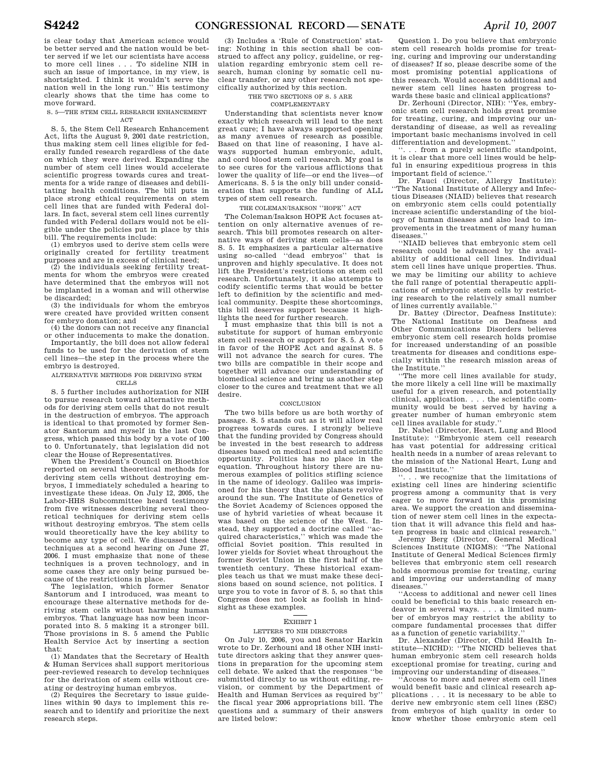is clear today that American science would be better served and the nation would be better served if we let our scientists have access to more cell lines . . . To sideline NIH in such an issue of importance, in my view, is shortsighted. I think it wouldn't serve the nation well in the long run.'' His testimony clearly shows that the time has come to move forward.

#### S. 5—THE STEM CELL RESEARCH ENHANCEMENT ACT

S. 5, the Stem Cell Research Enhancement Act, lifts the August 9, 2001 date restriction, thus making stem cell lines eligible for federally funded research regardless of the date on which they were derived. Expanding the number of stem cell lines would accelerate scientific progress towards cures and treatments for a wide range of diseases and debilitating health conditions. The bill puts in place strong ethical requirements on stem cell lines that are funded with Federal dollars. In fact, several stem cell lines currently funded with Federal dollars would not be eligible under the policies put in place by this bill. The requirements include:

(1) embryos used to derive stem cells were originally created for fertility treatment purposes and are in excess of clinical need;

(2) the individuals seeking fertility treatments for whom the embryos were created have determined that the embryos will not be implanted in a woman and will otherwise be discarded;

(3) the individuals for whom the embryos were created have provided written consent for embryo donation; and

(4) the donors can not receive any financial or other inducements to make the donation.

Importantly, the bill does not allow federal funds to be used for the derivation of stem cell lines—the step in the process where the embryo is destroyed.

#### ALTERNATIVE METHODS FOR DERIVING STEM CELLS

S. 5 further includes authorization for NIH to pursue research toward alternative methods for deriving stem cells that do not result in the destruction of embryos. The approach is identical to that promoted by former Senator Santorum and myself in the last Congress, which passed this body by a vote of 100 to 0. Unfortunately, that legislation did not clear the House of Representatives.

When the President's Council on Bioethics reported on several theoretical methods for deriving stem cells without destroying embryos, I immediately scheduled a hearing to investigate these ideas. On July 12, 2005, the Labor-HHS Subcommittee heard testimony from five witnesses describing several theoretical techniques for deriving stem cells without destroying embryos. The stem cells would theoretically have the key ability to become any type of cell. We discussed these techniques at a second hearing on June 27, 2006. I must emphasize that none of these techniques is a proven technology, and in some cases they are only being pursued because of the restrictions in place.

The legislation, which former Senator Santorum and I introduced, was meant to encourage these alternative methods for deriving stem cells without harming human embryos. That language has now been incorporated into S. 5 making it a stronger bill. Those provisions in S. 5 amend the Public Health Service Act by inserting a section that:

(1) Mandates that the Secretary of Health & Human Services shall support meritorious peer-reviewed research to develop techniques for the derivation of stem cells without creating or destroying human embryos.

(2) Requires the Secretary to issue guidelines within 90 days to implement this research and to identify and prioritize the next research steps.

(3) Includes a 'Rule of Construction' stating: Nothing in this section shall be construed to affect any policy, guideline, or regulation regarding embryonic stem cell research, human cloning by somatic cell nuclear transfer, or any other research not specifically authorized by this section.

# THE TWO SECTIONS OF S. 5 ARE

COMPLEMENTARY

Understanding that scientists never know exactly which research will lead to the next great cure; I have always supported opening as many avenues of research as possible. Based on that line of reasoning, I have always supported human embryonic, adult, and cord blood stem cell research. My goal is to see cures for the various afflictions that lower the quality of life—or end the lives—of Americans. S. 5 is the only bill under consideration that supports the funding of ALL types of stem cell research.

#### THE COLEMAN/ISAKSON ''HOPE'' ACT

The Coleman/Isakson HOPE Act focuses attention on only alternative avenues of research. This bill promotes research on alternative ways of deriving stem cells—as does S. 5. It emphasizes a particular alternative using so-called ''dead embryos'' that is unproven and highly speculative. It does not lift the President's restrictions on stem cell research. Unfortunately, it also attempts to codify scientific terms that would be better left to definition by the scientific and medical community. Despite these shortcomings, this bill deserves support because it highlights the need for further research.

I must emphasize that this bill is not a substitute for support of human embryonic stem cell research or support for S. 5. A vote in favor of the HOPE Act and against S. 5 will not advance the search for cures. The two bills are compatible in their scope and together will advance our understanding of biomedical science and bring us another step closer to the cures and treatment that we all desire.

#### CONCLUSION

The two bills before us are both worthy of passage. S. 5 stands out as it will allow real progress towards cures. I strongly believe that the funding provided by Congress should be invested in the best research to address diseases based on medical need and scientific opportunity. Politics has no place in the equation. Throughout history there are numerous examples of politics stifling science in the name of ideology. Galileo was imprisoned for his theory that the planets revolve around the sun. The Institute of Genetics of the Soviet Academy of Sciences opposed the use of hybrid varieties of wheat because it was based on the science of the West. Instead, they supported a doctrine called ''acquired characteristics,'' which was made the official Soviet position. This resulted in lower yields for Soviet wheat throughout the former Soviet Union in the first half of the twentieth century. These historical examples teach us that we must make these decisions based on sound science, not politics. I urge you to vote in favor of S. 5, so that this Congress does not look as foolish in hindsight as these examples.

#### EXHIBIT 1

#### LETTERS TO NIH DIRECTORS

On July 10, 2006, you and Senator Harkin wrote to Dr. Zerhouni and 18 other NIH institute directors asking that they answer questions in preparation for the upcoming stem cell debate. We asked that the responses ''be submitted directly to us without editing, revision, or comment by the Department of Health and Human Services as required by'' the fiscal year 2006 appropriations bill. The questions and a summary of their answers are listed below:

Question 1. Do you believe that embryonic stem cell research holds promise for treating, curing and improving our understanding of diseases? If so, please describe some of the most promising potential applications of this research. Would access to additional and newer stem cell lines hasten progress to-

wards these basic and clinical applications? Dr. Zerhouni (Director, NIH): ''Yes, embryonic stem cell research holds great promise for treating, curing, and improving our understanding of disease, as well as revealing important basic mechanisms involved in cell differentiation and development.''

. from a purely scientific standpoint, it is clear that more cell lines would be helpful in ensuring expeditious progress in this important field of science.''

Dr. Fauci (Director, Allergy Institute): ''The National Institute of Allergy and Infectious Diseases (NIAID) believes that research on embryonic stem cells could potentially increase scientific understanding of the biology of human diseases and also lead to improvements in the treatment of many human diseases.''

''NIAID believes that embryonic stem cell research could be advanced by the availability of additional cell lines. Individual stem cell lines have unique properties. Thus. we may be limiting our ability to achieve the full range of potential therapeutic applications of embryonic stem cells by restricting research to the relatively small number of lines currently available.''

Dr. Battey (Director, Deafness Institute): The National Institute on Deafness and Other Communications Disorders believes embryonic stem cell research holds promise for increased understanding of an possible treatments for diseases and conditions especially within the research mission areas of the Institute.''

''The more cell lines available for study, the more likely a cell line will be maximally useful for a given research, and potentially clinical, application. . . . the scientific community would be best served by having a greater number of human embryonic stem cell lines available for study.''

Dr. Nabel (Director, Heart, Lung and Blood Institute): ''Embryonic stem cell research has vast potential for addressing critical health needs in a number of areas relevant to the mission of the National Heart, Lung and Blood Institute.''

.. we recognize that the limitations of existing cell lines are hindering scientific progress among a community that is very eager to move forward in this promising area. We support the creation and dissemination of newer stem cell lines in the expectation that it will advance this field and hasten progress in basic and clinical research.''

Jeremy Berg (Director, General Medical Sciences Institute (NIGMS): ''The National Institute of General Medical Sciences firmly believes that embryonic stem cell research holds enormous promise for treating, curing and improving our understanding of many diseases.

''Access to additional and newer cell lines could be beneficial to this basic research endeavor in several ways. . . . a limited number of embryos may restrict the ability to compare fundamental processes that differ as a function of genetic variability.''

Dr. Alexander (Director, Child Health Institute—NICHD): ''The NICHD believes that human embryonic stem cell research holds exceptional promise for treating, curing and improving our understanding of diseases.

Access to more and newer stem cell lines would benefit basic and clinical research applications . . . it is necessary to be able to derive new embryonic stem cell lines (ESC) from embryos of high quality in order to know whether those embryonic stem cell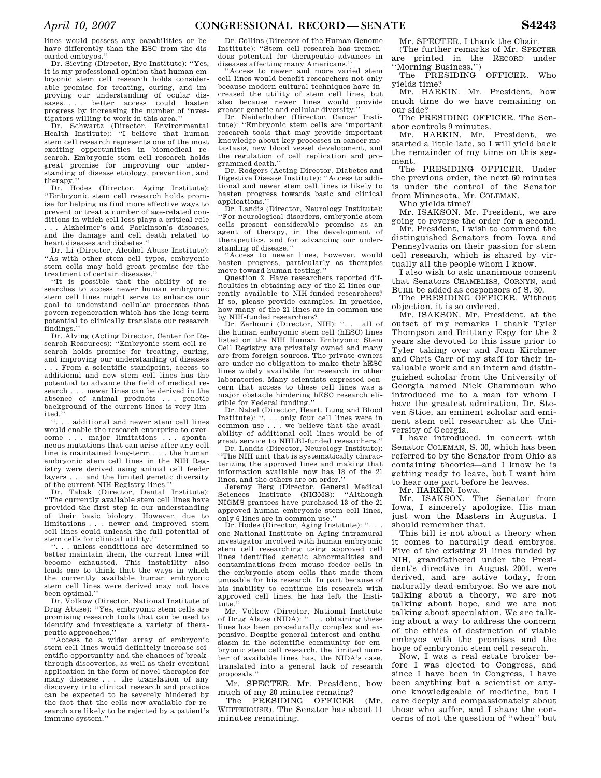lines would possess any capabilities or behave differently than the ESC from the discarded embryos.''

Dr. Sieving (Director, Eye Institute): ''Yes, it is my professional opinion that human embryonic stem cell research holds considerable promise for treating, curing, and improving our understanding of ocular dis-<br>eases.... better access could hasten eases. . . . better access progress by increasing the number of investigators willing to work in this area.''

Dr. Schwartz (Director, Environmental Health Institute): ''I believe that human stem cell research represents one of the most exciting opportunities in biomedical research. Embryonic stem cell research holds great promise for improving our understanding of disease etiology, prevention, and therapy.

Dr. Hodes (Director, Aging Institute): ''Embryonic stem cell research holds promise for helping us find more effective ways to prevent or treat a number of age-related conditions in which cell loss plays a critical role Alzheimer's and Parkinson's diseases, and the damage and cell death related to heart diseases and diabetes.''

Dr. Li (Director, Alcohol Abuse Institute): ''As with other stem cell types, embryonic stem cells may hold great promise for the treatment of certain diseases.''

''It is possible that the ability of researches to access newer human embryonic stem cell lines might serve to enhance our goal to understand cellular processes that govern regeneration which has the long-term potential to clinically translate our research findings<sup>'</sup>

Dr. Alving (Acting Director, Center for Research Resources): ''Embryonic stem cell research holds promise for treating, curing, and improving our understanding of diseases From a scientific standpoint, access to additional and new stem cell lines has the potential to advance the field of medical research . . . newer lines can be derived in the absence of animal products . . . genetic background of the current lines is very limited.''

.. additional and newer stem cell lines would enable the research enterprise to overcome . . . major limitations . . . spontaneous mutations that can arise after any cell line is maintained long-term . . . the human embryonic stem cell lines in the NIH Registry were derived using animal cell feeder layers . . . and the limited genetic diversity of the current NIH Registry lines.''

Dr. Tabak (Director, Dental Institute): ''The currently available stem cell lines have provided the first step in our understanding of their basic biology. However, due to limitations . . . newer and improved stem cell lines could unleash the full potential of stem cells for clinical utility.''

''. . . unless conditions are determined to better maintain them, the current lines will become exhausted. This instability also leads one to think that the ways in which the currently available human embryonic stem cell lines were derived may not have been optimal.''

Dr. Volkow (Director, National Institute of Drug Abuse): ''Yes, embryonic stem cells are promising research tools that can be used to identify and investigate a variety of therapeutic approaches.''

''Access to a wider array of embryonic stem cell lines would definitely increase scientific opportunity and the chances of breakthrough discoveries, as well as their eventual application in the form of novel therapies for many diseases . . . the translation of any discovery into clinical research and practice can be expected to be severely hindered by the fact that the cells now available for research are likely to be rejected by a patient's immune system.''

Dr. Collins (Director of the Human Genome Institute): ''Stem cell research has tremendous potential for therapeutic advances in diseases affecting many Americans.''

''Access to newer and more varied stem cell lines would benefit researchers not only because modern cultural techniques have increased the utility of stem cell lines, but also because newer lines would provide greater genetic and cellular diversity.

Dr. Neiderhuber (Director, Cancer Institute): ''Embryonic stem cells are important research tools that may provide important knowledge about key processes in cancer metastasis, new blood vessel development, and the regulation of cell replication and programmed death.''

Dr. Rodgers (Acting Director, Diabetes and Digestive Disease Institute): ''Access to additional and newer stem cell lines is likely to hasten progress towards basic and clinical applications.''

Dr. Landis (Director, Neurology Institute): For neurological disorders, embryonic stem cells present considerable promise as an agent of therapy, in the development of therapeutics, and for advancing our understanding of disease.''

''Access to newer lines, however, would hasten progress, particularly as therapies move toward human testing.''

Question 2. Have researchers reported difficulties in obtaining any of the 21 lines currently available to NIH-funded researchers? If so, please provide examples. In practice, how many of the 21 lines are in common use by NIH-funded researchers?

Dr. Zerhouni (Director, NIH): "... all of the human embryonic stem cell (hESC) lines listed on the NIH Human Embryonic Stem Cell Registry are privately owned and many are from foreign sources. The private owners are under no obligation to make their hESC lines widely available for research in other laboratories. Many scientists expressed concern that access to these cell lines was a major obstacle hindering hESC research eligible for Federal funding.''

Dr. Nabel (Director, Heart, Lung and Blood Institute): ''. . . only four cell lines were in common use . . . we believe that the availability of additional cell lines would be of great service to NHLBI-funded researchers.''

Dr. Landis (Director, Neurology Institute): ''The NIH unit that is systematically characterizing the approved lines and making that information available now has 18 of the 21 lines, and the others are on order.''

Jeremy Berg (Director, General Medical Sciences Institute (NIGMS): ''Although NIGMS grantees have purchased 13 of the 21 approved human embryonic stem cell lines, only 6 lines are in common use.''

Dr. Hodes (Director, Aging Institute): ". one National Institute on Aging intramural investigator involved with human embryonic stem cell researching using approved cell lines identified genetic abnormalities and contaminations from mouse feeder cells in the embryonic stem cells that made them unusable for his research. In part because of his inability to continue his research with approved cell lines. he has left the Institute.''

Mr. Volkow (Director, National Institute of Drug Abuse (NIDA): ''. . . obtaining these lines has been procedurally complex and expensive. Despite general interest and enthusiasm in the scientific community for embryonic stem cell research. the limited number of available lines has, the NIDA's case. translated into a general lack of research proposals.''

Mr. SPECTER. Mr. President, how much of my 20 minutes remains?

The PRESIDING OFFICER (Mr. WHITEHOUSE). The Senator has about 11 minutes remaining.

Mr. SPECTER. I thank the Chair.

(The further remarks of Mr. SPECTER are printed in the RECORD under ''Morning Business.'')

The PRESIDING OFFICER. Who yields time?

Mr. HARKIN. Mr. President, how much time do we have remaining on our side?

The PRESIDING OFFICER. The Senator controls 9 minutes.

Mr. HARKIN. Mr. President, we started a little late, so I will yield back the remainder of my time on this segment.

The PRESIDING OFFICER. Under the previous order, the next 60 minutes is under the control of the Senator from Minnesota, Mr. COLEMAN.

Who yields time?

Mr. ISAKSON. Mr. President, we are going to reverse the order for a second.

Mr. President, I wish to commend the distinguished Senators from Iowa and Pennsylvania on their passion for stem cell research, which is shared by virtually all the people whom I know.

I also wish to ask unanimous consent that Senators CHAMBLISS, CORNYN, and BURR be added as cosponsors of S. 30.

The PRESIDING OFFICER. Without objection, it is so ordered.

Mr. ISAKSON. Mr. President, at the outset of my remarks I thank Tyler Thompson and Brittany Espy for the 2 years she devoted to this issue prior to Tyler taking over and Joan Kirchner and Chris Carr of my staff for their invaluable work and an intern and distinguished scholar from the University of Georgia named Nick Chammoun who introduced me to a man for whom I have the greatest admiration, Dr. Steven Stice, an eminent scholar and eminent stem cell researcher at the University of Georgia.

I have introduced, in concert with Senator COLEMAN, S. 30, which has been referred to by the Senator from Ohio as containing theories—and I know he is getting ready to leave, but I want him to hear one part before he leaves.

Mr. HARKIN. Iowa.

Mr. ISAKSON. The Senator from Iowa, I sincerely apologize. His man just won the Masters in Augusta. I should remember that.

This bill is not about a theory when it comes to naturally dead embryos. Five of the existing 21 lines funded by NIH, grandfathered under the President's directive in August 2001, were derived, and are active today, from naturally dead embryos. So we are not talking about a theory, we are not talking about hope, and we are not talking about speculation. We are talking about a way to address the concern of the ethics of destruction of viable embryos with the promises and the hope of embryonic stem cell research.

Now, I was a real estate broker before I was elected to Congress, and since I have been in Congress, I have been anything but a scientist or anyone knowledgeable of medicine, but I care deeply and compassionately about those who suffer, and I share the concerns of not the question of ''when'' but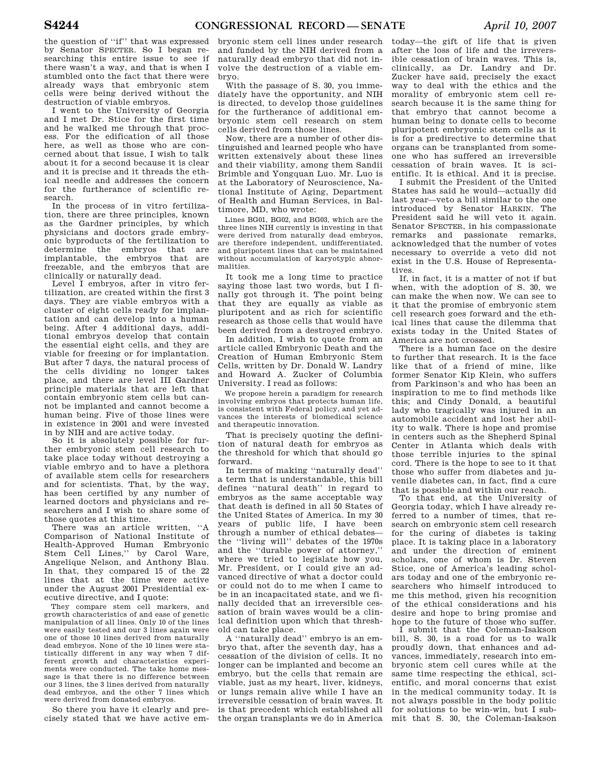the question of ''if'' that was expressed by Senator SPECTER. So I began researching this entire issue to see if there wasn't a way, and that is when I stumbled onto the fact that there were already ways that embryonic stem cells were being derived without the destruction of viable embryos.

I went to the University of Georgia and I met Dr. Stice for the first time and he walked me through that process. For the edification of all those here, as well as those who are concerned about that issue, I wish to talk about it for a second because it is clear and it is precise and it threads the ethical needle and addresses the concern for the furtherance of scientific research.

In the process of in vitro fertilization, there are three principles, known as the Gardner principles, by which physicians and doctors grade embryonic byproducts of the fertilization to determine the embryos that are implantable, the embryos that are freezable, and the embryos that are clinically or naturally dead.

Level I embryos, after in vitro fertilization, are created within the first 3 days. They are viable embryos with a cluster of eight cells ready for implantation and can develop into a human being. After 4 additional days, additional embryos develop that contain the essential eight cells, and they are viable for freezing or for implantation. But after 7 days, the natural process of the cells dividing no longer takes place, and there are level III Gardner principle materials that are left that contain embryonic stem cells but cannot be implanted and cannot become a human being. Five of those lines were in existence in 2001 and were invested in by NIH and are active today.

So it is absolutely possible for further embryonic stem cell research to take place today without destroying a viable embryo and to have a plethora of available stem cells for researchers and for scientists. That, by the way, has been certified by any number of learned doctors and physicians and researchers and I wish to share some of those quotes at this time.

There was an article written, ''A Comparison of National Institute of Health-Approved Human Embryonic Stem Cell Lines," by Carol Ware, Angelique Nelson, and Anthony Blau. In that, they compared 15 of the 22 lines that at the time were active under the August 2001 Presidential executive directive, and I quote:

They compare stem cell markers, and growth characteristics of and ease of genetic manipulation of all lines. Only 10 of the lines were easily tested and our 3 lines again were one of those 10 lines derived from naturally dead embryos. None of the 10 lines were statistically different in any way when 7 different growth and characteristics experiments were conducted. The take home message is that there is no difference between our 3 lines, the 3 lines derived from naturally dead embryos, and the other 7 lines which were derived from donated embryos.

So there you have it clearly and precisely stated that we have active em-

bryonic stem cell lines under research and funded by the NIH derived from a naturally dead embryo that did not involve the destruction of a viable embryo.

With the passage of S. 30, you immediately have the opportunity, and NIH is directed, to develop those guidelines for the furtherance of additional embryonic stem cell research on stem cells derived from those lines.

Now, there are a number of other distinguished and learned people who have written extensively about these lines and their viability, among them Sandii Brimble and Yongquan Luo. Mr. Luo is at the Laboratory of Neuroscience, National Institute of Aging, Department of Health and Human Services, in Baltimore, MD, who wrote:

Lines BG01, BG02, and BG03, which are the three lines NIH currently is investing in that were derived from naturally dead embryos, are therefore independent, undifferentiated, and pluripotent lines that can be maintained without accumulation of karyotypic abnormalities.

It took me a long time to practice saying those last two words, but I finally got through it. The point being that they are equally as viable as pluripotent and as rich for scientific research as those cells that would have been derived from a destroyed embryo.

In addition, I wish to quote from an article called Embryonic Death and the Creation of Human Embryonic Stem Cells, written by Dr. Donald W. Landry and Howard A. Zucker of Columbia University. I read as follows:

We propose herein a paradigm for research involving embryos that protects human life, is consistent with Federal policy, and yet advances the interests of biomedical science and therapeutic innovation.

That is precisely quoting the definition of natural death for embryos as the threshold for which that should go forward.

In terms of making ''naturally dead'' a term that is understandable, this bill defines ''natural death'' in regard to embryos as the same acceptable way that death is defined in all 50 States of the United States of America. In my 30 years of public life, I have been through a number of ethical debates the ''living will'' debates of the 1970s and the ''durable power of attorney,'' where we tried to legislate how you, Mr. President, or I could give an advanced directive of what a doctor could or could not do to me when I came to be in an incapacitated state, and we finally decided that an irreversible cessation of brain waves would be a clinical definition upon which that threshold can take place.

A ''naturally dead'' embryo is an embryo that, after the seventh day, has a cessation of the division of cells. It no longer can be implanted and become an embryo, but the cells that remain are viable, just as my heart, liver, kidneys, or lungs remain alive while I have an irreversible cessation of brain waves. It is that precedent which established all the organ transplants we do in America

today—the gift of life that is given after the loss of life and the irreversible cessation of brain waves. This is, clinically, as Dr. Landry and Dr. Zucker have said, precisely the exact way to deal with the ethics and the morality of embryonic stem cell research because it is the same thing for that embryo that cannot become a human being to donate cells to become pluripotent embryonic stem cells as it is for a predirective to determine that organs can be transplanted from someone who has suffered an irreversible cessation of brain waves. It is scientific. It is ethical. And it is precise.

I submit the President of the United States has said he would—actually did last year—veto a bill similar to the one introduced by Senator HARKIN. The President said he will veto it again. Senator SPECTER, in his compassionate remarks and passionate remarks, acknowledged that the number of votes necessary to override a veto did not exist in the U.S. House of Representatives.

If, in fact, it is a matter of not if but when, with the adoption of S. 30, we can make the when now. We can see to it that the promise of embryonic stem cell research goes forward and the ethical lines that cause the dilemma that exists today in the United States of America are not crossed.

There is a human face on the desire to further that research. It is the face like that of a friend of mine, like former Senator Kip Klein, who suffers from Parkinson's and who has been an inspiration to me to find methods like this; and Cindy Donald, a beautiful lady who tragically was injured in an automobile accident and lost her ability to walk. There is hope and promise in centers such as the Shepherd Spinal Center in Atlanta which deals with those terrible injuries to the spinal cord. There is the hope to see to it that those who suffer from diabetes and juvenile diabetes can, in fact, find a cure that is possible and within our reach.

To that end, at the University of Georgia today, which I have already referred to a number of times, that research on embryonic stem cell research for the curing of diabetes is taking place. It is taking place in a laboratory and under the direction of eminent scholars, one of whom is Dr. Steven Stice, one of America's leading scholars today and one of the embryonic researchers who himself introduced to me this method, given his recognition of the ethical considerations and his desire and hope to bring promise and hope to the future of those who suffer.

I submit that the Coleman-Isakson bill, S. 30, is a road for us to walk proudly down, that enhances and advances, immediately, research into embryonic stem cell cures while at the same time respecting the ethical, scientific, and moral concerns that exist in the medical community today. It is not always possible in the body politic for solutions to be win-win, but I submit that S. 30, the Coleman-Isakson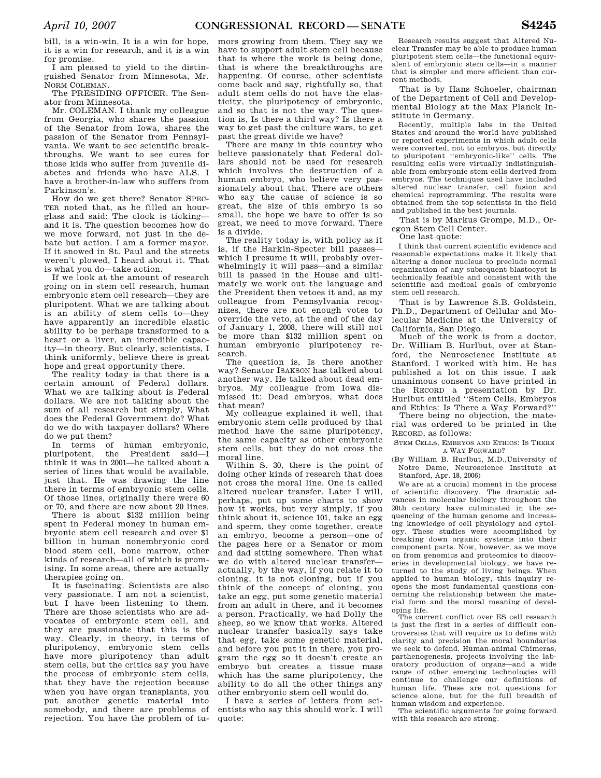bill, is a win-win. It is a win for hope, it is a win for research, and it is a win for promise.

I am pleased to yield to the distinguished Senator from Minnesota, Mr. NORM COLEMAN.

The PRESIDING OFFICER. The Senator from Minnesota.

Mr. COLEMAN. I thank my colleague from Georgia, who shares the passion of the Senator from Iowa, shares the passion of the Senator from Pennsylvania. We want to see scientific breakthroughs. We want to see cures for those kids who suffer from juvenile diabetes and friends who have ALS. I have a brother-in-law who suffers from Parkinson's.

How do we get there? Senator SPEC-TER noted that, as he filled an hourglass and said: The clock is ticking and it is. The question becomes how do we move forward, not just in the debate but action. I am a former mayor. If it snowed in St. Paul and the streets weren't plowed, I heard about it. That is what you do—take action.

If we look at the amount of research going on in stem cell research, human embryonic stem cell research—they are pluripotent. What we are talking about is an ability of stem cells to—they have apparently an incredible elastic ability to be perhaps transformed to a heart or a liver, an incredible capacity—in theory. But clearly, scientists, I think uniformly, believe there is great hope and great opportunity there.

The reality today is that there is a certain amount of Federal dollars. What we are talking about is Federal dollars. We are not talking about the sum of all research but simply, What does the Federal Government do? What do we do with taxpayer dollars? Where do we put them?

In terms of human embryonic, pluripotent, the President said—I think it was in 2001—he talked about a series of lines that would be available, just that. He was drawing the line there in terms of embryonic stem cells. Of those lines, originally there were 60 or 70, and there are now about 20 lines.

There is about \$132 million being spent in Federal money in human embryonic stem cell research and over \$1 billion in human nonembryonic cord blood stem cell, bone marrow, other kinds of research—all of which is promising. In some areas, there are actually therapies going on.

It is fascinating. Scientists are also very passionate. I am not a scientist, but I have been listening to them. There are those scientists who are advocates of embryonic stem cell, and they are passionate that this is the way. Clearly, in theory, in terms of pluripotency, embryonic stem cells have more pluripotency than adult stem cells, but the critics say you have the process of embryonic stem cells, that they have the rejection because when you have organ transplants, you put another genetic material into somebody, and there are problems of rejection. You have the problem of tu-

mors growing from them. They say we have to support adult stem cell because that is where the work is being done, that is where the breakthroughs are happening. Of course, other scientists come back and say, rightfully so, that adult stem cells do not have the elasticity, the pluripotency of embryonic, and so that is not the way. The question is, Is there a third way? Is there a way to get past the culture wars, to get past the great divide we have?

There are many in this country who believe passionately that Federal dollars should not be used for research which involves the destruction of a human embryo, who believe very passionately about that. There are others who say the cause of science is so great, the size of this embryo is so small, the hope we have to offer is so great, we need to move forward. There is a divide.

The reality today is, with policy as it is, if the Harkin-Specter bill passes which I presume it will, probably overwhelmingly it will pass—and a similar bill is passed in the House and ultimately we work out the language and the President then vetoes it and, as my colleague from Pennsylvania recognizes, there are not enough votes to override the veto, at the end of the day of January 1, 2008, there will still not be more than \$132 million spent on human embryonic pluripotency research.

The question is, Is there another way? Senator ISAKSON has talked about another way. He talked about dead embryos. My colleague from Iowa dismissed it: Dead embryos, what does that mean?

My colleague explained it well, that embryonic stem cells produced by that method have the same pluripotency, the same capacity as other embryonic stem cells, but they do not cross the moral line.

Within S. 30, there is the point of doing other kinds of research that does not cross the moral line. One is called altered nuclear transfer. Later I will, perhaps, put up some charts to show how it works, but very simply, if you think about it, science 101, take an egg and sperm, they come together, create an embryo, become a person—one of the pages here or a Senator or mom and dad sitting somewhere. Then what we do with altered nuclear transfer actually, by the way, if you relate it to cloning, it is not cloning, but if you think of the concept of cloning, you take an egg, put some genetic material from an adult in there, and it becomes a person. Practically, we had Dolly the sheep, so we know that works. Altered nuclear transfer basically says take that egg, take some genetic material, and before you put it in there, you program the egg so it doesn't create an embryo but creates a tissue mass which has the same pluripotency, the ability to do all the other things any other embryonic stem cell would do.

I have a series of letters from scientists who say this should work. I will quote:

Research results suggest that Altered Nuclear Transfer may be able to produce human pluripotent stem cells—the functional equivalent of embryonic stem cells—in a manner that is simpler and more efficient than current methods.

That is by Hans Schoeler, chairman of the Department of Cell and Developmental Biology at the Max Planck Institute in Germany.

Recently, multiple labs in the United States and around the world have published or reported experiments in which adult cells were converted, not to embryos, but directly to pluripotent ''embryonic-like'' cells. The resulting cells were virtually indistinguishable from embryonic stem cells derived from embryos. The techniques used have included altered nuclear transfer, cell fusion and chemical reprogramming. The results were obtained from the top scientists in the field and published in the best journals.

That is by Markus Grompe, M.D., Oregon Stem Cell Center.

One last quote:

I think that current scientific evidence and reasonable expectations make it likely that altering a donor nucleus to preclude normal organization of any subsequent blastocyst is technically feasible and consistent with the scientific and medical goals of embryonic stem cell research.

That is by Lawrence S.B. Goldstein, Ph.D., Department of Cellular and Molecular Medicine at the University of California, San Diego.

Much of the work is from a doctor, Dr. William B. Hurlbut, over at Stanford, the Neuroscience Institute at Stanford. I worked with him. He has published a lot on this issue. I ask unanimous consent to have printed in the RECORD a presentation by Dr. Hurlbut entitled ''Stem Cells, Embryos and Ethics: Is There a Way Forward?''

There being no objection, the material was ordered to be printed in the RECORD, as follows:

STEM CELLS, EMBRYOS AND ETHICS: IS THERE A WAY FORWARD?

(By William B. Hurlbut, M.D.,University of Notre Dame, Neuroscience Institute at Stanford, Apr. 18, 2006)

We are at a crucial moment in the process of scientific discovery. The dramatic advances in molecular biology throughout the 20th century have culminated in the sequencing of the human genome and increasing knowledge of cell physiology and cytology. These studies were accomplished by breaking down organic systems into their component parts. Now, however, as we move on from genomics and proteomics to discoveries in developmental biology, we have returned to the study of living beings. When applied to human biology, this inquiry reopens the most fundamental questions concerning the relationship between the material form and the moral meaning of developing life.

The current conflict over ES cell research is just the first in a series of difficult controversies that will require us to define with clarity and precision the moral boundaries we seek to defend. Human-animal Chimeras, parthenogenesis, projects involving the laboratory production of organs—and a wide range of other emerging technologies will continue to challenge our definitions of human life. These are not questions for science alone, but for the full breadth of human wisdom and experience.

The scientific arguments for going forward with this research are strong.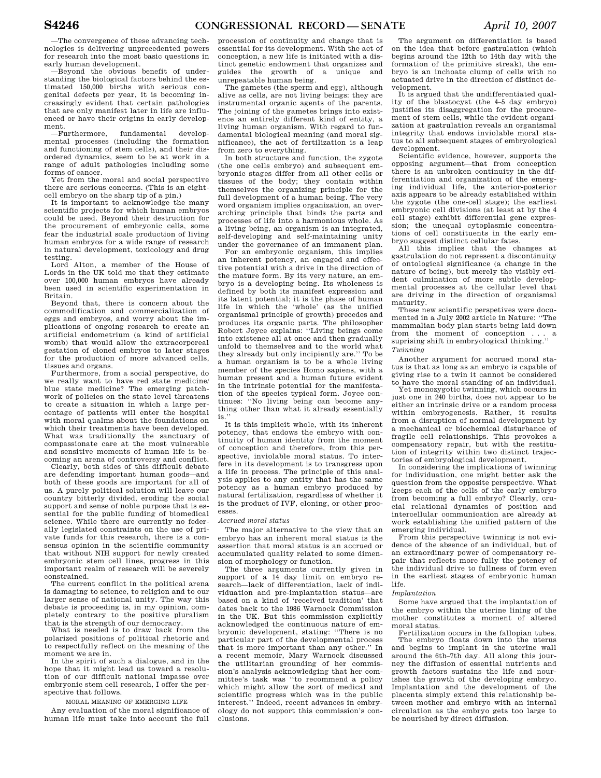—The convergence of these advancing technologies is delivering unprecedented powers for research into the most basic questions in

early human development. —Beyond the obvious benefit of understanding the biological factors behind the estimated 150,000 births with serious congenital defects per year, it is becoming increasingly evident that certain pathologies that are only manifest later in life are influenced or have their origins in early development.<br>--Furthermore.

—Furthermore, fundamental develop-mental processes (including the formation and functioning of stem cells), and their disordered dynamics, seem to be at work in a range of adult pathologies including some forms of cancer.

Yet from the moral and social perspective there are serious concerns. (This is an eightcell embryo on the sharp tip of a pin.)

It is important to acknowledge the many scientific projects for which human embryos could be used. Beyond their destruction for the procurement of embryonic cells, some fear the industrial scale production of living human embryos for a wide range of research in natural development, toxicology and drug testing.

Lord Alton, a member of the House of Lords in the UK told me that they estimate over 100,000 human embryos have already been used in scientific experimentation in Britain.

Beyond that, there is concern about the commodification and commercialization of eggs and embryos, and worry about the implications of ongoing research to create an artificial endometrium (a kind of artificial womb) that would allow the extracorporeal gestation of cloned embryos to later stages for the production of more advanced cells, tissues and organs.

Furthermore, from a social perspective, do we really want to have red state medicine/ blue state medicine? The emerging patchwork of policies on the state level threatens to create a situation in which a large percentage of patients will enter the hospital with moral qualms about the foundations on which their treatments have been developed. What was traditionally the sanctuary of compassionate care at the most vulnerable and sensitive moments of human life is becoming an arena of controversy and conflict.

Clearly, both sides of this difficult debate are defending important human goods—and both of these goods are important for all of us. A purely political solution will leave our country bitterly divided, eroding the social support and sense of noble purpose that is essential for the public funding of biomedical science. While there are currently no federally legislated constraints on the use of private funds for this research, there is a consensus opinion in the scientific community that without NIH support for newly created embryonic stem cell lines, progress in this important realm of research will be severely constrained.

The current conflict in the political arena is damaging to science, to religion and to our larger sense of national unity. The way this debate is proceeding is, in my opinion, completely contrary to the positive pluralism that is the strength of our democracy.

What is needed is to draw back from the polarized positions of political rhetoric and to respectfully reflect on the meaning of the moment we are in.

In the spirit of such a dialogue, and in the hope that it might lead us toward a resolution of our difficult national impasse over embryonic stem cell research, I offer the perspective that follows.

MORAL MEANING OF EMERGING LIFE

Any evaluation of the moral significance of human life must take into account the full

procession of continuity and change that is essential for its development. With the act of conception, a new life is initiated with a distinct genetic endowment that organizes and guides the growth of a unique and unrepeatable human being.

The gametes (the sperm and egg), although alive as cells, are not living beings: they are instrumental organic agents of the parents. The joining of the gametes brings into existence an entirely different kind of entity, a living human organism. With regard to fundamental biological meaning (and moral significance), the act of fertilization is a leap from zero to everything.

In both structure and function, the zygote (the one cells embryo) and subsequent embryonic stages differ from all other cells or tissues of the body; they contain within themselves the organizing principle for the full development of a human being. The very word organism implies organization, an overarching principle that binds the parts and processes of life into a harmonious whole. As a living being, an organism is an integrated, self-developing and self-maintaining unity under the governance of an immanent plan.

For an embryonic organism, this implies an inherent potency, an engaged and effective potential with a drive in the direction of the mature form. By its very nature, an embryo is a developing being. Its wholeness is defined by both its manifest expression and its latent potential; it is the phase of human life in which the 'whole' (as the unified organismal principle of growth) precedes and produces its organic parts. The philosopher Robert Joyce explains: ''Living beings come into existence all at once and then gradually unfold to themselves and to the world what they already but only incipiently are.'' To be a human organism is to be a whole living member of the species Homo sapiens, with a human present and a human future evident in the intrinsic potential for the manifestation of the species typical form. Joyce continues: ''No living being can become anything other than what it already essentially is.''

It is this implicit whole, with its inherent potency, that endows the embryo with continuity of human identity from the moment of conception and therefore, from this perspective, inviolable moral status. To interfere in its development is to transgress upon a life in process. The principle of this analysis applies to any entity that has the same potency as a human embryo produced by natural fertilization, regardless of whether it is the product of IVF, cloning, or other processes.

#### *Accrued moral status*

The major alternative to the view that an embryo has an inherent moral status is the assertion that moral status is an accrued or accumulated quality related to some dimension of morphology or function.

The three arguments currently given in support of a 14 day limit on embryo research—lack of differentiation, lack of individuation and pre-implantation status—are based on a kind of 'received tradition' that dates back to the 1986 Warnock Commission in the UK. But this commission explicitly acknowledged the continuous nature of embryonic development, stating: ''There is no particular part of the developmental process that is more important than any other.'' In a recent memoir, Mary Warnock discussed the utilitarian grounding of her commission's analysis acknowledging that her committee's task was ''to recommend a policy which might allow the sort of medical and scientific progress which was in the public interest.'' Indeed, recent advances in embryology do not support this commission's conclusions.

The argument on differentiation is based on the idea that before gastrulation (which begins around the 12th to 14th day with the formation of the primitive streak), the embryo is an inchoate clump of cells with no actuated drive in the direction of distinct development.

It is argued that the undifferentiated quality of the blastocyst (the 4–5 day embryo) justifies its disaggregation for the procurement of stem cells, while the evident organization at gastrulation reveals an organismal integrity that endows inviolable moral status to all subsequent stages of embryological development.

Scientific evidence, however, supports the opposing argument—that from conception there is an unbroken continuity in the differentiation and organization of the emerging individual life, the anterior-posterior axis appears to be already established within the zygote (the one-cell stage); the earliest embryonic cell divisions (at least at by the 4 cell stage) exhibit differential gene expression; the unequal cytoplasmic concentrations of cell constituents in the early embryo suggest distinct cellular fates.

All this implies that the changes at gastrulation do not represent a discontinuity of ontological significance (a change in the nature of being), but merely the visibly evident culmination of more subtle developmental processes at the cellular level that are driving in the direction of organismal maturity.

These new scientific perspetives were documented in a July 2002 article in Nature: ''The mammalian body plan starts being laid down from the moment of conception . . . a suprising shift in embryological thinking.'' *Twinning* 

Another argument for accrued moral status is that as long as an embryo is capable of giving rise to a twin it cannot be considered to have the moral standing of an individual.

Yet monozygotic twinning, which occurs in just one in 240 births, does not appear to be either an intrinsic drive or a random process within embryogenesis. Rather, it results from a disruption of normal development by a mechanical or biochemical disturbance of fragile cell relationships. This provokes a compensatory repair, but with the restitution of integrity within two distinct trajectories of embryological development.

In considering the implications of twinning for individuation, one might better ask the question from the opposite perspective. What keeps each of the cells of the early embryo from becoming a full embryo? Clearly, crucial relational dynamics of position and intercellular communication are already at work establishing the unified pattern of the emerging individual.

From this perspective twinning is not evidence of the absence of an individual, but of an extraordinary power of compensatory repair that reflects more fully the potency of the individual drive to fullness of form even in the earliest stages of embryonic human life.

#### *Implantation*

Some have argued that the implantation of the embryo within the uterine lining of the mother constitutes a moment of altered moral status.

Fertilization occurs in the fallopian tubes. The embryo floats down into the uterus and begins to implant in the uterine wall around the 6th–7th day. All along this journey the diffusion of essential nutrients and growth factors sustains the life and nourishes the growth of the developing embryo. Implantation and the development of the placenta simply extend this relationship between mother and embryo with an internal circulation as the embryo gets too large to be nourished by direct diffusion.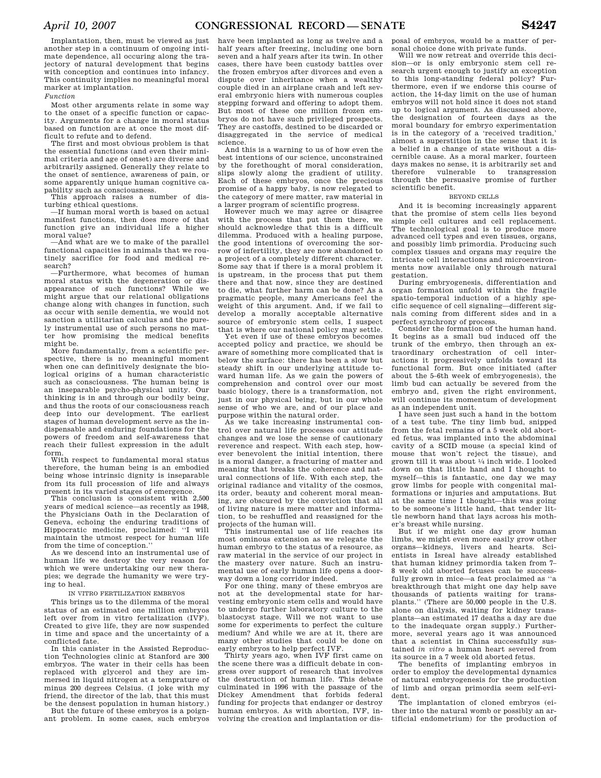Implantation, then, must be viewed as just another step in a continuum of ongoing intimate dependence, all occuring along the trajectory of natural development that begins with conception and continues into infancy. This continuity implies no meaningful moral marker at implantation.

*Function* 

Most other arguments relate in some way to the onset of a specific function or capacity. Arguments for a change in moral status based on function are at once the most difficult to refute and to defend.

The first and most obvious problem is that the essential functions (and even their minimal criteria and age of onset) are diverse and arbitrarily assigned. Generally they relate to the onset of sentience, awareness of pain, or some apparently unique human cognitive capability such as consciousness.

This approach raises a number of disturbing ethical questions.

—If human moral worth is based on actual manifest functions, then does more of that function give an individual life a higher moral value?

—And what are we to make of the parallel functional capacities in animals that we routinely sacrifice for food and medical research?

—Furthermore, what becomes of human moral status with the degeneration or disappearance of such functions? While we might argue that our relational obligations change along with changes in function, such as occur with senile dementia, we would not sanction a utilitarian calculus and the purely instrumental use of such persons no matter how promising the medical benefits might be.

More fundamentally, from a scientific perspective, there is no meaningful moment when one can definitively designate the biological origins of a human characteristic such as consciousness. The human being is an inseparable psycho-physical unity. Our thinking is in and through our bodily being, and thus the roots of our consciousness reach deep into our development. The earliest stages of human development serve as the indispensable and enduring foundations for the powers of freedom and self-awareness that reach their fullest expression in the adult form.

With respect to fundamental moral status therefore, the human being is an embodied being whose intrinsic dignity is inseparable from its full procession of life and always present in its varied stages of emergence.

This conclusion is consistent with 2,500 years of medical science—as recently as 1948, the Physicians Oath in the Declaration of Geneva, echoing the enduring traditions of Hippocratic medicine, proclaimed: ''I will maintain the utmost respect for human life from the time of conception.''

As we descend into an instrumental use of human life we destroy the very reason for which we were undertaking our new therapies; we degrade the humanity we were trying to heal.

#### IN VITRO FERTILIZATION EMBRYOS

This brings us to the dilemma of the moral status of an estimated one million embryos left over from in vitro fertalization (IVF). Created to give life, they are now suspended in time and space and the uncertainty of a conflicted fate.

In this canister in the Assisted Reproduction Technologies clinic at Stanford are 300 embryos. The water in their cells has been replaced with glycerol and they are immersed in liquid nitrogen at a temprature of minus 200 degrees Celsius. (I joke with my friend, the director of the lab, that this must be the densest population in human history.)

But the future of these embryos is a poignant problem. In some cases, such embryos

have been implanted as long as twelve and a half years after freezing, including one born seven and a half years after its twin. In other cases, there have been custody battles over the frozen embryos after divorces and even a dispute over inheritance when a wealthy couple died in an airplane crash and left several embryonic hiers with numerous couples stepping forward and offering to adopt them. But most of these one million frozen embryos do not have such privileged prospects. They are castoffs, destined to be discarded or disaggregated in the service of medical science.

And this is a warning to us of how even the best intentions of our science, unconstrained by the forethought of moral consideration, slips slowly along the gradient of utility. Each of these embryos, once the precious promise of a happy baby, is now relegated to the category of mere matter, raw material in a larger program of scientific progress.

However much we may agree or disagree with the process that put them there, we should acknowledge that this is a difficult dilemma. Produced with a healing purpose, the good intentions of overcoming the sorrow of infertility, they are now abandoned to a project of a completely different character. Some say that if there is a moral problem it is upstream, in the process that put them there and that now, since they are destined to die, what further harm can be done? As a pragmatic people, many Americans feel the weight of this argument. And, if we fail to develop a morally acceptable alternative source of embryonic stem cells, I suspect that is where our national policy may settle.

Yet even if use of these embryos becomes accepted policy and practice, we should be aware of something more complicated that is below the surface: there has been a slow but steady shift in our underlying attitude toward human life. As we gain the powers of comprehension and control over our most basic biology, there is a transformation, not just in our physical being, but in our whole sense of who we are, and of our place and purpose within the natural order.

As we take increasing instrumental control over natural life processes our attitude changes and we lose the sense of cautionary reverence and respect. With each step, however benevolent the initial intention, there is a moral danger, a fracturing of matter and meaning that breaks the coherence and natural connections of life. With each step, the original radiance and vitality of the cosmos, its order, beauty and coherent moral meaning, are obscured by the conviction that all of living nature is mere matter and information, to be reshuffled and reassigned for the projects of the human will.

This instrumental use of life reaches its most ominous extension as we relegate the human embryo to the status of a resource, as raw material in the service of our project in the mastery over nature. Such an instrumental use of early human life opens a doorway down a long corridor indeed.

For one thing, many of these embryos are not at the developmental state for harvesting embryonic stem cells and would have to undergo further laboratory culture to the blastocyst stage. Will we not want to use some for experiments to perfect the culture medium? And while we are at it, there are many other studies that could be done on early embryos to help perfect IVF.

Thirty years ago, when IVF first came on the scene there was a difficult debate in congress over support of research that involves the destruction of human life. This debate culminated in 1996 with the passage of the Dickey Amendment that forbids federal funding for projects that endanger or destroy human embryos. As with abortion, IVF, involving the creation and implantation or dis-

posal of embryos, would be a matter of personal choice done with private funds.

Will we now retreat and override this decision—or is only embryonic stem cell research urgent enough to justify an exception to this long-standing federal policy? Furthermore, even if we endorse this course of action, the 14-day limit on the use of human embryos will not hold since it does not stand up to logical argument. As discussed above, the designation of fourteen days as the moral boundary for embryo experimentation is in the category of a 'received tradition,' almost a superstition in the sense that it is a belief in a change of state without a discernible cause. As a moral marker, fourteen days makes no sense, it is arbitrarily set and therefore vulnerable to transgression through the persuasive promise of further scientific benefit.

#### BEYOND CELLS

And it is becoming increasingly apparent that the promise of stem cells lies beyond simple cell cultures and cell replacement. The technological goal is to produce more advanced cell types and even tissues, organs, and possibly limb primordia. Producing such complex tissues and organs may require the intricate cell interactions and microenvironments now available only through natural gestation.

During embryogenesis, differentiation and organ formation unfold within the fragile spatio-temporal induction of a highly specific sequence of cell signaling—different signals coming from different sides and in a perfect synchrony of process.

Consider the formation of the human hand. It begins as a small bud induced off the trunk of the embryo, then through an extraordinary orchestration of cell interactions it progressively unfolds toward its functional form. But once initiated (after about the 5–6th week of embryogenesis), the limb bud can actually be severed from the embryo and, given the right environment, will continue its momentum of development as an independent unit.

I have seen just such a hand in the bottom of a test tube. The tiny limb bud, snipped from the fetal remains of a 5 week old aborted fetus, was implanted into the abdominal cavity of a SCID mouse (a special kind of mouse that won't reject the tissue), and grown till it was about 1⁄4 inch wide. I looked down on that little hand and I thought to myself—this is fantastic, one day we may grow limbs for people with congenital malformations or injuries and amputations. But at the same time I thought—this was going to be someone's little hand, that tender little newborn hand that lays across his mother's breast while nursing.

But if we might one day grow human limbs, we might even more easily grow other organs—kidneys, livers and hearts. Scientists in Isreal have already established that human kidney primordia taken from 7– 8 week old aborted fetuses can be successfully grown in mice—a feat proclaimed as ''a breakthrough that might one day help save thousands of patients waiting for transplants.'' (There are 50,000 people in the U.S. alone on dialysis, waiting for kidney transplants—an estimated 17 deaths a day are due to the inadequate organ supply.) Furthermore, several years ago it was announced that a scientist in China successfully sustained *in vitro* a human heart severed from its source in a 7 week old aborted fetus.

The benefits of implanting embryos in order to employ the developmental dynamics of natural embryogenesis for the production of limb and organ primordia seem self-evident.

The implantation of cloned embryos (either into the natural womb or possibly an artificial endometrium) for the production of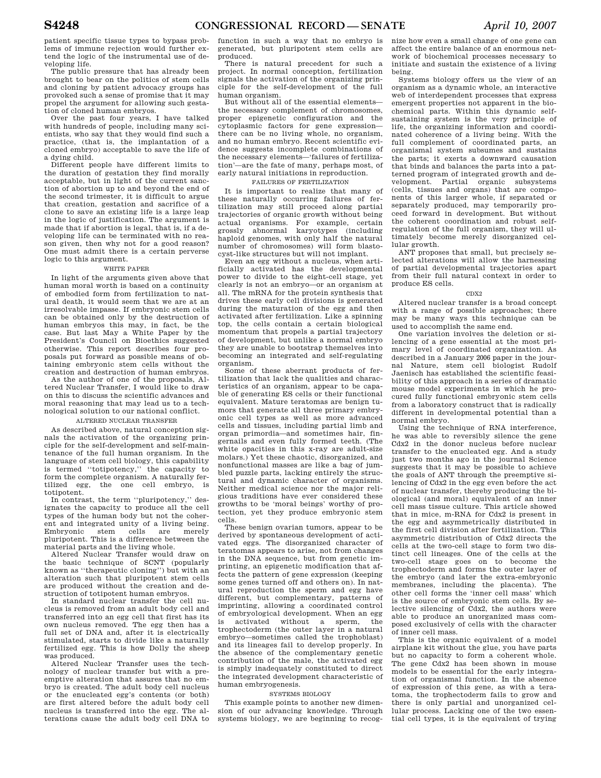patient specific tissue types to bypass problems of immune rejection would further extend the logic of the instrumental use of developing life.

The public pressure that has already been brought to bear on the politics of stem cells and cloning by patient advocacy groups has provoked such a sense of promise that it may propel the argument for allowing such gestation of cloned human embryos.

Over the past four years, I have talked with hundreds of people, including many scientists, who say that they would find such a practice, (that is, the implantation of a cloned embryo) acceptable to save the life of a dying child.

Different people have different limits to the duration of gestation they find morally acceptable, but in light of the current sanction of abortion up to and beyond the end of the second trimester, it is difficult to argue that creation, gestation and sacrifice of a clone to save an existing life is a large leap in the logic of justification. The argument is made that if abortion is legal, that is, if a developing life can be terminated with no reason given, then why not for a good reason? One must admit there is a certain perverse logic to this argument.

#### WHITE PAPER

In light of the arguments given above that human moral worth is based on a continuity of embodied form from fertilization to natural death, it would seem that we are at an irresolvable impasse. If embryonic stem cells can be obtained only by the destruction of human embryos this may, in fact, be the case. But last May a White Paper by the President's Council on Bioethics suggested otherwise. This report describes four proposals put forward as possible means of obtaining embryonic stem cells without the creation and destruction of human embryos.

As the author of one of the proposals, Altered Nuclear Transfer, I would like to draw on this to discuss the scientific advances and moral reasoning that may lead us to a technological solution to our national conflict.

#### ALTERED NUCLEAR TRANSFER

As described above, natural conception signals the activation of the organizing principle for the self-development and self-maintenance of the full human organism. In the language of stem cell biology, this capability is termed ''totipotency,'' the capacity to form the complete organism. A naturally fertilized egg, the one cell embryo, is totipotent.

In contrast, the term ''pluripotency,'' designates the capacity to produce all the cell types of the human body but not the coherent and integrated unity of a living being. Embryonic stem cells are merely pluripotent. This is a difference between the material parts and the living whole.

Altered Nuclear Transfer would draw on the basic technique of SCNT (popularly known as ''therapeutic cloning'') but with an alteration such that pluripotent stem cells are produced without the creation and destruction of totipotent human embryos.

In standard nuclear transfer the cell nucleus is removed from an adult body cell and transferred into an egg cell that first has its own nucleus removed. The egg then has a full set of DNA and, after it is electrically stimulated, starts to divide like a naturally fertilized egg. This is how Dolly the sheep was produced.

Altered Nuclear Transfer uses the technology of nuclear transfer but with a preemptive alteration that assures that no embryo is created. The adult body cell nucleus or the enucleated egg's contents (or both) are first altered before the adult body cell nucleus is transferred into the egg. The alterations cause the adult body cell DNA to function in such a way that no embryo is generated, but pluripotent stem cells are produced.

There is natural precedent for such a project. In normal conception, fertilization signals the activation of the organizing principle for the self-development of the full human organism.

But without all of the essential elements the necessary complement of chromosomes, proper epigenetic configuration and the cytoplasmic factors for gene expression there can be no living whole, no organism, and no human embryo. Recent scientific evidence suggests incomplete combinations of the necessary elements—'failures of fertilization'—are the fate of many, perhaps most, of early natural initiations in reproduction.

#### FAILURES OF FERTILIZATION

It is important to realize that many of these naturally occurring failures of fertilization may still proceed along partial trajectories of organic growth without being actual organisms. For example, certain grossly abnormal karyotypes (including haploid genomes, with only half the natural number of chromosomes) will form blastocyst-like structures but will not implant.

Even an egg without a nucleus, when artificially activated has the developmental power to divide to the eight-cell stage, yet clearly is not an embryo—or an organism at all. The mRNA for the protein synthesis that drives these early cell divisions is generated during the maturation of the egg and then activated after fertilization. Like a spinning top, the cells contain a certain biological momentum that propels a partial trajectory of development, but unlike a normal embryo they are unable to bootstrap themselves into becoming an integrated and self-regulating organism.

Some of these aberrant products of fertilization that lack the qualities and characteristics of an organism, appear to be capable of generating ES cells or their functional equivalent. Mature teratomas are benign tumors that generate all three primary embryonic cell types as well as more advanced cells and tissues, including partial limb and organ primordia—and sometimes hair, fingernails and even fully formed teeth. (The white opacities in this x-ray are adult-size molars.) Yet these chaotic, disorganized, and nonfunctional masses are like a bag of jumbled puzzle parts, lacking entirely the structural and dynamic character of organisms. Neither medical science nor the major religious traditions have ever considered these growths to be 'moral beings' worthy of protection, yet they produce embryonic stem cells.

These benign ovarian tumors, appear to be derived by spontaneous development of activated eggs. The disorganized character of teratomas appears to arise, not from changes in the DNA sequence, but from genetic imprinting, an epigenetic modification that affects the pattern of gene expression (keeping some genes turned off and others on). In natural reproduction the sperm and egg have different, but complementary, patterns of imprinting, allowing a coordinated control of embryological development. When an egg is activated without a sperm, the trophectoderm (the outer layer in a natural embryo—sometimes called the trophoblast) and its lineages fail to develop properly. In the absence of the complementary genetic contribution of the male, the activated egg is simply inadequately constituted to direct the integrated development characteristic of human embryogenesis.

#### SYSTEMS BIOLOGY

This example points to another new dimension of our advancing knowledge. Through systems biology, we are beginning to recognize how even a small change of one gene can affect the entire balance of an enormous network of biochemical processes necessary to initiate and sustain the existence of a living being.

Systems biology offers us the view of an organism as a dynamic whole, an interactive web of interdependent processes that express emergent properties not apparent in the biochemical parts. Within this dynamic selfsustaining system is the very principle of life, the organizing information and coordinated coherence of a living being. With the full complement of coordinated parts, an organismal system subsumes and sustains the parts; it exerts a downward causation that binds and balances the parts into a patterned program of integrated growth and development. Partial organic subsystems (cells, tissues and organs) that are components of this larger whole, if separated or separately produced, may temporarily proceed forward in development. But without the coherent coordination and robust selfregulation of the full organism, they will ultimately become merely disorganized cellular growth.

ANT proposes that small, but precisely selected alterations will allow the harnessing of partial developmental trajectories apart from their full natural context in order to produce ES cells.

### CDX2

Altered nuclear transfer is a broad concept with a range of possible approaches; there may be many ways this technique can be used to accomplish the same end.

One variation involves the deletion or silencing of a gene essential at the most primary level of coordinated organization. As described in a January 2006 paper in the journal Nature, stem cell biologist Rudolf Jaenisch has established the scientific feasibility of this approach in a series of dramatic mouse model experiments in which he procured fully functional embryonic stem cells from a laboratory construct that is radically different in developmental potential than a normal embryo.

Using the technique of RNA interference, he was able to reversibly silence the gene Cdx2 in the donor nucleus before nuclear transfer to the enucleated egg. And a study just two months ago in the journal Science suggests that it may be possible to achieve the goals of ANT through the preemptive silencing of Cdx2 in the egg even before the act of nuclear transfer, thereby producing the biological (and moral) equivalent of an inner cell mass tissue culture. This article showed that in mice, m-RNA for Cdx2 is present in the egg and asymmetrically distributed in the first cell division after fertilization. This asymmetric distribution of Cdx2 directs the cells at the two-cell stage to form two distinct cell lineages. One of the cells at the two-cell stage goes on to become the trophectoderm and forms the outer layer of the embryo (and later the extra-embryonic membranes, including the placenta). The other cell forms the 'inner cell mass' which is the source of embryonic stem cells. By selective silencing of Cdx2, the authors were able to produce an unorganized mass composed exclusively of cells with the character of inner cell mass.

This is the organic equivalent of a model airplane kit without the glue, you have parts but no capacity to form a coherent whole. The gene Cdx2 has been shown in mouse models to be essential for the early integration of organismal function. In the absence of expression of this gene, as with a teratoma, the trophectoderm fails to grow and there is only partial and unorganized cellular process. Lacking one of the two essential cell types, it is the equivalent of trying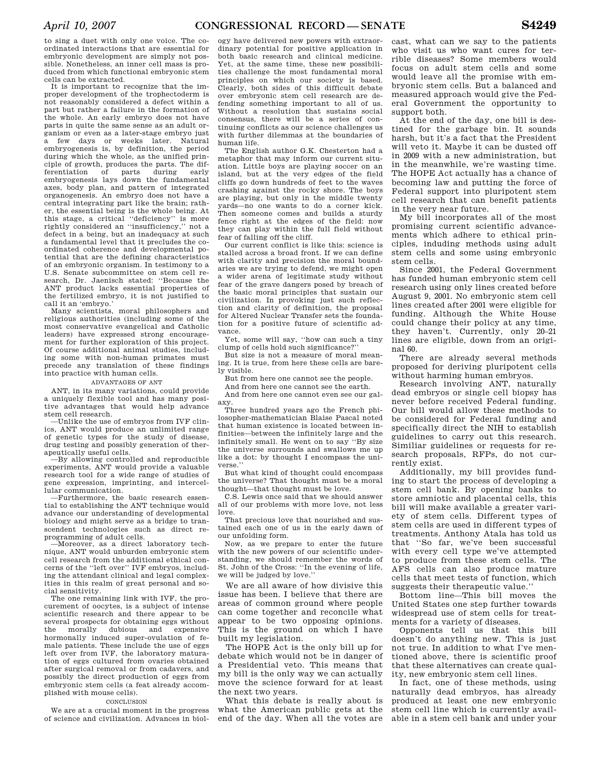to sing a duet with only one voice. The coordinated interactions that are essential for embryonic development are simply not possible. Nonetheless, an inner cell mass is produced from which functional embryonic stem cells can be extracted.

It is important to recognize that the improper development of the trophectoderm is not reasonably considered a defect within a part but rather a failure in the formation of the whole. An early embryo does not have parts in quite the same sense as an adult organism or even as a later-stage embryo just a few days or weeks later. Natural embryogenesis is, by definition, the period during which the whole, as the unified principle of growth, produces the parts. The differentiation of parts during early embryogenesis lays down the fundamental axes, body plan, and pattern of integrated organogenesis. An embryo does not have a central integrating part like the brain; rather, the essential being is the whole being. At this stage, a critical ''deficiency'' is more rightly considered an ''insufficiency,'' not a defect in a being, but an inadequacy at such a fundamental level that it precludes the coordinated coherence and developmental potential that are the defining characteristics of an embryonic organism. In testimony to a U.S. Senate subcommittee on stem cell research, Dr. Jaenisch stated: ''Because the ANT product lacks essential properties of the fertilized embryo, it is not justified to call it an 'embryo.'

Many scientists, moral philosophers and religious authorities (including some of the most conservative evangelical and Catholic leaders) have expressed strong encouragement for further exploration of this project. Of course additional animal studies, including some with non-human primates must precede any translation of these findings into practice with human cells.

#### ADVANTAGES OF ANT

ANT, in its many variations, could provide a uniquely flexible tool and has many positive advantages that would help advance stem cell research.

—Unlike the use of embryos from IVF clinics, ANT would produce an unlimited range of genetic types for the study of disease, drug testing and possibly generation of therapeutically useful cells.

—By allowing controlled and reproducible experiments, ANT would provide a valuable research tool for a wide range of studies of gene expression, imprinting, and intercellular communication.

—Furthermore, the basic research essential to establishing the ANT technique would advance our understanding of developmental biology and might serve as a bridge to transcendent technologies such as direct reprogramming of adult cells.

—Moreover, as a direct laboratory technique, ANT would unburden embryonic stem cell research from the additional ethical concerns of the ''left over'' IVF embryos, including the attendant clinical and legal complexities in this realm of great personal and social sensitivity.

The one remaining link with IVF, the procurement of oocytes, is a subject of intense scientific research and there appear to be several prospects for obtaining eggs without<br>the morally dubious and expensive dubious and hormonally induced super-ovulation of female patients. These include the use of eggs left over from IVF, the laboratory maturation of eggs cultured from ovaries obtained after surgical removal or from cadavers, and possibly the direct production of eggs from embryonic stem cells (a feat already accomplished with mouse cells).

#### CONCLUSION

We are at a crucial moment in the progress of science and civilization. Advances in biol-

ogy have delivered new powers with extraordinary potential for positive application in both basic research and clinical medicine. Yet, at the same time, these new possibilities challenge the most fundamental moral principles on which our society is based. Clearly, both sides of this difficult debate over embryonic stem cell research are defending something important to all of us. Without a resolution that sustains social consensus, there will be a series of continuing conflicts as our science challenges us with further dilemmas at the boundaries of human life.

The English author G.K. Chesterton had a metaphor that may inform our current situation. Little boys are playing soccer on an island, but at the very edges of the field cliffs go down hundreds of feet to the waves crashing against the rocky shore. The boys are playing, but only in the middle twenty yards—no one wants to do a corner kick. Then someone comes and builds a sturdy fence right at the edges of the field: now they can play within the full field without fear of falling off the cliff.

Our current conflict is like this: science is stalled across a broad front. If we can define with clarity and precision the moral boundaries we are trying to defend, we might open a wider arena of legitimate study without fear of the grave dangers posed by breach of the basic moral principles that sustain our civilization. In provoking just such reflection and clarity of definition, the proposal for Altered Nuclear Transfer sets the foundation for a positive future of scientific advance.

Yet, some will say, ''how can such a tiny clump of cells hold such significance?''

But size is not a measure of moral meaning. It is true, from here these cells are barely visible.

But from here one cannot see the people.

And from here one cannot see the earth. And from here one cannot even see our galaxy.

Three hundred years ago the French philosopher-mathematician Blaise Pascal noted that human existence is located between infinities—between the infinitely large and the infinitely small. He went on to say ''By size the universe surrounds and swallows me up like a dot: by thought I encompass the universe.''

But what kind of thought could encompass the universe? That thought must be a moral thought—that thought must be love.

C.S. Lewis once said that we should answer all of our problems with more love, not less love.

That precious love that nourished and sustained each one of us in the early dawn of our unfolding form.

Now, as we prepare to enter the future with the new powers of our scientific understanding, we should remember the words of St. John of the Cross: ''In the evening of life, we will be judged by love.''

We are all aware of how divisive this issue has been. I believe that there are areas of common ground where people can come together and reconcile what appear to be two opposing opinions. This is the ground on which I have built my legislation.

The HOPE Act is the only bill up for debate which would not be in danger of a Presidential veto. This means that my bill is the only way we can actually move the science forward for at least the next two years.

What this debate is really about is what the American public gets at the end of the day. When all the votes are

cast, what can we say to the patients who visit us who want cures for terrible diseases? Some members would focus on adult stem cells and some would leave all the promise with embryonic stem cells. But a balanced and measured approach would give the Federal Government the opportunity to support both.

At the end of the day, one bill is destined for the garbage bin. It sounds harsh, but it's a fact that the President will veto it. Maybe it can be dusted off in 2009 with a new administration, but in the meanwhile, we're wasting time. The HOPE Act actually has a chance of becoming law and putting the force of Federal support into pluripotent stem cell research that can benefit patients in the very near future.

My bill incorporates all of the most promising current scientific advancements which adhere to ethical principles, induding methods using adult stem cells and some using embryonic stem cells.

Since 2001, the Federal Government has funded human embryonic stem cell research using only lines created before August 9, 2001. No embryonic stem cell lines created after 2001 were eligible for funding. Although the White House could change their policy at any time, they haven't. Currently, only 20–21 lines are eligible, down from an original 60.

There are already several methods proposed for deriving pluripotent cells without harming human embryos.

Research involving ANT, naturally dead embryos or single cell biopsy has never before received Federal funding. Our bill would allow these methods to be considered for Federal funding and specifically direct the NIH to establish guidelines to carry out this research. Similiar guidelines or requests for research proposals, RFPs, do not currently exist.

Additionally, my bill provides funding to start the process of developing a stem cell bank. By opening banks to store amniotic and placental cells, this bill will make available a greater variety of stem cells. Different types of stem cells are used in different types of treatments. Anthony Atala has told us that ''So far, we've been successful with every cell type we've attempted to produce from these stem cells. The AFS cells can also produce mature cells that meet tests of function, which suggests their therapeutic value.''

Bottom line—This bill moves the United States one step further towards widespread use of stem cells for treatments for a variety of diseases.

Opponents tell us that this bill doesn't do anything new. This is just not true. In addition to what I've mentioned above, there is scientific proof that these alternatives can create quality, new embryonic stem cell lines.

In fact, one of these methods, using naturally dead embryos, has already produced at least one new embryonic stem cell line which is currently available in a stem cell bank and under your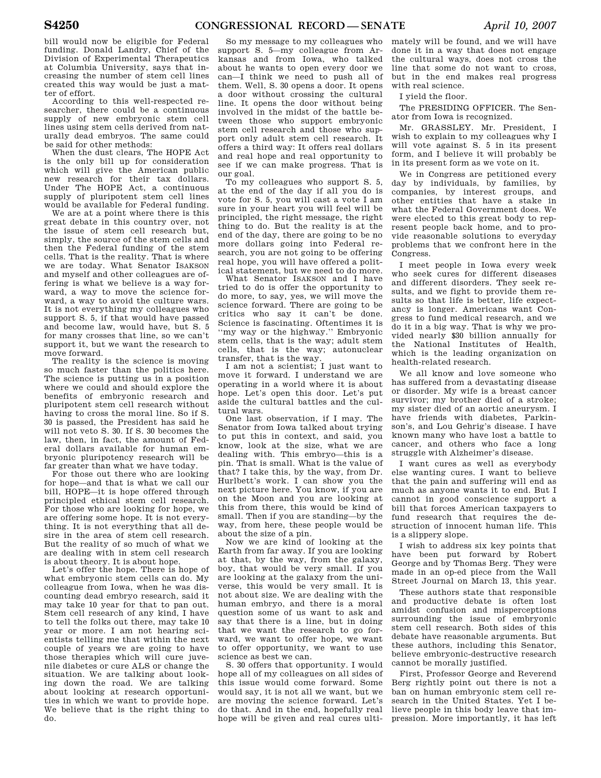bill would now be eligible for Federal funding. Donald Landry, Chief of the Division of Experimental Therapeutics at Columbia University, says that increasing the number of stem cell lines created this way would be just a matter of effort.

According to this well-respected researcher, there could be a continuous supply of new embryonic stem cell lines using stem cells derived from naturally dead embryos. The same could be said for other methods:

When the dust clears, The HOPE Act is the only bill up for consideration which will give the American public new research for their tax dollars. Under The HOPE Act, a continuous supply of pluripotent stem cell lines would be available for Federal funding.

We are at a point where there is this great debate in this country over, not the issue of stem cell research but, simply, the source of the stem cells and then the Federal funding of the stem cells. That is the reality. That is where we are today. What Senator ISAKSON and myself and other colleagues are offering is what we believe is a way forward, a way to move the science forward, a way to avoid the culture wars. It is not everything my colleagues who support S. 5, if that would have passed and become law, would have, but S. 5 for many crosses that line, so we can't support it, but we want the research to move forward.

The reality is the science is moving so much faster than the politics here. The science is putting us in a position where we could and should explore the benefits of embryonic research and pluripotent stem cell research without having to cross the moral line. So if S. 30 is passed, the President has said he will not veto S. 30. If S. 30 becomes the law, then, in fact, the amount of Federal dollars available for human embryonic pluripotency research will be far greater than what we have today.

For those out there who are looking for hope—and that is what we call our bill, HOPE—it is hope offered through principled ethical stem cell research. For those who are looking for hope, we are offering some hope. It is not everything. It is not everything that all desire in the area of stem cell research. But the reality of so much of what we are dealing with in stem cell research is about theory. It is about hope.

Let's offer the hope. There is hope of what embryonic stem cells can do. My colleague from Iowa, when he was discounting dead embryo research, said it may take 10 year for that to pan out. Stem cell research of any kind, I have to tell the folks out there, may take 10 year or more. I am not hearing scientists telling me that within the next couple of years we are going to have those therapies which will cure juvenile diabetes or cure ALS or change the situation. We are talking about looking down the road. We are talking about looking at research opportunities in which we want to provide hope. We believe that is the right thing to do.

So my message to my colleagues who support S. 5—my colleague from Arkansas and from Iowa, who talked about he wants to open every door we can—I think we need to push all of them. Well, S. 30 opens a door. It opens a door without crossing the cultural line. It opens the door without being involved in the midst of the battle between those who support embryonic stem cell research and those who support only adult stem cell research. It offers a third way: It offers real dollars and real hope and real opportunity to see if we can make progress. That is our goal.

To my colleagues who support S. 5, at the end of the day if all you do is vote for S. 5, you will cast a vote I am sure in your heart you will feel will be principled, the right message, the right thing to do. But the reality is at the end of the day, there are going to be no more dollars going into Federal research, you are not going to be offering real hope, you will have offered a political statement, but we need to do more.

What Senator ISAKSON and I have tried to do is offer the opportunity to do more, to say, yes, we will move the science forward. There are going to be critics who say it can't be done. Science is fascinating. Oftentimes it is ''my way or the highway.'' Embryonic stem cells, that is the way; adult stem cells, that is the way; autonuclear transfer, that is the way.

I am not a scientist; I just want to move it forward. I understand we are operating in a world where it is about hope. Let's open this door. Let's put aside the cultural battles and the cultural wars.

One last observation, if I may. The Senator from Iowa talked about trying to put this in context, and said, you know, look at the size, what we are dealing with. This embryo—this is a pin. That is small. What is the value of that? I take this, by the way, from Dr. Hurlbett's work. I can show you the next picture here. You know, if you are on the Moon and you are looking at this from there, this would be kind of small. Then if you are standing—by the way, from here, these people would be about the size of a pin.

Now we are kind of looking at the Earth from far away. If you are looking at that, by the way, from the galaxy, boy, that would be very small. If you are looking at the galaxy from the universe, this would be very small. It is not about size. We are dealing with the human embryo, and there is a moral question some of us want to ask and say that there is a line, but in doing that we want the research to go forward, we want to offer hope, we want to offer opportunity, we want to use science as best we can.

S. 30 offers that opportunity. I would hope all of my colleagues on all sides of this issue would come forward. Some would say, it is not all we want, but we are moving the science forward. Let's do that. And in the end, hopefully real hope will be given and real cures ulti-

mately will be found, and we will have done it in a way that does not engage the cultural ways, does not cross the line that some do not want to cross, but in the end makes real progress with real science.

I yield the floor.

The PRESIDING OFFICER. The Senator from Iowa is recognized.

Mr. GRASSLEY. Mr. President, I wish to explain to my colleagues why I will vote against S. 5 in its present form, and I believe it will probably be in its present form as we vote on it.

We in Congress are petitioned every day by individuals, by families, by companies, by interest groups, and other entities that have a stake in what the Federal Government does. We were elected to this great body to represent people back home, and to provide reasonable solutions to everyday problems that we confront here in the Congress.

I meet people in Iowa every week who seek cures for different diseases and different disorders. They seek results, and we fight to provide them results so that life is better, life expectancy is longer. Americans want Congress to fund medical research, and we do it in a big way. That is why we provided nearly \$30 billion annually for the National Institutes of Health, which is the leading organization on health-related research.

We all know and love someone who has suffered from a devastating disease or disorder. My wife is a breast cancer survivor; my brother died of a stroke; my sister died of an aortic aneurysm. I have friends with diabetes, Parkinson's, and Lou Gehrig's disease. I have known many who have lost a battle to cancer, and others who face a long struggle with Alzheimer's disease.

I want cures as well as everybody else wanting cures. I want to believe that the pain and suffering will end as much as anyone wants it to end. But I cannot in good conscience support a bill that forces American taxpayers to fund research that requires the destruction of innocent human life. This is a slippery slope.

I wish to address six key points that have been put forward by Robert George and by Thomas Berg. They were made in an op-ed piece from the Wall Street Journal on March 13, this year.

These authors state that responsible and productive debate is often lost amidst confusion and misperceptions surrounding the issue of embryonic stem cell research. Both sides of this debate have reasonable arguments. But these authors, including this Senator, believe embryonic-destructive research cannot be morally justified.

First, Professor George and Reverend Berg rightly point out there is not a ban on human embryonic stem cell research in the United States. Yet I believe people in this body leave that impression. More importantly, it has left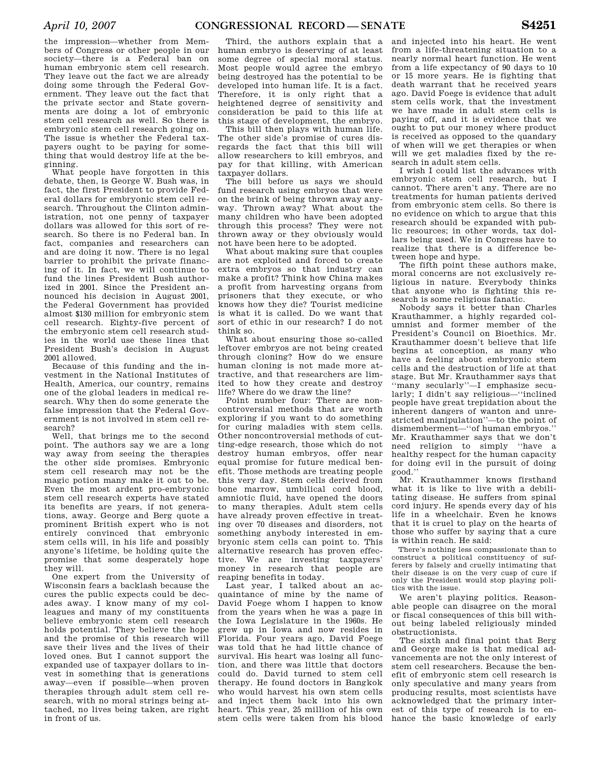the impression—whether from Members of Congress or other people in our society—there is a Federal ban on human embryonic stem cell research. They leave out the fact we are already doing some through the Federal Government. They leave out the fact that the private sector and State governments are doing a lot of embryonic stem cell research as well. So there is embryonic stem cell research going on. The issue is whether the Federal taxpayers ought to be paying for something that would destroy life at the beginning.

What people have forgotten in this debate, then, is George W. Bush was, in fact, the first President to provide Federal dollars for embryonic stem cell research. Throughout the Clinton administration, not one penny of taxpayer dollars was allowed for this sort of research. So there is no Federal ban. In fact, companies and researchers can and are doing it now. There is no legal barrier to prohibit the private financing of it. In fact, we will continue to fund the lines President Bush authorized in 2001. Since the President announced his decision in August 2001, the Federal Government has provided almost \$130 million for embryonic stem cell research. Eighty-five percent of the embryonic stem cell research studies in the world use these lines that President Bush's decision in August 2001 allowed.

Because of this funding and the investment in the National Institutes of Health, America, our country, remains one of the global leaders in medical research. Why then do some generate the false impression that the Federal Government is not involved in stem cell research?

Well, that brings me to the second point. The authors say we are a long way away from seeing the therapies the other side promises. Embryonic stem cell research may not be the magic potion many make it out to be. Even the most ardent pro-embryonic stem cell research experts have stated its benefits are years, if not generations, away. George and Berg quote a prominent British expert who is not entirely convinced that embryonic stem cells will, in his life and possibly anyone's lifetime, be holding quite the promise that some desperately hope they will.

One expert from the University of Wisconsin fears a backlash because the cures the public expects could be decades away. I know many of my colleagues and many of my constituents believe embryonic stem cell research holds potential. They believe the hope and the promise of this research will save their lives and the lives of their loved ones. But I cannot support the expanded use of taxpayer dollars to invest in something that is generations away—even if possible—when proven therapies through adult stem cell research, with no moral strings being attached, no lives being taken, are right in front of us.

Third, the authors explain that a human embryo is deserving of at least some degree of special moral status. Most people would agree the embryo being destroyed has the potential to be developed into human life. It is a fact. Therefore, it is only right that a heightened degree of sensitivity and consideration be paid to this life at this stage of development, the embryo.

This bill then plays with human life. The other side's promise of cures disregards the fact that this bill will allow researchers to kill embryos, and pay for that killing, with American taxpayer dollars.

The bill before us says we should fund research using embryos that were on the brink of being thrown away anyway. Thrown away? What about the many children who have been adopted through this process? They were not thrown away or they obviously would not have been here to be adopted.

What about making sure that couples are not exploited and forced to create extra embryos so that industry can make a profit? Think how China makes a profit from harvesting organs from prisoners that they execute, or who knows how they die? Tourist medicine is what it is called. Do we want that sort of ethic in our research? I do not think so.

What about ensuring those so-called leftover embryos are not being created through cloning? How do we ensure human cloning is not made more attractive, and that researchers are limited to how they create and destroy life? Where do we draw the line?

Point number four: There are noncontroversial methods that are worth exploring if you want to do something for curing maladies with stem cells. Other noncontroversial methods of cutting-edge research, those which do not destroy human embryos, offer near equal promise for future medical benefit. Those methods are treating people this very day. Stem cells derived from bone marrow, umbilical cord blood, amniotic fluid, have opened the doors to many therapies. Adult stem cells have already proven effective in treating over 70 diseases and disorders, not something anybody interested in embryonic stem cells can point to. This alternative research has proven effective. We are investing taxpayers' money in research that people are reaping benefits in today.

Last year, I talked about an acquaintance of mine by the name of David Foege whom I happen to know from the years when he was a page in the Iowa Legislature in the 1960s. He grew up in Iowa and now resides in Florida. Four years ago, David Foege was told that he had little chance of survival. His heart was losing all function, and there was little that doctors could do. David turned to stem cell therapy. He found doctors in Bangkok who would harvest his own stem cells and inject them back into his own heart. This year, 25 million of his own stem cells were taken from his blood

and injected into his heart. He went from a life-threatening situation to a nearly normal heart function. He went from a life expectancy of 90 days to 10 or 15 more years. He is fighting that death warrant that he received years ago. David Foege is evidence that adult stem cells work, that the investment we have made in adult stem cells is paying off, and it is evidence that we ought to put our money where product is received as opposed to the quandary of when will we get therapies or when will we get maladies fixed by the research in adult stem cells.

I wish I could list the advances with embryonic stem cell research, but I cannot. There aren't any. There are no treatments for human patients derived from embryonic stem cells. So there is no evidence on which to argue that this research should be expanded with public resources; in other words, tax dollars being used. We in Congress have to realize that there is a difference between hope and hype.

The fifth point these authors make, moral concerns are not exclusively religious in nature. Everybody thinks that anyone who is fighting this research is some religious fanatic.

Nobody says it better than Charles Krauthammer, a highly regarded columnist and former member of the President's Council on Bioethics. Mr. Krauthammer doesn't believe that life begins at conception, as many who have a feeling about embryonic stem cells and the destruction of life at that stage. But Mr. Krauthammer says that ''many secularly''—I emphasize secularly; I didn't say religious—''inclined people have great trepidation about the inherent dangers of wanton and unrestricted manipulation''—to the point of dismemberment—''of human embryos.'' Mr. Krauthammer says that we don't need religion to simply ''have a healthy respect for the human capacity for doing evil in the pursuit of doing good.''

Mr. Krauthammer knows firsthand what it is like to live with a debilitating disease. He suffers from spinal cord injury. He spends every day of his life in a wheelchair. Even he knows that it is cruel to play on the hearts of those who suffer by saying that a cure is within reach. He said:

There's nothing less compassionate than to construct a political constituency of sufferers by falsely and cruelly intimating that their disease is on the very cusp of cure if only the President would stop playing politics with the issue.

We aren't playing politics. Reasonable people can disagree on the moral or fiscal consequences of this bill without being labeled religiously minded obstructionists.

The sixth and final point that Berg and George make is that medical advancements are not the only interest of stem cell researchers. Because the benefit of embryonic stem cell research is only speculative and many years from producing results, most scientists have acknowledged that the primary interest of this type of research is to enhance the basic knowledge of early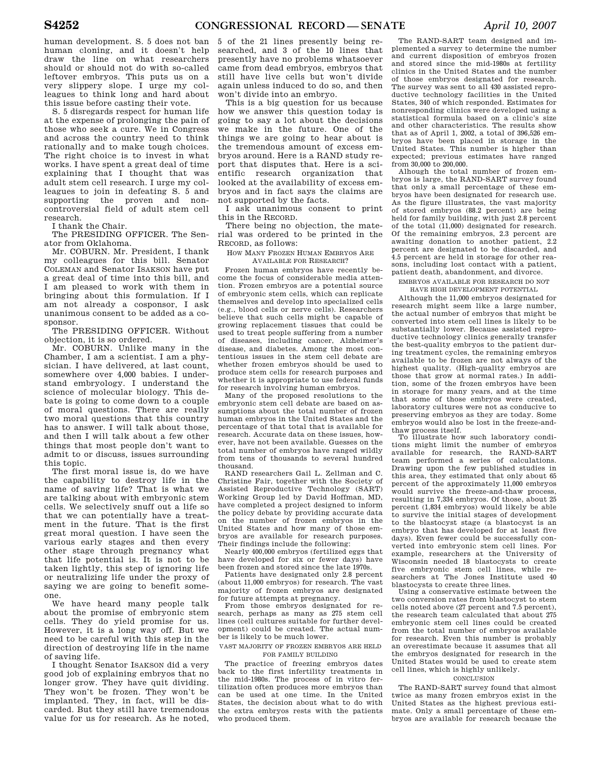this issue before casting their vote. S. 5 disregards respect for human life at the expense of prolonging the pain of those who seek a cure. We in Congress and across the country need to think rationally and to make tough choices. The right choice is to invest in what works. I have spent a great deal of time explaining that I thought that was adult stem cell research. I urge my colleagues to join in defeating S. 5 and supporting the proven and noncontroversial field of adult stem cell research.

very slippery slope. I urge my colleagues to think long and hard about

I thank the Chair.

The PRESIDING OFFICER. The Senator from Oklahoma.

Mr. COBURN. Mr. President, I thank my colleagues for this bill. Senator COLEMAN and Senator ISAKSON have put a great deal of time into this bill, and I am pleased to work with them in bringing about this formulation. If I am not already a cosponsor, I ask unanimous consent to be added as a cosponsor.

The PRESIDING OFFICER. Without objection, it is so ordered.

Mr. COBURN. Unlike many in the Chamber, I am a scientist. I am a physician. I have delivered, at last count, somewhere over 4,000 babies. I understand embryology. I understand the science of molecular biology. This debate is going to come down to a couple of moral questions. There are really two moral questions that this country has to answer. I will talk about those, and then I will talk about a few other things that most people don't want to admit to or discuss, issues surrounding this topic.

The first moral issue is, do we have the capability to destroy life in the name of saving life? That is what we are talking about with embryonic stem cells. We selectively snuff out a life so that we can potentially have a treatment in the future. That is the first great moral question. I have seen the various early stages and then every other stage through pregnancy what that life potential is. It is not to be taken lightly, this step of ignoring life or neutralizing life under the proxy of saying we are going to benefit someone.

We have heard many people talk about the promise of embryonic stem cells. They do yield promise for us. However, it is a long way off. But we need to be careful with this step in the direction of destroying life in the name of saving life.

I thought Senator ISAKSON did a very good job of explaining embryos that no longer grow. They have quit dividing. They won't be frozen. They won't be implanted. They, in fact, will be discarded. But they still have tremendous value for us for research. As he noted,

5 of the 21 lines presently being researched, and 3 of the 10 lines that presently have no problems whatsoever came from dead embryos, embryos that still have live cells but won't divide again unless induced to do so, and then won't divide into an embryo.

This is a big question for us because how we answer this question today is going to say a lot about the decisions we make in the future. One of the things we are going to hear about is the tremendous amount of excess embryos around. Here is a RAND study report that disputes that. Here is a scientific research organization that looked at the availability of excess embryos and in fact says the claims are not supported by the facts.

I ask unanimous consent to print this in the RECORD.

There being no objection, the material was ordered to be printed in the RECORD, as follows:

HOW MANY FROZEN HUMAN EMBRYOS ARE

AVAILABLE FOR RESEARCH?

Frozen human embryos have recently become the focus of considerable media attention. Frozen embryos are a potential source of embryonic stem cells, which can replicate themselves and develop into specialized cells (e.g., blood cells or nerve cells). Researchers believe that such cells might be capable of growing replacement tissues that could be used to treat people suffering from a number of diseases, including cancer, Alzheimer's disease, and diabetes. Among the most contentious issues in the stem cell debate are whether frozen embryos should be used to produce stem cells for research purposes and whether it is appropriate to use federal funds for research involving human embryos.

Many of the proposed resolutions to the embryonic stem cell debate are based on assumptions about the total number of frozen human embryos in the United States and the percentage of that total that is available for research. Accurate data on these issues, however, have not been available. Guesses on the total number of embryos have ranged wildly from tens of thousands to several hundred thousand.

RAND researchers Gail L. Zellman and C. Christine Fair, together with the Society of Assisted Reproductive Technology (SART) Working Group led by David Hoffman, MD, have completed a project designed to inform the policy debate by providing accurate data on the number of frozen embryos in the United States and how many of those embryos are available for research purposes. Their findings include the following:

Nearly 400,000 embryos (fertilized eggs that have developed for six or fewer days) have been frozen and stored since the late 1970s.

Patients have designated only 2.8 percent (about 11,000 embryos) for research. The vast majority of frozen embryos are designated for future attempts at pregnancy.

From those embryos designated for research, perhaps as many as 275 stem cell lines (cell cultures suitable for further development) could be created. The actual number is likely to be much lower.

#### VAST MAJORITY OF FROZEN EMBRYOS ARE HELD FOR FAMILY BUILDING

The practice of freezing embryos dates back to the first infertility treatments in the mid-1980s. The process of in vitro fertilization often produces more embryos than can be used at one time. In the United States, the decision about what to do with the extra embryos rests with the patients who produced them.

The RAND-SART team designed and implemented a survey to determine the number and current disposition of embryos frozen and stored since the mid-1980s at fertility clinics in the United States and the number of those embryos designated for research. The survey was sent to all 430 assisted reproductive technology facilities in the United States, 340 of which responded. Estimates for nonresponding clinics were developed using a statistical formula based on a clinic's size and other characteristics. The results show that as of April 1, 2002, a total of 396,526 embryos have been placed in storage in the United States. This number is higher than expected; previous estimates have ranged from 30,000 to 200,000.

Alhough the total number of frozen embryos is large, the RAND-SART survey found that only a small percentage of these embryos have been designated for research use. As the figure illustrates, the vast majority of stored embryos (88.2 percent) are being held for family building, with just 2.8 percent of the total (11,000) designated for research. Of the remaining embryos, 2.3 percent are awaiting donation to another patient, 2.2 percent are designated to be discarded, and 4.5 percent are held in storage for other reasons, including lost contact with a patient, patient death, abandonment, and divorce.

EMBRYOS AVAILABLE FOR RESEARCH DO NOT

HAVE HIGH DEVELOPMENT POTENTIAL

Although the 11,000 embryos designated for research might seem like a large number, the actual number of embryos that might be converted into stem cell lines is likely to be substantially lower. Because assisted reproductive technology clinics generally transfer the best-quality embryos to the patient during treatment cycles, the remaining embryos available to be frozen are not always of the highest quality. (High-quality embryos are those that grow at normal rates.) In addition, some of the frozen embryos have been in storage for many years, and at the time that some of those embryos were created, laboratory cultures were not as conducive to preserving embryos as they are today. Some embryos would also be lost in the freeze-andthaw process itself.

To illustrate how such laboratory conditions might limit the number of embryos available for research, the RAND-SART team performed a series of calculations. Drawing upon the few published studies in this area, they estimated that only about 65 percent of the approximately 11,000 embryos would survive the freeze-and-thaw process, resulting in 7,334 embryos. Of those, about 25 percent (1,834 embryos) would likely be able to survive the initial stages of development to the blastocyst stage (a blastocyst is an embryo that has developed for at least five days). Even fewer could be successfully converted into embryonic stem cell lines. For example, researchers at the University of Wisconsin needed 18 blastocysts to create five embryonic stem cell lines, while researchers at The Jones Institute used 40 blastocysts to create three lines.

Using a conservative estimate between the two conversion rates from blastocyst to stem cells noted above (27 percent and 7.5 percent), the research team calculated that about 275 embryonic stem cell lines could be created from the total number of embryos available for research. Even this number is probably an overestimate because it assumes that all the embryos designated for research in the United States would be used to create stem cell lines, which is highly unlikely.

#### CONCLUSION

The RAND-SART survey found that almost twice as many frozen embryos exist in the United States as the highest previous estimate. Only a small percentage of these embryos are available for research because the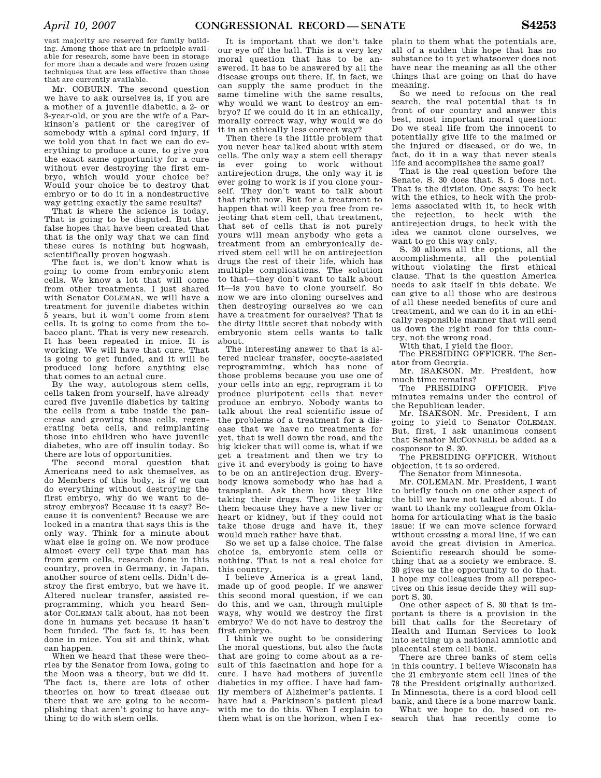vast majority are reserved for family building. Among those that are in principle available for research, some have been in storage for more than a decade and were frozen using techniques that are less effective than those that are currently available.

Mr. COBURN. The second question we have to ask ourselves is, if you are a mother of a juvenile diabetic, a 2- or 3-year-old, or you are the wife of a Parkinson's patient or the caregiver of somebody with a spinal cord injury, if we told you that in fact we can do everything to produce a cure, to give you the exact same opportunity for a cure without ever destroying the first embryo, which would your choice be? Would your choice be to destroy that embryo or to do it in a nondestructive way getting exactly the same results?

That is where the science is today. That is going to be disputed. But the false hopes that have been created that that is the only way that we can find these cures is nothing but hogwash, scientifically proven hogwash.

The fact is, we don't know what is going to come from embryonic stem cells. We know a lot that will come from other treatments. I just shared with Senator COLEMAN, we will have a treatment for juvenile diabetes within 5 years, but it won't come from stem cells. It is going to come from the tobacco plant. That is very new research. It has been repeated in mice. It is working. We will have that cure. That is going to get funded, and it will be produced long before anything else that comes to an actual cure.

By the way, autologous stem cells, cells taken from yourself, have already cured five juvenile diabetics by taking the cells from a tube inside the pancreas and growing those cells, regenerating beta cells, and reimplanting those into children who have juvenile diabetes, who are off insulin today. So there are lots of opportunities.

The second moral question that Americans need to ask themselves, as do Members of this body, is if we can do everything without destroying the first embryo, why do we want to destroy embryos? Because it is easy? Because it is convenient? Because we are locked in a mantra that says this is the only way. Think for a minute about what else is going on. We now produce almost every cell type that man has from germ cells, research done in this country, proven in Germany, in Japan, another source of stem cells. Didn't destroy the first embryo, but we have it. Altered nuclear transfer, assisted reprogramming, which you heard Senator COLEMAN talk about, has not been done in humans yet because it hasn't been funded. The fact is, it has been done in mice. You sit and think, what can happen.

When we heard that these were theories by the Senator from Iowa, going to the Moon was a theory, but we did it. The fact is, there are lots of other theories on how to treat disease out there that we are going to be accomplishing that aren't going to have anything to do with stem cells.

It is important that we don't take our eye off the ball. This is a very key moral question that has to be answered. It has to be answered by all the disease groups out there. If, in fact, we can supply the same product in the same timeline with the same results, why would we want to destroy an embryo? If we could do it in an ethically, morally correct way, why would we do it in an ethically less correct way?

Then there is the little problem that you never hear talked about with stem cells. The only way a stem cell therapy is ever going to work without antirejection drugs, the only way it is ever going to work is if you clone yourself. They don't want to talk about that right now. But for a treatment to happen that will keep you free from rejecting that stem cell, that treatment, that set of cells that is not purely yours will mean anybody who gets a treatment from an embryonically derived stem cell will be on antirejection drugs the rest of their life, which has multiple complications. The solution to that—they don't want to talk about it—is you have to clone yourself. So now we are into cloning ourselves and then destroying ourselves so we can have a treatment for ourselves? That is the dirty little secret that nobody with embryonic stem cells wants to talk about.

The interesting answer to that is altered nuclear transfer, oocyte-assisted reprogramming, which has none of those problems because you use one of your cells into an egg, reprogram it to produce pluripotent cells that never produce an embryo. Nobody wants to talk about the real scientific issue of the problems of a treatment for a disease that we have no treatments for yet, that is well down the road, and the big kicker that will come is, what if we get a treatment and then we try to give it and everybody is going to have to be on an antirejection drug. Everybody knows somebody who has had a transplant. Ask them how they like taking their drugs. They like taking them because they have a new liver or heart or kidney, but if they could not take those drugs and have it, they would much rather have that.

So we set up a false choice. The false choice is, embryonic stem cells or nothing. That is not a real choice for this country.

I believe America is a great land, made up of good people. If we answer this second moral question, if we can do this, and we can, through multiple ways, why would we destroy the first embryo? We do not have to destroy the first embryo.

I think we ought to be considering the moral questions, but also the facts that are going to come about as a result of this fascination and hope for a cure. I have had mothers of juvenile diabetics in my office. I have had family members of Alzheimer's patients. I have had a Parkinson's patient plead with me to do this. When I explain to them what is on the horizon, when I ex-

plain to them what the potentials are, all of a sudden this hope that has no substance to it yet whatsoever does not have near the meaning as all the other things that are going on that do have meaning.

So we need to refocus on the real search, the real potential that is in front of our country and answer this best, most important moral question: Do we steal life from the innocent to potentially give life to the maimed or the injured or diseased, or do we, in fact, do it in a way that never steals life and accomplishes the same goal?

That is the real question before the Senate. S. 30 does that. S. 5 does not. That is the division. One says: To heck with the ethics, to heck with the problems associated with it, to heck with the rejection, to heck with the antirejection drugs, to heck with the idea we cannot clone ourselves, we want to go this way only.

S. 30 allows all the options, all the accomplishments, all the potential without violating the first ethical clause. That is the question America needs to ask itself in this debate. We can give to all those who are desirous of all these needed benefits of cure and treatment, and we can do it in an ethically responsible manner that will send us down the right road for this country, not the wrong road.

With that, I yield the floor.

The PRESIDING OFFICER. The Senator from Georgia.

Mr. ISAKSON. Mr. President, how much time remains?

The PRESIDING OFFICER. Five minutes remains under the control of the Republican leader.

Mr. ISAKSON. Mr. President, I am going to yield to Senator COLEMAN. But, first, I ask unanimous consent that Senator MCCONNELL be added as a cosponsor to S. 30.

The PRESIDING OFFICER. Without objection, it is so ordered.

The Senator from Minnesota.

Mr. COLEMAN. Mr. President, I want to briefly touch on one other aspect of the bill we have not talked about. I do want to thank my colleague from Oklahoma for articulating what is the basic issue: if we can move science forward without crossing a moral line, if we can avoid the great division in America. Scientific research should be something that as a society we embrace. S. 30 gives us the opportunity to do that. I hope my colleagues from all perspectives on this issue decide they will support S. 30.

One other aspect of S. 30 that is important is there is a provision in the bill that calls for the Secretary of Health and Human Services to look into setting up a national amniotic and placental stem cell bank.

There are three banks of stem cells in this country. I believe Wisconsin has the 21 embryonic stem cell lines of the 78 the President originally authorized. In Minnesota, there is a cord blood cell bank, and there is a bone marrow bank.

What we hope to do, based on research that has recently come to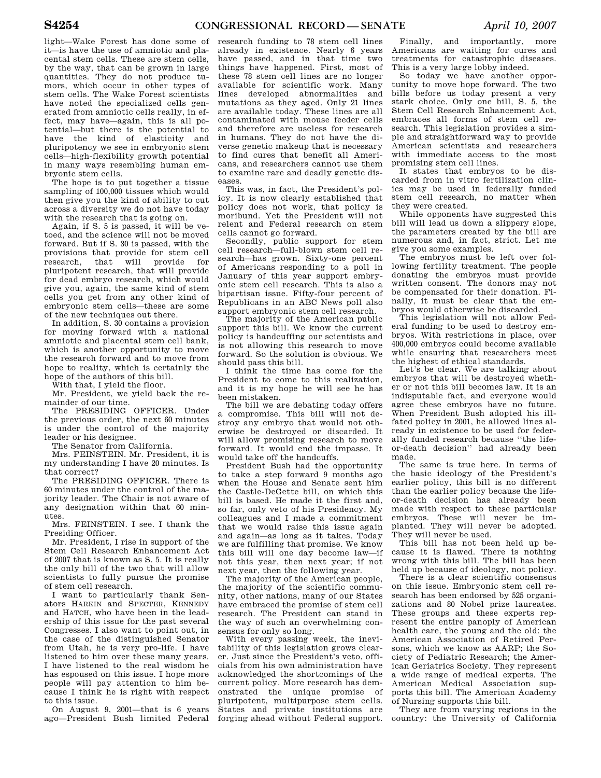light—Wake Forest has done some of it—is have the use of amniotic and placental stem cells. These are stem cells, by the way, that can be grown in large quantities. They do not produce tumors, which occur in other types of stem cells. The Wake Forest scientists have noted the specialized cells generated from amniotic cells really, in effect, may have—again, this is all potential—but there is the potential to have the kind of elasticity and pluripotency we see in embryonic stem cells—high-flexibility growth potential in many ways resembling human embryonic stem cells.

The hope is to put together a tissue sampling of 100,000 tissues which would then give you the kind of ability to cut across a diversity we do not have today with the research that is going on.

Again, if S. 5 is passed, it will be vetoed, and the science will not be moved forward. But if S. 30 is passed, with the provisions that provide for stem cell research, that will provide for pluripotent research, that will provide for dead embryo research, which would give you, again, the same kind of stem cells you get from any other kind of embryonic stem cells—these are some of the new techniques out there.

In addition, S. 30 contains a provision for moving forward with a national amniotic and placental stem cell bank, which is another opportunity to move the research forward and to move from hope to reality, which is certainly the hope of the authors of this bill.

With that, I yield the floor.

Mr. President, we yield back the remainder of our time.

The PRESIDING OFFICER. Under the previous order, the next 60 minutes is under the control of the majority leader or his designee.

The Senator from California.

Mrs. FEINSTEIN. Mr. President, it is my understanding I have 20 minutes. Is that correct?

The PRESIDING OFFICER. There is 60 minutes under the control of the majority leader. The Chair is not aware of any designation within that 60 minutes.

Mrs. FEINSTEIN. I see. I thank the Presiding Officer.

Mr. President, I rise in support of the Stem Cell Research Enhancement Act of 2007 that is known as S. 5. It is really the only bill of the two that will allow scientists to fully pursue the promise of stem cell research.

I want to particularly thank Senators HARKIN and SPECTER, KENNEDY and HATCH, who have been in the leadership of this issue for the past several Congresses. I also want to point out, in the case of the distinguished Senator from Utah, he is very pro-life. I have listened to him over these many years. I have listened to the real wisdom he has espoused on this issue. I hope more people will pay attention to him because I think he is right with respect to this issue.

On August 9, 2001—that is 6 years ago—President Bush limited Federal research funding to 78 stem cell lines already in existence. Nearly 6 years have passed, and in that time two things have happened. First, most of these 78 stem cell lines are no longer available for scientific work. Many lines developed abnormalities and mutations as they aged. Only 21 lines are available today. These lines are all contaminated with mouse feeder cells and therefore are useless for research in humans. They do not have the diverse genetic makeup that is necessary to find cures that benefit all Americans, and researchers cannot use them to examine rare and deadly genetic diseases.

This was, in fact, the President's policy. It is now clearly established that policy does not work, that policy is moribund. Yet the President will not relent and Federal research on stem cells cannot go forward.

Secondly, public support for stem cell research—full-blown stem cell research—has grown. Sixty-one percent of Americans responding to a poll in January of this year support embryonic stem cell research. This is also a bipartisan issue. Fifty-four percent of Republicans in an ABC News poll also support embryonic stem cell research.

The majority of the American public support this bill. We know the current policy is handcuffing our scientists and is not allowing this research to move forward. So the solution is obvious. We should pass this bill.

I think the time has come for the President to come to this realization, and it is my hope he will see he has been mistaken.

The bill we are debating today offers a compromise. This bill will not destroy any embryo that would not otherwise be destroyed or discarded. It will allow promising research to move forward. It would end the impasse. It would take off the handcuffs.

President Bush had the opportunity to take a step forward 9 months ago when the House and Senate sent him the Castle-DeGette bill, on which this bill is based. He made it the first and, so far, only veto of his Presidency. My colleagues and I made a commitment that we would raise this issue again and again—as long as it takes. Today we are fulfilling that promise. We know this bill will one day become law—if not this year, then next year; if not next year, then the following year.

The majority of the American people, the majority of the scientific community, other nations, many of our States have embraced the promise of stem cell research. The President can stand in the way of such an overwhelming consensus for only so long.

With every passing week, the inevitability of this legislation grows clearer. Just since the President's veto, officials from his own administration have acknowledged the shortcomings of the current policy. More research has demonstrated the unique promise of pluripotent, multipurpose stem cells. States and private institutions are forging ahead without Federal support.

Finally, and importantly, more Americans are waiting for cures and treatments for catastrophic diseases. This is a very large lobby indeed.

So today we have another opportunity to move hope forward. The two bills before us today present a very stark choice. Only one bill, S. 5, the Stem Cell Research Enhancement Act, embraces all forms of stem cell research. This legislation provides a simple and straightforward way to provide American scientists and researchers with immediate access to the most promising stem cell lines.

It states that embryos to be discarded from in vitro fertilization clinics may be used in federally funded stem cell research, no matter when they were created.

While opponents have suggested this bill will lead us down a slippery slope, the parameters created by the bill are numerous and, in fact, strict. Let me give you some examples.

The embryos must be left over following fertility treatment. The people donating the embryos must provide written consent. The donors may not be compensated for their donation. Finally, it must be clear that the embryos would otherwise be discarded.

This legislation will not allow Federal funding to be used to destroy embryos. With restrictions in place, over 400,000 embryos could become available while ensuring that researchers meet the highest of ethical standards.

Let's be clear. We are talking about embryos that will be destroyed whether or not this bill becomes law. It is an indisputable fact, and everyone would agree these embryos have no future. When President Bush adopted his illfated policy in 2001, he allowed lines already in existence to be used for federally funded research because ''the lifeor-death decision'' had already been made.

The same is true here. In terms of the basic ideology of the President's earlier policy, this bill is no different than the earlier policy because the lifeor-death decision has already been made with respect to these particular embryos. These will never be implanted. They will never be adopted. They will never be used.

This bill has not been held up because it is flawed. There is nothing wrong with this bill. The bill has been held up because of ideology, not policy.

There is a clear scientific consensus on this issue. Embryonic stem cell research has been endorsed by 525 organizations and 80 Nobel prize laureates. These groups and these experts represent the entire panoply of American health care, the young and the old: the American Association of Retired Persons, which we know as AARP; the Society of Pediatric Research; the American Geriatrics Society. They represent a wide range of medical experts. The American Medical Association supports this bill. The American Academy of Nursing supports this bill.

They are from varying regions in the country: the University of California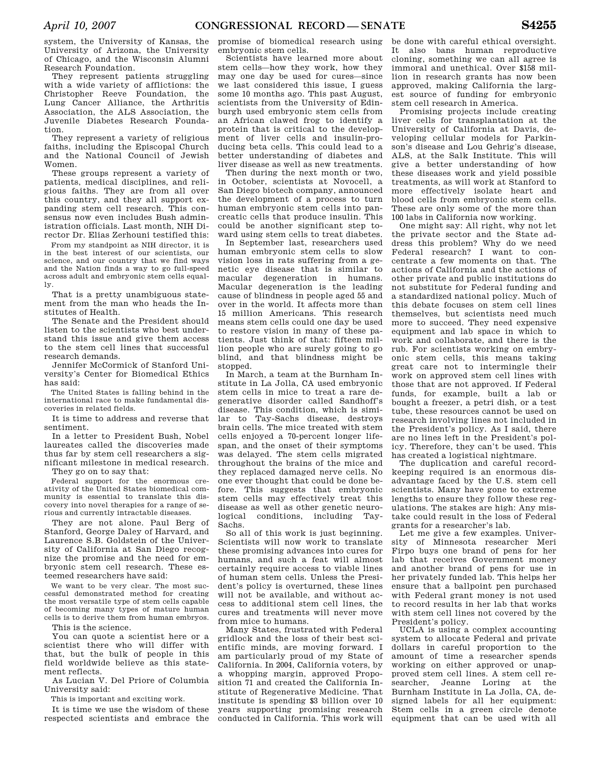system, the University of Kansas, the University of Arizona, the University of Chicago, and the Wisconsin Alumni Research Foundation.

They represent patients struggling with a wide variety of afflictions: the Christopher Reeve Foundation, the Lung Cancer Alliance, the Arthritis Association, the ALS Association, the Juvenile Diabetes Research Foundation.

They represent a variety of religious faiths, including the Episcopal Church and the National Council of Jewish Women.

These groups represent a variety of patients, medical disciplines, and religious faiths. They are from all over this country, and they all support expanding stem cell research. This consensus now even includes Bush administration officials. Last month, NIH Director Dr. Elias Zerhouni testified this:

From my standpoint as NIH director, it is in the best interest of our scientists, our science, and our country that we find ways and the Nation finds a way to go full-speed across adult and embryonic stem cells equally.

That is a pretty unambiguous statement from the man who heads the Institutes of Health.

The Senate and the President should listen to the scientists who best understand this issue and give them access to the stem cell lines that successful research demands.

Jennifer McCormick of Stanford University's Center for Biomedical Ethics has said:

The United States is falling behind in the international race to make fundamental discoveries in related fields.

It is time to address and reverse that sentiment.

In a letter to President Bush, Nobel laureates called the discoveries made thus far by stem cell researchers a significant milestone in medical research. They go on to say that:

Federal support for the enormous creativity of the United States biomedical community is essential to translate this discovery into novel therapies for a range of serious and currently intractable diseases.

They are not alone. Paul Berg of Stanford, George Daley of Harvard, and Laurence S.B. Goldstein of the University of California at San Diego recognize the promise and the need for embryonic stem cell research. These esteemed researchers have said:

We want to be very clear. The most successful demonstrated method for creating the most versatile type of stem cells capable of becoming many types of mature human cells is to derive them from human embryos.

This is the science.

You can quote a scientist here or a scientist there who will differ with that, but the bulk of people in this field worldwide believe as this statement reflects.

As Lucian V. Del Priore of Columbia University said:

This is important and exciting work.

It is time we use the wisdom of these respected scientists and embrace the

promise of biomedical research using embryonic stem cells.

Scientists have learned more about stem cells—how they work, how they may one day be used for cures—since we last considered this issue, I guess some 10 months ago. This past August, scientists from the University of Edinburgh used embryonic stem cells from an African clawed frog to identify a protein that is critical to the development of liver cells and insulin-producing beta cells. This could lead to a better understanding of diabetes and liver disease as well as new treatments.

Then during the next month or two, in October, scientists at Novocell, a San Diego biotech company, announced the development of a process to turn human embryonic stem cells into pancreatic cells that produce insulin. This could be another significant step toward using stem cells to treat diabetes.

In September last, researchers used human embryonic stem cells to slow vision loss in rats suffering from a genetic eye disease that is similar to macular degeneration in humans. Macular degeneration is the leading cause of blindness in people aged 55 and over in the world. It affects more than 15 million Americans. This research means stem cells could one day be used to restore vision in many of these patients. Just think of that: fifteen million people who are surely going to go blind, and that blindness might be stopped.

In March, a team at the Burnham Institute in La Jolla, CA used embryonic stem cells in mice to treat a rare degenerative disorder called Sandhoff's disease. This condition, which is similar to Tay-Sachs disease, destroys brain cells. The mice treated with stem cells enjoyed a 70-percent longer lifespan, and the onset of their symptoms was delayed. The stem cells migrated throughout the brains of the mice and they replaced damaged nerve cells. No one ever thought that could be done before. This suggests that embryonic stem cells may effectively treat this disease as well as other genetic neurological conditions, including Tay-Sachs.

So all of this work is just beginning. Scientists will now work to translate these promising advances into cures for humans, and such a feat will almost certainly require access to viable lines of human stem cells. Unless the President's policy is overturned, these lines will not be available, and without access to additional stem cell lines, the cures and treatments will never move from mice to humans.

Many States, frustrated with Federal gridlock and the loss of their best scientific minds, are moving forward. I am particularly proud of my State of California. In 2004, California voters, by a whopping margin, approved Proposition 71 and created the California Institute of Regenerative Medicine. That institute is spending \$3 billion over 10 years supporting promising research conducted in California. This work will

be done with careful ethical oversight. It also bans human reproductive cloning, something we can all agree is immoral and unethical. Over \$158 million in research grants has now been approved, making California the largest source of funding for embryonic stem cell research in America.

Promising projects include creating liver cells for transplantation at the University of California at Davis, developing cellular models for Parkinson's disease and Lou Gehrig's disease, ALS, at the Salk Institute. This will give a better understanding of how these diseases work and yield possible treatments, as will work at Stanford to more effectively isolate heart and blood cells from embryonic stem cells. These are only some of the more than 100 labs in California now working.

One might say: All right, why not let the private sector and the State address this problem? Why do we need Federal research? I want to concentrate a few moments on that. The actions of California and the actions of other private and public institutions do not substitute for Federal funding and a standardized national policy. Much of this debate focuses on stem cell lines themselves, but scientists need much more to succeed. They need expensive equipment and lab space in which to work and collaborate, and there is the rub. For scientists working on embryonic stem cells, this means taking great care not to intermingle their work on approved stem cell lines with those that are not approved. If Federal funds, for example, built a lab or bought a freezer, a petri dish, or a test tube, these resources cannot be used on research involving lines not included in the President's policy. As I said, there are no lines left in the President's policy. Therefore, they can't be used. This has created a logistical nightmare.

The duplication and careful recordkeeping required is an enormous disadvantage faced by the U.S. stem cell scientists. Many have gone to extreme lengths to ensure they follow these regulations. The stakes are high: Any mistake could result in the loss of Federal grants for a researcher's lab.

Let me give a few examples. University of Minnesota researcher Meri Firpo buys one brand of pens for her lab that receives Government money and another brand of pens for use in her privately funded lab. This helps her ensure that a ballpoint pen purchased with Federal grant money is not used to record results in her lab that works with stem cell lines not covered by the President's policy.

UCLA is using a complex accounting system to allocate Federal and private dollars in careful proportion to the amount of time a researcher spends working on either approved or unapproved stem cell lines. A stem cell researcher, Jeanne Loring at the Burnham Institute in La Jolla, CA, designed labels for all her equipment: Stem cells in a green circle denote equipment that can be used with all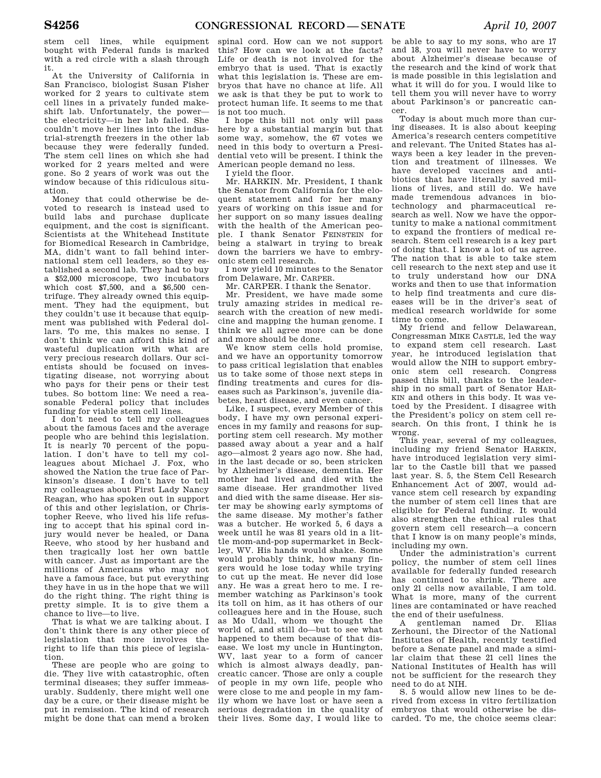stem cell lines, while equipment bought with Federal funds is marked with a red circle with a slash through it.

At the University of California in San Francisco, biologist Susan Fisher worked for 2 years to cultivate stem cell lines in a privately funded makeshift lab. Unfortunately, the power the electricity—in her lab failed. She couldn't move her lines into the industrial-strength freezers in the other lab because they were federally funded. The stem cell lines on which she had worked for 2 years melted and were gone. So 2 years of work was out the window because of this ridiculous situation.

Money that could otherwise be devoted to research is instead used to build labs and purchase duplicate equipment, and the cost is significant. Scientists at the Whitehead Institute for Biomedical Research in Cambridge, MA, didn't want to fall behind international stem cell leaders, so they established a second lab. They had to buy a \$52,000 microscope, two incubators which cost \$7,500, and a \$6,500 centrifuge. They already owned this equipment. They had the equipment, but they couldn't use it because that equipment was published with Federal dollars. To me, this makes no sense. I don't think we can afford this kind of wasteful duplication with what are very precious research dollars. Our scientists should be focused on investigating disease, not worrying about who pays for their pens or their test tubes. So bottom line: We need a reasonable Federal policy that includes funding for viable stem cell lines.

I don't need to tell my colleagues about the famous faces and the average people who are behind this legislation. It is nearly 70 percent of the population. I don't have to tell my colleagues about Michael J. Fox, who showed the Nation the true face of Parkinson's disease. I don't have to tell my colleagues about First Lady Nancy Reagan, who has spoken out in support of this and other legislation, or Christopher Reeve, who lived his life refusing to accept that his spinal cord injury would never be healed, or Dana Reeve, who stood by her husband and then tragically lost her own battle with cancer. Just as important are the millions of Americans who may not have a famous face, but put everything they have in us in the hope that we will do the right thing. The right thing is pretty simple. It is to give them a chance to live—to live.

That is what we are talking about. I don't think there is any other piece of legislation that more involves the right to life than this piece of legislation.

These are people who are going to die. They live with catastrophic, often terminal diseases; they suffer immeasurably. Suddenly, there might well one day be a cure, or their disease might be put in remission. The kind of research might be done that can mend a broken

spinal cord. How can we not support this? How can we look at the facts? Life or death is not involved for the embryo that is used. That is exactly what this legislation is. These are embryos that have no chance at life. All we ask is that they be put to work to protect human life. It seems to me that is not too much.

I hope this bill not only will pass here by a substantial margin but that some way, somehow, the 67 votes we need in this body to overturn a Presidential veto will be present. I think the American people demand no less.

I yield the floor.

Mr. HARKIN. Mr. President, I thank the Senator from California for the eloquent statement and for her many years of working on this issue and for her support on so many issues dealing with the health of the American people. I thank Senator FEINSTEIN for being a stalwart in trying to break down the barriers we have to embryonic stem cell research.

I now yield 10 minutes to the Senator from Delaware, Mr. CARPER.

Mr. CARPER. I thank the Senator.

Mr. President, we have made some truly amazing strides in medical research with the creation of new medicine and mapping the human genome. I think we all agree more can be done and more should be done.

We know stem cells hold promise, and we have an opportunity tomorrow to pass critical legislation that enables us to take some of those next steps in finding treatments and cures for diseases such as Parkinson's, juvenile diabetes, heart disease, and even cancer.

Like, I suspect, every Member of this body, I have my own personal experiences in my family and reasons for supporting stem cell research. My mother passed away about a year and a half ago—almost 2 years ago now. She had, in the last decade or so, been stricken by Alzheimer's disease, dementia. Her mother had lived and died with the same disease. Her grandmother lived and died with the same disease. Her sister may be showing early symptoms of the same disease. My mother's father was a butcher. He worked 5, 6 days a week until he was 81 years old in a little mom-and-pop supermarket in Beckley, WV. His hands would shake. Some would probably think, how many fingers would he lose today while trying to cut up the meat. He never did lose any. He was a great hero to me. I remember watching as Parkinson's took its toll on him, as it has others of our colleagues here and in the House, such as Mo Udall, whom we thought the world of, and still do—but to see what happened to them because of that disease. We lost my uncle in Huntington, WV, last year to a form of cancer which is almost always deadly, pancreatic cancer. Those are only a couple of people in my own life, people who were close to me and people in my family whom we have lost or have seen a serious degradation in the quality of their lives. Some day, I would like to

be able to say to my sons, who are 17 and 18, you will never have to worry about Alzheimer's disease because of the research and the kind of work that is made possible in this legislation and what it will do for you. I would like to tell them you will never have to worry about Parkinson's or pancreatic cancer.

Today is about much more than curing diseases. It is also about keeping America's research centers competitive and relevant. The United States has always been a key leader in the prevention and treatment of illnesses. We have developed vaccines and antibiotics that have literally saved millions of lives, and still do. We have made tremendous advances in biotechnology and pharmaceutical research as well. Now we have the opportunity to make a national commitment to expand the frontiers of medical research. Stem cell research is a key part of doing that. I know a lot of us agree. The nation that is able to take stem cell research to the next step and use it to truly understand how our DNA works and then to use that information to help find treatments and cure diseases will be in the driver's seat of medical research worldwide for some time to come.

My friend and fellow Delawarean, Congressman MIKE CASTLE, led the way to expand stem cell research. Last year, he introduced legislation that would allow the NIH to support embryonic stem cell research. Congress passed this bill, thanks to the leadership in no small part of Senator HAR-KIN and others in this body. It was vetoed by the President. I disagree with the President's policy on stem cell research. On this front, I think he is wrong.

This year, several of my colleagues, including my friend Senator HARKIN, have introduced legislation very similar to the Castle bill that we passed last year. S. 5, the Stem Cell Research Enhancement Act of 2007, would advance stem cell research by expanding the number of stem cell lines that are eligible for Federal funding. It would also strengthen the ethical rules that govern stem cell research—a concern that I know is on many people's minds, including my own.

Under the administration's current policy, the number of stem cell lines available for federally funded research has continued to shrink. There are only 21 cells now available, I am told. What is more, many of the current lines are contaminated or have reached

the end of their usefulness.<br>A gentleman named Dr. A gentleman named Dr. Elias Zerhouni, the Director of the National Institutes of Health, recently testified before a Senate panel and made a similar claim that these 21 cell lines the National Institutes of Health has will not be sufficient for the research they need to do at NIH.

S. 5 would allow new lines to be derived from excess in vitro fertilization embryos that would otherwise be discarded. To me, the choice seems clear: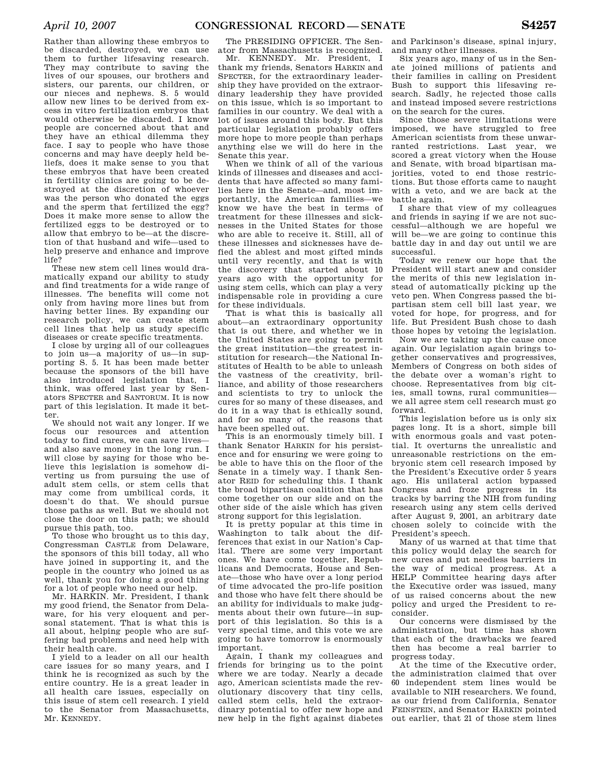Rather than allowing these embryos to be discarded, destroyed, we can use them to further lifesaving research. They may contribute to saving the lives of our spouses, our brothers and sisters, our parents, our children, or our nieces and nephews. S. 5 would allow new lines to be derived from excess in vitro fertilization embryos that would otherwise be discarded. I know people are concerned about that and they have an ethical dilemma they face. I say to people who have those concerns and may have deeply held beliefs, does it make sense to you that these embryos that have been created in fertility clinics are going to be destroyed at the discretion of whoever was the person who donated the eggs and the sperm that fertilized the egg? Does it make more sense to allow the fertilized eggs to be destroyed or to allow that embryo to be—at the discretion of that husband and wife—used to help preserve and enhance and improve life?

These new stem cell lines would dramatically expand our ability to study and find treatments for a wide range of illnesses. The benefits will come not only from having more lines but from having better lines. By expanding our research policy, we can create stem cell lines that help us study specific diseases or create specific treatments.

I close by urging all of our colleagues to join us—a majority of us—in supporting S. 5. It has been made better because the sponsors of the bill have also introduced legislation that, I think, was offered last year by Senators SPECTER and SANTORUM. It is now part of this legislation. It made it better.

We should not wait any longer. If we focus our resources and attention today to find cures, we can save lives and also save money in the long run. I will close by saying for those who believe this legislation is somehow diverting us from pursuing the use of adult stem cells, or stem cells that may come from umbilical cords, it doesn't do that. We should pursue those paths as well. But we should not close the door on this path; we should pursue this path, too.

To those who brought us to this day, Congressman CASTLE from Delaware, the sponsors of this bill today, all who have joined in supporting it, and the people in the country who joined us as well, thank you for doing a good thing for a lot of people who need our help.

Mr. HARKIN. Mr. President, I thank my good friend, the Senator from Delaware, for his very eloquent and personal statement. That is what this is all about, helping people who are suffering bad problems and need help with their health care.

I yield to a leader on all our health care issues for so many years, and I think he is recognized as such by the entire country. He is a great leader in all health care issues, especially on this issue of stem cell research. I yield to the Senator from Massachusetts, Mr. KENNEDY.

The PRESIDING OFFICER. The Senator from Massachusetts is recognized.

Mr. KENNEDY. Mr. President, I thank my friends, Senators HARKIN and SPECTER, for the extraordinary leadership they have provided on the extraordinary leadership they have provided on this issue, which is so important to families in our country. We deal with a lot of issues around this body. But this particular legislation probably offers more hope to more people than perhaps anything else we will do here in the Senate this year.

When we think of all of the various kinds of illnesses and diseases and accidents that have affected so many families here in the Senate—and, most importantly, the American families—we know we have the best in terms of treatment for these illnesses and sicknesses in the United States for those who are able to receive it. Still, all of these illnesses and sicknesses have defied the ablest and most gifted minds until very recently, and that is with the discovery that started about 10 years ago with the opportunity for using stem cells, which can play a very indispensable role in providing a cure for these individuals.

That is what this is basically all about—an extraordinary opportunity that is out there, and whether we in the United States are going to permit the great institution—the greatest institution for research—the National Institutes of Health to be able to unleash the vastness of the creativity, brilliance, and ability of those researchers and scientists to try to unlock the cures for so many of these diseases, and do it in a way that is ethically sound, and for so many of the reasons that have been spelled out.

This is an enormously timely bill. I thank Senator HARKIN for his persistence and for ensuring we were going to be able to have this on the floor of the Senate in a timely way. I thank Senator REID for scheduling this. I thank the broad bipartisan coalition that has come together on our side and on the other side of the aisle which has given strong support for this legislation.

It is pretty popular at this time in Washington to talk about the differences that exist in our Nation's Capital. There are some very important ones. We have come together, Republicans and Democrats, House and Senate—those who have over a long period of time advocated the pro-life position and those who have felt there should be an ability for individuals to make judgments about their own future—in support of this legislation. So this is a very special time, and this vote we are going to have tomorrow is enormously important.

Again, I thank my colleagues and friends for bringing us to the point where we are today. Nearly a decade ago, American scientists made the revolutionary discovery that tiny cells, called stem cells, held the extraordinary potential to offer new hope and new help in the fight against diabetes

and Parkinson's disease, spinal injury, and many other illnesses.

Six years ago, many of us in the Senate joined millions of patients and their families in calling on President Bush to support this lifesaving research. Sadly, he rejected those calls and instead imposed severe restrictions on the search for the cures.

Since those severe limitations were imposed, we have struggled to free American scientists from these unwarranted restrictions. Last year, we scored a great victory when the House and Senate, with broad bipartisan majorities, voted to end those restrictions. But those efforts came to naught with a veto, and we are back at the battle again.

I share that view of my colleagues and friends in saying if we are not successful—although we are hopeful we will be—we are going to continue this battle day in and day out until we are successful.

Today we renew our hope that the President will start anew and consider the merits of this new legislation instead of automatically picking up the veto pen. When Congress passed the bipartisan stem cell bill last year, we voted for hope, for progress, and for life. But President Bush chose to dash those hopes by vetoing the legislation.

Now we are taking up the cause once again. Our legislation again brings together conservatives and progressives, Members of Congress on both sides of the debate over a woman's right to choose. Representatives from big cities, small towns, rural communities we all agree stem cell research must go forward.

This legislation before us is only six pages long. It is a short, simple bill with enormous goals and vast potential. It overturns the unrealistic and unreasonable restrictions on the embryonic stem cell research imposed by the President's Executive order 5 years ago. His unilateral action bypassed Congress and froze progress in its tracks by barring the NIH from funding research using any stem cells derived after August 9, 2001, an arbitrary date chosen solely to coincide with the President's speech.

Many of us warned at that time that this policy would delay the search for new cures and put needless barriers in the way of medical progress. At a HELP Committee hearing days after the Executive order was issued, many of us raised concerns about the new policy and urged the President to reconsider.

Our concerns were dismissed by the administration, but time has shown that each of the drawbacks we feared then has become a real barrier to progress today.

At the time of the Executive order, the administration claimed that over 60 independent stem lines would be available to NIH researchers. We found, as our friend from California, Senator FEINSTEIN, and Senator HARKIN pointed out earlier, that 21 of those stem lines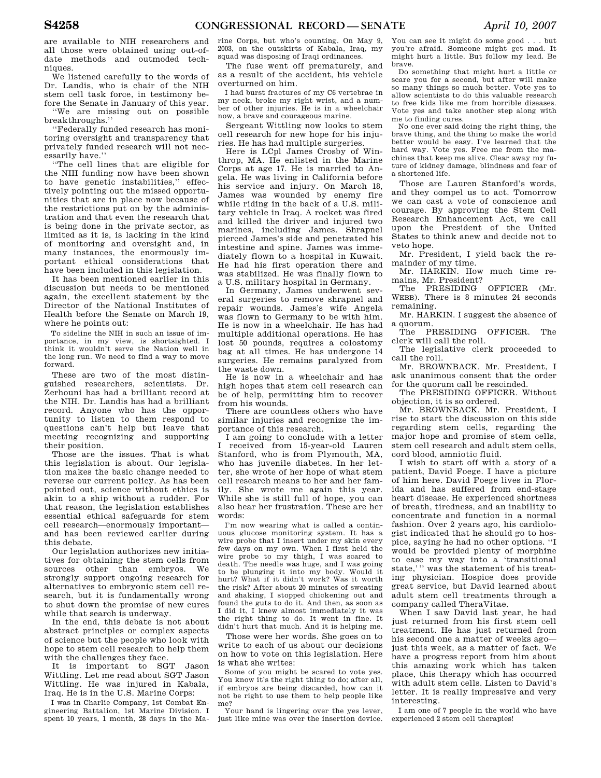are available to NIH researchers and all those were obtained using out-ofdate methods and outmoded techniques.

We listened carefully to the words of Dr. Landis, who is chair of the NIH stem cell task force, in testimony before the Senate in January of this year.

''We are missing out on possible breakthroughs.''

''Federally funded research has monitoring oversight and transparency that privately funded research will not necessarily have.''

''The cell lines that are eligible for the NIH funding now have been shown to have genetic instabilities,'' effectively pointing out the missed opportunities that are in place now because of the restrictions put on by the administration and that even the research that is being done in the private sector, as limited as it is, is lacking in the kind of monitoring and oversight and, in many instances, the enormously important ethical considerations that have been included in this legislation.

It has been mentioned earlier in this discussion but needs to be mentioned again, the excellent statement by the Director of the National Institutes of Health before the Senate on March 19, where he points out:

To sideline the NIH in such an issue of importance, in my view, is shortsighted. I think it wouldn't serve the Nation well in the long run. We need to find a way to move forward.

These are two of the most distinguished researchers, scientists. Dr. Zerhouni has had a brilliant record at the NIH. Dr. Landis has had a brilliant record. Anyone who has the opportunity to listen to them respond to questions can't help but leave that meeting recognizing and supporting their position.

Those are the issues. That is what this legislation is about. Our legislation makes the basic change needed to reverse our current policy. As has been pointed out, science without ethics is akin to a ship without a rudder. For that reason, the legislation establishes essential ethical safeguards for stem cell research—enormously important and has been reviewed earlier during this debate.

Our legislation authorizes new initiatives for obtaining the stem cells from sources other than embryos. We strongly support ongoing research for alternatives to embryonic stem cell research, but it is fundamentally wrong to shut down the promise of new cures while that search is underway.

In the end, this debate is not about abstract principles or complex aspects of science but the people who look with hope to stem cell research to help them with the challenges they face.

It is important to SGT Jason Wittling. Let me read about SGT Jason Wittling. He was injured in Kabala, Iraq. He is in the U.S. Marine Corps:

I was in Charlie Company, 1st Combat Engineering Battalion, 1st Marine Division. I spent 10 years, 1 month, 28 days in the Ma-

rine Corps, but who's counting. On May 9, 2003, on the outskirts of Kabala, Iraq, my squad was disposing of Iraqi ordinances.

The fuse went off prematurely, and as a result of the accident, his vehicle overturned on him.

I had burst fractures of my C6 vertebrae in my neck, broke my right wrist, and a number of other injuries. He is in a wheelchair now, a brave and courageous marine.

Sergeant Wittling now looks to stem cell research for new hope for his injuries. He has had multiple surgeries.

Here is LCpl James Crosby of Winthrop, MA. He enlisted in the Marine Corps at age 17. He is married to Angela. He was living in California before his service and injury. On March 18, James was wounded by enemy fire while riding in the back of a U.S. military vehicle in Iraq. A rocket was fired and killed the driver and injured two marines, including James. Shrapnel pierced James's side and penetrated his intestine and spine. James was immediately flown to a hospital in Kuwait. He had his first operation there and was stabilized. He was finally flown to a U.S. military hospital in Germany.

In Germany, James underwent several surgeries to remove shrapnel and repair wounds. James's wife Angela was flown to Germany to be with him. He is now in a wheelchair. He has had multiple additional operations. He has lost 50 pounds, requires a colostomy bag at all times. He has undergone 14 surgeries. He remains paralyzed from the waste down.

He is now in a wheelchair and has high hopes that stem cell research can be of help, permitting him to recover from his wounds.

There are countless others who have similar injuries and recognize the importance of this research.

I am going to conclude with a letter I received from 15-year-old Lauren Stanford, who is from Plymouth, MA, who has juvenile diabetes. In her letter, she wrote of her hope of what stem cell research means to her and her family. She wrote me again this year. While she is still full of hope, you can also hear her frustration. These are her words:

I'm now wearing what is called a continuous glucose monitoring system. It has a wire probe that I insert under my skin every few days on my own. When I first held the wire probe to my thigh, I was scared to death. The needle was huge, and I was going to be plunging it into my body. Would it hurt? What if it didn't work? Was it worth the risk? After about 20 minutes of sweating and shaking, I stopped chickening out and found the guts to do it. And then, as soon as I did it, I knew almost immediately it was the right thing to do. It went in fine. It didn't hurt that much. And it is helping me.

Those were her words. She goes on to write to each of us about our decisions on how to vote on this legislation. Here is what she writes:

Some of you might be scared to vote yes. You know it's the right thing to do; after all, if embryos are being discarded, how can it not be right to use them to help people like me?

Your hand is lingering over the yes lever, just like mine was over the insertion device. You can see it might do some good . . you're afraid. Someone might get mad. It might hurt a little. But follow my lead. Be brave.

Do something that might hurt a little or scare you for a second, but after will make so many things so much better. Vote yes to allow scientists to do this valuable research to free kids like me from horrible diseases. Vote yes and take another step along with me to finding cures.

No one ever said doing the right thing, the brave thing, and the thing to make the world better would be easy. I've learned that the hard way. Vote yes. Free me from the machines that keep me alive. Clear away my future of kidney damage, blindness and fear of a shortened life.

Those are Lauren Stanford's words, and they compel us to act. Tomorrow we can cast a vote of conscience and courage. By approving the Stem Cell Research Enhancement Act, we call upon the President of the United States to think anew and decide not to veto hope.

Mr. President, I yield back the remainder of my time.

Mr. HARKIN. How much time remains, Mr. President?

The PRESIDING OFFICER (Mr. WEBB). There is 8 minutes 24 seconds remaining.

Mr. HARKIN. I suggest the absence of a quorum.

The PRESIDING OFFICER. The clerk will call the roll.

The legislative clerk proceeded to call the roll.

Mr. BROWNBACK. Mr. President, I ask unanimous consent that the order for the quorum call be rescinded.

The PRESIDING OFFICER. Without objection, it is so ordered.

Mr. BROWNBACK. Mr. President, I rise to start the discussion on this side regarding stem cells, regarding the major hope and promise of stem cells, stem cell research and adult stem cells, cord blood, amniotic fluid.

I wish to start off with a story of a patient, David Foege. I have a picture of him here. David Foege lives in Florida and has suffered from end-stage heart disease. He experienced shortness of breath, tiredness, and an inability to concentrate and function in a normal fashion. Over 2 years ago, his cardiologist indicated that he should go to hospice, saying he had no other options. ''I would be provided plenty of morphine to ease my way into a 'transitional state,''' was the statement of his treating physician. Hospice does provide great service, but David learned about adult stem cell treatments through a company called TheraVitae.

When I saw David last year, he had just returned from his first stem cell treatment. He has just returned from his second one a matter of weeks ago just this week, as a matter of fact. We have a progress report from him about this amazing work which has taken place, this therapy which has occurred with adult stem cells. Listen to David's letter. It is really impressive and very interesting.

I am one of 7 people in the world who have experienced 2 stem cell therapies!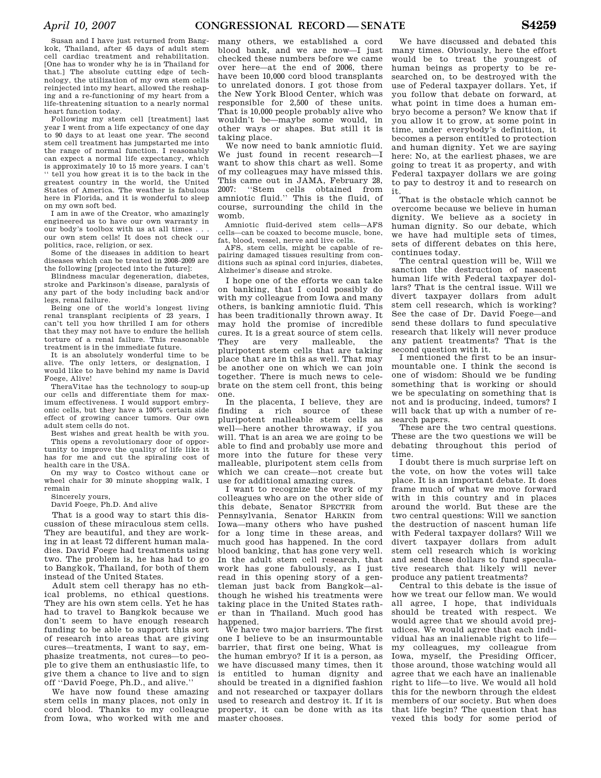Susan and I have just returned from Bangkok, Thailand, after 45 days of adult stem cell cardiac treatment and rehabilitation. [One has to wonder why he is in Thailand for that.] The absolute cutting edge of technology, the utilization of my own stem cells reinjected into my heart, allowed the reshaping and a re-functioning of my heart from a life-threatening situation to a nearly normal heart function today.

Following my stem cell [treatment] last year I went from a life expectancy of one day to 90 days to at least one year. The second stem cell treatment has jumpstarted me into the range of normal function. I reasonably can expect a normal life expectancy, which is approximately 10 to 15 more years. I can't '' tell you how great it is to the back in the greatest country in the world, the United States of America. The weather is fabulous here in Florida, and it is wonderful to sleep on my own soft bed.

I am in awe of the Creator, who amazingly engineered us to have our own warranty in our body's toolbox with us at all times . our own stem cells! It does not check our politics, race, religion, or sex.

Some of the diseases in addition to heart diseases which can be treated in 2008–2009 are the following [projected into the future]:

Blindness macular degeneration, diabetes, stroke and Parkinson's disease, paralysis of any part of the body including back and/or legs, renal failure.

Being one of the world's longest living renal transplant recipients of 23 years, I can't tell you how thrilled I am for others that they may not have to endure the hellish torture of a renal failure. This reasonable treatment is in the immediate future.

It is an absolutely wonderful time to be alive. The only letters, or designation, I would like to have behind my name is David Foege, Alive!

TheraVitae has the technology to soup-up our cells and differentiate them for maximum effectiveness. I would support embryonic cells, but they have a 100% certain side effect of growing cancer tumors. Our own adult stem cells do not.

Best wishes and great health be with you. This opens a revolutionary door of opportunity to improve the quality of life like it has for me and cut the spiraling cost of health care in the USA.

On my way to Costco without cane or wheel chair for 30 minute shopping walk, I remain

Sincerely yours,

David Foege, Ph.D. And alive

That is a good way to start this discussion of these miraculous stem cells. They are beautiful, and they are working in at least 72 different human maladies. David Foege had treatments using two. The problem is, he has had to go to Bangkok, Thailand, for both of them instead of the United States.

Adult stem cell therapy has no ethical problems, no ethical questions. They are his own stem cells. Yet he has had to travel to Bangkok because we don't seem to have enough research funding to be able to support this sort of research into areas that are giving cures—treatments, I want to say, emphasize treatments, not cures—to people to give them an enthusiastic life, to give them a chance to live and to sign off ''David Foege, Ph.D., and alive.''

We have now found these amazing stem cells in many places, not only in cord blood. Thanks to my colleague from Iowa, who worked with me and

many others, we established a cord blood bank, and we are now—I just checked these numbers before we came over here—at the end of 2006, there have been 10,000 cord blood transplants to unrelated donors. I got those from the New York Blood Center, which was responsible for 2,500 of these units. That is 10,000 people probably alive who wouldn't be—maybe some would, in other ways or shapes. But still it is taking place.

We now need to bank amniotic fluid. We just found in recent research—I want to show this chart as well. Some of my colleagues may have missed this. This came out in JAMA, February 28, 2007: ''Stem cells obtained from amniotic fluid.'' This is the fluid, of course, surrounding the child in the womb.

Amniotic fluid-derived stem cells—AFS cells—can be coaxed to become muscle, bone, fat, blood, vessel, nerve and live cells.

AFS, stem cells, might be capable of repairing damaged tissues resulting from conditions such as spinal cord injuries, diabetes, Alzheimer's disease and stroke.

I hope one of the efforts we can take on banking, that I could possibly do with my colleague from Iowa and many others, is banking amniotic fluid. This has been traditionally thrown away. It may hold the promise of incredible cures. It is a great source of stem cells. They are very malleable, the pluripotent stem cells that are taking place that are in this as well. That may be another one on which we can join together. There is much news to celebrate on the stem cell front, this being one.

In the placenta, I believe, they are finding a rich source of these pluripotent malleable stem cells as well—here another throwaway, if you will. That is an area we are going to be able to find and probably use more and more into the future for these very malleable, pluripotent stem cells from which we can create—not create but use for additional amazing cures.

I want to recognize the work of my colleagues who are on the other side of this debate, Senator SPECTER from Pennsylvania, Senator HARKIN from Iowa—many others who have pushed for a long time in these areas, and much good has happened. In the cord blood banking, that has gone very well. In the adult stem cell research, that work has gone fabulously, as I just read in this opening story of a gentleman just back from Bangkok—although he wished his treatments were taking place in the United States rather than in Thailand. Much good has happened.

We have two major barriers. The first one I believe to be an insurmountable barrier, that first one being, What is the human embryo? If it is a person, as we have discussed many times, then it is entitled to human dignity and should be treated in a dignified fashion and not researched or taxpayer dollars used to research and destroy it. If it is property, it can be done with as its master chooses.

We have discussed and debated this many times. Obviously, here the effort would be to treat the youngest of human beings as property to be researched on, to be destroyed with the use of Federal taxpayer dollars. Yet, if you follow that debate on forward, at what point in time does a human embryo become a person? We know that if you allow it to grow, at some point in time, under everybody's definition, it becomes a person entitled to protection and human dignity. Yet we are saying here: No, at the earliest phases, we are going to treat it as property, and with Federal taxpayer dollars we are going to pay to destroy it and to research on it.

That is the obstacle which cannot be overcome because we believe in human dignity. We believe as a society in human dignity. So our debate, which we have had multiple sets of times, sets of different debates on this here, continues today.

The central question will be, Will we sanction the destruction of nascent human life with Federal taxpayer dollars? That is the central issue. Will we divert taxpayer dollars from adult stem cell research, which is working? See the case of Dr. David Foege—and send these dollars to fund speculative research that likely will never produce any patient treatments? That is the second question with it.

I mentioned the first to be an insurmountable one. I think the second is one of wisdom: Should we be funding something that is working or should we be speculating on something that is not and is producing, indeed, tumors? I will back that up with a number of research papers.

These are the two central questions. These are the two questions we will be debating throughout this period of time.

I doubt there is much surprise left on the vote, on how the votes will take place. It is an important debate. It does frame much of what we move forward with in this country and in places around the world. But these are the two central questions: Will we sanction the destruction of nascent human life with Federal taxpayer dollars? Will we divert taxpayer dollars from adult stem cell research which is working and send these dollars to fund speculative research that likely will never produce any patient treatments?

Central to this debate is the issue of how we treat our fellow man. We would all agree, I hope, that individuals should be treated with respect. We would agree that we should avoid prejudices. We would agree that each individual has an inalienable right to life my colleagues, my colleague from Iowa, myself, the Presiding Officer, those around, those watching would all agree that we each have an inalienable right to life—to live. We would all hold this for the newborn through the eldest members of our society. But when does that life begin? The question that has vexed this body for some period of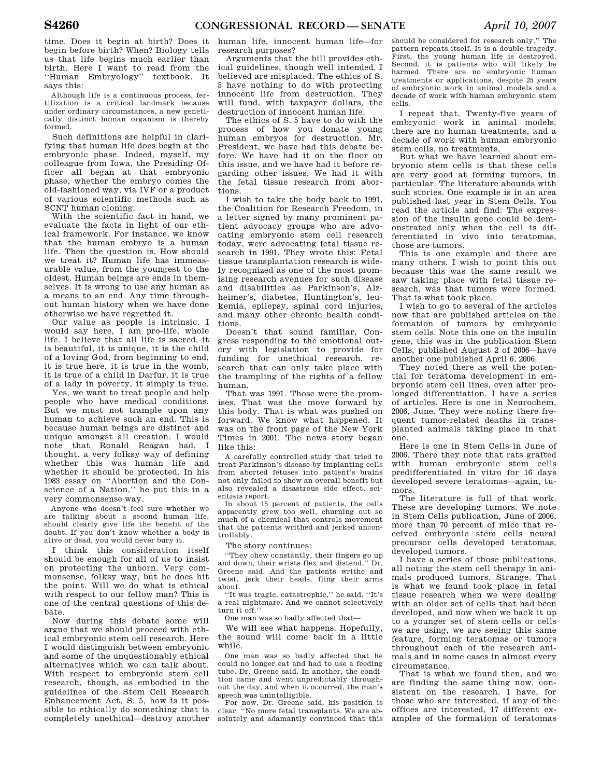time. Does it begin at birth? Does it begin before birth? When? Biology tells us that life begins much earlier than birth. Here I want to read from the ''Human Embryology'' textbook. It says this:

Although life is a continuous process, fertilization is a critical landmark because under ordinary circumstances, a new genetically distinct human organism is thereby formed.

Such definitions are helpful in clarifying that human life does begin at the embryonic phase. Indeed, myself, my colleague from Iowa, the Presiding Officer all began at that embryonic phase, whether the embryo comes the old-fashioned way, via IVF or a product of various scientific methods such as SCNT human cloning.

With the scientific fact in hand, we evaluate the facts in light of our ethical framework. For instance, we know that the human embryo is a human life. Then the question is, How should we treat it? Human life has immeasurable value, from the youngest to the oldest. Human beings are ends in themselves. It is wrong to use any human as a means to an end. Any time throughout human history when we have done otherwise we have regretted it.

Our value as people is intrinsic. I would say here, I am pro-life, whole life. I believe that all life is sacred, it is beautiful, it is unique, it is the child of a loving God, from beginning to end, it is true here, it is true in the womb, it is true of a child in Darfur, it is true of a lady in poverty, it simply is true.

Yes, we want to treat people and help people who have medical conditions. But we must not trample upon any human to achieve such an end. This is because human beings are distinct and unique amongst all creation. I would note that Ronald Reagan had, I thought, a very folksy way of defining whether this was human life and whether it should be protected. In his 1983 essay on ''Abortion and the Conscience of a Nation,'' he put this in a very commonsense way.

Anyone who doesn't feel sure whether we are talking about a second human life, should clearly give life the benefit of the doubt. If you don't know whether a body is alive or dead, you would never bury it.

I think this consideration itself should be enough for all of us to insist on protecting the unborn. Very commonsense, folksy way, but he does hit the point. Will we do what is ethical with respect to our fellow man? This is one of the central questions of this debate.

Now during this debate some will argue that we should proceed with ethical embryonic stem cell research. Here I would distinguish between embryonic and some of the unquestionably ethical alternatives which we can talk about. With respect to embryonic stem cell research, though, as embodied in the guidelines of the Stem Cell Research Enhancement Act, S. 5, how is it possible to ethically do something that is completely unethical—destroy another

human life, innocent human life—for research purposes?

Arguments that the bill provides ethical guidelines, though well intended, I believed are misplaced. The ethics of S. 5 have nothing to do with protecting innocent life from destruction. They will fund, with taxpayer dollars, the destruction of innocent human life.

The ethics of S. 5 have to do with the process of how you donate young human embryos for destruction. Mr. President, we have had this debate before. We have had it on the floor on this issue, and we have had it before regarding other issues. We had it with the fetal tissue research from abortions.

I wish to take the body back to 1991, the Coalition for Research Freedom, in a letter signed by many prominent patient advocacy groups who are advocating embryonic stem cell research today, were advocating fetal tissue research in 1991. They wrote this: Fetal tissue transplantation research is widely recognized as one of the most promising research avenues for such disease and disabilities as Parkinson's, Alzheimer's, diabetes, Huntington's, leukemia, epilepsy, spinal cord injuries, and many other chronic health conditions.

Doesn't that sound familiar, Congress responding to the emotional outcry with legislation to provide for funding for unethical research, research that can only take place with the trampling of the rights of a fellow human.

That was 1991. Those were the promises. That was the move forward by this body. That is what was pushed on forward. We know what happened. It was on the front page of the New York Times in 2001. The news story began like this:

A carefully controlled study that tried to treat Parkinson's disease by implanting cells from aborted fetuses into patient's brains not only failed to show an overall benefit but also revealed a disastrous side effect, scientists report.

In about 15 percent of patients, the cells apparently grew too well, churning out so much of a chemical that controls movement that the patients writhed and jerked uncontrollably.

The story continues:

''They chew constantly, their fingers go up and down, their wrists flex and distend,'' Dr. Greene said. And the patients writhe and twist, jerk their heads, fling their arms about.

''It was tragic, catastrophic,'' he said. ''It's a real nightmare. And we cannot selectively turn it off.''

One man was so badly affected that—

We will see what happens. Hopefully, the sound will come back in a little while.

One man was so badly affected that he could no longer eat and had to use a feeding tube, Dr. Greene said. In another, the condition came and went unpredictably throughout the day, and when it occurred, the man's speech was unintelligible.

For now, Dr. Greene said, his position is clear: ''No more fetal transplants. We are absolutely and adamantly convinced that this should be considered for research only.'' The pattern repeats itself. It is a double tragedy. First, the young human life is destroyed. Second, it is patients who will likely be harmed. There are no embryonic human treatments or applications, despite 25 years of embryonic work in animal models and a decade of work with human embryonic stem cells.

I repeat that. Twenty-five years of embryonic work in animal models, there are no human treatments, and a decade of work with human embryonic stem cells, no treatments.

But what we have learned about embryonic stem cells is that these cells are very good at forming tumors, in particular. The literature abounds with such stories. One example is in an area published last year in Stem Cells. You read the article and find: The expression of the insulin gene could be demonstrated only when the cell is differentiated in vivo into teratomas, those are tumors.

This is one example and there are many others. I wish to point this out because this was the same result we saw taking place with fetal tissue research, was that tumors were formed. That is what took place.

I wish to go to several of the articles now that are published articles on the formation of tumors by embryonic stem cells. Note this one on the insulin gene, this was in the publication Stem Cells, published August 2 of 2006—have another one published April 6, 2006.

They noted there as well the potential for teratoma development in embryonic stem cell lines, even after prolonged differentiation. I have a series of articles. Here is one in Neurochem, 2006, June. They were noting there frequent tumor-related deaths in transplanted animals taking place in that one.

Here is one in Stem Cells in June of 2006. There they note that rats grafted with human embryonic stem cells predifferentiated in vitro for 16 days developed severe teratomas—again, tumors.

The literature is full of that work. These are developing tumors. We note in Stem Cells publication, June of 2006, more than 70 percent of mice that received embryonic stem cells neural precursor cells developed teratomas, developed tumors.

I have a series of those publications, all noting the stem cell therapy in animals produced tumors. Strange. That is what we found took place in fetal tissue research when we were dealing with an older set of cells that had been developed, and now when we back it up to a younger set of stem cells or cells we are using, we are seeing this same feature, forming teratomas or tumors throughout each of the research animals and in some cases in almost every circumstance.

That is what we found then, and we are finding the same thing now, consistent on the research. I have, for those who are interested, if any of the offices are interested, 17 different examples of the formation of teratomas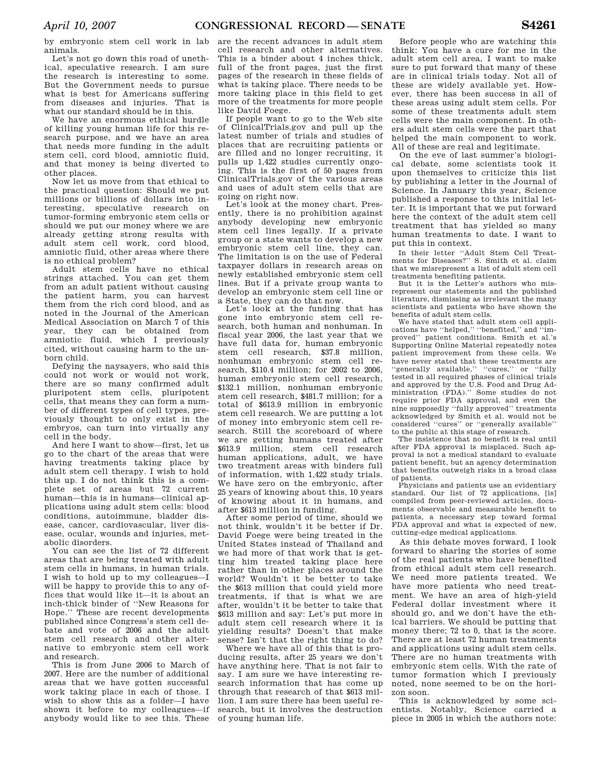by embryonic stem cell work in lab animals.

Let's not go down this road of unethical, speculative research. I am sure the research is interesting to some. But the Government needs to pursue what is best for Americans suffering from diseases and injuries. That is what our standard should be in this.

We have an enormous ethical hurdle of killing young human life for this research purpose, and we have an area that needs more funding in the adult stem cell, cord blood, amniotic fluid, and that money is being diverted to other places.

Now let us move from that ethical to the practical question: Should we put millions or billions of dollars into interesting, speculative research on tumor-forming embryonic stem cells or should we put our money where we are already getting strong results with adult stem cell work, cord blood, amniotic fluid, other areas where there is no ethical problem?

Adult stem cells have no ethical strings attached. You can get them from an adult patient without causing the patient harm, you can harvest them from the rich cord blood, and as noted in the Journal of the American Medical Association on March 7 of this year, they can be obtained from amniotic fluid, which I previously cited, without causing harm to the unborn child.

Defying the naysayers, who said this could not work or would not work, there are so many confirmed adult pluripotent stem cells, pluripotent cells, that means they can form a number of different types of cell types, previously thought to only exist in the embryos, can turn into virtually any cell in the body.

And here I want to show—first, let us go to the chart of the areas that were having treatments taking place by adult stem cell therapy. I wish to hold this up. I do not think this is a complete set of areas but 72 current human—this is in humans—clinical applications using adult stem cells: blood conditions, autoimmune, bladder disease, cancer, cardiovascular, liver disease, ocular, wounds and injuries, metabolic disorders.

You can see the list of 72 different areas that are being treated with adult stem cells in humans, in human trials. I wish to hold up to my colleagues—I will be happy to provide this to any offices that would like it—it is about an inch-thick binder of ''New Reasons for Hope.'' These are recent developments published since Congress's stem cell debate and vote of 2006 and the adult stem cell research and other alternative to embryonic stem cell work and research.

This is from June 2006 to March of 2007. Here are the number of additional areas that we have gotten successful work taking place in each of those. I wish to show this as a folder—I have shown it before to my colleagues—if anybody would like to see this. These

are the recent advances in adult stem cell research and other alternatives. This is a binder about 4 inches thick, full of the front pages, just the first pages of the research in these fields of what is taking place. There needs to be more taking place in this field to get more of the treatments for more people like David Foege.

If people want to go to the Web site of ClinicalTrials.gov and pull up the latest number of trials and studies of places that are recruiting patients or are filled and no longer recruiting, it pulls up 1,422 studies currently ongoing. This is the first of 50 pages from ClinicalTrials.gov of the various areas and uses of adult stem cells that are going on right now.

Let's look at the money chart. Presently, there is no prohibition against anybody developing new embryonic stem cell lines legally. If a private group or a state wants to develop a new embryonic stem cell line, they can. The limitation is on the use of Federal taxpayer dollars in research areas on newly established embryonic stem cell lines. But if a private group wants to develop an embryonic stem cell line or a State, they can do that now.

Let's look at the funding that has gone into embryonic stem cell research, both human and nonhuman. In fiscal year 2006, the last year that we have full data for, human embryonic stem cell research, \$37.8 million, nonhuman embryonic stem cell research, \$110.4 million; for 2002 to 2006, human embryonic stem cell research, \$132.1 million, nonhuman embryonic stem cell research, \$481.7 million; for a total of \$613.9 million in embryonic stem cell research. We are putting a lot of money into embryonic stem cell research. Still the scoreboard of where we are getting humans treated after \$613.9 million, stem cell research human applications, adult, we have two treatment areas with binders full of information, with 1,422 study trials. We have zero on the embryonic, after 25 years of knowing about this, 10 years of knowing about it in humans, and after \$613 million in funding.

After some period of time, should we not think, wouldn't it be better if Dr. David Foege were being treated in the United States instead of Thailand and we had more of that work that is getting him treated taking place here rather than in other places around the world? Wouldn't it be better to take the \$613 million that could yield more treatments, if that is what we are after, wouldn't it be better to take that \$613 million and say: Let's put more in adult stem cell research where it is yielding results? Doesn't that make sense? Isn't that the right thing to do?

Where we have all of this that is producing results, after 25 years we don't have anything here. That is not fair to say. I am sure we have interesting research information that has come up through that research of that \$613 million. I am sure there has been useful research, but it involves the destruction of young human life.

Before people who are watching this think: You have a cure for me in the adult stem cell area, I want to make sure to put forward that many of these are in clinical trials today. Not all of these are widely available yet. However, there has been success in all of these areas using adult stem cells. For some of these treatments adult stem cells were the main component. In others adult stem cells were the part that helped the main component to work. All of these are real and legitimate.

On the eve of last summer's biological debate, some scientists took it upon themselves to criticize this list by publishing a letter in the Journal of Science. In January this year, Science published a response to this initial letter. It is important that we put forward here the context of the adult stem cell treatment that has yielded so many human treatments to date. I want to put this in context.

In their letter ''Adult Stem Cell Treatments for Diseases?'' S. Smith et al. claim that we misrepresent a list of adult stem cell treatments benefiting patients.

But it is the Letter's authors who misrepresent our statements and the published literature, dismissing as irrelevant the many scientists and patients who have shown the benefits of adult stem cells.

We have stated that adult stem cell applications have ''helped,'' ''benefited,'' and ''improved'' patient conditions. Smith et al.'s Supporting Online Material repeatedly notes patient improvement from these cells. We have never stated that these treatments are ''generally available,'' ''cures,'' or ''fully tested in all required phases of clinical trials and approved by the U.S. Food and Drug Administration (FDA).'' Some studies do not require prior FDA approval, and even the nine supposedly ''fully approved'' treatments acknowledged by Smith et al. would not be considered ''cures'' or ''generally available''

to the public at this stage of research. The insistence that no benefit is real until after FDA approval is misplaced. Such approval is not a medical standard to evaluate patient benefit, but an agency determination that benefits outweigh risks in a broad class

of patients. Physicians and patients use an evidentiary standard. Our list of 72 applications, [is] compiled from peer-reviewed articles, documents observable and measurable benefit to patients, a necessary step toward formal FDA approval and what is expected of new, cutting-edge medical applications.

As this debate moves forward, I look forward to sharing the stories of some of the real patients who have benefited from ethical adult stem cell research. We need more patients treated. We have more patients who need treatment. We have an area of high-yield Federal dollar investment where it should go, and we don't have the ethical barriers. We should be putting that money there; 72 to 0, that is the score. There are at least 72 human treatments and applications using adult stem cells. There are no human treatments with embryonic stem cells. With the rate of tumor formation which I previously noted, none seemed to be on the horizon soon.

This is acknowledged by some scientists. Notably, Science carried a piece in 2005 in which the authors note: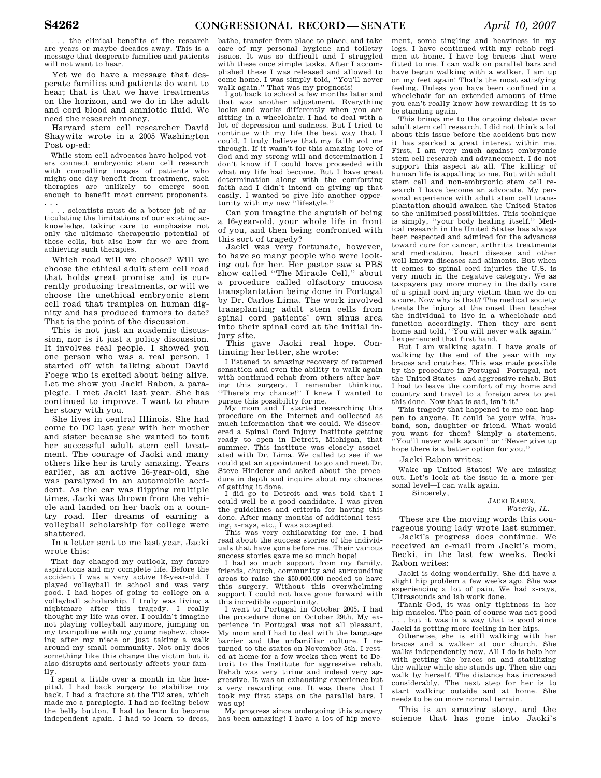the clinical benefits of the research are years or maybe decades away. This is a message that desperate families and patients will not want to hear.

Yet we do have a message that desperate families and patients do want to hear; that is that we have treatments on the horizon, and we do in the adult and cord blood and amniotic fluid. We need the research money.

Harvard stem cell researcher David Shaywitz wrote in a 2005 Washington Post op-ed:

While stem cell advocates have helped voters connect embryonic stem cell research with compelling images of patients who might one day benefit from treatment, such therapies are unlikely to emerge soon enough to benefit most current proponents. . . .

. scientists must do a better job of articulating the limitations of our existing acknowledge, taking care to emphasize not only the ultimate therapeutic potential of these cells, but also how far we are from achieving such therapies.

Which road will we choose? Will we choose the ethical adult stem cell road that holds great promise and is currently producing treatments, or will we choose the unethical embryonic stem cell road that tramples on human dignity and has produced tumors to date? That is the point of the discussion.

This is not just an academic discussion, nor is it just a policy discussion. It involves real people. I showed you one person who was a real person. I started off with talking about David Foege who is excited about being alive. Let me show you Jacki Rabon, a paraplegic. I met Jacki last year. She has continued to improve. I want to share her story with you.

She lives in central Illinois. She had come to DC last year with her mother and sister because she wanted to tout her successful adult stem cell treatment. The courage of Jacki and many others like her is truly amazing. Years earlier, as an active 16-year-old, she was paralyzed in an automobile accident. As the car was flipping multiple times, Jacki was thrown from the vehicle and landed on her back on a country road. Her dreams of earning a volleyball scholarship for college were shattered.

In a letter sent to me last year, Jacki wrote this:

That day changed my outlook, my future aspirations and my complete life. Before the accident I was a very active 16-year-old. I played volleyball in school and was very good. I had hopes of going to college on a volleyball scholarship. I truly was living a nightmare after this tragedy. I really thought my life was over. I couldn't imagine not playing volleyball anymore, jumping on my trampoline with my young nephew, chasing after my niece or just taking a walk around my small community. Not only does something like this change the victim but it also disrupts and seriously affects your family.

I spent a little over a month in the hospital. I had back surgery to stabilize my back. I had a fracture at the T12 area, which made me a paraplegic. I had no feeling below the belly button. I had to learn to become independent again. I had to learn to dress,

bathe, transfer from place to place, and take care of my personal hygiene and toiletry issues. It was so difficult and I struggled with these once simple tasks. After I accomplished these I was released and allowed to come home. I was simply told, ''You'll never walk again.'' That was my prognosis!

I got back to school a few months later and that was another adjustment. Everything looks and works differently when you are sitting in a wheelchair. I had to deal with a lot of depression and sadness. But I tried to continue with my life the best way that I could. I truly believe that my faith got me through. If it wasn't for this amazing love of God and my strong will and determination I don't know if I could have proceeded with what my life had become. But I have great determination along with the comforting faith and I didn't intend on giving up that easily. I wanted to give life another opportunity with my new ''lifestyle.''

Can you imagine the anguish of being a 16-year-old, your whole life in front of you, and then being confronted with this sort of tragedy?

Jacki was very fortunate, however, to have so many people who were looking out for her. Her pastor saw a PBS show called ''The Miracle Cell,'' about a procedure called olfactory mucosa transplantation being done in Portugal by Dr. Carlos Lima. The work involved transplanting adult stem cells from spinal cord patients' own sinus area into their spinal cord at the initial injury site.

This gave Jacki real hope. Continuing her letter, she wrote:

I listened to amazing recovery of returned sensation and even the ability to walk again with continued rehab from others after having this surgery. I remember thinking, ''There's my chance!'' I knew I wanted to pursue this possibility for me.

My mom and I started researching this procedure on the Internet and collected as much information that we could. We discovered a Spinal Cord Injury Institute getting ready to open in Detroit, Michigan, that summer. This institute was closely associated with Dr. Lima. We called to see if we could get an appointment to go and meet Dr. Steve Hinderer and asked about the procedure in depth and inquire about my chances of getting it done.

I did go to Detroit and was told that I could well be a good candidate. I was given the guidelines and criteria for having this done. After many months of additional testing, x-rays, etc., I was accepted.

This was very exhilarating for me. I had read about the success stories of the individuals that have gone before me. Their various success stories gave me so much hope!

I had so much support from my family, friends, church, community and surrounding areas to raise the \$50.000.000 needed to have this surgery. Without this overwhelming support I could not have gone forward with this incredible opportunity.

I went to Portugal in October 2005. I had the procedure done on October 29th. My experience in Portugal was not all pleasant. My mom and I had to deal with the language barrier and the unfamiliar culture. I returned to the states on November 5th. I rested at home for a few weeks then went to Detroit to the Institute for aggressive rehab. Rehab was very tiring and indeed very aggressive. It was an exhausting experience but a very rewarding one. It was there that I took my first steps on the parallel bars. I was up!

My progress since undergoing this surgery has been amazing! I have a lot of hip move-

ment, some tingling and heaviness in my legs. I have continued with my rehab regimen at home. I have leg braces that were fitted to me. I can walk on parallel bars and have begun walking with a walker. I am up on my feet again! That's the most satisfying feeling. Unless you have been confined in a wheelchair for an extended amount of time you can't really know how rewarding it is to be standing again.

This brings me to the ongoing debate over adult stem cell research. I did not think a lot about this issue before the accident but now it has sparked a great interest within me. First, I am very much against embryonic stem cell research and advancement. I do not support this aspect at all. The killing of human life is appalling to me. But with adult stem cell and non-embryonic stem cell research I have become an advocate. My personal experience with adult stem cell transplantation should awaken the United States to the unlimited possibilities. This technique is simply, ''your body healing itself.'' Medical research in the United States has always been respected and admired for the advances toward cure for cancer, arthritis treatments and medication, heart disease and other well-known diseases and ailments. But when it comes to spinal cord injuries the U.S. is very much in the negative category. We as taxpayers pay more money in the daily care of a spinal cord injury victim than we do on a cure. Now why is that? The medical society treats the injury at the onset then teaches the individual to live in a wheelchair and function accordingly. Then they are sent home and told, ''You will never walk again.'' I experienced that first hand.

But I am walking again. I have goals of walking by the end of the year with my braces and crutches. This was made possible by the procedure in Portugal—Portugal, not the United States—and aggressive rehab. But I had to leave the comfort of my home and country and travel to a foreign area to get this done. Now that is sad, isn't it?

This tragedy that happened to me can happen to anyone. It could be your wife, husband, son, daughter or friend. What would you want for them? Simply a statement, ''You'll never walk again'' or ''Never give up hope there is a better option for you.''

Jacki Rabon writes:

Wake up United States! We are missing out. Let's look at the issue in a more personal level—I can walk again.

Sincerely,

JACKI RABON, *Waverly, IL.* 

These are the moving words this cou-

rageous young lady wrote last summer. Jacki's progress does continue. We received an e-mail from Jacki's mom, Becki, in the last few weeks. Becki Rabon writes:

Jacki is doing wonderfully. She did have a slight hip problem a few weeks ago. She was experiencing a lot of pain. We had x-rays, Ultrasounds and lab work done.

Thank God, it was only tightness in her hip muscles. The pain of course was not good . but it was in a way that is good since Jacki is getting more feeling in her hips.

Otherwise, she is still walking with her braces and a walker at our church. She walks independently now. All I do is help her with getting the braces on and stabilizing the walker while she stands up. Then she can walk by herself. The distance has increased considerably. The next step for her is to start walking outside and at home. She needs to be on more normal terrain.

This is an amazing story, and the science that has gone into Jacki's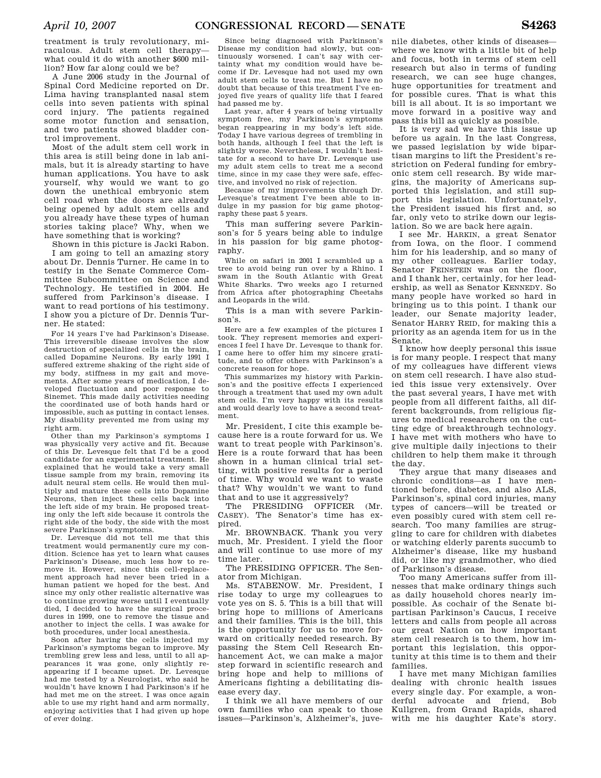treatment is truly revolutionary, miraculous. Adult stem cell therapy what could it do with another \$600 million? How far along could we be?

A June 2006 study in the Journal of Spinal Cord Medicine reported on Dr. Lima having transplanted nasal stem cells into seven patients with spinal cord injury. The patients regained some motor function and sensation, and two patients showed bladder control improvement.

Most of the adult stem cell work in this area is still being done in lab animals, but it is already starting to have human applications. You have to ask yourself, why would we want to go down the unethical embryonic stem cell road when the doors are already being opened by adult stem cells and you already have these types of human stories taking place? Why, when we have something that is working?

Shown in this picture is Jacki Rabon. I am going to tell an amazing story about Dr. Dennis Turner. He came in to testify in the Senate Commerce Committee Subcommittee on Science and Technology. He testified in 2004. He suffered from Parkinson's disease. I want to read portions of his testimony. I show you a picture of Dr. Dennis Turner. He stated:

For 14 years I've had Parkinson's Disease. This irreversible disease involves the slow destruction of specialized cells in the brain, called Dopamine Neurons. By early 1991 I suffered extreme shaking of the right side of my body, stiffness in my gait and movements. After some years of medication, I developed fluctuation and poor response to Sinemet. This made daily activities needing the coordinated use of both hands hard or impossible, such as putting in contact lenses. My disability prevented me from using my right arm.

Other than my Parkinson's symptoms I was physically very active and fit. Because of this Dr. Levesque felt that I'd be a good candidate for an experimental treatment. He explained that he would take a very small tissue sample from my brain, removing its adult neural stem cells. He would then multiply and mature these cells into Dopamine Neurons, then inject these cells back into the left side of my brain. He proposed treating only the left side because it controls the right side of the body, the side with the most severe Parkinson's symptoms.

Dr. Levesque did not tell me that this treatment would permanently cure my condition. Science has yet to learn what causes Parkinson's Disease, much less how to remove it. However, since this cell-replacement approach had never been tried in a human patient we hoped for the best. And since my only other realistic alternative was to continue growing worse until I eventually died, I decided to have the surgical procedures in 1999, one to remove the tissue and another to inject the cells. I was awake for both procedures, under local anesthesia.

Soon after having the cells injected my Parkinson's symptoms began to improve. My trembling grew less and less, until to all appearances it was gone, only slightly reappearing if I became upset. Dr. Levesque had me tested by a Neurologist, who said he wouldn't have known I had Parkinson's if he had met me on the street. I was once again able to use my right hand and arm normally, enjoying activities that I had given up hope of ever doing.

Since being diagnosed with Parkinson's Disease my condition had slowly, but continuously worsened. I can't say with certainty what my condition would have become if Dr. Levesque had not used my own adult stem cells to treat me. But I have no doubt that because of this treatment I've enjoyed five years of quality life that I feared had passed me by.

Last year, after 4 years of being virtually symptom free, my Parkinson's symptoms began reappearing in my body's left side. Today I have various degrees of trembling in both hands, although I feel that the left is slightly worse. Nevertheless, I wouldn't hesitate for a second to have Dr. Levesque use my adult stem cells to treat me a second time, since in my case they were safe, effective, and involved no risk of rejection.

Because of my improvements through Dr. Levesque's treatment I've been able to indulge in my passion for big game photography these past 5 years.

This man suffering severe Parkinson's for 5 years being able to indulge in his passion for big game photography.

While on safari in 2001 I scrambled up a tree to avoid being run over by a Rhino. I swam in the South Atlantic with Great White Sharks. Two weeks ago I returned from Africa after photographing Cheetahs and Leopards in the wild.

This is a man with severe Parkinson's.

Here are a few examples of the pictures I took. They represent memories and experiences I feel I have Dr. Levesque to thank for. I came here to offer him my sincere gratitude, and to offer others with Parkinson's a concrete reason for hope.

This summarizes my history with Parkinson's and the positive effects I experienced through a treatment that used my own adult stem cells. I'm very happy with its results and would dearly love to have a second treatment.

Mr. President, I cite this example because here is a route forward for us. We want to treat people with Parkinson's. Here is a route forward that has been shown in a human clinical trial setting, with positive results for a period of time. Why would we want to waste that? Why wouldn't we want to fund that and to use it aggressively?

The PRESIDING OFFICER (Mr. CASEY). The Senator's time has expired.

Mr. BROWNBACK. Thank you very much, Mr. President. I yield the floor and will continue to use more of my time later.

The PRESIDING OFFICER. The Senator from Michigan.

Ms. STABENOW. Mr. President, I rise today to urge my colleagues to vote yes on S. 5. This is a bill that will bring hope to millions of Americans and their families. This is the bill, this is the opportunity for us to move forward on critically needed research. By passing the Stem Cell Research Enhancement Act, we can make a major step forward in scientific research and bring hope and help to millions of Americans fighting a debilitating disease every day.

I think we all have members of our own families who can speak to those issues—Parkinson's, Alzheimer's, juve-

nile diabetes, other kinds of diseases where we know with a little bit of help and focus, both in terms of stem cell research but also in terms of funding research, we can see huge changes, huge opportunities for treatment and for possible cures. That is what this bill is all about. It is so important we move forward in a positive way and pass this bill as quickly as possible.

It is very sad we have this issue up before us again. In the last Congress, we passed legislation by wide bipartisan margins to lift the President's restriction on Federal funding for embryonic stem cell research. By wide margins, the majority of Americans supported this legislation, and still support this legislation. Unfortunately, the President issued his first and, so far, only veto to strike down our legislation. So we are back here again.

I see Mr. HARKIN, a great Senator from Iowa, on the floor. I commend him for his leadership, and so many of my other colleagues. Earlier today, Senator FEINSTEIN was on the floor, and I thank her, certainly, for her leadership, as well as Senator KENNEDY. So many people have worked so hard in bringing us to this point. I thank our leader, our Senate majority leader, Senator HARRY REID, for making this a priority as an agenda item for us in the Senate.

I know how deeply personal this issue is for many people. I respect that many of my colleagues have different views on stem cell research. I have also studied this issue very extensively. Over the past several years, I have met with people from all different faiths, all different backgrounds, from religious figures to medical researchers on the cutting edge of breakthrough technology. I have met with mothers who have to give multiple daily injections to their children to help them make it through the day.

They argue that many diseases and chronic conditions—as I have mentioned before, diabetes, and also ALS, Parkinson's, spinal cord injuries, many types of cancers—will be treated or even possibly cured with stem cell research. Too many families are struggling to care for children with diabetes or watching elderly parents succumb to Alzheimer's disease, like my husband did, or like my grandmother, who died of Parkinson's disease.

Too many Americans suffer from illnesses that make ordinary things such as daily household chores nearly impossible. As cochair of the Senate bipartisan Parkinson's Caucus, I receive letters and calls from people all across our great Nation on how important stem cell research is to them, how important this legislation, this opportunity at this time is to them and their families.

I have met many Michigan families dealing with chronic health issues every single day. For example, a wonderful advocate and friend, Bob Kullgren, from Grand Rapids, shared with me his daughter Kate's story.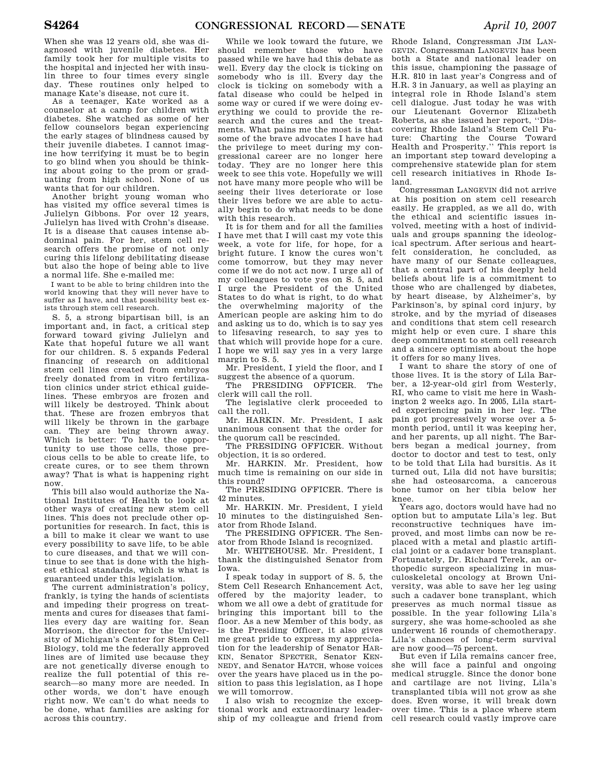When she was 12 years old, she was diagnosed with juvenile diabetes. Her family took her for multiple visits to the hospital and injected her with insulin three to four times every single day. These routines only helped to manage Kate's disease, not cure it.

As a teenager, Kate worked as a counselor at a camp for children with diabetes. She watched as some of her fellow counselors began experiencing the early stages of blindness caused by their juvenile diabetes. I cannot imagine how terrifying it must be to begin to go blind when you should be thinking about going to the prom or graduating from high school. None of us wants that for our children.

Another bright young woman who has visited my office several times is Julielyn Gibbons. For over 12 years, Julielyn has lived with Crohn's disease. It is a disease that causes intense abdominal pain. For her, stem cell research offers the promise of not only curing this lifelong debilitating disease but also the hope of being able to live a normal life. She e-mailed me:

I want to be able to bring children into the world knowing that they will never have to suffer as I have, and that possibility best exists through stem cell research.

S. 5, a strong bipartisan bill, is an important and, in fact, a critical step forward toward giving Julielyn and Kate that hopeful future we all want for our children. S. 5 expands Federal financing of research on additional stem cell lines created from embryos freely donated from in vitro fertilization clinics under strict ethical guidelines. These embryos are frozen and will likely be destroyed. Think about that. These are frozen embryos that will likely be thrown in the garbage can. They are being thrown away. Which is better: To have the opportunity to use those cells, those precious cells to be able to create life, to create cures, or to see them thrown away? That is what is happening right now.

This bill also would authorize the National Institutes of Health to look at other ways of creating new stem cell lines. This does not preclude other opportunities for research. In fact, this is a bill to make it clear we want to use every possibility to save life, to be able to cure diseases, and that we will continue to see that is done with the highest ethical standards, which is what is guaranteed under this legislation.

The current administration's policy, frankly, is tying the hands of scientists and impeding their progress on treatments and cures for diseases that families every day are waiting for. Sean Morrison, the director for the University of Michigan's Center for Stem Cell Biology, told me the federally approved lines are of limited use because they are not genetically diverse enough to realize the full potential of this research—so many more are needed. In other words, we don't have enough right now. We can't do what needs to be done, what families are asking for across this country.

While we look toward the future, we should remember those who have passed while we have had this debate as well. Every day the clock is ticking on somebody who is ill. Every day the clock is ticking on somebody with a fatal disease who could be helped in some way or cured if we were doing everything we could to provide the research and the cures and the treatments. What pains me the most is that some of the brave advocates I have had the privilege to meet during my congressional career are no longer here today. They are no longer here this week to see this vote. Hopefully we will not have many more people who will be seeing their lives deteriorate or lose their lives before we are able to actually begin to do what needs to be done with this research.

It is for them and for all the families I have met that I will cast my vote this week, a vote for life, for hope, for a bright future. I know the cures won't come tomorrow, but they may never come if we do not act now. I urge all of my colleagues to vote yes on S. 5, and I urge the President of the United States to do what is right, to do what the overwhelming majority of the American people are asking him to do and asking us to do, which is to say yes to lifesaving research, to say yes to that which will provide hope for a cure. I hope we will say yes in a very large margin to S. 5.

Mr. President, I yield the floor, and I suggest the absence of a quorum.

The PRESIDING OFFICER. The clerk will call the roll.

The legislative clerk proceeded to call the roll.

Mr. HARKIN. Mr. President, I ask unanimous consent that the order for the quorum call be rescinded.

The PRESIDING OFFICER. Without objection, it is so ordered.

Mr. HARKIN. Mr. President, how much time is remaining on our side in this round?

The PRESIDING OFFICER. There is 42 minutes.

Mr. HARKIN. Mr. President, I yield 10 minutes to the distinguished Senator from Rhode Island.

The PRESIDING OFFICER. The Senator from Rhode Island is recognized.

Mr. WHITEHOUSE. Mr. President, I thank the distinguished Senator from Iowa.

I speak today in support of S. 5, the Stem Cell Research Enhancement Act, offered by the majority leader, to whom we all owe a debt of gratitude for bringing this important bill to the floor. As a new Member of this body, as is the Presiding Officer, it also gives me great pride to express my appreciation for the leadership of Senator HAR-KIN, Senator SPECTER, Senator KEN-NEDY, and Senator HATCH, whose voices over the years have placed us in the position to pass this legislation, as I hope we will tomorrow.

I also wish to recognize the exceptional work and extraordinary leadership of my colleague and friend from

Rhode Island, Congressman JIM LAN-GEVIN. Congressman LANGEVIN has been both a State and national leader on this issue, championing the passage of H.R. 810 in last year's Congress and of H.R. 3 in January, as well as playing an integral role in Rhode Island's stem cell dialogue. Just today he was with our Lieutenant Governor Elizabeth Roberts, as she issued her report, ''Discovering Rhode Island's Stem Cell Future: Charting the Course Toward Health and Prosperity.'' This report is an important step toward developing a comprehensive statewide plan for stem cell research initiatives in Rhode Island.

Congressman LANGEVIN did not arrive at his position on stem cell research easily. He grappled, as we all do, with the ethical and scientific issues involved, meeting with a host of individuals and groups spanning the ideological spectrum. After serious and heartfelt consideration, he concluded, as have many of our Senate colleagues, that a central part of his deeply held beliefs about life is a commitment to those who are challenged by diabetes, by heart disease, by Alzheimer's, by Parkinson's, by spinal cord injury, by stroke, and by the myriad of diseases and conditions that stem cell research might help or even cure. I share this deep commitment to stem cell research and a sincere optimism about the hope it offers for so many lives.

I want to share the story of one of those lives. It is the story of Lila Barber, a 12-year-old girl from Westerly, RI, who came to visit me here in Washington 2 weeks ago. In 2005, Lila started experiencing pain in her leg. The pain got progressively worse over a 5 month period, until it was keeping her, and her parents, up all night. The Barbers began a medical journey, from doctor to doctor and test to test, only to be told that Lila had bursitis. As it turned out, Lila did not have bursitis; she had osteosarcoma, a cancerous bone tumor on her tibia below her knee.

Years ago, doctors would have had no option but to amputate Lila's leg. But reconstructive techniques have improved, and most limbs can now be replaced with a metal and plastic artificial joint or a cadaver bone transplant. Fortunately, Dr. Richard Terek, an orthopedic surgeon specializing in musculoskeletal oncology at Brown University, was able to save her leg using such a cadaver bone transplant, which preserves as much normal tissue as possible. In the year following Lila's surgery, she was home-schooled as she underwent 16 rounds of chemotherapy. Lila's chances of long-term survival are now good—75 percent.

But even if Lila remains cancer free, she will face a painful and ongoing medical struggle. Since the donor bone and cartilage are not living, Lila's transplanted tibia will not grow as she does. Even worse, it will break down over time. This is a place where stem cell research could vastly improve care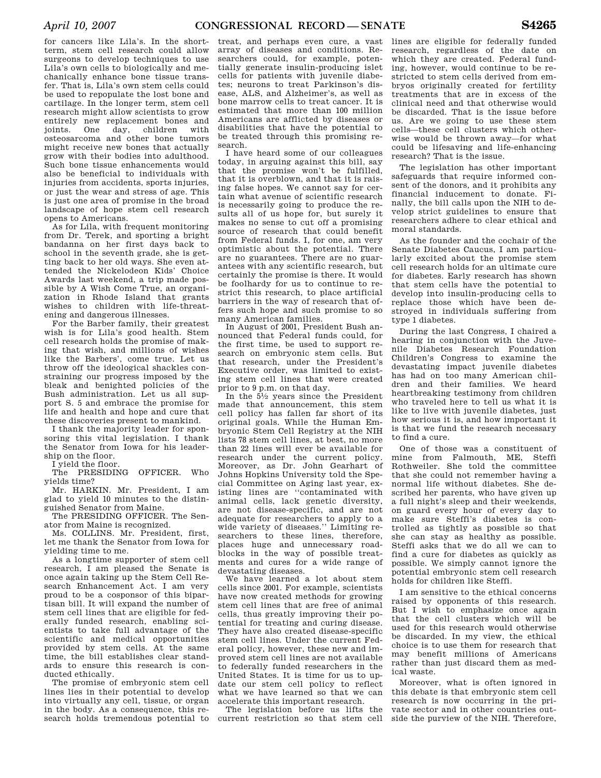for cancers like Lila's. In the shortterm, stem cell research could allow surgeons to develop techniques to use Lila's own cells to biologically and mechanically enhance bone tissue transfer. That is, Lila's own stem cells could be used to repopulate the lost bone and cartilage. In the longer term, stem cell research might allow scientists to grow entirely new replacement bones and joints. One day, children with osteosarcoma and other bone tumors might receive new bones that actually grow with their bodies into adulthood. Such bone tissue enhancements would also be beneficial to individuals with injuries from accidents, sports injuries, or just the wear and stress of age. This is just one area of promise in the broad landscape of hope stem cell research opens to Americans.

As for Lila, with frequent monitoring from Dr. Terek, and sporting a bright bandanna on her first days back to school in the seventh grade, she is getting back to her old ways. She even attended the Nickelodeon Kids' Choice Awards last weekend, a trip made possible by A Wish Come True, an organization in Rhode Island that grants wishes to children with life-threatening and dangerous illnesses.

For the Barber family, their greatest wish is for Lila's good health. Stem cell research holds the promise of making that wish, and millions of wishes like the Barbers', come true. Let us throw off the ideological shackles constraining our progress imposed by the bleak and benighted policies of the Bush administration. Let us all support S. 5 and embrace the promise for life and health and hope and cure that these discoveries present to mankind.

I thank the majority leader for sponsoring this vital legislation. I thank the Senator from Iowa for his leadership on the floor.

I yield the floor.

The PRESIDING OFFICER. Who yields time?

Mr. HARKIN. Mr. President, I am glad to yield 10 minutes to the distinguished Senator from Maine.

The PRESIDING OFFICER. The Senator from Maine is recognized.

Ms. COLLINS. Mr. President, first, let me thank the Senator from Iowa for yielding time to me.

As a longtime supporter of stem cell research, I am pleased the Senate is once again taking up the Stem Cell Research Enhancement Act. I am very proud to be a cosponsor of this bipartisan bill. It will expand the number of stem cell lines that are eligible for federally funded research, enabling scientists to take full advantage of the scientific and medical opportunities provided by stem cells. At the same time, the bill establishes clear standards to ensure this research is conducted ethically.

The promise of embryonic stem cell lines lies in their potential to develop into virtually any cell, tissue, or organ in the body. As a consequence, this research holds tremendous potential to

treat, and perhaps even cure, a vast array of diseases and conditions. Researchers could, for example, potentially generate insulin-producing islet cells for patients with juvenile diabetes; neurons to treat Parkinson's disease, ALS, and Alzheimer's, as well as bone marrow cells to treat cancer. It is estimated that more than 100 million Americans are afflicted by diseases or disabilities that have the potential to be treated through this promising research.

I have heard some of our colleagues today, in arguing against this bill, say that the promise won't be fulfilled, that it is overblown, and that it is raising false hopes. We cannot say for certain what avenue of scientific research is necessarily going to produce the results all of us hope for, but surely it makes no sense to cut off a promising source of research that could benefit from Federal funds. I, for one, am very optimistic about the potential. There are no guarantees. There are no guarantees with any scientific research, but certainly the promise is there. It would be foolhardy for us to continue to restrict this research, to place artificial barriers in the way of research that offers such hope and such promise to so many American families.

In August of 2001, President Bush announced that Federal funds could, for the first time, be used to support research on embryonic stem cells. But that research, under the President's Executive order, was limited to existing stem cell lines that were created prior to 9 p.m. on that day.

In the 51⁄2 years since the President made that announcement, this stem cell policy has fallen far short of its original goals. While the Human Embryonic Stem Cell Registry at the NIH lists 78 stem cell lines, at best, no more than 22 lines will ever be available for research under the current policy. Moreover, as Dr. John Gearhart of Johns Hopkins University told the Special Committee on Aging last year, existing lines are ''contaminated with animal cells, lack genetic diversity, are not disease-specific, and are not adequate for researchers to apply to a wide variety of diseases.'' Limiting researchers to these lines, therefore, places huge and unnecessary roadblocks in the way of possible treatments and cures for a wide range of devastating diseases.

We have learned a lot about stem cells since 2001. For example, scientists have now created methods for growing stem cell lines that are free of animal cells, thus greatly improving their potential for treating and curing disease. They have also created disease-specific stem cell lines. Under the current Federal policy, however, these new and improved stem cell lines are not available to federally funded researchers in the United States. It is time for us to update our stem cell policy to reflect what we have learned so that we can accelerate this important research.

The legislation before us lifts the current restriction so that stem cell lines are eligible for federally funded research, regardless of the date on which they are created. Federal funding, however, would continue to be restricted to stem cells derived from embryos originally created for fertility treatments that are in excess of the clinical need and that otherwise would be discarded. That is the issue before us. Are we going to use these stem cells—these cell clusters which otherwise would be thrown away—for what could be lifesaving and life-enhancing research? That is the issue.

The legislation has other important safeguards that require informed consent of the donors, and it prohibits any financial inducement to donate. Finally, the bill calls upon the NIH to develop strict guidelines to ensure that researchers adhere to clear ethical and moral standards.

As the founder and the cochair of the Senate Diabetes Caucus, I am particularly excited about the promise stem cell research holds for an ultimate cure for diabetes. Early research has shown that stem cells have the potential to develop into insulin-producing cells to replace those which have been destroyed in individuals suffering from type 1 diabetes.

During the last Congress, I chaired a hearing in conjunction with the Juvenile Diabetes Research Foundation Children's Congress to examine the devastating impact juvenile diabetes has had on too many American children and their families. We heard heartbreaking testimony from children who traveled here to tell us what it is like to live with juvenile diabetes, just how serious it is, and how important it is that we fund the research necessary to find a cure.

One of those was a constituent of mine from Falmouth, ME, Steffi Rothweiler. She told the committee that she could not remember having a normal life without diabetes. She described her parents, who have given up a full night's sleep and their weekends, on guard every hour of every day to make sure Steffi's diabetes is controlled as tightly as possible so that she can stay as healthy as possible. Steffi asks that we do all we can to find a cure for diabetes as quickly as possible. We simply cannot ignore the potential embryonic stem cell research holds for children like Steffi.

I am sensitive to the ethical concerns raised by opponents of this research. But I wish to emphasize once again that the cell clusters which will be used for this research would otherwise be discarded. In my view, the ethical choice is to use them for research that may benefit millions of Americans rather than just discard them as medical waste.

Moreover, what is often ignored in this debate is that embryonic stem cell research is now occurring in the private sector and in other countries outside the purview of the NIH. Therefore,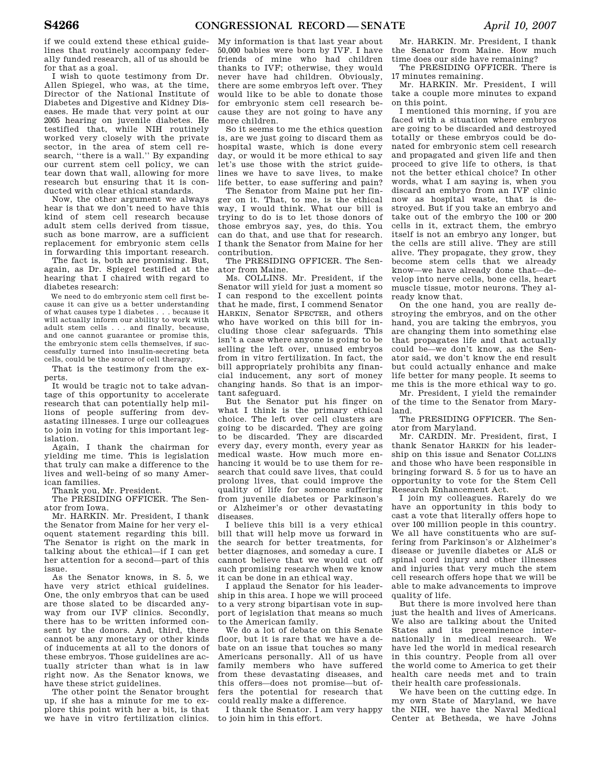if we could extend these ethical guidelines that routinely accompany federally funded research, all of us should be for that as a goal.

I wish to quote testimony from Dr. Allen Spiegel, who was, at the time, Director of the National Institute of Diabetes and Digestive and Kidney Diseases. He made that very point at our 2005 hearing on juvenile diabetes. He testified that, while NIH routinely worked very closely with the private sector, in the area of stem cell research, ''there is a wall.'' By expanding our current stem cell policy, we can tear down that wall, allowing for more research but ensuring that it is conducted with clear ethical standards.

Now, the other argument we always hear is that we don't need to have this kind of stem cell research because adult stem cells derived from tissue, such as bone marrow, are a sufficient replacement for embryonic stem cells in forwarding this important research.

The fact is, both are promising. But, again, as Dr. Spiegel testified at the hearing that I chaired with regard to diabetes research:

We need to do embryonic stem cell first because it can give us a better understanding of what causes type 1 diabetes . . . because it will actually inform our ability to work with adult stem cells . . . and finally, because, and one cannot guarantee or promise this, the embryonic stem cells themselves, if successfully turned into insulin-secreting beta cells, could be the source of cell therapy.

That is the testimony from the experts.

It would be tragic not to take advantage of this opportunity to accelerate research that can potentially help millions of people suffering from devastating illnesses. I urge our colleagues to join in voting for this important legislation.

Again, I thank the chairman for yielding me time. This is legislation that truly can make a difference to the lives and well-being of so many American families.

Thank you, Mr. President.

The PRESIDING OFFICER. The Senator from Iowa.

Mr. HARKIN. Mr. President, I thank the Senator from Maine for her very eloquent statement regarding this bill. The Senator is right on the mark in talking about the ethical—if I can get her attention for a second—part of this issue.

As the Senator knows, in S. 5, we have very strict ethical guidelines. One, the only embryos that can be used are those slated to be discarded anyway from our IVF clinics. Secondly, there has to be written informed consent by the donors. And, third, there cannot be any monetary or other kinds of inducements at all to the donors of these embryos. Those guidelines are actually stricter than what is in law right now. As the Senator knows, we have these strict guidelines.

The other point the Senator brought up, if she has a minute for me to explore this point with her a bit, is that we have in vitro fertilization clinics.

My information is that last year about 50,000 babies were born by IVF. I have friends of mine who had children thanks to IVF; otherwise, they would never have had children. Obviously, there are some embryos left over. They would like to be able to donate those for embryonic stem cell research because they are not going to have any more children.

So it seems to me the ethics question is, are we just going to discard them as hospital waste, which is done every day, or would it be more ethical to say let's use those with the strict guidelines we have to save lives, to make life better, to ease suffering and pain?

The Senator from Maine put her finger on it. That, to me, is the ethical way, I would think. What our bill is trying to do is to let those donors of those embryos say, yes, do this. You can do that, and use that for research. I thank the Senator from Maine for her contribution.

The PRESIDING OFFICER. The Senator from Maine.

Ms. COLLINS. Mr. President, if the Senator will yield for just a moment so I can respond to the excellent points that he made, first, I commend Senator HARKIN, Senator SPECTER, and others who have worked on this bill for including those clear safeguards. This isn't a case where anyone is going to be selling the left over, unused embryos from in vitro fertilization. In fact, the bill appropriately prohibits any financial inducement, any sort of money changing hands. So that is an important safeguard.

But the Senator put his finger on what I think is the primary ethical choice. The left over cell clusters are going to be discarded. They are going to be discarded. They are discarded every day, every month, every year as medical waste. How much more enhancing it would be to use them for research that could save lives, that could prolong lives, that could improve the quality of life for someone suffering from juvenile diabetes or Parkinson's or Alzheimer's or other devastating diseases.

I believe this bill is a very ethical bill that will help move us forward in the search for better treatments, for better diagnoses, and someday a cure. I cannot believe that we would cut off such promising research when we know it can be done in an ethical way.

I applaud the Senator for his leadership in this area. I hope we will proceed to a very strong bipartisan vote in support of legislation that means so much to the American family.

We do a lot of debate on this Senate floor, but it is rare that we have a debate on an issue that touches so many Americans personally. All of us have family members who have suffered from these devastating diseases, and this offers—does not promise—but offers the potential for research that could really make a difference.

I thank the Senator. I am very happy to join him in this effort.

Mr. HARKIN. Mr. President, I thank the Senator from Maine. How much time does our side have remaining?

The PRESIDING OFFICER. There is 17 minutes remaining.

Mr. HARKIN. Mr. President, I will take a couple more minutes to expand on this point.

I mentioned this morning, if you are faced with a situation where embryos are going to be discarded and destroyed totally or these embryos could be donated for embryonic stem cell research and propagated and given life and then proceed to give life to others, is that not the better ethical choice? In other words, what I am saying is, when you discard an embryo from an IVF clinic now as hospital waste, that is destroyed. But if you take an embryo and take out of the embryo the 100 or 200 cells in it, extract them, the embryo itself is not an embryo any longer, but the cells are still alive. They are still alive. They propagate, they grow, they become stem cells that we already know—we have already done that—develop into nerve cells, bone cells, heart muscle tissue, motor neurons. They already know that.

On the one hand, you are really destroying the embryos, and on the other hand, you are taking the embryos, you are changing them into something else that propagates life and that actually could be—we don't know, as the Senator said, we don't know the end result but could actually enhance and make life better for many people. It seems to me this is the more ethical way to go.

Mr. President, I yield the remainder of the time to the Senator from Maryland.

The PRESIDING OFFICER. The Senator from Maryland.

Mr. CARDIN. Mr. President, first, I thank Senator HARKIN for his leadership on this issue and Senator COLLINS and those who have been responsible in bringing forward S. 5 for us to have an opportunity to vote for the Stem Cell Research Enhancement Act.

I join my colleagues. Rarely do we have an opportunity in this body to cast a vote that literally offers hope to over 100 million people in this country. We all have constituents who are suffering from Parkinson's or Alzheimer's disease or juvenile diabetes or ALS or spinal cord injury and other illnesses and injuries that very much the stem cell research offers hope that we will be able to make advancements to improve quality of life.

But there is more involved here than just the health and lives of Americans. We also are talking about the United States and its preeminence internationally in medical research. We have led the world in medical research in this country. People from all over the world come to America to get their health care needs met and to train their health care professionals.

We have been on the cutting edge. In my own State of Maryland, we have the NIH, we have the Naval Medical Center at Bethesda, we have Johns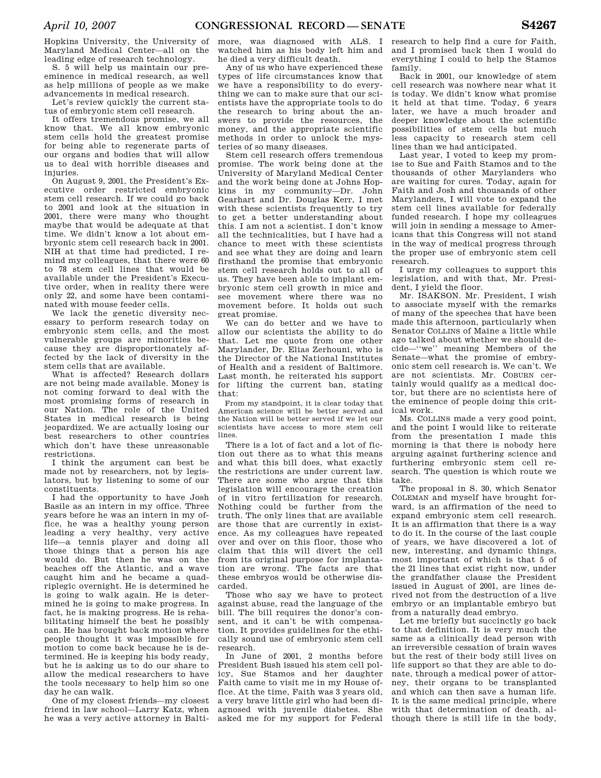Hopkins University, the University of Maryland Medical Center—all on the leading edge of research technology.

S. 5 will help us maintain our preeminence in medical research, as well as help millions of people as we make advancements in medical research.

Let's review quickly the current status of embryonic stem cell research.

It offers tremendous promise, we all know that. We all know embryonic stem cells hold the greatest promise for being able to regenerate parts of our organs and bodies that will allow us to deal with horrible diseases and injuries.

On August 9, 2001, the President's Executive order restricted embryonic stem cell research. If we could go back to 2001 and look at the situation in 2001, there were many who thought maybe that would be adequate at that time. We didn't know a lot about embryonic stem cell research back in 2001. NIH at that time had predicted, I remind my colleagues, that there were 60 to 78 stem cell lines that would be available under the President's Executive order, when in reality there were only 22, and some have been contaminated with mouse feeder cells.

We lack the genetic diversity necessary to perform research today on embryonic stem cells, and the most vulnerable groups are minorities because they are disproportionately affected by the lack of diversity in the stem cells that are available.

What is affected? Research dollars are not being made available. Money is not coming forward to deal with the most promising forms of research in our Nation. The role of the United States in medical research is being jeopardized. We are actually losing our best researchers to other countries which don't have these unreasonable restrictions.

I think the argument can best be made not by researchers, not by legislators, but by listening to some of our constituents.

I had the opportunity to have Josh Basile as an intern in my office. Three years before he was an intern in my office, he was a healthy young person leading a very healthy, very active life—a tennis player and doing all those things that a person his age would do. But then he was on the beaches off the Atlantic, and a wave caught him and he became a quadriplegic overnight. He is determined he is going to walk again. He is determined he is going to make progress. In fact, he is making progress. He is rehabilitating himself the best he possibly can. He has brought back motion where people thought it was impossible for motion to come back because he is determined. He is keeping his body ready, but he is asking us to do our share to allow the medical researchers to have the tools necessary to help him so one day he can walk.

One of my closest friends—my closest friend in law school—Larry Katz, when he was a very active attorney in Baltimore, was diagnosed with ALS. I watched him as his body left him and he died a very difficult death.

Any of us who have experienced these types of life circumstances know that we have a responsibility to do everything we can to make sure that our scientists have the appropriate tools to do the research to bring about the answers to provide the resources, the money, and the appropriate scientific methods in order to unlock the mysteries of so many diseases.

Stem cell research offers tremendous promise. The work being done at the University of Maryland Medical Center and the work being done at Johns Hopkins in my community—Dr. John Gearhart and Dr. Douglas Kerr, I met with these scientists frequently to try to get a better understanding about this. I am not a scientist. I don't know all the technicalities, but I have had a chance to meet with these scientists and see what they are doing and learn firsthand the promise that embryonic stem cell research holds out to all of us. They have been able to implant embryonic stem cell growth in mice and see movement where there was no movement before. It holds out such great promise.

We can do better and we have to allow our scientists the ability to do that. Let me quote from one other Marylander, Dr. Elias Zerhouni, who is the Director of the National Institutes of Health and a resident of Baltimore. Last month, he reiterated his support for lifting the current ban, stating that:

From my standpoint, it is clear today that American science will be better served and the Nation will be better served if we let our scientists have access to more stem cell lines.

There is a lot of fact and a lot of fiction out there as to what this means and what this bill does, what exactly the restrictions are under current law. There are some who argue that this legislation will encourage the creation of in vitro fertilization for research. Nothing could be further from the truth. The only lines that are available are those that are currently in existence. As my colleagues have repeated over and over on this floor, those who claim that this will divert the cell from its original purpose for implantation are wrong. The facts are that these embryos would be otherwise discarded.

Those who say we have to protect against abuse, read the language of the bill. The bill requires the donor's consent, and it can't be with compensation. It provides guidelines for the ethically sound use of embryonic stem cell research.

In June of 2001, 2 months before President Bush issued his stem cell policy, Sue Stamos and her daughter Faith came to visit me in my House office. At the time, Faith was 3 years old, a very brave little girl who had been diagnosed with juvenile diabetes. She asked me for my support for Federal

research to help find a cure for Faith, and I promised back then I would do everything I could to help the Stamos family.

Back in 2001, our knowledge of stem cell research was nowhere near what it is today. We didn't know what promise it held at that time. Today, 6 years later, we have a much broader and deeper knowledge about the scientific possibilities of stem cells but much less capacity to research stem cell lines than we had anticipated.

Last year, I voted to keep my promise to Sue and Faith Stamos and to the thousands of other Marylanders who are waiting for cures. Today, again for Faith and Josh and thousands of other Marylanders, I will vote to expand the stem cell lines available for federally funded research. I hope my colleagues will join in sending a message to Americans that this Congress will not stand in the way of medical progress through the proper use of embryonic stem cell research.

I urge my colleagues to support this legislation, and with that, Mr. President, I yield the floor.

Mr. ISAKSON. Mr. President, I wish to associate myself with the remarks of many of the speeches that have been made this afternoon, particularly when Senator COLLINS of Maine a little while ago talked about whether we should decide—''we'' meaning Members of the Senate—what the promise of embryonic stem cell research is. We can't. We are not scientists. Mr. COBURN certainly would qualify as a medical doctor, but there are no scientists here of the eminence of people doing this critical work.

Ms. COLLINS made a very good point, and the point I would like to reiterate from the presentation I made this morning is that there is nobody here arguing against furthering science and furthering embryonic stem cell research. The question is which route we take.

The proposal in S. 30, which Senator COLEMAN and myself have brought forward, is an affirmation of the need to expand embryonic stem cell research. It is an affirmation that there is a way to do it. In the course of the last couple of years, we have discovered a lot of new, interesting, and dynamic things, most important of which is that 5 of the 21 lines that exist right now, under the grandfather clause the President issued in August of 2001, are lines derived not from the destruction of a live embryo or an implantable embryo but from a naturally dead embryo.

Let me briefly but succinctly go back to that definition. It is very much the same as a clinically dead person with an irreversible cessation of brain waves but the rest of their body still lives on life support so that they are able to donate, through a medical power of attorney, their organs to be transplanted and which can then save a human life. It is the same medical principle, where with that determination of death, although there is still life in the body,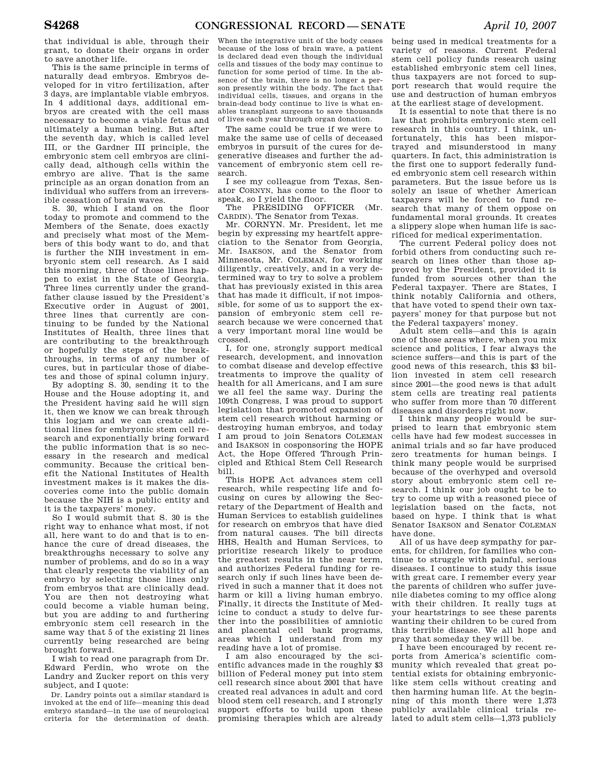that individual is able, through their grant, to donate their organs in order to save another life.

This is the same principle in terms of naturally dead embryos. Embryos developed for in vitro fertilization, after 3 days, are implantable viable embryos. In 4 additional days, additional embryos are created with the cell mass necessary to become a viable fetus and ultimately a human being. But after the seventh day, which is called level III, or the Gardner III principle, the embryonic stem cell embryos are clinically dead, although cells within the embryo are alive. That is the same principle as an organ donation from an individual who suffers from an irreversible cessation of brain waves.

S. 30, which I stand on the floor today to promote and commend to the Members of the Senate, does exactly and precisely what most of the Members of this body want to do, and that is further the NIH investment in embryonic stem cell research. As I said this morning, three of those lines happen to exist in the State of Georgia. Three lines currently under the grandfather clause issued by the President's Executive order in August of 2001, three lines that currently are continuing to be funded by the National Institutes of Health, three lines that are contributing to the breakthrough or hopefully the steps of the breakthroughs, in terms of any number of cures, but in particular those of diabetes and those of spinal column injury.

By adopting S. 30, sending it to the House and the House adopting it, and the President having said he will sign it, then we know we can break through this logjam and we can create additional lines for embryonic stem cell research and exponentially bring forward the public information that is so necessary in the research and medical community. Because the critical benefit the National Institutes of Health investment makes is it makes the discoveries come into the public domain because the NIH is a public entity and it is the taxpayers' money.

So I would submit that S. 30 is the right way to enhance what most, if not all, here want to do and that is to enhance the cure of dread diseases, the breakthroughs necessary to solve any number of problems, and do so in a way that clearly respects the viability of an embryo by selecting those lines only from embryos that are clinically dead. You are then not destroying what could become a viable human being, but you are adding to and furthering embryonic stem cell research in the same way that 5 of the existing 21 lines currently being researched are being brought forward.

I wish to read one paragraph from Dr. Edward Ferdin, who wrote on the Landry and Zucker report on this very subject, and I quote:

Dr. Landry points out a similar standard is invoked at the end of life—meaning this dead embryo standard—in the use of neurological criteria for the determination of death.

When the integrative unit of the body ceases because of the loss of brain wave, a patient is declared dead even though the individual cells and tissues of the body may continue to function for some period of time. In the absence of the brain, there is no longer a person presently within the body. The fact that individual cells, tissues, and organs in the brain-dead body continue to live is what enables transplant surgeons to save thousands of lives each year through organ donation.

The same could be true if we were to make the same use of cells of deceased embryos in pursuit of the cures for degenerative diseases and further the advancement of embryonic stem cell research.

I see my colleague from Texas, Senator CORNYN, has come to the floor to speak, so I yield the floor.

The PRESIDING OFFICER (Mr. CARDIN). The Senator from Texas.

Mr. CORNYN. Mr. President, let me begin by expressing my heartfelt appreciation to the Senator from Georgia, Mr. ISAKSON, and the Senator from Minnesota, Mr. COLEMAN, for working diligently, creatively, and in a very determined way to try to solve a problem that has previously existed in this area that has made it difficult, if not impossible, for some of us to support the expansion of embryonic stem cell research because we were concerned that a very important moral line would be crossed.

I, for one, strongly support medical research, development, and innovation to combat disease and develop effective treatments to improve the quality of health for all Americans, and I am sure we all feel the same way. During the 109th Congress, I was proud to support legislation that promoted expansion of stem cell research without harming or destroying human embryos, and today I am proud to join Senators COLEMAN and ISAKSON in cosponsoring the HOPE Act, the Hope Offered Through Principled and Ethical Stem Cell Research bill.

This HOPE Act advances stem cell research, while respecting life and focusing on cures by allowing the Secretary of the Department of Health and Human Services to establish guidelines for research on embryos that have died from natural causes. The bill directs HHS, Health and Human Services, to prioritize research likely to produce the greatest results in the near term, and authorizes Federal funding for research only if such lines have been derived in such a manner that it does not harm or kill a living human embryo. Finally, it directs the Institute of Medicine to conduct a study to delve further into the possibilities of amniotic and placental cell bank programs, areas which I understand from my reading have a lot of promise.

I am also encouraged by the scientific advances made in the roughly \$3 billion of Federal money put into stem cell research since about 2001 that have created real advances in adult and cord blood stem cell research, and I strongly support efforts to build upon these promising therapies which are already

being used in medical treatments for a variety of reasons. Current Federal stem cell policy funds research using established embryonic stem cell lines, thus taxpayers are not forced to support research that would require the use and destruction of human embryos at the earliest stage of development.

It is essential to note that there is no law that prohibits embryonic stem cell research in this country. I think, unfortunately, this has been misportrayed and misunderstood in many quarters. In fact, this administration is the first one to support federally funded embryonic stem cell research within parameters. But the issue before us is solely an issue of whether American taxpayers will be forced to fund research that many of them oppose on fundamental moral grounds. It creates a slippery slope when human life is sacrificed for medical experimentation.

The current Federal policy does not forbid others from conducting such research on lines other than those approved by the President, provided it is funded from sources other than the Federal taxpayer. There are States, I think notably California and others, that have voted to spend their own taxpayers' money for that purpose but not the Federal taxpayers' money.

Adult stem cells—and this is again one of those areas where, when you mix science and politics, I fear always the science suffers—and this is part of the good news of this research, this \$3 billion invested in stem cell research since 2001—the good news is that adult stem cells are treating real patients who suffer from more than 70 different diseases and disorders right now.

I think many people would be surprised to learn that embryonic stem cells have had few modest successes in animal trials and so far have produced zero treatments for human beings. I think many people would be surprised because of the overhyped and oversold story about embryonic stem cell research. I think our job ought to be to try to come up with a reasoned piece of legislation based on the facts, not based on hype. I think that is what Senator ISAKSON and Senator COLEMAN have done.

All of us have deep sympathy for parents, for children, for families who continue to struggle with painful, serious diseases. I continue to study this issue with great care. I remember every year the parents of children who suffer juvenile diabetes coming to my office along with their children. It really tugs at your heartstrings to see these parents wanting their children to be cured from this terrible disease. We all hope and pray that someday they will be.

I have been encouraged by recent reports from America's scientific community which revealed that great potential exists for obtaining embryoniclike stem cells without creating and then harming human life. At the beginning of this month there were 1,373 publicly available clinical trials related to adult stem cells—1,373 publicly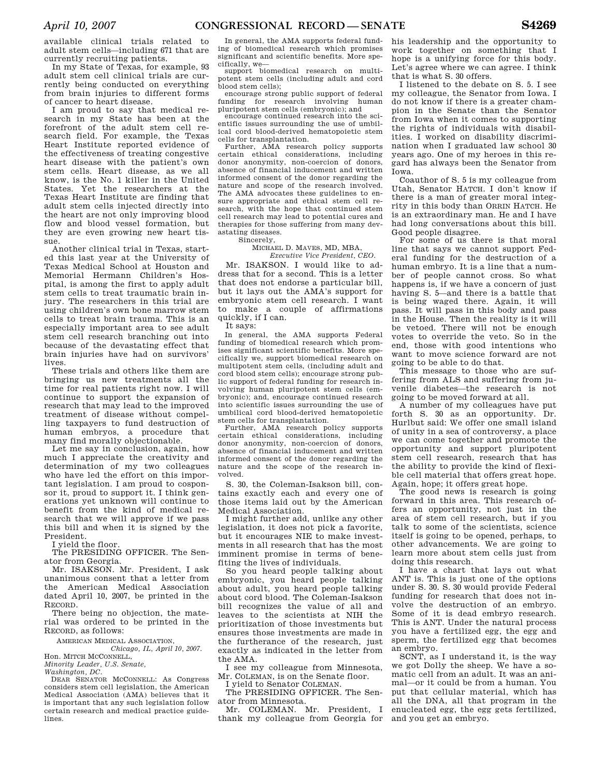available clinical trials related to adult stem cells—including 671 that are currently recruiting patients.

In my State of Texas, for example, 93 adult stem cell clinical trials are currently being conducted on everything from brain injuries to different forms of cancer to heart disease.

I am proud to say that medical research in my State has been at the forefront of the adult stem cell research field. For example, the Texas Heart Institute reported evidence of the effectiveness of treating congestive heart disease with the patient's own stem cells. Heart disease, as we all know, is the No. 1 killer in the United States. Yet the researchers at the Texas Heart Institute are finding that adult stem cells injected directly into the heart are not only improving blood flow and blood vessel formation, but they are even growing new heart tissue.

Another clinical trial in Texas, started this last year at the University of Texas Medical School at Houston and Memorial Hermann Children's Hospital, is among the first to apply adult stem cells to treat traumatic brain injury. The researchers in this trial are using children's own bone marrow stem cells to treat brain trauma. This is an especially important area to see adult stem cell research branching out into because of the devastating effect that brain injuries have had on survivors' lives.

These trials and others like them are bringing us new treatments all the time for real patients right now. I will continue to support the expansion of research that may lead to the improved treatment of disease without compelling taxpayers to fund destruction of human embryos, a procedure that many find morally objectionable.

Let me say in conclusion, again, how much I appreciate the creativity and determination of my two colleagues who have led the effort on this important legislation. I am proud to cosponsor it, proud to support it. I think generations yet unknown will continue to benefit from the kind of medical research that we will approve if we pass this bill and when it is signed by the President.

I yield the floor.

The PRESIDING OFFICER. The Senator from Georgia.

Mr. ISAKSON. Mr. President, I ask unanimous consent that a letter from the American Medical Association dated April 10, 2007, be printed in the RECORD.

There being no objection, the material was ordered to be printed in the RECORD, as follows:

AMERICAN MEDICAL ASSOCIATION,

*Chicago, IL, April 10, 2007.*  Hon. MITCH MCCONNELL,

*Minority Leader, U.S. Senate,* 

*Washington, DC.* 

DEAR SENATOR MCCONNELL: As Congress considers stem cell legislation, the American Medical Association (AMA) believes that it is important that any such legislation follow certain research and medical practice guidelines.

In general, the AMA supports federal funding of biomedical research which promises significant and scientific benefits. More specifically, we—

support biomedical research on multipotent stem cells (including adult and cord blood stem cells);

encourage strong public support of federal funding for research involving human pluripotent stem cells (embryonic); and

encourage continued research into the scientific issues surrounding the use of umbilical cord blood-derived hematopoietic stem cells for transplantation.

Further, AMA research policy supports certain ethical considerations, including donor anonymity, non-coercion of donors, absence of financial inducement and written informed consent of the donor regarding the nature and scope of the research involved. The AMA advocates these guidelines to ensure appropriate and ethical stem cell research, with the hope that continued stem cell research may lead to potential cures and therapies for those suffering from many devastating diseases.

Sincerely,

MICHAEL D. MAVES, MD, MBA, *Executive Vice President, CEO.* 

Mr. ISAKSON. I would like to address that for a second. This is a letter that does not endorse a particular bill, but it lays out the AMA's support for embryonic stem cell research. I want to make a couple of affirmations quickly, if I can.

It says:

In general, the AMA supports Federal funding of biomedical research which promises significant scientific benefits. More specifically we, support biomedical research on multipotent stem cells, (including adult and cord blood stem cells); encourage strong public support of federal funding for research involving human pluripotent stem cells (embryonic); and, encourage continued research into scientific issues surrounding the use of umbilical cord blood-derived hematopoietic stem cells for transplantation.

Further, AMA research policy supports certain ethical considerations, including donor anonymity, non-coercion of donors, absence of financial inducement and written informed consent of the donor regarding the nature and the scope of the research involved.

S. 30, the Coleman-Isakson bill, contains exactly each and every one of those items laid out by the American Medical Association.

I might further add, unlike any other legislation, it does not pick a favorite, but it encourages NIE to make investments in all research that has the most imminent promise in terms of benefiting the lives of individuals.

So you heard people talking about embryonic, you heard people talking about adult, you heard people talking about cord blood. The Coleman-Isakson bill recognizes the value of all and leaves to the scientists at NIH the prioritization of those investments but ensures those investments are made in the furtherance of the research, just exactly as indicated in the letter from the AMA.

I see my colleague from Minnesota, Mr. COLEMAN, is on the Senate floor.

I yield to Senator COLEMAN.

The PRESIDING OFFICER. The Senator from Minnesota.

Mr. COLEMAN. Mr. President, I thank my colleague from Georgia for

his leadership and the opportunity to work together on something that I hope is a unifying force for this body. Let's agree where we can agree. I think that is what S. 30 offers.

I listened to the debate on S. 5. I see my colleague, the Senator from Iowa. I do not know if there is a greater champion in the Senate than the Senator from Iowa when it comes to supporting the rights of individuals with disabilities. I worked on disability discrimination when I graduated law school 30 years ago. One of my heroes in this regard has always been the Senator from Iowa.

Coauthor of S. 5 is my colleague from Utah, Senator HATCH. I don't know if there is a man of greater moral integrity in this body than ORRIN HATCH. He is an extraordinary man. He and I have had long conversations about this bill. Good people disagree.

For some of us there is that moral line that says we cannot support Federal funding for the destruction of a human embryo. It is a line that a number of people cannot cross. So what happens is, if we have a concern of just having S. 5—and there is a battle that is being waged there. Again, it will pass. It will pass in this body and pass in the House. Then the reality is it will be vetoed. There will not be enough votes to override the veto. So in the end, those with good intentions who want to move science forward are not going to be able to do that.

This message to those who are suffering from ALS and suffering from juvenile diabetes—the research is not going to be moved forward at all.

A number of my colleagues have put forth S. 30 as an opportunity. Dr. Hurlbut said: We offer one small island of unity in a sea of controversy, a place we can come together and promote the opportunity and support pluripotent stem cell research, research that has the ability to provide the kind of flexible cell material that offers great hope. Again, hope; it offers great hope.

The good news is research is going forward in this area. This research offers an opportunity, not just in the area of stem cell research, but if you talk to some of the scientists, science itself is going to be opened, perhaps, to other advancements. We are going to learn more about stem cells just from doing this research.

I have a chart that lays out what ANT is. This is just one of the options under S. 30. S. 30 would provide Federal funding for research that does not involve the destruction of an embryo. Some of it is dead embryo research. This is ANT. Under the natural process you have a fertilized egg, the egg and sperm, the fertilized egg that becomes an embryo.

SCNT, as I understand it, is the way we got Dolly the sheep. We have a somatic cell from an adult. It was an animal—or it could be from a human. You put that cellular material, which has all the DNA, all that program in the enucleated egg, the egg gets fertilized, and you get an embryo.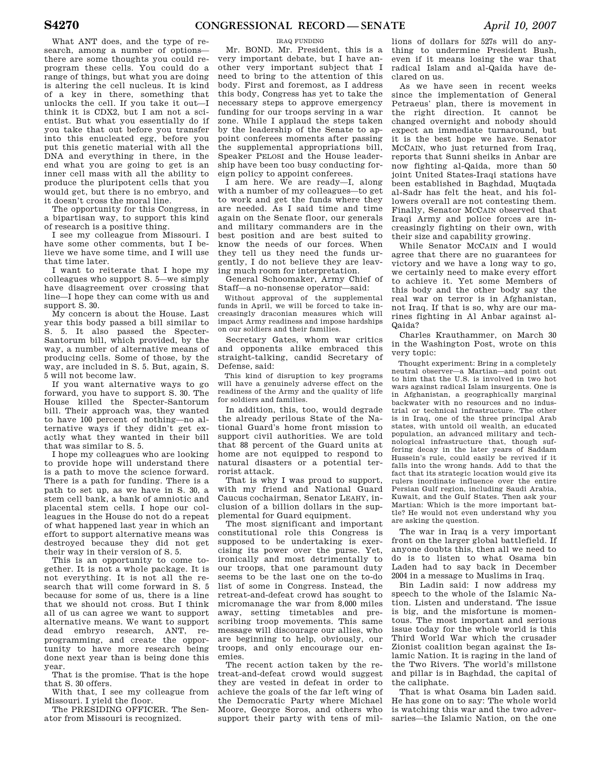What ANT does, and the type of research, among a number of options there are some thoughts you could reprogram these cells. You could do a range of things, but what you are doing is altering the cell nucleus. It is kind of a key in there, something that unlocks the cell. If you take it out—I think it is CDX2, but I am not a scientist. But what you essentially do if you take that out before you transfer into this enucleated egg, before you put this genetic material with all the DNA and everything in there, in the end what you are going to get is an inner cell mass with all the ability to produce the pluripotent cells that you would get, but there is no embryo, and it doesn't cross the moral line.

The opportunity for this Congress, in a bipartisan way, to support this kind of research is a positive thing.

I see my colleague from Missouri. I have some other comments, but I believe we have some time, and I will use that time later.

I want to reiterate that I hope my colleagues who support S. 5—we simply have disagreement over crossing that line—I hope they can come with us and support S. 30.

My concern is about the House. Last year this body passed a bill similar to S. 5. It also passed the Specter-Santorum bill, which provided, by the way, a number of alternative means of producing cells. Some of those, by the way, are included in S. 5. But, again, S. 5 will not become law.

If you want alternative ways to go forward, you have to support S. 30. The House killed the Specter-Santorum bill. Their approach was, they wanted to have 100 percent of nothing—no alternative ways if they didn't get exactly what they wanted in their bill that was similar to S. 5.

I hope my colleagues who are looking to provide hope will understand there is a path to move the science forward. There is a path for funding. There is a path to set up, as we have in S. 30, a stem cell bank, a bank of amniotic and placental stem cells. I hope our colleagues in the House do not do a repeat of what happened last year in which an effort to support alternative means was destroyed because they did not get their way in their version of S. 5.

This is an opportunity to come together. It is not a whole package. It is not everything. It is not all the research that will come forward in S. 5 because for some of us, there is a line that we should not cross. But I think all of us can agree we want to support alternative means. We want to support dead embryo research, ANT, reprogramming, and create the opportunity to have more research being done next year than is being done this year.

That is the promise. That is the hope that S. 30 offers.

With that, I see my colleague from Missouri. I yield the floor.

The PRESIDING OFFICER. The Senator from Missouri is recognized.

#### IRAQ FUNDING

Mr. BOND. Mr. President, this is a very important debate, but I have another very important subject that I need to bring to the attention of this body. First and foremost, as I address this body, Congress has yet to take the necessary steps to approve emergency funding for our troops serving in a war zone. While I applaud the steps taken by the leadership of the Senate to appoint conferees moments after passing the supplemental appropriations bill, Speaker PELOSI and the House leadership have been too busy conducting foreign policy to appoint conferees.

I am here. We are ready—I, along with a number of my colleagues—to get to work and get the funds where they are needed. As I said time and time again on the Senate floor, our generals and military commanders are in the best position and are best suited to know the needs of our forces. When they tell us they need the funds urgently, I do not believe they are leaving much room for interpretation.

General Schoomaker, Army Chief of Staff—a no-nonsense operator—said:

Without approval of the supplemental funds in April, we will be forced to take increasingly draconian measures which will impact Army readiness and impose hardships on our soldiers and their families.

Secretary Gates, whom war critics and opponents alike embraced this straight-talking, candid Secretary of Defense, said:

This kind of disruption to key programs will have a genuinely adverse effect on the readiness of the Army and the quality of life for soldiers and families.

In addition, this, too, would degrade the already perilous State of the National Guard's home front mission to support civil authorities. We are told that 88 percent of the Guard units at home are not equipped to respond to natural disasters or a potential terrorist attack.

That is why I was proud to support, with my friend and National Guard Caucus cochairman, Senator LEAHY, inclusion of a billion dollars in the supplemental for Guard equipment.

The most significant and important constitutional role this Congress is supposed to be undertaking is exercising its power over the purse. Yet, ironically and most detrimentally to our troops, that one paramount duty seems to be the last one on the to-do list of some in Congress. Instead, the retreat-and-defeat crowd has sought to micromanage the war from 8,000 miles away, setting timetables and prescribing troop movements. This same message will discourage our allies, who are beginning to help, obviously, our troops, and only encourage our enemies.

The recent action taken by the retreat-and-defeat crowd would suggest they are vested in defeat in order to achieve the goals of the far left wing of the Democratic Party where Michael Moore, George Soros, and others who support their party with tens of mil-

lions of dollars for 527s will do anything to undermine President Bush, even if it means losing the war that radical Islam and al-Qaida have declared on us.

As we have seen in recent weeks since the implementation of General Petraeus' plan, there is movement in the right direction. It cannot be changed overnight and nobody should expect an immediate turnaround, but it is the best hope we have. Senator MCCAIN, who just returned from Iraq, reports that Sunni sheiks in Anbar are now fighting al-Qaida, more than 50 joint United States-Iraqi stations have been established in Baghdad, Muqtada al-Sadr has felt the heat, and his followers overall are not contesting them. Finally, Senator MCCAIN observed that Iraqi Army and police forces are increasingly fighting on their own, with their size and capability growing.

While Senator MCCAIN and I would agree that there are no guarantees for victory and we have a long way to go, we certainly need to make every effort to achieve it. Yet some Members of this body and the other body say the real war on terror is in Afghanistan, not Iraq. If that is so, why are our marines fighting in Al Anbar against al-Qaida?

Charles Krauthammer, on March 30 in the Washington Post, wrote on this very topic:

Thought experiment: Bring in a completely neutral observer—a Martian—and point out to him that the U.S. is involved in two hot wars against radical Islam insurgents. One is in Afghanistan, a geographically marginal backwater with no resources and no industrial or technical infrastructure. The other is in Iraq, one of the three principal Arab states, with untold oil wealth, an educated population, an advanced military and technological infrastructure that, though suffering decay in the later years of Saddam Hussein's rule, could easily be revived if it falls into the wrong hands. Add to that the fact that its strategic location would give its rulers inordinate influence over the entire Persian Gulf region, including Saudi Arabia, Kuwait, and the Gulf States. Then ask your Martian: Which is the more important battle? He would not even understand why you are asking the question.

The war in Iraq is a very important front on the larger global battlefield. If anyone doubts this, then all we need to do is to listen to what Osama bin Laden had to say back in December 2004 in a message to Muslims in Iraq.

Bin Ladin said: I now address my speech to the whole of the Islamic Nation. Listen and understand. The issue is big, and the misfortune is momentous. The most important and serious issue today for the whole world is this Third World War which the crusader Zionist coalition began against the Islamic Nation. It is raging in the land of the Two Rivers. The world's millstone and pillar is in Baghdad, the capital of the caliphate.

That is what Osama bin Laden said. He has gone on to say: The whole world is watching this war and the two adversaries—the Islamic Nation, on the one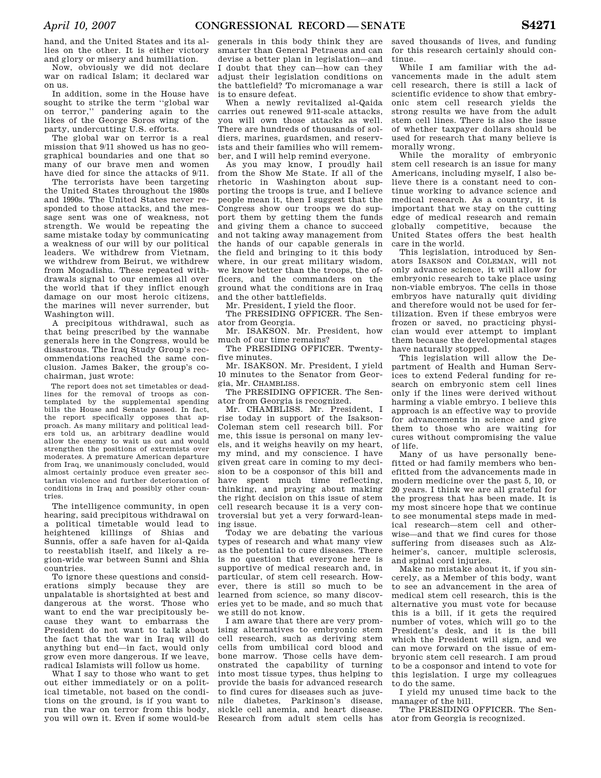hand, and the United States and its allies on the other. It is either victory and glory or misery and humiliation.

Now, obviously we did not declare war on radical Islam; it declared war on us.

In addition, some in the House have sought to strike the term ''global war on terror,'' pandering again to the likes of the George Soros wing of the party, undercutting U.S. efforts.

The global war on terror is a real mission that 9/11 showed us has no geographical boundaries and one that so many of our brave men and women have died for since the attacks of 9/11.

The terrorists have been targeting the United States throughout the 1980s and 1990s. The United States never responded to those attacks, and the message sent was one of weakness, not strength. We would be repeating the same mistake today by communicating a weakness of our will by our political leaders. We withdrew from Vietnam, we withdrew from Beirut, we withdrew from Mogadishu. These repeated withdrawals signal to our enemies all over the world that if they inflict enough damage on our most heroic citizens, the marines will never surrender, but Washington will.

A precipitous withdrawal, such as that being prescribed by the wannabe generals here in the Congress, would be disastrous. The Iraq Study Group's recommendations reached the same conclusion. James Baker, the group's cochairman, just wrote:

The report does not set timetables or deadlines for the removal of troops as contemplated by the supplemental spending bills the House and Senate passed. In fact, the report specifically opposes that approach. As many military and political leaders told us, an arbitrary deadline would allow the enemy to wait us out and would strengthen the positions of extremists over moderates. A premature American departure from Iraq, we unanimously concluded, would almost certainly produce even greater sectarian violence and further deterioration of conditions in Iraq and possibly other countries.

The intelligence community, in open hearing, said precipitous withdrawal on a political timetable would lead to heightened killings of Shias and Sunnis, offer a safe haven for al-Qaida to reestablish itself, and likely a region-wide war between Sunni and Shia countries.

To ignore these questions and considerations simply because they are unpalatable is shortsighted at best and dangerous at the worst. Those who want to end the war precipitously because they want to embarrass the President do not want to talk about the fact that the war in Iraq will do anything but end—in fact, would only grow even more dangerous. If we leave, radical Islamists will follow us home.

What I say to those who want to get out either immediately or on a political timetable, not based on the conditions on the ground, is if you want to run the war on terror from this body, you will own it. Even if some would-be

generals in this body think they are smarter than General Petraeus and can devise a better plan in legislation—and I doubt that they can—how can they adjust their legislation conditions on the battlefield? To micromanage a war is to ensure defeat.

When a newly revitalized al-Qaida carries out renewed 9/11-scale attacks, you will own those attacks as well. There are hundreds of thousands of soldiers, marines, guardsmen, and reservists and their families who will remember, and I will help remind everyone.

As you may know, I proudly hail from the Show Me State. If all of the rhetoric in Washington about supporting the troops is true, and I believe people mean it, then I suggest that the Congress show our troops we do support them by getting them the funds and giving them a chance to succeed and not taking away management from the hands of our capable generals in the field and bringing to it this body where, in our great military wisdom, we know better than the troops, the officers, and the commanders on the ground what the conditions are in Iraq and the other battlefields.

Mr. President, I yield the floor.

The PRESIDING OFFICER. The Senator from Georgia.

Mr. ISAKSON. Mr. President, how much of our time remains?

The PRESIDING OFFICER. Twentyfive minutes.

Mr. ISAKSON. Mr. President, I yield 10 minutes to the Senator from Georgia, Mr. CHAMBLISS.

The PRESIDING OFFICER. The Senator from Georgia is recognized.

Mr. CHAMBLISS. Mr. President, I rise today in support of the Isakson-Coleman stem cell research bill. For me, this issue is personal on many levels, and it weighs heavily on my heart, my mind, and my conscience. I have given great care in coming to my decision to be a cosponsor of this bill and have spent much time reflecting, thinking, and praying about making the right decision on this issue of stem cell research because it is a very controversial but yet a very forward-leaning issue.

Today we are debating the various types of research and what many view as the potential to cure diseases. There is no question that everyone here is supportive of medical research and, in particular, of stem cell research. However, there is still so much to be learned from science, so many discoveries yet to be made, and so much that we still do not know.

I am aware that there are very promising alternatives to embryonic stem cell research, such as deriving stem cells from umbilical cord blood and bone marrow. Those cells have demonstrated the capability of turning into most tissue types, thus helping to provide the basis for advanced research to find cures for diseases such as juvenile diabetes, Parkinson's disease, sickle cell anemia, and heart disease. Research from adult stem cells has

saved thousands of lives, and funding for this research certainly should continue.

While I am familiar with the advancements made in the adult stem cell research, there is still a lack of scientific evidence to show that embryonic stem cell research yields the strong results we have from the adult stem cell lines. There is also the issue of whether taxpayer dollars should be used for research that many believe is morally wrong.

While the morality of embryonic stem cell research is an issue for many Americans, including myself, I also believe there is a constant need to continue working to advance science and medical research. As a country, it is important that we stay on the cutting edge of medical research and remain globally competitive, because the United States offers the best health care in the world.

This legislation, introduced by Senators ISAKSON and COLEMAN, will not only advance science, it will allow for embryonic research to take place using non-viable embryos. The cells in those embryos have naturally quit dividing and therefore would not be used for fertilization. Even if these embryos were frozen or saved, no practicing physician would ever attempt to implant them because the developmental stages have naturally stopped.

This legislation will allow the Department of Health and Human Services to extend Federal funding for research on embryonic stem cell lines only if the lines were derived without harming a viable embryo. I believe this approach is an effective way to provide for advancements in science and give them to those who are waiting for cures without compromising the value of life.

Many of us have personally benefitted or had family members who benefitted from the advancements made in modern medicine over the past 5, 10, or 20 years. I think we are all grateful for the progress that has been made. It is my most sincere hope that we continue to see monumental steps made in medical research—stem cell and otherwise—and that we find cures for those suffering from diseases such as Alzheimer's, cancer, multiple sclerosis, and spinal cord injuries.

Make no mistake about it, if you sincerely, as a Member of this body, want to see an advancement in the area of medical stem cell research, this is the alternative you must vote for because this is a bill, if it gets the required number of votes, which will go to the President's desk, and it is the bill which the President will sign, and we can move forward on the issue of embryonic stem cell research. I am proud to be a cosponsor and intend to vote for this legislation. I urge my colleagues to do the same.

I yield my unused time back to the manager of the bill.

The PRESIDING OFFICER. The Senator from Georgia is recognized.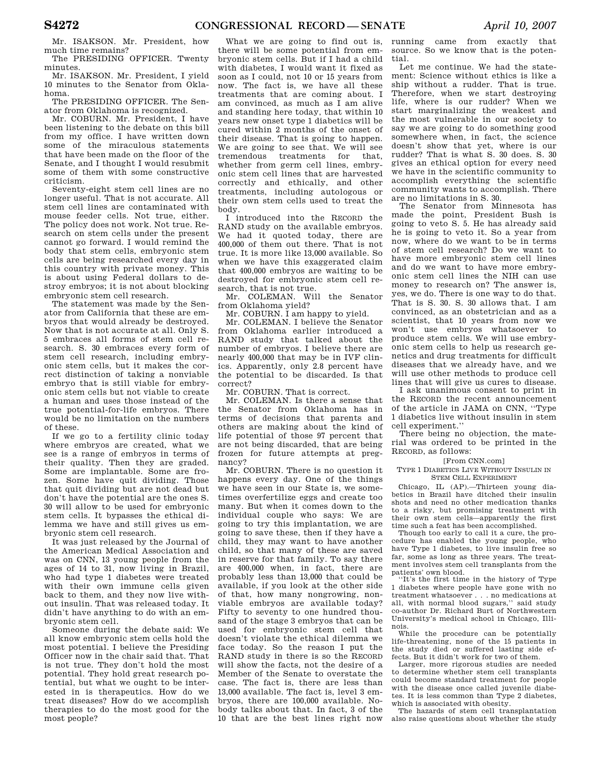Mr. ISAKSON. Mr. President, how much time remains?

The PRESIDING OFFICER. Twenty minutes.

Mr. ISAKSON. Mr. President, I yield 10 minutes to the Senator from Oklahoma.

The PRESIDING OFFICER. The Senator from Oklahoma is recognized.

Mr. COBURN. Mr. President, I have been listening to the debate on this bill from my office. I have written down some of the miraculous statements that have been made on the floor of the Senate, and I thought I would resubmit some of them with some constructive criticism.

Seventy-eight stem cell lines are no longer useful. That is not accurate. All stem cell lines are contaminated with mouse feeder cells. Not true, either. The policy does not work. Not true. Research on stem cells under the present cannot go forward. I would remind the body that stem cells, embryonic stem cells are being researched every day in this country with private money. This is about using Federal dollars to destroy embryos; it is not about blocking embryonic stem cell research.

The statement was made by the Senator from California that these are embryos that would already be destroyed. Now that is not accurate at all. Only S. 5 embraces all forms of stem cell research. S. 30 embraces every form of stem cell research, including embryonic stem cells, but it makes the correct distinction of taking a nonviable embryo that is still viable for embryonic stem cells but not viable to create a human and uses those instead of the true potential-for-life embryos. There would be no limitation on the numbers of these.

If we go to a fertility clinic today where embryos are created, what we see is a range of embryos in terms of their quality. Then they are graded. Some are implantable. Some are frozen. Some have quit dividing. Those that quit dividing but are not dead but don't have the potential are the ones S. 30 will allow to be used for embryonic stem cells. It bypasses the ethical dilemma we have and still gives us embryonic stem cell research.

It was just released by the Journal of the American Medical Association and was on CNN, 13 young people from the ages of 14 to 31, now living in Brazil, who had type 1 diabetes were treated with their own immune cells given back to them, and they now live without insulin. That was released today. It didn't have anything to do with an embryonic stem cell.

Someone during the debate said: We all know embryonic stem cells hold the most potential. I believe the Presiding Officer now in the chair said that. That is not true. They don't hold the most potential. They hold great research potential, but what we ought to be interested in is therapeutics. How do we treat diseases? How do we accomplish therapies to do the most good for the most people?

What we are going to find out is, there will be some potential from embryonic stem cells. But if I had a child with diabetes, I would want it fixed as soon as I could, not 10 or 15 years from now. The fact is, we have all these treatments that are coming about. I am convinced, as much as I am alive and standing here today, that within 10 years new onset type 1 diabetics will be cured within 2 months of the onset of their disease. That is going to happen. We are going to see that. We will see tremendous treatments for that, whether from germ cell lines, embryonic stem cell lines that are harvested correctly and ethically, and other treatments, including autologous or their own stem cells used to treat the body.

I introduced into the RECORD the RAND study on the available embryos. We had it quoted today, there are 400,000 of them out there. That is not true. It is more like 13,000 available. So when we have this exaggerated claim that 400,000 embryos are waiting to be destroyed for embryonic stem cell research, that is not true.

Mr. COLEMAN. Will the Senator from Oklahoma yield?

Mr. COBURN. I am happy to yield.

Mr. COLEMAN. I believe the Senator from Oklahoma earlier introduced a RAND study that talked about the number of embryos. I believe there are nearly 400,000 that may be in IVF clinics. Apparently, only 2.8 percent have the potential to be discarded. Is that correct?

Mr. COBURN. That is correct.

Mr. COLEMAN. Is there a sense that the Senator from Oklahoma has in terms of decisions that parents and others are making about the kind of life potential of those 97 percent that are not being discarded, that are being frozen for future attempts at pregnancy?

Mr. COBURN. There is no question it happens every day. One of the things we have seen in our State is, we sometimes overfertilize eggs and create too many. But when it comes down to the individual couple who says: We are going to try this implantation, we are going to save these, then if they have a child, they may want to have another child, so that many of these are saved in reserve for that family. To say there are 400,000 when, in fact, there are probably less than 13,000 that could be available, if you look at the other side of that, how many nongrowing, nonviable embryos are available today? Fifty to seventy to one hundred thousand of the stage 3 embryos that can be used for embryonic stem cell that doesn't violate the ethical dilemma we face today. So the reason I put the RAND study in there is so the RECORD will show the facts, not the desire of a Member of the Senate to overstate the case. The fact is, there are less than 13,000 available. The fact is, level 3 embryos, there are 100,000 available. Nobody talks about that. In fact, 3 of the 10 that are the best lines right now

running came from exactly that source. So we know that is the potential.

Let me continue. We had the statement: Science without ethics is like a ship without a rudder. That is true. Therefore, when we start destroying life, where is our rudder? When we start marginalizing the weakest and the most vulnerable in our society to say we are going to do something good somewhere when, in fact, the science doesn't show that yet, where is our rudder? That is what S. 30 does. S. 30 gives an ethical option for every need we have in the scientific community to accomplish everything the scientific community wants to accomplish. There are no limitations in S. 30.

The Senator from Minnesota has made the point, President Bush is going to veto S. 5. He has already said he is going to veto it. So a year from now, where do we want to be in terms of stem cell research? Do we want to have more embryonic stem cell lines and do we want to have more embryonic stem cell lines the NIH can use money to research on? The answer is, yes, we do. There is one way to do that. That is S. 30. S. 30 allows that. I am convinced, as an obstetrician and as a scientist, that 10 years from now we won't use embryos whatsoever to produce stem cells. We will use embryonic stem cells to help us research genetics and drug treatments for difficult diseases that we already have, and we will use other methods to produce cell lines that will give us cures to disease.

I ask unanimous consent to print in the RECORD the recent announcement of the article in JAMA on CNN, ''Type 1 diabetics live without insulin in stem cell experiment.''

There being no objection, the material was ordered to be printed in the RECORD, as follows:

[From CNN.com]

TYPE 1 DIABETICS LIVE WITHOUT INSULIN IN STEM CELL EXPERIMENT

Chicago, IL (AP).—Thirteen young diabetics in Brazil have ditched their insulin shots and need no other medication thanks to a risky, but promising treatment with their own stem cells—apparently the first time such a feat has been accomplished.

Though too early to call it a cure, the procedure has enabled the young people, who have Type 1 diabetes, to live insulin free so far, some as long as three years. The treatment involves stem cell transplants from the patients' own blood.

''It's the first time in the history of Type 1 diabetes where people have gone with no treatment whatsoever . . . no medications at all, with normal blood sugars,'' said study co-author Dr. Richard Burt of Northwestern University's medical school in Chicago, Illinois.

While the procedure can be potentially life-threatening, none of the 15 patients in the study died or suffered lasting side effects. But it didn't work for two of them.

Larger, more rigorous studies are needed to determine whether stem cell transplants could become standard treatment for people with the disease once called juvenile diabetes. It is less common than Type 2 diabetes, which is associated with obesity.

The hazards of stem cell transplantation also raise questions about whether the study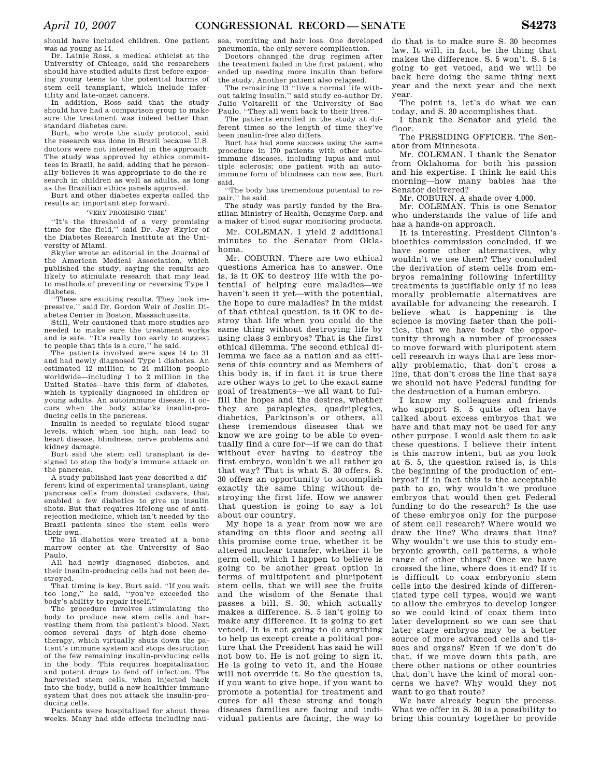should have included children. One patient was as young as 14.

Dr. Lainie Ross, a medical ethicist at the University of Chicago, said the researchers should have studied adults first before exposing young teens to the potential harms of stem cell transplant, which include infertility and late-onset cancers.

In addition, Ross said that the study should have had a comparison group to make sure the treatment was indeed better than standard diabetes care.

Burt, who wrote the study protocol, said the research was done in Brazil because U.S. doctors were not interested in the approach. The study was approved by ethics committees in Brazil, he said, adding that he personally believes it was appropriate to do the research in children as well as adults, as long as the Brazilian ethics panels approved.

Burt and other diabetes experts called the results an important step forward.

#### 'VERY PROMISING TIME'

''It's the threshold of a very promising time for the field,'' said Dr. Jay Skyler of the Diabetes Research Institute at the University of Miami.

Skyler wrote an editorial in the Journal of the American Medical Association, which published the study, saying the results are likely to stimulate research that may lead to methods of preventing or reversing Type 1 diabetes.

''These are exciting results. They look impressive,'' said Dr. Gordon Weir of Joslin Diabetes Center in Boston, Massachusetts.

Still, Weir cautioned that more studies are needed to make sure the treatment works and is safe. ''It's really too early to suggest to people that this is a cure,'' he said.

The patients involved were ages 14 to 31 and had newly diagnosed Type 1 diabetes. An estimated 12 million to 24 million people worldwide—including 1 to 2 million in the United States—have this form of diabetes, which is typically diagnosed in children or young adults. An autoimmune disease, it occurs when the body attacks insulin-producing cells in the pancreas.

Insulin is needed to regulate blood sugar levels, which when too high, can lead to heart disease, blindness, nerve problems and kidney damage.

Burt said the stem cell transplant is designed to stop the body's immune attack on the pancreas.

A study published last year described a different kind of experimental transplant, using pancreas cells from donated cadavers, that enabled a few diabetics to give up insulin shots. But that requires lifelong use of antirejection medicine, which isn't needed by the Brazil patients since the stem cells were their own.

The 15 diabetics were treated at a bone marrow center at the University of Sao Paulo.

All had newly diagnosed diabetes, and their insulin-producing cells had not been destroyed.

That timing is key, Burt said. ''If you wait too long,'' he said, ''you've exceeded the body's ability to repair itself.''

The procedure involves stimulating the body to produce new stem cells and harvesting them from the patient's blood. Next comes several days of high-dose chemotherapy, which virtually shuts down the patient's immune system and stops destruction of the few remaining insulin-producing cells in the body. This requires hospitalization and potent drugs to fend off infection. The harvested stem cells, when injected back into the body, build a new healthier immune system that does not attack the insulin-producing cells.

Patients were hospitalized for about three weeks. Many had side effects including nausea, vomiting and hair loss. One developed pneumonia, the only severe complication.

Doctors changed the drug regimen after the treatment failed in the first patient, who ended up needing more insulin than before the study. Another patient also relapsed.

The remaining 13 ''live a normal life without taking insulin,'' said study co-author Dr. Julio Voltarelli of the University of Sao Paulo. ''They all went back to their lives.''

The patients enrolled in the study at different times so the length of time they've been insulin-free also differs.

Burt has had some success using the same procedure in 170 patients with other autoimmune diseases, including lupus and multiple sclerosis; one patient with an autoimmune form of blindness can now see, Burt said.

''The body has tremendous potential to repair,'' he said.

The study was partly funded by the Brazilian Ministry of Health, Genzyme Corp. and a maker of blood sugar monitoring products.

Mr. COLEMAN. I yield 2 additional minutes to the Senator from Oklahoma.

Mr. COBURN. There are two ethical questions America has to answer. One is, is it OK to destroy life with the potential of helping cure maladies—we haven't seen it yet—with the potential, the hope to cure maladies? In the midst of that ethical question, is it OK to destroy that life when you could do the same thing without destroying life by using class 3 embryos? That is the first ethical dilemma. The second ethical dilemma we face as a nation and as citizens of this country and as Members of this body is, if in fact it is true there are other ways to get to the exact same goal of treatments—we all want to fulfill the hopes and the desires, whether they are paraplegics, quadriplegics, diabetics, Parkinson's or others, all these tremendous diseases that we know we are going to be able to eventually find a cure for—if we can do that without ever having to destroy the first embryo, wouldn't we all rather go that way? That is what S. 30 offers. S. 30 offers an opportunity to accomplish exactly the same thing without destroying the first life. How we answer that question is going to say a lot about our country.

My hope is a year from now we are standing on this floor and seeing all this promise come true, whether it be altered nuclear transfer, whether it be germ cell, which I happen to believe is going to be another great option in terms of multipotent and pluripotent stem cells, that we will see the fruits and the wisdom of the Senate that passes a bill, S. 30, which actually makes a difference. S. 5 isn't going to make any difference. It is going to get vetoed. It is not going to do anything to help us except create a political posture that the President has said he will not bow to. He is not going to sign it. He is going to veto it, and the House will not override it. So the question is, if you want to give hope, if you want to promote a potential for treatment and cures for all these strong and tough diseases families are facing and individual patients are facing, the way to

do that is to make sure S. 30 becomes law. It will, in fact, be the thing that makes the difference. S. 5 won't. S. 5 is going to get vetoed, and we will be back here doing the same thing next year and the next year and the next year.

The point is, let's do what we can today, and S. 30 accomplishes that.

I thank the Senator and yield the floor.

The PRESIDING OFFICER. The Senator from Minnesota.

Mr. COLEMAN. I thank the Senator from Oklahoma for both his passion and his expertise. I think he said this morning—how many babies has the Senator delivered?

Mr. COBURN. A shade over 4,000.

Mr. COLEMAN. This is one Senator who understands the value of life and has a hands-on approach.

It is interesting. President Clinton's bioethics commission concluded, if we have some other alternatives, why wouldn't we use them? They concluded the derivation of stem cells from embryos remaining following infertility treatments is justifiable only if no less morally problematic alternatives are available for advancing the research. I believe what is happening is the science is moving faster than the politics, that we have today the opportunity through a number of processes to move forward with pluripotent stem cell research in ways that are less morally problematic, that don't cross a line, that don't cross the line that says we should not have Federal funding for the destruction of a human embryo.

I know my colleagues and friends who support S. 5 quite often have talked about excess embryos that we have and that may not be used for any other purpose. I would ask them to ask these questions. I believe their intent is this narrow intent, but as you look at S. 5, the question raised is, is this the beginning of the production of embryos? If in fact this is the acceptable path to go, why wouldn't we produce embryos that would then get Federal funding to do the research? Is the use of these embryos only for the purpose of stem cell research? Where would we draw the line? Who draws that line? Why wouldn't we use this to study embryonic growth, cell patterns, a whole range of other things? Once we have crossed the line, where does it end? If it is difficult to coax embryonic stem cells into the desired kinds of differentiated type cell types, would we want to allow the embryos to develop longer so we could kind of coax them into later development so we can see that later stage embryos may be a better source of more advanced cells and tissues and organs? Even if we don't do that, if we move down this path, are there other nations or other countries that don't have the kind of moral concerns we have? Why would they not want to go that route?

We have already begun the process. What we offer in S. 30 is a possibility to bring this country together to provide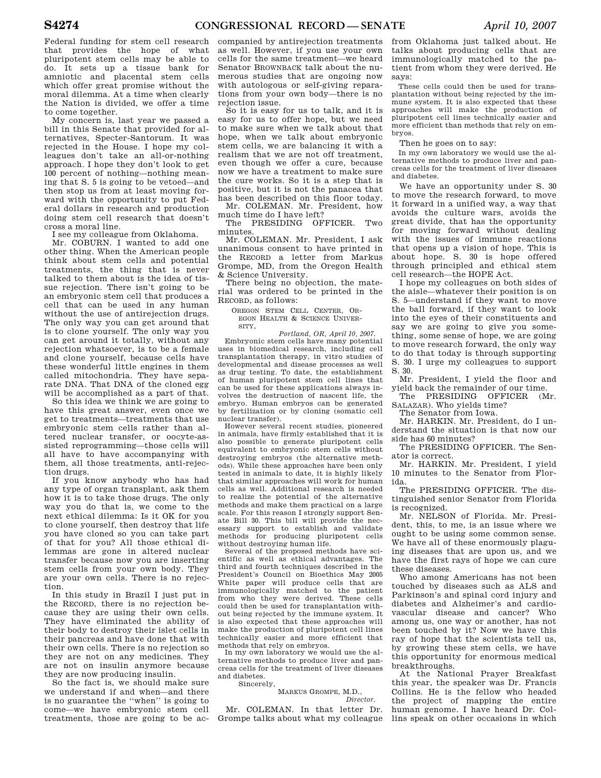Federal funding for stem cell research that provides the hope of what pluripotent stem cells may be able to do. It sets up a tissue bank for amniotic and placental stem cells which offer great promise without the moral dilemma. At a time when clearly the Nation is divided, we offer a time to come together.

My concern is, last year we passed a bill in this Senate that provided for alternatives, Specter-Santorum. It was rejected in the House. I hope my colleagues don't take an all-or-nothing approach. I hope they don't look to get 100 percent of nothing—nothing meaning that S. 5 is going to be vetoed—and then stop us from at least moving forward with the opportunity to put Federal dollars in research and production doing stem cell research that doesn't cross a moral line.

I see my colleague from Oklahoma.

Mr. COBURN. I wanted to add one other thing. When the American people think about stem cells and potential treatments, the thing that is never talked to them about is the idea of tissue rejection. There isn't going to be an embryonic stem cell that produces a cell that can be used in any human without the use of antirejection drugs. The only way you can get around that is to clone yourself. The only way you can get around it totally, without any rejection whatsoever, is to be a female and clone yourself, because cells have these wonderful little engines in them called mitochondria. They have separate DNA. That DNA of the cloned egg will be accomplished as a part of that.

So this idea we think we are going to have this great answer, even once we get to treatments—treatments that use embryonic stem cells rather than altered nuclear transfer, or oocyte-assisted reprogramming—those cells will all have to have accompanying with them, all those treatments, anti-rejection drugs.

If you know anybody who has had any type of organ transplant, ask them how it is to take those drugs. The only way you do that is, we come to the next ethical dilemma: Is it OK for you to clone yourself, then destroy that life you have cloned so you can take part of that for you? All those ethical dilemmas are gone in altered nuclear transfer because now you are inserting stem cells from your own body. They are your own cells. There is no rejection.

In this study in Brazil I just put in the RECORD, there is no rejection because they are using their own cells. They have eliminated the ability of their body to destroy their islet cells in their pancreas and have done that with their own cells. There is no rejection so they are not on any medicines. They are not on insulin anymore because they are now producing insulin.

So the fact is, we should make sure we understand if and when—and there is no guarantee the ''when'' is going to come—we have embryonic stem cell treatments, those are going to be ac-

companied by antirejection treatments as well. However, if you use your own cells for the same treatment—we heard Senator BROWNBACK talk about the numerous studies that are ongoing now with autologous or self-giving reparations from your own body—there is no rejection issue.

So it is easy for us to talk, and it is easy for us to offer hope, but we need to make sure when we talk about that hope, when we talk about embryonic stem cells, we are balancing it with a realism that we are not off treatment, even though we offer a cure, because now we have a treatment to make sure the cure works. So it is a step that is positive, but it is not the panacea that has been described on this floor today.

Mr. COLEMAN. Mr. President, how much time do I have left?

The PRESIDING OFFICER. Two minutes.

Mr. COLEMAN. Mr. President, I ask unanimous consent to have printed in the RECORD a letter from Markus Grompe, MD, from the Oregon Health & Science University.

There being no objection, the material was ordered to be printed in the RECORD, as follows:

OREGON STEM CELL CENTER, OR-EGON HEALTH & SCIENCE UNIVER-SITY,

*Portland, OR, April 10, 2007.*  Embryonic stem cells have many potential uses in biomedical research, including cell transplantation therapy, in vitro studies of developmental and disease processes as well as drug testing. To date, the establishment of human pluripotent stem cell lines that can be used for these applications always involves the destruction of nascent life, the embryo. Human embryos can be generated by fertilization or by cloning (somatic cell nuclear transfer).

However several recent studies, pioneered in animals, have firmly established that it is also possible to generate pluripotent cells equivalent to embryonic stem cells without destroying embryos (the alternative methods). While these approaches have been only tested in animals to date, it is highly likely that similar approaches will work for human cells as well. Additional research is needed to realize the potential of the alternative methods and make them practical on a large scale. For this reason I strongly support Senate Bill 30. This bill will provide the necessary support to establish and validate methods for producing pluripotent cells without destroying human life.

Several of the proposed methods have scientific as well as ethical advantages. The third and fourth techniques described in the President's Council on Bioethics May 2005 White paper will produce cells that are immunologically matched to the patient from who they were derived. These cells could then be used for transplantation without being rejected by the immune system. It is also expected that these approaches will make the production of pluripotent cell lines technically easier and more efficient that methods that rely on embryos.

In my own laboratory we would use the alternative methods to produce liver and pancreas cells for the treatment of liver diseases and diabetes.

Sincerely, MARKUS GROMPE, M.D.,

*Director.*  Mr. COLEMAN. In that letter Dr. Grompe talks about what my colleague

from Oklahoma just talked about. He talks about producing cells that are immunologically matched to the patient from whom they were derived. He says:

These cells could then be used for transplantation without being rejected by the immune system. It is also expected that these approaches will make the production of pluripotent cell lines technically easier and more efficient than methods that rely on embryos.

Then he goes on to say:

In my own laboratory we would use the alternative methods to produce liver and pancreas cells for the treatment of liver diseases and diabetes.

We have an opportunity under S. 30 to move the research forward, to move it forward in a unified way, a way that avoids the culture wars, avoids the great divide, that has the opportunity for moving forward without dealing with the issues of immune reactions that opens up a vision of hope. This is about hope. S. 30 is hope offered through principled and ethical stem cell research—the HOPE Act.

I hope my colleagues on both sides of the aisle—whatever their position is on S. 5—understand if they want to move the ball forward, if they want to look into the eyes of their constituents and say we are going to give you something, some sense of hope, we are going to move research forward, the only way to do that today is through supporting S. 30. I urge my colleagues to support S. 30.

Mr. President, I yield the floor and yield back the remainder of our time.

The PRESIDING OFFICER (Mr. SALAZAR). Who yields time?

The Senator from Iowa.

Mr. HARKIN. Mr. President, do I understand the situation is that now our side has 60 minutes?

The PRESIDING OFFICER. The Senator is correct.

Mr. HARKIN. Mr. President, I yield 10 minutes to the Senator from Florida.

The PRESIDING OFFICER. The distinguished senior Senator from Florida is recognized.

Mr. NELSON of Florida. Mr. President, this, to me, is an issue where we ought to be using some common sense. We have all of these enormously plaguing diseases that are upon us, and we have the first rays of hope we can cure these diseases.

Who among Americans has not been touched by diseases such as ALS and Parkinson's and spinal cord injury and diabetes and Alzheimer's and cardiovascular disease and cancer? Who among us, one way or another, has not been touched by it? Now we have this ray of hope that the scientists tell us, by growing these stem cells, we have this opportunity for enormous medical breakthroughs.

At the National Prayer Breakfast this year, the speaker was Dr. Francis Collins. He is the fellow who headed the project of mapping the entire human genome. I have heard Dr. Collins speak on other occasions in which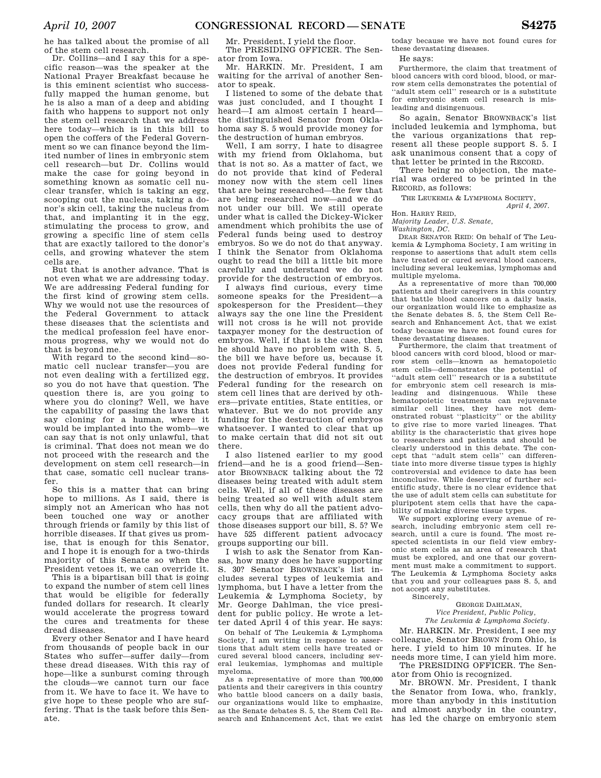he has talked about the promise of all of the stem cell research.

Dr. Collins—and I say this for a specific reason—was the speaker at the National Prayer Breakfast because he is this eminent scientist who successfully mapped the human genome, but he is also a man of a deep and abiding faith who happens to support not only the stem cell research that we address here today—which is in this bill to open the coffers of the Federal Government so we can finance beyond the limited number of lines in embryonic stem cell research—but Dr. Collins would make the case for going beyond in something known as somatic cell nuclear transfer, which is taking an egg, scooping out the nucleus, taking a donor's skin cell, taking the nucleus from that, and implanting it in the egg, stimulating the process to grow, and growing a specific line of stem cells that are exactly tailored to the donor's cells, and growing whatever the stem cells are.

But that is another advance. That is not even what we are addressing today. We are addressing Federal funding for the first kind of growing stem cells. Why we would not use the resources of the Federal Government to attack these diseases that the scientists and the medical profession feel have enormous progress, why we would not do that is beyond me.

With regard to the second kind—somatic cell nuclear transfer—you are not even dealing with a fertilized egg, so you do not have that question. The question there is, are you going to where you do cloning? Well, we have the capability of passing the laws that say cloning for a human, where it would be implanted into the womb—we can say that is not only unlawful, that is criminal. That does not mean we do not proceed with the research and the development on stem cell research—in that case, somatic cell nuclear transfer.

So this is a matter that can bring hope to millions. As I said, there is simply not an American who has not been touched one way or another through friends or family by this list of horrible diseases. If that gives us promise, that is enough for this Senator, and I hope it is enough for a two-thirds majority of this Senate so when the President vetoes it, we can override it.

This is a bipartisan bill that is going to expand the number of stem cell lines that would be eligible for federally funded dollars for research. It clearly would accelerate the progress toward the cures and treatments for these dread diseases.

Every other Senator and I have heard from thousands of people back in our States who suffer—suffer daily—from these dread diseases. With this ray of hope—like a sunburst coming through the clouds—we cannot turn our face from it. We have to face it. We have to give hope to these people who are suffering. That is the task before this Senate.

Mr. President, I yield the floor. The PRESIDING OFFICER. The Senator from Iowa.

Mr. HARKIN. Mr. President, I am waiting for the arrival of another Senator to speak.

I listened to some of the debate that was just concluded, and I thought I heard—I am almost certain I heard the distinguished Senator from Oklahoma say S. 5 would provide money for the destruction of human embryos.

Well, I am sorry, I hate to disagree with my friend from Oklahoma, but that is not so. As a matter of fact, we do not provide that kind of Federal money now with the stem cell lines that are being researched—the few that are being researched now—and we do not under our bill. We still operate under what is called the Dickey-Wicker amendment which prohibits the use of Federal funds being used to destroy embryos. So we do not do that anyway. I think the Senator from Oklahoma ought to read the bill a little bit more carefully and understand we do not provide for the destruction of embryos.

I always find curious, every time someone speaks for the President—a spokesperson for the President—they always say the one line the President will not cross is he will not provide taxpayer money for the destruction of embryos. Well, if that is the case, then he should have no problem with S. 5, the bill we have before us, because it does not provide Federal funding for the destruction of embryos. It provides Federal funding for the research on stem cell lines that are derived by others—private entities, State entities, or whatever. But we do not provide any funding for the destruction of embryos whatsoever. I wanted to clear that up to make certain that did not sit out there.

I also listened earlier to my good friend—and he is a good friend—Senator BROWNBACK talking about the 72 diseases being treated with adult stem cells. Well, if all of these diseases are being treated so well with adult stem cells, then why do all the patient advocacy groups that are affiliated with those diseases support our bill, S. 5? We have 525 different patient advocacy groups supporting our bill.

I wish to ask the Senator from Kansas, how many does he have supporting S. 30? Senator BROWNBACK's list includes several types of leukemia and lymphoma, but I have a letter from the Leukemia & Lymphoma Society, by Mr. George Dahlman, the vice president for public policy. He wrote a letter dated April 4 of this year. He says:

On behalf of The Leukemia & Lymphoma Society, I am writing in response to assertions that adult stem cells have treated or cured several blood cancers, including several leukemias, lymphomas and multiple myeloma.

As a representative of more than 700,000 patients and their caregivers in this country who battle blood cancers on a daily basis, our organizations would like to emphasize, as the Senate debates S. 5, the Stem Cell Research and Enhancement Act, that we exist

today because we have not found cures for these devastating diseases.

He says:

Furthermore, the claim that treatment of blood cancers with cord blood, blood, or marrow stem cells demonstrates the potential of "adult stem cell" research or is a substitute for embryonic stem cell research is misleading and disingenuous.

So again, Senator BROWNBACK's list included leukemia and lymphoma, but the various organizations that represent all these people support S. 5. I ask unanimous consent that a copy of that letter be printed in the RECORD.

There being no objection, the material was ordered to be printed in the RECORD, as follows:

THE LEUKEMIA & LYMPHOMA SOCIETY. *April 4, 2007.* 

Hon. HARRY REID,

*Majority Leader, U.S. Senate,* 

*Washington, DC.* 

DEAR SENATOR REID: On behalf of The Leukemia & Lymphoma Society, I am writing in response to assertions that adult stem cells have treated or cured several blood cancers, including several leukemias, lymphomas and multiple myeloma.

As a representative of more than 700,000 patients and their caregivers in this country that battle blood cancers on a daily basis, our organization would like to emphasize as the Senate debates S. 5, the Stem Cell Research and Enhancement Act, that we exist today because we have not found cures for these devastating diseases.

Furthermore, the claim that treatment of blood cancers with cord blood, blood or marrow stem cells—known as hematopoietic stem cells—demonstrates the potential of ''adult stem cell'' research or is a substitute for embryonic stem cell research is misleading and disingenuous. While these hematopoietic treatments can rejuvenate similar cell lines, they have not demonstrated robust ''plasticity'' or the ability to give rise to more varied lineages. That ability is the characteristic that gives hope to researchers and patients and should be clearly understood in this debate. The concept that ''adult stem cells'' can differentiate into more diverse tissue types is highly controversial and evidence to date has been inconclusive. While deserving of further scientific study, there is no clear evidence that the use of adult stem cells can substitute for pluripotent stem cells that have the capability of making diverse tissue types.

We support exploring every avenue of research, including embryonic stem cell research, until a cure is found. The most respected scientists in our field view embryonic stem cells as an area of research that must be explored, and one that our government must make a commitment to support. The Leukemia & Lymphoma Society asks that you and your colleagues pass S. 5, and not accept any substitutes. Sincerely,

GEORGE DAHLMAN, *Vice President, Public Policy, The Leukemia & Lymphoma Society.* 

Mr. HARKIN. Mr. President, I see my colleague, Senator BROWN from Ohio, is here. I yield to him 10 minutes. If he needs more time, I can yield him more. The PRESIDING OFFICER. The Sen-

ator from Ohio is recognized.

Mr. BROWN. Mr. President, I thank the Senator from Iowa, who, frankly, more than anybody in this institution and almost anybody in the country, has led the charge on embryonic stem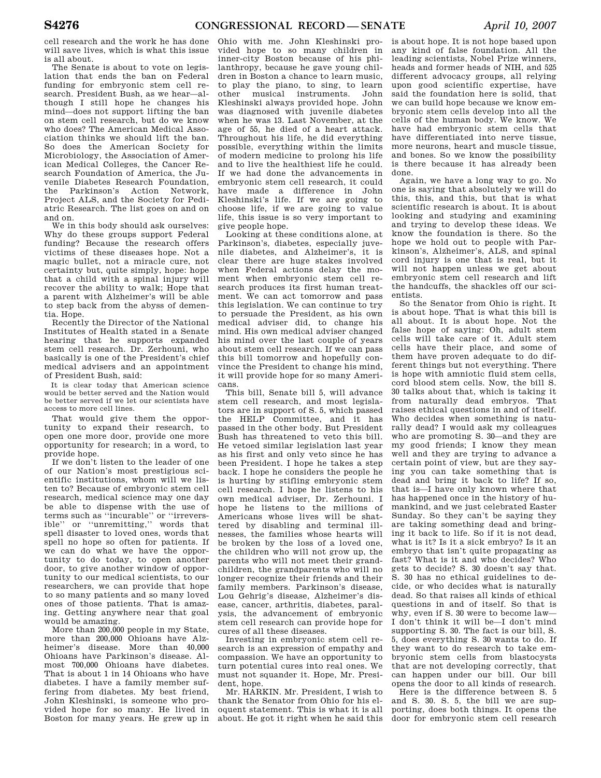cell research and the work he has done will save lives, which is what this issue is all about.

The Senate is about to vote on legislation that ends the ban on Federal funding for embryonic stem cell research. President Bush, as we hear—although I still hope he changes his mind—does not support lifting the ban on stem cell research, but do we know who does? The American Medical Association thinks we should lift the ban. So does the American Society for Microbiology, the Association of American Medical Colleges, the Cancer Research Foundation of America, the Juvenile Diabetes Research Foundation, the Parkinson's Action Network, Project ALS, and the Society for Pediatric Research. The list goes on and on and on.

We in this body should ask ourselves: Why do these groups support Federal funding? Because the research offers victims of these diseases hope. Not a magic bullet, not a miracle cure, not certainty but, quite simply, hope: hope that a child with a spinal injury will recover the ability to walk; Hope that a parent with Alzheimer's will be able to step back from the abyss of dementia. Hope.

Recently the Director of the National Institutes of Health stated in a Senate hearing that he supports expanded stem cell research. Dr. Zerhouni, who basically is one of the President's chief medical advisers and an appointment of President Bush, said:

It is clear today that American science would be better served and the Nation would be better served if we let our scientists have access to more cell lines.

That would give them the opportunity to expand their research, to open one more door, provide one more opportunity for research; in a word, to provide hope.

If we don't listen to the leader of one of our Nation's most prestigious scientific institutions, whom will we listen to? Because of embryonic stem cell research, medical science may one day be able to dispense with the use of terms such as ''incurable'' or ''irreversible'' or ''unremitting,'' words that spell disaster to loved ones, words that spell no hope so often for patients. If we can do what we have the opportunity to do today, to open another door, to give another window of opportunity to our medical scientists, to our researchers, we can provide that hope to so many patients and so many loved ones of those patients. That is amazing. Getting anywhere near that goal would be amazing.

More than 200,000 people in my State, more than 200,000 Ohioans have Alzheimer's disease. More than 40,000 Ohioans have Parkinson's disease. Almost 700,000 Ohioans have diabetes. That is about 1 in 14 Ohioans who have diabetes. I have a family member suffering from diabetes. My best friend, John Kleshinski, is someone who provided hope for so many. He lived in Boston for many years. He grew up in

Ohio with me. John Kleshinski provided hope to so many children in inner-city Boston because of his philanthropy, because he gave young children in Boston a chance to learn music, to play the piano, to sing, to learn other musical instruments. John Kleshinski always provided hope. John was diagnosed with juvenile diabetes when he was 13. Last November, at the age of 55, he died of a heart attack. Throughout his life, he did everything possible, everything within the limits of modern medicine to prolong his life and to live the healthiest life he could. If we had done the advancements in embryonic stem cell research, it could have made a difference in John Kleshinski's life. If we are going to choose life, if we are going to value life, this issue is so very important to give people hope.

Looking at these conditions alone, at Parkinson's, diabetes, especially juvenile diabetes, and Alzheimer's, it is clear there are huge stakes involved when Federal actions delay the moment when embryonic stem cell research produces its first human treatment. We can act tomorrow and pass this legislation. We can continue to try to persuade the President, as his own medical adviser did, to change his mind. His own medical adviser changed his mind over the last couple of years about stem cell research. If we can pass this bill tomorrow and hopefully convince the President to change his mind, it will provide hope for so many Americans.

This bill, Senate bill 5, will advance stem cell research, and most legislators are in support of S. 5, which passed the HELP Committee, and it has passed in the other body. But President Bush has threatened to veto this bill. He vetoed similar legislation last year as his first and only veto since he has been President. I hope he takes a step back. I hope he considers the people he is hurting by stifling embryonic stem cell research. I hope he listens to his own medical adviser, Dr. Zerhouni. I hope he listens to the millions of Americans whose lives will be shattered by disabling and terminal illnesses, the families whose hearts will be broken by the loss of a loved one, the children who will not grow up, the parents who will not meet their grandchildren, the grandparents who will no longer recognize their friends and their family members. Parkinson's disease, Lou Gehrig's disease, Alzheimer's disease, cancer, arthritis, diabetes, paralysis, the advancement of embryonic stem cell research can provide hope for cures of all these diseases.

Investing in embryonic stem cell research is an expression of empathy and compassion. We have an opportunity to turn potential cures into real ones. We must not squander it. Hope, Mr. President, hope.

Mr. HARKIN. Mr. President, I wish to thank the Senator from Ohio for his eloquent statement. This is what it is all about. He got it right when he said this

is about hope. It is not hope based upon any kind of false foundation. All the leading scientists, Nobel Prize winners, heads and former heads of NIH, and 525 different advocacy groups, all relying upon good scientific expertise, have said the foundation here is solid, that we can build hope because we know embryonic stem cells develop into all the cells of the human body. We know. We have had embryonic stem cells that have differentiated into nerve tissue, more neurons, heart and muscle tissue, and bones. So we know the possibility is there because it has already been done.

Again, we have a long way to go. No one is saying that absolutely we will do this, this, and this, but that is what scientific research is about. It is about looking and studying and examining and trying to develop these ideas. We know the foundation is there. So the hope we hold out to people with Parkinson's, Alzheimer's, ALS, and spinal cord injury is one that is real, but it will not happen unless we get about embryonic stem cell research and lift the handcuffs, the shackles off our scientists.

So the Senator from Ohio is right. It is about hope. That is what this bill is all about. It is about hope. Not the false hope of saying: Oh, adult stem cells will take care of it. Adult stem cells have their place, and some of them have proven adequate to do different things but not everything. There is hope with amniotic fluid stem cells, cord blood stem cells. Now, the bill S. 30 talks about that, which is taking it from naturally dead embryos. That raises ethical questions in and of itself. Who decides when something is naturally dead? I would ask my colleagues who are promoting S. 30—and they are my good friends; I know they mean well and they are trying to advance a certain point of view, but are they saying you can take something that is dead and bring it back to life? If so, that is—I have only known where that has happened once in the history of humankind, and we just celebrated Easter Sunday. So they can't be saying they are taking something dead and bringing it back to life. So if it is not dead, what is it? Is it a sick embryo? Is it an embryo that isn't quite propagating as fast? What is it and who decides? Who gets to decide? S. 30 doesn't say that. S. 30 has no ethical guidelines to decide, or who decides what is naturally dead. So that raises all kinds of ethical questions in and of itself. So that is why, even if S. 30 were to become law— I don't think it will be—I don't mind supporting S. 30. The fact is our bill, S. 5, does everything S. 30 wants to do. If they want to do research to take embryonic stem cells from blastocysts that are not developing correctly, that can happen under our bill. Our bill opens the door to all kinds of research.

Here is the difference between S. 5 and S. 30. S. 5, the bill we are supporting, does both things. It opens the door for embryonic stem cell research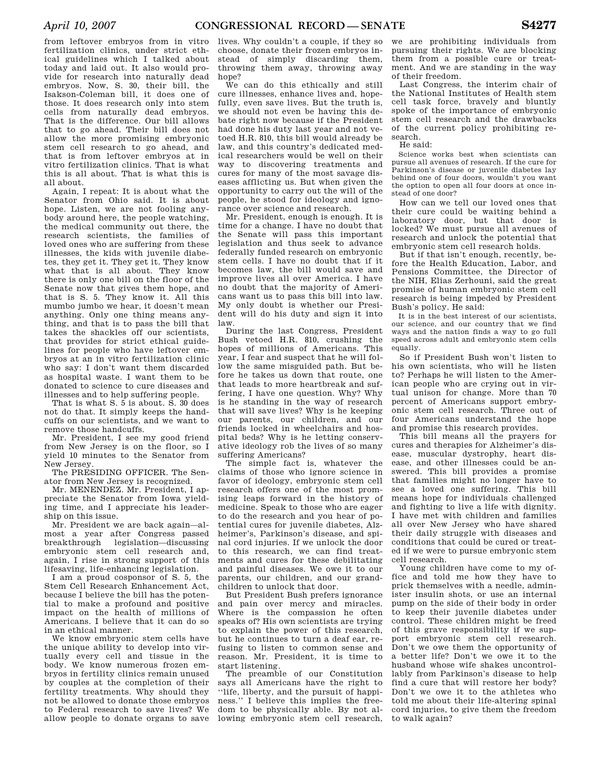from leftover embryos from in vitro fertilization clinics, under strict ethical guidelines which I talked about today and laid out. It also would provide for research into naturally dead embryos. Now, S. 30, their bill, the Isakson-Coleman bill, it does one of those. It does research only into stem cells from naturally dead embryos. That is the difference. Our bill allows that to go ahead. Their bill does not allow the more promising embryonic stem cell research to go ahead, and that is from leftover embryos at in vitro fertilization clinics. That is what this is all about. That is what this is all about.

Again, I repeat: It is about what the Senator from Ohio said. It is about hope. Listen, we are not fooling anybody around here, the people watching, the medical community out there, the research scientists, the families of loved ones who are suffering from these illnesses, the kids with juvenile diabetes, they get it. They get it. They know what that is all about. They know there is only one bill on the floor of the Senate now that gives them hope, and that is S. 5. They know it. All this mumbo jumbo we hear, it doesn't mean anything. Only one thing means anything, and that is to pass the bill that takes the shackles off our scientists, that provides for strict ethical guidelines for people who have leftover embryos at an in vitro fertilization clinic who say: I don't want them discarded as hospital waste. I want them to be donated to science to cure diseases and illnesses and to help suffering people.

That is what S. 5 is about. S. 30 does not do that. It simply keeps the handcuffs on our scientists, and we want to remove those handcuffs.

Mr. President, I see my good friend from New Jersey is on the floor, so I yield 10 minutes to the Senator from New Jersey.

The PRESIDING OFFICER. The Senator from New Jersey is recognized.

Mr. MENENDEZ. Mr. President, I appreciate the Senator from Iowa yielding time, and I appreciate his leadership on this issue.

Mr. President we are back again—almost a year after Congress passed breakthrough legislation—discussing embryonic stem cell research and, again, I rise in strong support of this lifesaving, life-enhancing legislation.

I am a proud cosponsor of S. 5, the Stem Cell Research Enhancement Act, because I believe the bill has the potential to make a profound and positive impact on the health of millions of Americans. I believe that it can do so in an ethical manner.

We know embryonic stem cells have the unique ability to develop into virtually every cell and tissue in the body. We know numerous frozen embryos in fertility clinics remain unused by couples at the completion of their fertility treatments. Why should they not be allowed to donate those embryos to Federal research to save lives? We allow people to donate organs to save

lives. Why couldn't a couple, if they so choose, donate their frozen embryos instead of simply discarding them, throwing them away, throwing away hope?

We can do this ethically and still cure illnesses, enhance lives and, hopefully, even save lives. But the truth is, we should not even be having this debate right now because if the President had done his duty last year and not vetoed H.R. 810, this bill would already be law, and this country's dedicated medical researchers would be well on their way to discovering treatments and cures for many of the most savage diseases afflicting us. But when given the opportunity to carry out the will of the people, he stood for ideology and ignorance over science and research.

Mr. President, enough is enough. It is time for a change. I have no doubt that the Senate will pass this important legislation and thus seek to advance federally funded research on embryonic stem cells. I have no doubt that if it becomes law, the bill would save and improve lives all over America. I have no doubt that the majority of Americans want us to pass this bill into law. My only doubt is whether our President will do his duty and sign it into law.

During the last Congress, President Bush vetoed H.R. 810, crushing the hopes of millions of Americans. This year, I fear and suspect that he will follow the same misguided path. But before he takes us down that route, one that leads to more heartbreak and suffering, I have one question. Why? Why is he standing in the way of research that will save lives? Why is he keeping our parents, our children, and our friends locked in wheelchairs and hospital beds? Why is he letting conservative ideology rob the lives of so many suffering Americans?

The simple fact is, whatever the claims of those who ignore science in favor of ideology, embryonic stem cell research offers one of the most promising leaps forward in the history of medicine. Speak to those who are eager to do the research and you hear of potential cures for juvenile diabetes, Alzheimer's, Parkinson's disease, and spinal cord injuries. If we unlock the door to this research, we can find treatments and cures for these debilitating and painful diseases. We owe it to our parents, our children, and our grandchildren to unlock that door.

But President Bush prefers ignorance and pain over mercy and miracles. Where is the compassion he often speaks of? His own scientists are trying to explain the power of this research, but he continues to turn a deaf ear, refusing to listen to common sense and reason. Mr. President, it is time to start listening.

The preamble of our Constitution says all Americans have the right to ''life, liberty, and the pursuit of happiness.'' I believe this implies the freedom to be physically able. By not allowing embryonic stem cell research,

we are prohibiting individuals from pursuing their rights. We are blocking them from a possible cure or treatment. And we are standing in the way of their freedom.

Last Congress, the interim chair of the National Institutes of Health stem cell task force, bravely and bluntly spoke of the importance of embryonic stem cell research and the drawbacks of the current policy prohibiting research.

He said:

Science works best when scientists can pursue all avenues of research. If the cure for Parkinson's disease or juvenile diabetes lay behind one of four doors, wouldn't you want the option to open all four doors at once instead of one door?

How can we tell our loved ones that their cure could be waiting behind a laboratory door, but that door is locked? We must pursue all avenues of research and unlock the potential that embryonic stem cell research holds.

But if that isn't enough, recently, before the Health Education, Labor, and Pensions Committee, the Director of the NIH, Elias Zerhouni, said the great promise of human embryonic stem cell research is being impeded by President Bush's policy. He said:

It is in the best interest of our scientists, our science, and our country that we find ways and the nation finds a way to go full speed across adult and embryonic stem cells equally.

So if President Bush won't listen to his own scientists, who will he listen to? Perhaps he will listen to the American people who are crying out in virtual unison for change. More than 70 percent of Americans support embryonic stem cell research. Three out of four Americans understand the hope and promise this research provides.

This bill means all the prayers for cures and therapies for Alzheimer's disease, muscular dystrophy, heart disease, and other illnesses could be answered. This bill provides a promise that families might no longer have to see a loved one suffering. This bill means hope for individuals challenged and fighting to live a life with dignity. I have met with children and families all over New Jersey who have shared their daily struggle with diseases and conditions that could be cured or treated if we were to pursue embryonic stem cell research.

Young children have come to my office and told me how they have to prick themselves with a needle, administer insulin shots, or use an internal pump on the side of their body in order to keep their juvenile diabetes under control. These children might be freed of this grave responsibility if we support embryonic stem cell research. Don't we owe them the opportunity of a better life? Don't we owe it to the husband whose wife shakes uncontrollably from Parkinson's disease to help find a cure that will restore her body? Don't we owe it to the athletes who told me about their life-altering spinal cord injuries, to give them the freedom to walk again?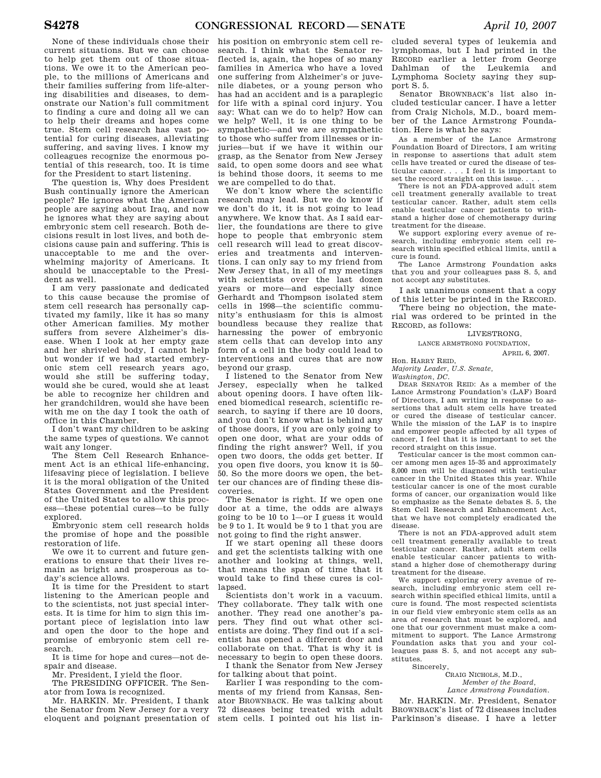None of these individuals chose their current situations. But we can choose to help get them out of those situations. We owe it to the American people, to the millions of Americans and their families suffering from life-altering disabilities and diseases, to demonstrate our Nation's full commitment to finding a cure and doing all we can to help their dreams and hopes come true. Stem cell research has vast potential for curing diseases, alleviating suffering, and saving lives. I know my colleagues recognize the enormous potential of this research, too. It is time for the President to start listening.

The question is, Why does President Bush continually ignore the American people? He ignores what the American people are saying about Iraq, and now he ignores what they are saying about embryonic stem cell research. Both decisions result in lost lives, and both decisions cause pain and suffering. This is unacceptable to me and the overwhelming majority of Americans. It should be unacceptable to the President as well.

I am very passionate and dedicated to this cause because the promise of stem cell research has personally captivated my family, like it has so many other American families. My mother suffers from severe Alzheimer's disease. When I look at her empty gaze and her shriveled body, I cannot help but wonder if we had started embryonic stem cell research years ago, would she still be suffering today, would she be cured, would she at least be able to recognize her children and her grandchildren, would she have been with me on the day I took the oath of office in this Chamber.

I don't want my children to be asking the same types of questions. We cannot wait any longer.

The Stem Cell Research Enhancement Act is an ethical life-enhancing, lifesaving piece of legislation. I believe it is the moral obligation of the United States Government and the President of the United States to allow this process—these potential cures—to be fully explored.

Embryonic stem cell research holds the promise of hope and the possible restoration of life.

We owe it to current and future generations to ensure that their lives remain as bright and prosperous as today's science allows.

It is time for the President to start listening to the American people and to the scientists, not just special interests. It is time for him to sign this important piece of legislation into law and open the door to the hope and promise of embryonic stem cell research.

It is time for hope and cures—not despair and disease.

Mr. President, I yield the floor.

The PRESIDING OFFICER. The Senator from Iowa is recognized.

Mr. HARKIN. Mr. President, I thank the Senator from New Jersey for a very eloquent and poignant presentation of

his position on embryonic stem cell research. I think what the Senator reflected is, again, the hopes of so many families in America who have a loved one suffering from Alzheimer's or juvenile diabetes, or a young person who has had an accident and is a paraplegic for life with a spinal cord injury. You say: What can we do to help? How can we help? Well, it is one thing to be sympathetic—and we are sympathetic to those who suffer from illnesses or injuries—but if we have it within our grasp, as the Senator from New Jersey said, to open some doors and see what is behind those doors, it seems to me we are compelled to do that.

We don't know where the scientific research may lead. But we do know if we don't do it, it is not going to lead anywhere. We know that. As I said earlier, the foundations are there to give hope to people that embryonic stem cell research will lead to great discoveries and treatments and interventions. I can only say to my friend from New Jersey that, in all of my meetings with scientists over the last dozen years or more—and especially since Gerhardt and Thompson isolated stem cells in 1998—the scientific community's enthusiasm for this is almost boundless because they realize that harnessing the power of embryonic stem cells that can develop into any form of a cell in the body could lead to interventions and cures that are now beyond our grasp.

I listened to the Senator from New Jersey, especially when he talked about opening doors. I have often likened biomedical research, scientific research, to saying if there are 10 doors, and you don't know what is behind any of those doors, if you are only going to open one door, what are your odds of finding the right answer? Well, if you open two doors, the odds get better. If you open five doors, you know it is 50– 50. So the more doors we open, the better our chances are of finding these discoveries.

The Senator is right. If we open one door at a time, the odds are always going to be 10 to 1—or I guess it would be 9 to 1. It would be 9 to 1 that you are not going to find the right answer.

If we start opening all these doors and get the scientists talking with one another and looking at things, well, that means the span of time that it would take to find these cures is collapsed.

Scientists don't work in a vacuum. They collaborate. They talk with one another. They read one another's papers. They find out what other scientists are doing. They find out if a scientist has opened a different door and collaborate on that. That is why it is necessary to begin to open these doors. I thank the Senator from New Jersey

for talking about that point.

Earlier I was responding to the comments of my friend from Kansas, Senator BROWNBACK. He was talking about 72 diseases being treated with adult stem cells. I pointed out his list in-

cluded several types of leukemia and lymphomas, but I had printed in the RECORD earlier a letter from George Dahlman of the Leukemia and Lymphoma Society saying they support S. 5.

Senator BROWNBACK's list also included testicular cancer. I have a letter from Craig Nichols, M.D., board member of the Lance Armstrong Foundation. Here is what he says:

As a member of the Lance Armstrong Foundation Board of Directors, I am writing in response to assertions that adult stem cells have treated or cured the disease of testicular cancer. . . . I feel it is important to set the record straight on this issue. . . .

There is not an FDA-approved adult stem cell treatment generally available to treat testicular cancer. Rather, adult stem cells enable testicular cancer patients to withstand a higher dose of chemotherapy during treatment for the disease.

We support exploring every avenue of research, including embryonic stem cell research within specified ethical limits, until a cure is found.

The Lance Armstrong Foundation asks that you and your colleagues pass S. 5, and not accept any substitutes.

I ask unanimous consent that a copy of this letter be printed in the RECORD.

There being no objection, the material was ordered to be printed in the RECORD, as follows:

LIVESTRONG,

LANCE ARMSTRONG FOUNDATION,

APRIL 6, 2007.

Hon. HARRY REID,

*Majority Leader, U.S. Senate,* 

*Washington, DC.* 

DEAR SENATOR REID: As a member of the Lance Armstrong Foundation's (LAF) Board of Directors, I am writing in response to assertions that adult stem cells have treated or cured the disease of testicular cancer. While the mission of the LAF is to inspire and empower people affected by all types of cancer, I feel that it is important to set the record straight on this issue.

Testicular cancer is the most common cancer among men ages 15–35 and approximately 8,000 men will be diagnosed with testicular cancer in the United States this year. While testicular cancer is one of the most curable forms of cancer, our organization would like to emphasize as the Senate debates S. 5, the Stem Cell Research and Enhancement Act, that we have not completely eradicated the disease.

There is not an FDA-approved adult stem cell treatment generally available to treat testicular cancer. Rather, adult stem cells enable testicular cancer patients to withstand a higher dose of chemotherapy during treatment for the disease.

We support exploring every avenue of research, including embryonic stem cell research within specified ethical limits, until a cure is found. The most respected scientists in our field view embryonic stem cells as an area of research that must be explored, and one that our government must make a commitment to support. The Lance Armstrong Foundation asks that you and your colleagues pass S. 5, and not accept any substitutes.

Sincerely,

CRAIG NICHOLS, M.D., *Member of the Board, Lance Armstrong Foundation.* 

Mr. HARKIN. Mr. President, Senator BROWNBACK's list of 72 diseases includes Parkinson's disease. I have a letter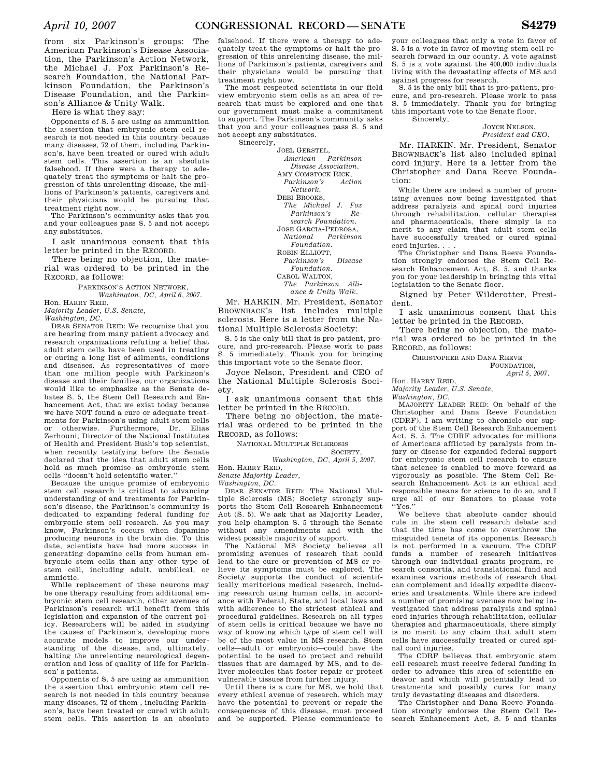from six Parkinson's groups: The American Parkinson's Disease Association, the Parkinson's Action Network, the Michael J. Fox Parkinson's Research Foundation, the National Parkinson Foundation, the Parkinson's Disease Foundation, and the Parkinson's Alliance & Unity Walk.

Here is what they say:

Opponents of S. 5 are using as ammunition the assertion that embryonic stem cell research is not needed in this country because many diseases, 72 of them, including Parkinson's, have been treated or cured with adult stem cells. This assertion is an absolute falsehood. If there were a therapy to adequately treat the symptoms or halt the progression of this unrelenting disease, the millions of Parkinson's patients, caregivers and their physicians would be pursuing that treatment right now. . . .

The Parkinson's community asks that you and your colleagues pass S. 5 and not accept any substitutes.

I ask unanimous consent that this letter be printed in the RECORD.

There being no objection, the material was ordered to be printed in the RECORD, as follows:

PARKINSON'S ACTION NETWORK,

*Washington, DC, April 6, 2007.* 

Hon. HARRY REID, *Majority Leader, U.S. Senate,* 

*Washington, DC.* 

DEAR SENATOR REID: We recognize that you are hearing from many patient advocacy and research organizations refuting a belief that adult stem cells have been used in treating or curing a long list of ailments, conditions and diseases. As representatives of more than one million people with Parkinson's disease and their families, our organizations would like to emphasize as the Senate debates S. 5, the Stem Cell Research and Enhancement Act, that we exist today because we have NOT found a cure or adequate treatments for Parkinson's using adult stem cells or otherwise. Furthermore, Dr. Elias Zerhouni, Director of the National Institutes of Health and President Bush's top scientist, when recently testifying before the Senate declared that the idea that adult stem cells hold as much promise as embryonic stem cells ''doesn't hold scientific water.''

Because the unique promise of embryonic stem cell research is critical to advancing understanding of and treatments for Parkinson's disease, the Parkinson's community is dedicated to expanding federal funding for embryonic stem cell research. As you may know, Parkinson's occurs when dopamine producing neurons in the brain die. To this date, scientists have had more success in generating dopamine cells from human embryonic stem cells than any other type of stem cell, including adult, umbilical, or amniotic.

While replacement of these neurons may be one therapy resulting from additional embryonic stem cell research, other avenues of Parkinson's research will benefit from this legislation and expansion of the current policy. Researchers will be aided in studying the causes of Parkinson's, developing more accurate models to improve our understanding of the disease, and, ultimately, halting the unrelenting neurological degeneration and loss of quality of life for Parkinson' s patients.

Opponents of S. 5 are using as ammunition the assertion that embryonic stem cell research is not needed in this country because many diseases, 72 of them , including Parkinson's, have been treated or cured with adult stem cells. This assertion is an absolute falsehood. If there were a therapy to adequately treat the symptoms or halt the progression of this unrelenting disease, the millions of Parkinson's patients, caregivers and their physicians would be pursuing that treatment right now.

The most respected scientists in our field view embryonic stem cells as an area of research that must be explored and one that our government must make a commitment to support. The Parkinson's community asks that you and your colleagues pass S. 5 and not accept any substitutes.

Sincerely,

JOEL GERSTEL,<br>American Parkinson *American Parkinson Disease Association*. AMY COMSTOCK RICK,<br>Parkinson's Action  $Parkinson's$ *Network.*  DEBI BROOKS, *The Michael J. Fox Parkinson's Research Foundation.*  JOSE GARCIA-PEDROSA, *National Parkinson Foundation.*  ROBIN ELLIOTT, *Parkinson's Disease Foundation.*  CAROL WALTON, *The Parkinson Alli-*

*ance & Unity Walk.* 

Mr. HARKIN. Mr. President, Senator BROWNBACK's list includes multiple sclerosis. Here is a letter from the National Multiple Sclerosis Society:

S. 5 is the only bill that is pro-patient, procure, and pro-research. Please work to pass S. 5 immediately. Thank you for bringing this important vote to the Senate floor.

Joyce Nelson, President and CEO of the National Multiple Sclerosis Society.

I ask unanimous consent that this letter be printed in the RECORD.

There being no objection, the material was ordered to be printed in the RECORD, as follows:

NATIONAL MULTIPLE SCLEROSIS

SOCIETY, *Washington, DC, April 5, 2007.* 

Hon. HARRY REID,

*Senate Majority Leader,* 

*Washington, DC.* 

DEAR SENATOR REID: The National Multiple Sclerosis (MS) Society strongly supports the Stem Cell Research Enhancement Act (S. 5). We ask that as Majority Leader, you help champion S. 5 through the Senate without any amendments and with the widest possible majority of support.

The National MS Society believes all promising avenues of research that could lead to the cure or prevention of MS or relieve its symptoms must be explored. The Society supports the conduct of scientifically meritorious medical research, including research using human cells, in accordance with Federal, State, and local laws and with adherence to the strictest ethical and procedural guidelines. Research on all types of stem cells is critical because we have no way of knowing which type of stem cell will be of the most value in MS research. Stem cells—adult or embryonic—could have the potential to be used to protect and rebuild tissues that are damaged by MS, and to deliver molecules that foster repair or protect vulnerable tissues from further injury.

Until there is a cure for MS, we hold that every ethical avenue of research, which may have the potential to prevent or repair the consequences of this disease, must proceed and be supported. Please communicate to

your colleagues that only a vote in favor of S. 5 is a vote in favor of moving stem cell research forward in our county. A vote against S. 5 is a vote against the 400,000 individuals living with the devastating effects of MS and against progress for research.

S. 5 is the only bill that is pro-patient, procure, and pro-research. Please work to pass S. 5 immediately. Thank you for bringing this important vote to the Senate floor. Sincerely,

#### JOYCE NELSON, *President and CEO.*

Mr. HARKIN. Mr. President, Senator BROWNBACK's list also included spinal cord injury. Here is a letter from the Christopher and Dana Reeve Foundation:

While there are indeed a number of promising avenues now being investigated that address paralysis and spinal cord injuries through rehabilitation, cellular therapies and pharmaceuticals, there simply is no merit to any claim that adult stem cells have successfully treated or cured spinal cord injuries. . . .

The Christopher and Dana Reeve Foundation strongly endorses the Stem Cell Research Enhancement Act, S. 5, and thanks you for your leadership in bringing this vital legislation to the Senate floor.

Signed by Peter Wilderotter, President.

I ask unanimous consent that this letter be printed in the RECORD.

There being no objection, the material was ordered to be printed in the RECORD, as follows:

> CHRISTOPHER AND DANA REEVE FOUNDATION,

*April 5, 2007.* 

Hon. HARRY REID, *Majority Leader, U.S. Senate,* 

*Washington, DC.* 

MAJORITY LEADER REID: On behalf of the Christopher and Dana Reeve Foundation (CDRF), I am writing to chronicle our support of the Stem Cell Research Enhancement Act, S. 5. The CDRF advocates for millions of Americans afflicted by paralysis from injury or disease for expanded federal support for embryonic stem cell research to ensure that science is enabled to move forward as vigorously as possible. The Stem Cell Research Enhancement Act is an ethical and responsible means for science to do so, and I urge all of our Senators to please vote ''Yes.''

We believe that absolute candor should rule in the stem cell research debate and that the time has come to overthrow the misguided tenets of its opponents. Research is not performed in a vacuum. The CDRF funds a number of research initiatives through our individual grants program, research consortia, and translational fund and examines various methods of research that can complement and ideally expedite discoveries and treatments. While there are indeed a number of promising avenues now being investigated that address paralysis and spinal cord injuries through rehabilitation, cellular therapies and pharmaceuticals, there simply is no merit to any claim that adult stem cells have successfully treated or cured spinal cord injuries.

The CDRF believes that embryonic stem cell research must receive federal funding in order to advance this area of scientific endeavor and which will potentially lead to treatments and possibly cures for many truly devastating diseases and disorders.

The Christopher and Dana Reeve Foundation strongly endorses the Stem Cell Research Enhancement Act, S. 5 and thanks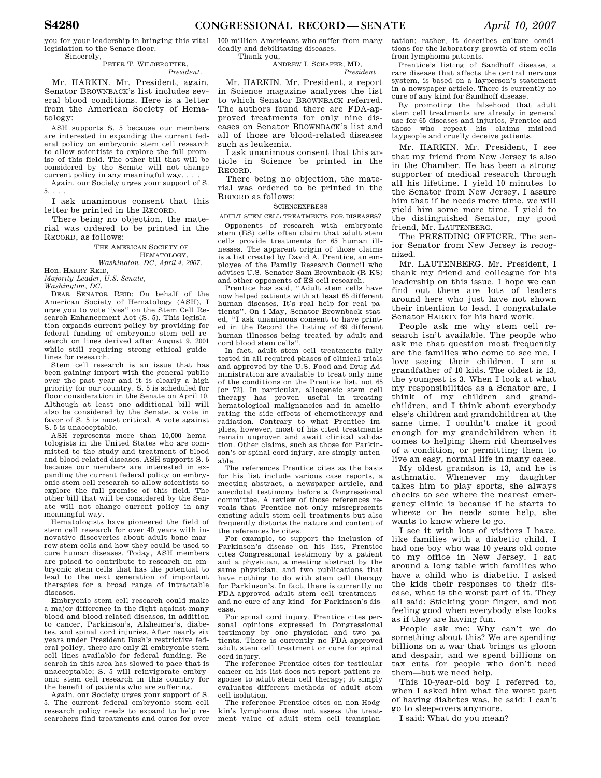you for your leadership in bringing this vital legislation to the Senate floor.

#### Sincerely,

#### PETER T. WILDEROTTER, *President.*

Mr. HARKIN. Mr. President, again, Senator BROWNBACK's list includes several blood conditions. Here is a letter from the American Society of Hematology:

ASH supports S. 5 because our members are interested in expanding the current federal policy on embryonic stem cell research to allow scientists to explore the full promise of this field. The other bill that will be considered by the Senate will not change current policy in any meaningful way. . . .

Again, our Society urges your support of S. 5. . . .

I ask unanimous consent that this letter be printed in the RECORD.

There being no objection, the material was ordered to be printed in the RECORD, as follows:

> THE AMERICAN SOCIETY OF HEMATOLOGY, *Washington, DC, April 4, 2007.*

Hon. HARRY REID, *Majority Leader, U.S. Senate,* 

*Washington, DC.* 

DEAR SENATOR REID: On behalf of the American Society of Hematology (ASH), I urge you to vote ''yes'' on the Stem Cell Research Enhancement Act (S. 5). This legislation expands current policy by providing for federal funding of embryonic stem cell research on lines derived after August 9, 2001 while still requiring strong ethical guidelines for research.

Stem cell research is an issue that has been gaining import with the general public over the past year and it is clearly a high priority for our country. S. 5 is scheduled for floor consideration in the Senate on April 10. Although at least one additional bill will also be considered by the Senate, a vote in favor of S. 5 is most critical. A vote against S. 5 is unacceptable.

ASH represents more than 10,000 hematologists in the United States who are committed to the study and treatment of blood and blood-related diseases. ASH supports S. 5 because our members are interested in expanding the current federal policy on embryonic stem cell research to allow scientists to explore the full promise of this field. The other bill that will be considered by the Senate will not change current policy in any meaningful way.

Hematologists have pioneered the field of stem cell research for over 40 years with innovative discoveries about adult bone marrow stem cells and how they could be used to cure human diseases. Today, ASH members are poised to contribute to research on embryonic stem cells that has the potential to lead to the next generation of important therapies for a broad range of intractable diseases.

Embryonic stem cell research could make a major difference in the fight against many blood and blood-related diseases, in addition to cancer, Parkinson's, Alzheimer's, diabetes, and spinal cord injuries. After nearly six years under President Bush's restrictive federal policy, there are only 21 embryonic stem cell lines available for federal funding. Research in this area has slowed to pace that is unacceptable; S. 5 will reinvigorate embryonic stem cell research in this country for the benefit of patients who are suffering.

Again, our Society urges your support of S. 5. The current federal embryonic stem cell research policy needs to expand to help researchers find treatments and cures for over 100 million Americans who suffer from many deadly and debilitating diseases. Thank you,

> ANDREW I. SCHAFER, MD, *President*

Mr. HARKIN. Mr. President, a report in Science magazine analyzes the list to which Senator BROWNBACK referred. The authors found there are FDA-approved treatments for only nine diseases on Senator BROWNBACK's list and all of those are blood-related diseases such as leukemia.

I ask unanimous consent that this article in Science be printed in the RECORD.

There being no objection, the material was ordered to be printed in the RECORD as follows:

**SCIENCEXPRESS** 

ADULT STEM CELL TREATMENTS FOR DISEASES?

Opponents of research with embryonic stem (ES) cells often claim that adult stem cells provide treatments for 65 human illnesses. The apparent origin of those claims is a list created by David A. Prentice, an employee of the Family Research Council who advises U.S. Senator Sam Brownback (R–KS) and other opponents of ES cell research.

Prentice has said, ''Adult stem cells have now helped patients with at least 65 different human diseases. It's real help for real patients''. On 4 May, Senator Brownback stated, ''I ask unanimous consent to have printed in the Record the listing of 69 different human illnesses being treated by adult and cord blood stem cells''.

In fact, adult stem cell treatments fully tested in all required phases of clinical trials and approved by the U.S. Food and Drug Administration are available to treat only nine of the conditions on the Prentice list, not 65 [or 72]. In particular, allogeneic stem cell therapy has proven useful in treating hematological malignancies and in ameliorating the side effects of chemotherapy and radiation. Contrary to what Prentice implies, however, most of his cited treatments remain unproven and await clinical validation. Other claims, such as those for Parkinson's or spinal cord injury, are simply untenable.

The references Prentice cites as the basis for his list include various case reports, a meeting abstract, a newspaper article, and anecdotal testimony before a Congressional committee. A review of those references reveals that Prentice not only misrepresents existing adult stem cell treatments but also frequently distorts the nature and content of the references he cites.

For example, to support the inclusion of Parkinson's disease on his list, Prentice cites Congressional testimony by a patient and a physician, a meeting abstract by the same physician, and two publications that have nothing to do with stem cell therapy for Parkinson's. In fact, there is currently no FDA-approved adult stem cell treatment and no cure of any kind—for Parkinson's disease.

For spinal cord injury, Prentice cites personal opinions expressed in Congressional testimony by one physician and two patients. There is currently no FDA-approved adult stem cell treatment or cure for spinal cord injury.

The reference Prentice cites for testicular cancer on his list does not report patient response to adult stem cell therapy; it simply evaluates different methods of adult stem cell isolation.

The reference Prentice cites on non-Hodgkin's lymphoma does not assess the treatment value of adult stem cell transplantation; rather, it describes culture conditions for the laboratory growth of stem cells from lymphoma patients.

Prentice's listing of Sandhoff disease, a rare disease that affects the central nervous system, is based on a layperson's statement in a newspaper article. There is currently no cure of any kind for Sandhoff disease.

By promoting the falsehood that adult stem cell treatments are already in general use for 65 diseases and injuries, Prentice and those who repeat his claims mislead laypeople and cruelly deceive patients.

Mr. HARKIN. Mr. President, I see that my friend from New Jersey is also in the Chamber. He has been a strong supporter of medical research through all his lifetime. I yield 10 minutes to the Senator from New Jersey. I assure him that if he needs more time, we will yield him some more time. I yield to the distinguished Senator, my good friend, Mr. LAUTENBERG.

The PRESIDING OFFICER. The senior Senator from New Jersey is recognized.

Mr. LAUTENBERG. Mr. President, I thank my friend and colleague for his leadership on this issue. I hope we can find out there are lots of leaders around here who just have not shown their intention to lead. I congratulate Senator HARKIN for his hard work.

People ask me why stem cell research isn't available. The people who ask me that question most frequently are the families who come to see me. I love seeing their children. I am a grandfather of 10 kids. The oldest is 13, the youngest is 3. When I look at what my responsibilities as a Senator are, I think of my children and grandchildren, and I think about everybody else's children and grandchildren at the same time. I couldn't make it good enough for my grandchildren when it comes to helping them rid themselves of a condition, or permitting them to live an easy, normal life in many cases.

My oldest grandson is 13, and he is asthmatic. Whenever my daughter takes him to play sports, she always checks to see where the nearest emergency clinic is because if he starts to wheeze or he needs some help, she wants to know where to go.

I see it with lots of visitors I have, like families with a diabetic child. I had one boy who was 10 years old come to my office in New Jersey. I sat around a long table with families who have a child who is diabetic. I asked the kids their responses to their disease, what is the worst part of it. They all said: Sticking your finger, and not feeling good when everybody else looks as if they are having fun.

People ask me: Why can't we do something about this? We are spending billions on a war that brings us gloom and despair, and we spend billions on tax cuts for people who don't need them—but we need help.

This 10-year-old boy I referred to, when I asked him what the worst part of having diabetes was, he said: I can't go to sleep-overs anymore.

I said: What do you mean?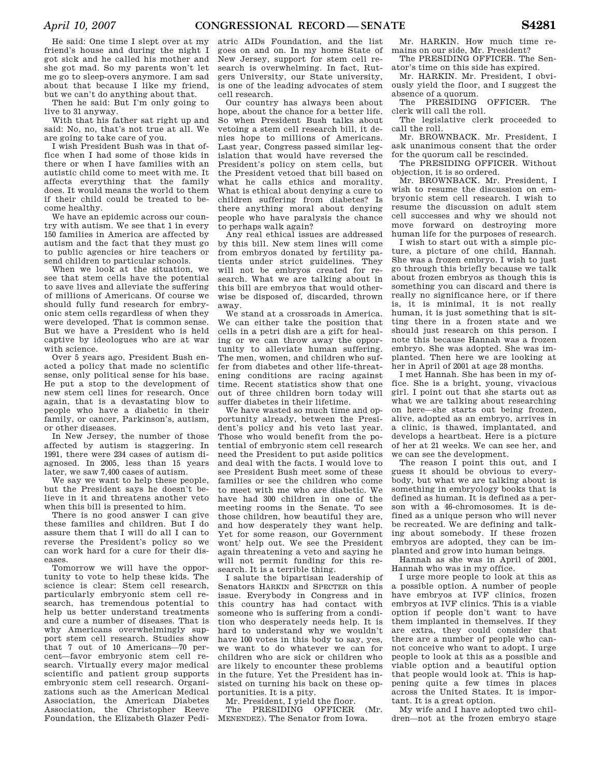He said: One time I slept over at my friend's house and during the night I got sick and he called his mother and she got mad. So my parents won't let me go to sleep-overs anymore. I am sad about that because I like my friend, but we can't do anything about that.

Then he said: But I'm only going to live to 31 anyway.

With that his father sat right up and said: No, no, that's not true at all. We are going to take care of you.

I wish President Bush was in that office when I had some of those kids in there or when I have families with an autistic child come to meet with me. It affects everything that the family does. It would means the world to them if their child could be treated to become healthy.

We have an epidemic across our country with autism. We see that 1 in every 150 families in America are affected by autism and the fact that they must go to public agencies or hire teachers or send children to particular schools.

When we look at the situation, we see that stem cells have the potential to save lives and alleviate the suffering of millions of Americans. Of course we should fully fund research for embryonic stem cells regardless of when they were developed. That is common sense. But we have a President who is held captive by ideologues who are at war with science.

Over 5 years ago, President Bush enacted a policy that made no scientific sense, only political sense for his base. He put a stop to the development of new stem cell lines for research. Once again, that is a devastating blow to people who have a diabetic in their family, or cancer, Parkinson's, autism, or other diseases.

In New Jersey, the number of those affected by autism is staggering. In 1991, there were 234 cases of autism diagnosed. In 2005, less than 15 years later, we saw 7,400 cases of autism.

We say we want to help these people, but the President says he doesn't believe in it and threatens another veto when this bill is presented to him.

There is no good answer I can give these families and children. But I do assure them that I will do all I can to reverse the President's policy so we can work hard for a cure for their diseases.

Tomorrow we will have the opportunity to vote to help these kids. The science is clear: Stem cell research, particularly embryonic stem cell research, has tremendous potential to help us better understand treatments and cure a number of diseases. That is why Americans overwhelmingly support stem cell research. Studies show that 7 out of 10 Americans—70 percent—favor embryonic stem cell research. Virtually every major medical scientific and patient group supports embryonic stem cell research. Organizations such as the American Medical Association, the American Diabetes Association, the Christopher Reeve Foundation, the Elizabeth Glazer Pedi-

atric AIDs Foundation, and the list goes on and on. In my home State of New Jersey, support for stem cell research is overwhelming. In fact, Rutgers University, our State university, is one of the leading advocates of stem cell research.

Our country has always been about hope, about the chance for a better life. So when President Bush talks about vetoing a stem cell research bill, it denies hope to millions of Americans. Last year, Congress passed similar legislation that would have reversed the President's policy on stem cells, but the President vetoed that bill based on what he calls ethics and morality. What is ethical about denying a cure to children suffering from diabetes? Is there anything moral about denying people who have paralysis the chance to perhaps walk again?

Any real ethical issues are addressed by this bill. New stem lines will come from embryos donated by fertility patients under strict guidelines. They will not be embryos created for research. What we are talking about in this bill are embryos that would otherwise be disposed of, discarded, thrown away.

We stand at a crossroads in America. We can either take the position that cells in a petri dish are a gift for healing or we can throw away the opportunity to alleviate human suffering. The men, women, and children who suffer from diabetes and other life-threatening conditions are racing against time. Recent statistics show that one out of three children born today will suffer diabetes in their lifetime.

We have wasted so much time and opportunity already, between the President's policy and his veto last year. Those who would benefit from the potential of embryonic stem cell research need the President to put aside politics and deal with the facts. I would love to see President Bush meet some of these families or see the children who come to meet with me who are diabetic. We have had 300 children in one of the meeting rooms in the Senate. To see those children, how beautiful they are, and how desperately they want help. Yet for some reason, our Government wont' help out. We see the President again threatening a veto and saying he will not permit funding for this research. It is a terrible thing.

I salute the bipartisan leadership of Senators HARKIN and SPECTER on this issue. Everybody in Congress and in this country has had contact with someone who is suffering from a condition who desperately needs help. It is hard to understand why we wouldn't have 100 votes in this body to say, yes, we want to do whatever we can for children who are sick or children who are likely to encounter these problems in the future. Yet the President has insisted on turning his back on these opportunities. It is a pity.

Mr. President, I yield the floor.

The PRESIDING OFFICER (Mr. MENENDEZ). The Senator from Iowa.

Mr. HARKIN. How much time remains on our side, Mr. President?

The PRESIDING OFFICER. The Senator's time on this side has expired.

Mr. HARKIN. Mr. President, I obviously yield the floor, and I suggest the absence of a quorum.

The PRESIDING OFFICER. The clerk will call the roll.

The legislative clerk proceeded to call the roll.

Mr. BROWNBACK. Mr. President, I ask unanimous consent that the order for the quorum call be rescinded.

The PRESIDING OFFICER. Without objection, it is so ordered.

Mr. BROWNBACK. Mr. President, I wish to resume the discussion on embryonic stem cell research. I wish to resume the discussion on adult stem cell successes and why we should not move forward on destroying more human life for the purposes of research.

I wish to start out with a simple picture, a picture of one child, Hannah. She was a frozen embryo. I wish to just go through this briefly because we talk about frozen embryos as though this is something you can discard and there is really no significance here, or if there is, it is minimal, it is not really human, it is just something that is sitting there in a frozen state and we should just research on this person. I note this because Hannah was a frozen embryo. She was adopted. She was implanted. Then here we are looking at her in April of 2001 at age 28 months.

I met Hannah. She has been in my office. She is a bright, young, vivacious girl. I point out that she starts out as what we are talking about researching on here—she starts out being frozen, alive, adopted as an embryo, arrives in a clinic, is thawed, implantated, and develops a heartbeat. Here is a picture of her at 21 weeks. We can see her, and we can see the development.

The reason I point this out, and I guess it should be obvious to everybody, but what we are talking about is something in embryology books that is defined as human. It is defined as a person with a 46-chromosomes. It is defined as a unique person who will never be recreated. We are defining and talking about somebody. If these frozen embryos are adopted, they can be implanted and grow into human beings.

Hannah as she was in April of 2001, Hannah who was in my office.

I urge more people to look at this as a possible option. A number of people have embryos at IVF clinics, frozen embryos at IVF clinics. This is a viable option if people don't want to have them implanted in themselves. If they are extra, they could consider that there are a number of people who cannot conceive who want to adopt. I urge people to look at this as a possible and viable option and a beautiful option that people would look at. This is happening quite a few times in places across the United States. It is important. It is a great option.

My wife and I have adopted two children—not at the frozen embryo stage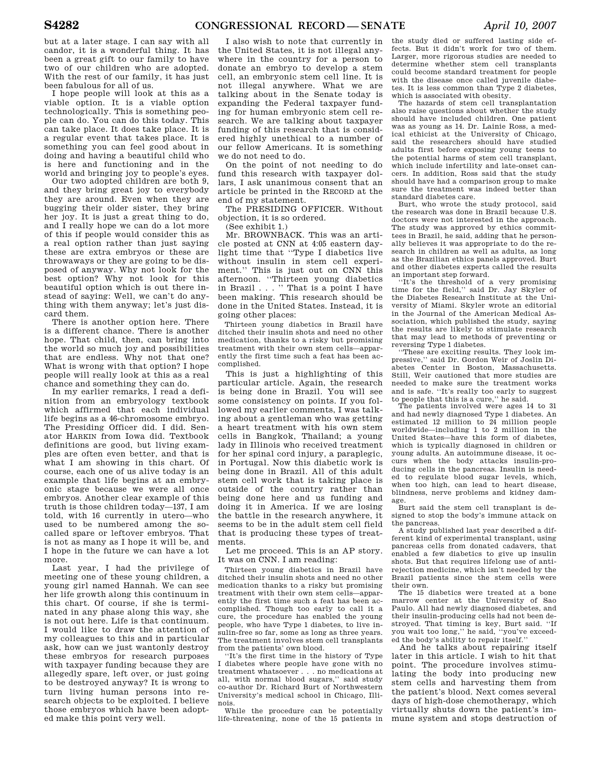but at a later stage. I can say with all candor, it is a wonderful thing. It has been a great gift to our family to have two of our children who are adopted. With the rest of our family, it has just been fabulous for all of us.

I hope people will look at this as a viable option. It is a viable option technologically. This is something people can do. You can do this today. This can take place. It does take place. It is a regular event that takes place. It is something you can feel good about in doing and having a beautiful child who is here and functioning and in the world and bringing joy to people's eyes.

Our two adopted children are both 9, and they bring great joy to everybody they are around. Even when they are bugging their older sister, they bring her joy. It is just a great thing to do, and I really hope we can do a lot more of this if people would consider this as a real option rather than just saying these are extra embryos or these are throwaways or they are going to be disposed of anyway. Why not look for the best option? Why not look for this beautiful option which is out there instead of saying: Well, we can't do anything with them anyway; let's just discard them.

There is another option here. There is a different chance. There is another hope. That child, then, can bring into the world so much joy and possibilities that are endless. Why not that one? What is wrong with that option? I hope people will really look at this as a real chance and something they can do.

In my earlier remarks, I read a definition from an embryology textbook which affirmed that each individual life begins as a 46-chromosome embryo. The Presiding Officer did. I did. Senator HARKIN from Iowa did. Textbook definitions are good, but living examples are often even better, and that is what I am showing in this chart. Of course, each one of us alive today is an example that life begins at an embryonic stage because we were all once embryos. Another clear example of this truth is those children today—137, I am told, with 16 currently in utero—who used to be numbered among the socalled spare or leftover embryos. That is not as many as I hope it will be, and I hope in the future we can have a lot more.

Last year, I had the privilege of meeting one of these young children, a young girl named Hannah. We can see her life growth along this continuum in this chart. Of course, if she is terminated in any phase along this way, she is not out here. Life is that continuum. I would like to draw the attention of my colleagues to this and in particular ask, how can we just wantonly destroy these embryos for research purposes with taxpayer funding because they are allegedly spare, left over, or just going to be destroyed anyway? It is wrong to turn living human persons into research objects to be exploited. I believe those embryos which have been adopted make this point very well.

I also wish to note that currently in the United States, it is not illegal anywhere in the country for a person to donate an embryo to develop a stem cell, an embryonic stem cell line. It is not illegal anywhere. What we are talking about in the Senate today is expanding the Federal taxpayer funding for human embryonic stem cell research. We are talking about taxpayer funding of this research that is considered highly unethical to a number of our fellow Americans. It is something we do not need to do.

On the point of not needing to do fund this research with taxpayer dollars, I ask unanimous consent that an article be printed in the RECORD at the end of my statement.

The PRESIDING OFFICER. Without objection, it is so ordered.

(See exhibit 1.)

Mr. BROWNBACK. This was an article posted at CNN at 4:05 eastern daylight time that ''Type I diabetics live without insulin in stem cell experiment.'' This is just out on CNN this afternoon. ''Thirteen young diabetics in Brazil . . . '' That is a point I have been making. This research should be done in the United States. Instead, it is going other places:

Thirteen young diabetics in Brazil have ditched their insulin shots and need no other medication, thanks to a risky but promising treatment with their own stem cells—apparently the first time such a feat has been accomplished.

This is just a highlighting of this particular article. Again, the research is being done in Brazil. You will see some consistency on points. If you followed my earlier comments, I was talking about a gentleman who was getting a heart treatment with his own stem cells in Bangkok, Thailand; a young lady in Illinois who received treatment for her spinal cord injury, a paraplegic, in Portugal. Now this diabetic work is being done in Brazil. All of this adult stem cell work that is taking place is outside of the country rather than being done here and us funding and doing it in America. If we are losing the battle in the research anywhere, it seems to be in the adult stem cell field that is producing these types of treatments.

Let me proceed. This is an AP story. It was on CNN. I am reading:

Thirteen young diabetics in Brazil have ditched their insulin shots and need no other medication thanks to a risky but promising treatment with their own stem cells—apparently the first time such a feat has been accomplished. Though too early to call it a cure, the procedure has enabled the young people, who have Type 1 diabetes, to live insulin-free so far, some as long as three years. The treatment involves stem cell transplants from the patients' own blood.

''It's the first time in the history of Type I diabetes where people have gone with no treatment whatsoever . . . no medications at all, with normal blood sugars,'' said study co-author Dr. Richard Burt of Northwestern University's medical school in Chicago, Illinois.

While the procedure can be potentially life-threatening, none of the 15 patients in

the study died or suffered lasting side effects. But it didn't work for two of them. Larger, more rigorous studies are needed to determine whether stem cell transplants could become standard treatment for people with the disease once called juvenile diabetes. It is less common than Type 2 diabetes, which is associated with obesity.

The hazards of stem cell transplantation also raise questions about whether the study should have included children. One patient was as young as 14. Dr. Lainie Ross, a medical ethicist at the University of Chicago, said the researchers should have studied adults first before exposing young teens to the potential harms of stem cell transplant, which include infertility and late-onset cancers. In addition, Ross said that the study should have had a comparison group to make sure the treatment was indeed better than standard diabetes care.

Burt, who wrote the study protocol, said the research was done in Brazil because U.S. doctors were not interested in the approach. The study was approved by ethics committees in Brazil, he said, adding that he personally believes it was appropriate to do the research in children as well as adults, as long as the Brazilian ethics panels approved. Burt and other diabetes experts called the results an important step forward.

''It's the threshold of a very promising time for the field,'' said Dr. Jay Skyler of the Diabetes Research Institute at the University of Miami. Skyler wrote an editorial in the Journal of the American Medical Association, which published the study, saying the results are likely to stimulate research that may lead to methods of preventing or reversing Type 1 diabetes.

''These are exciting results. They look impressive,'' said Dr. Gordon Weir of Joslin Diabetes Center in Boston, Massachusetts. Still, Weir cautioned that more studies are needed to make sure the treatment works and is safe. ''It's really too early to suggest to people that this is a cure,'' he said.

The patients involved were ages 14 to 31 and had newly diagnosed Type 1 diabetes. An estimated 12 million to 24 million people worldwide—including 1 to 2 million in the United States—have this form of diabetes, which is typically diagnosed in children or young adults. An autoimmune disease, it occurs when the body attacks insulin-producing cells in the pancreas. Insulin is needed to regulate blood sugar levels, which, when too high, can lead to heart disease, blindness, nerve problems and kidney damage.

Burt said the stem cell transplant is designed to stop the body's immune attack on the pancreas.

A study published last year described a different kind of experimental transplant, using pancreas cells from donated cadavers, that enabled a few diabetics to give up insulin shots. But that requires lifelong use of antirejection medicine, which isn't needed by the Brazil patients since the stem cells were their own.

The 15 diabetics were treated at a bone marrow center at the University of Sao Paulo. All had newly diagnosed diabetes, and their insulin-producing cells had not been destroyed. That timing is key, Burt said. ''If you wait too long,'' he said, ''you've exceeded the body's ability to repair itself.''

And he talks about repairing itself later in this article. I wish to hit that point. The procedure involves stimulating the body into producing new stem cells and harvesting them from the patient's blood. Next comes several days of high-dose chemotherapy, which virtually shuts down the patient's immune system and stops destruction of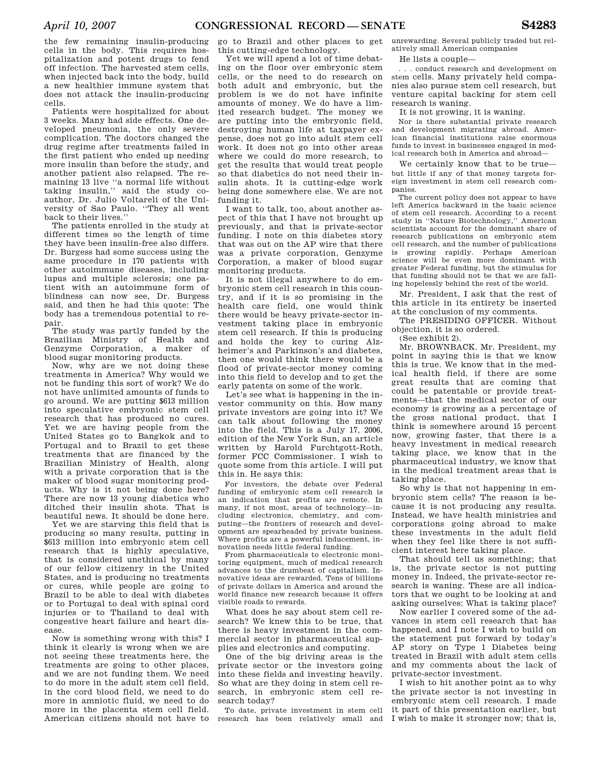the few remaining insulin-producing cells in the body. This requires hospitalization and potent drugs to fend off infection. The harvested stem cells, when injected back into the body, build a new healthier immune system that does not attack the insulin-producing cells.

Patients were hospitalized for about 3 weeks. Many had side effects. One developed pneumonia, the only severe complication. The doctors changed the drug regime after treatments failed in the first patient who ended up needing more insulin than before the study, and another patient also relapsed. The remaining 13 live ''a normal life without taking insulin,'' said the study coauthor, Dr. Julio Voltareli of the University of Sao Paulo. ''They all went back to their lives.''

The patients enrolled in the study at different times so the length of time they have been insulin-free also differs. Dr. Burgess had some success using the same procedure in 170 patients with other autoimmune diseases, including lupus and multiple sclerosis; one patient with an autoimmune form of blindness can now see, Dr. Burgess said, and then he had this quote: The body has a tremendous potential to repair.

The study was partly funded by the Brazilian Ministry of Health and Genzyme Corporation, a maker of blood sugar monitoring products.

Now, why are we not doing these treatments in America? Why would we not be funding this sort of work? We do not have unlimited amounts of funds to go around. We are putting \$613 million into speculative embryonic stem cell research that has produced no cures. Yet we are having people from the United States go to Bangkok and to Portugal and to Brazil to get these treatments that are financed by the Brazilian Ministry of Health, along with a private corporation that is the maker of blood sugar monitoring products. Why is it not being done here? There are now 13 young diabetics who ditched their insulin shots. That is beautiful news. It should be done here.

Yet we are starving this field that is producing so many results, putting in \$613 million into embryonic stem cell research that is highly speculative, that is considered unethical by many of our fellow citizenry in the United States, and is producing no treatments or cures, while people are going to Brazil to be able to deal with diabetes or to Portugal to deal with spinal cord injuries or to Thailand to deal with congestive heart failure and heart disease.

Now is something wrong with this? I think it clearly is wrong when we are not seeing these treatments here, the treatments are going to other places, and we are not funding them. We need to do more in the adult stem cell field, in the cord blood field, we need to do more in amniotic fluid, we need to do more in the placenta stem cell field. American citizens should not have to

go to Brazil and other places to get this cutting-edge technology.

Yet we will spend a lot of time debating on the floor over embryonic stem cells, or the need to do research on both adult and embryonic, but the problem is we do not have infinite amounts of money. We do have a limited research budget. The money we are putting into the embryonic field, destroying human life at taxpayer expense, does not go into adult stem cell work. It does not go into other areas where we could do more research, to get the results that would treat people so that diabetics do not need their insulin shots. It is cutting-edge work being done somewhere else. We are not funding it.

I want to talk, too, about another aspect of this that I have not brought up previously, and that is private-sector funding. I note on this diabetes story that was out on the AP wire that there was a private corporation, Genzyme Corporation, a maker of blood sugar monitoring products.

It is not illegal anywhere to do embryonic stem cell research in this country, and if it is so promising in the health care field, one would think there would be heavy private-sector investment taking place in embryonic stem cell research. If this is producing and holds the key to curing Alzheimer's and Parkinson's and diabetes, then one would think there would be a flood of private-sector money coming into this field to develop and to get the early patents on some of the work.

Let's see what is happening in the investor community on this. How many private investors are going into it? We can talk about following the money into the field. This is a July 17, 2006, edition of the New York Sun, an article written by Harold Furchtgott-Roth, former FCC Commissioner. I wish to quote some from this article. I will put this in. He says this:

For investors, the debate over Federal funding of embryonic stem cell research is an indication that profits are remote. In many, if not most, areas of technology—including electronics, chemistry, and computing—the frontiers of research and development are spearheaded by private business. Where profits are a powerful inducement, innovation needs little federal funding.

From pharmaceuticals to electronic monitoring equipment, much of medical research advances to the drumbeat of capitalism. Innovative ideas are rewarded. Tens of billions of private dollars in America and around the world finance new research because it offers visible roads to rewards.

What does he say about stem cell research? We knew this to be true, that there is heavy investment in the commercial sector in pharmaceutical supplies and electronics and computing.

One of the big driving areas is the private sector or the investors going into these fields and investing heavily. So what are they doing in stem cell research, in embryonic stem cell research today?

To date, private investment in stem cell research has been relatively small and

unrewarding. Several publicly traded but relatively small American companies

He lists a couple—

. . . conduct research and development on stem cells. Many privately held companies also pursue stem cell research, but venture capital backing for stem cell research is waning.

It is not growing, it is waning.

Nor is there substantial private research and development migrating abroad. American financial institutions raise enormous funds to invest in businesses engaged in medical research both in America and abroad—

We certainly know that to be true but little if any of that money targets foreign investment in stem cell research companies.

The current policy does not appear to have left America backward in the basic science of stem cell research. According to a recent study in ''Nature Biotechnology,'' American scientists account for the dominant share of research publications on embryonic stem cell research, and the number of publications is growing rapidly. Perhaps American science will be even more dominant with greater Federal funding, but the stimulus for that funding should not be that we are falling hopelessly behind the rest of the world.

Mr. President, I ask that the rest of this article in its entirety be inserted at the conclusion of my comments.

The PRESIDING OFFICER. Without objection, it is so ordered.

(See exhibit 2).

Mr. BROWNBACK. Mr. President, my point in saying this is that we know this is true. We know that in the medical health field, if there are some great results that are coming that could be patentable or provide treatments—that the medical sector of our economy is growing as a percentage of the gross national product, that I think is somewhere around 15 percent now, growing faster, that there is a heavy investment in medical research taking place, we know that in the pharmaceutical industry, we know that in the medical treatment areas that is taking place.

So why is that not happening in embryonic stem cells? The reason is because it is not producing any results. Instead, we have health ministries and corporations going abroad to make these investments in the adult field when they feel like there is not sufficient interest here taking place.

That should tell us something; that is, the private sector is not putting money in. Indeed, the private-sector research is waning. These are all indicators that we ought to be looking at and asking ourselves: What is taking place?

Now earlier I covered some of the advances in stem cell research that has happened, and I note I wish to build on the statement put forward by today's AP story on Type 1 Diabetes being treated in Brazil with adult stem cells and my comments about the lack of private-sector investment.

I wish to hit another point as to why the private sector is not investing in embryonic stem cell research. I made it part of this presentation earlier, but I wish to make it stronger now; that is,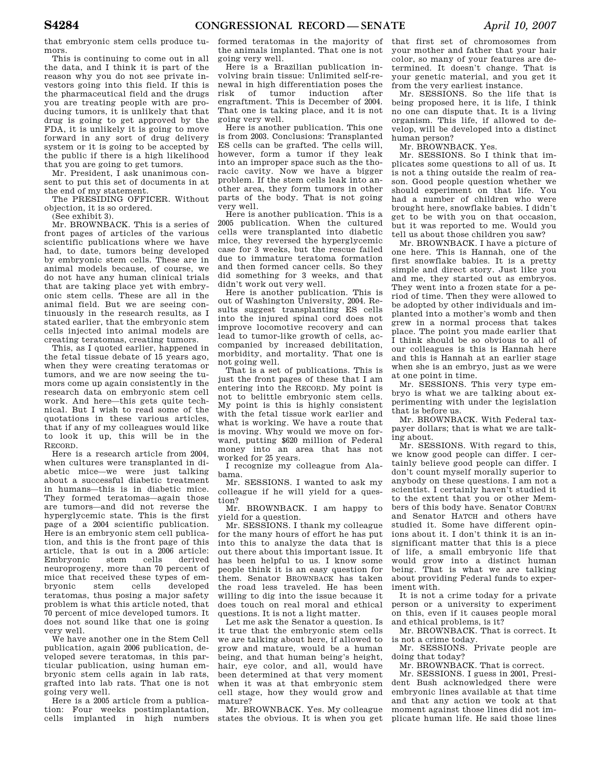that embryonic stem cells produce tumors.

This is continuing to come out in all the data, and I think it is part of the reason why you do not see private investors going into this field. If this is the pharmaceutical field and the drugs you are treating people with are producing tumors, it is unlikely that that drug is going to get approved by the FDA, it is unlikely it is going to move forward in any sort of drug delivery system or it is going to be accepted by the public if there is a high likelihood that you are going to get tumors.

Mr. President, I ask unanimous consent to put this set of documents in at the end of my statement.

The PRESIDING OFFICER. Without objection, it is so ordered.

(See exhibit 3).

Mr. BROWNBACK. This is a series of front pages of articles of the various scientific publications where we have had, to date, tumors being developed by embryonic stem cells. These are in animal models because, of course, we do not have any human clinical trials that are taking place yet with embryonic stem cells. These are all in the animal field. But we are seeing continuously in the research results, as I stated earlier, that the embryonic stem cells injected into animal models are creating teratomas, creating tumors.

This, as I quoted earlier, happened in the fetal tissue debate of 15 years ago, when they were creating teratomas or tumors, and we are now seeing the tumors come up again consistently in the research data on embryonic stem cell work. And here—this gets quite technical. But I wish to read some of the quotations in these various articles, that if any of my colleagues would like to look it up, this will be in the RECORD.

Here is a research article from 2004, when cultures were transplanted in diabetic mice—we were just talking about a successful diabetic treatment in humans—this is in diabetic mice. They formed teratomas—again those are tumors—and did not reverse the hyperglycemic state. This is the first page of a 2004 scientific publication. Here is an embryonic stem cell publication, and this is the front page of this article, that is out in a 2006 article: Embryonic stem cells derived neuroprogeny, more than 70 percent of mice that received these types of embryonic stem cells developed teratomas, thus posing a major safety problem is what this article noted, that 70 percent of mice developed tumors. It does not sound like that one is going very well.

We have another one in the Stem Cell publication, again 2006 publication, developed severe teratomas, in this particular publication, using human embryonic stem cells again in lab rats, grafted into lab rats. That one is not going very well.

Here is a 2005 article from a publication: Four weeks postimplantation, cells implanted in high numbers

formed teratomas in the majority of that first set of chromosomes from the animals implanted. That one is not going very well.

Here is a Brazilian publication involving brain tissue: Unlimited self-renewal in high differentiation poses the risk of tumor induction after engraftment. This is December of 2004. That one is taking place, and it is not going very well.

Here is another publication. This one is from 2003. Conclusions: Transplanted ES cells can be grafted. The cells will, however, form a tumor if they leak into an improper space such as the thoracic cavity. Now we have a bigger problem. If the stem cells leak into another area, they form tumors in other parts of the body. That is not going very well.

Here is another publication. This is a 2005 publication. When the cultured cells were transplanted into diabetic mice, they reversed the hyperglycemic case for 3 weeks, but the rescue failed due to immature teratoma formation and then formed cancer cells. So they did something for 3 weeks, and that didn't work out very well.

Here is another publication. This is out of Washington University, 2004. Results suggest transplanting ES cells into the injured spinal cord does not improve locomotive recovery and can lead to tumor-like growth of cells, accompanied by increased debilitation, morbidity, and mortality. That one is not going well.

That is a set of publications. This is just the front pages of these that I am entering into the RECORD. My point is not to belittle embryonic stem cells. My point is this is highly consistent with the fetal tissue work earlier and what is working. We have a route that is moving. Why would we move on forward, putting \$620 million of Federal money into an area that has not worked for 25 years.

I recognize my colleague from Alabama.

Mr. SESSIONS. I wanted to ask my colleague if he will yield for a question?

Mr. BROWNBACK. I am happy to yield for a question.

Mr. SESSIONS. I thank my colleague for the many hours of effort he has put into this to analyze the data that is out there about this important issue. It has been helpful to us. I know some people think it is an easy question for them. Senator BROWNBACK has taken the road less traveled. He has been willing to dig into the issue because it does touch on real moral and ethical questions. It is not a light matter.

Let me ask the Senator a question. Is it true that the embryonic stem cells we are talking about here, if allowed to grow and mature, would be a human being, and that human being's height, hair, eye color, and all, would have been determined at that very moment when it was at that embryonic stem cell stage, how they would grow and mature?

Mr. BROWNBACK. Yes. My colleague states the obvious. It is when you get your mother and father that your hair color, so many of your features are determined. It doesn't change. That is your genetic material, and you get it from the very earliest instance.

Mr. SESSIONS. So the life that is being proposed here, it is life, I think no one can dispute that. It is a living organism. This life, if allowed to develop, will be developed into a distinct human person?

Mr. BROWNBACK. Yes.

Mr. SESSIONS. So I think that implicates some questions to all of us. It is not a thing outside the realm of reason. Good people question whether we should experiment on that life. You had a number of children who were brought here, snowflake babies. I didn't get to be with you on that occasion, but it was reported to me. Would you tell us about those children you saw?

Mr. BROWNBACK. I have a picture of one here. This is Hannah, one of the first snowflake babies. It is a pretty simple and direct story. Just like you and me, they started out as embryos. They went into a frozen state for a period of time. Then they were allowed to be adopted by other individuals and implanted into a mother's womb and then grew in a normal process that takes place. The point you made earlier that I think should be so obvious to all of our colleagues is this is Hannah here and this is Hannah at an earlier stage when she is an embryo, just as we were at one point in time.

Mr. SESSIONS. This very type embryo is what we are talking about experimenting with under the legislation that is before us.

Mr. BROWNBACK. With Federal taxpayer dollars; that is what we are talking about.

Mr. SESSIONS. With regard to this, we know good people can differ. I certainly believe good people can differ. I don't count myself morally superior to anybody on these questions. I am not a scientist. I certainly haven't studied it to the extent that you or other Members of this body have. Senator COBURN and Senator HATCH and others have studied it. Some have different opinions about it. I don't think it is an insignificant matter that this is a piece of life, a small embryonic life that would grow into a distinct human being. That is what we are talking about providing Federal funds to experiment with.

It is not a crime today for a private person or a university to experiment on this, even if it causes people moral and ethical problems, is it?

Mr. BROWNBACK. That is correct. It is not a crime today.

Mr. SESSIONS. Private people are doing that today?

Mr. BROWNBACK. That is correct.

Mr. SESSIONS. I guess in 2001, President Bush acknowledged there were embryonic lines available at that time and that any action we took at that moment against those lines did not implicate human life. He said those lines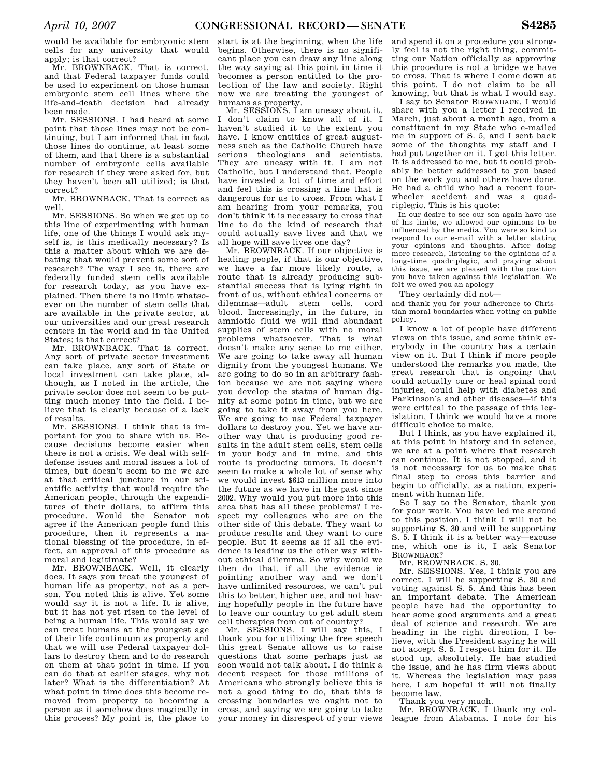would be available for embryonic stem cells for any university that would apply; is that correct?

Mr. BROWNBACK. That is correct, and that Federal taxpayer funds could be used to experiment on those human embryonic stem cell lines where the life-and-death decision had already been made.

Mr. SESSIONS. I had heard at some point that those lines may not be continuing, but I am informed that in fact those lines do continue, at least some of them, and that there is a substantial number of embryonic cells available for research if they were asked for, but they haven't been all utilized; is that correct?

Mr. BROWNBACK. That is correct as well.

Mr. SESSIONS. So when we get up to this line of experimenting with human life, one of the things I would ask myself is, is this medically necessary? Is this a matter about which we are debating that would prevent some sort of research? The way I see it, there are federally funded stem cells available for research today, as you have explained. Then there is no limit whatsoever on the number of stem cells that are available in the private sector, at our universities and our great research centers in the world and in the United States; is that correct?

Mr. BROWNBACK. That is correct. Any sort of private sector investment can take place, any sort of State or local investment can take place, although, as I noted in the article, the private sector does not seem to be putting much money into the field. I believe that is clearly because of a lack of results.

Mr. SESSIONS. I think that is important for you to share with us. Because decisions become easier when there is not a crisis. We deal with selfdefense issues and moral issues a lot of times, but doesn't seem to me we are at that critical juncture in our scientific activity that would require the American people, through the expenditures of their dollars, to affirm this procedure. Would the Senator not agree if the American people fund this procedure, then it represents a national blessing of the procedure, in effect, an approval of this procedure as moral and legitimate?

Mr. BROWNBACK. Well, it clearly does. It says you treat the youngest of human life as property, not as a person. You noted this is alive. Yet some would say it is not a life. It is alive, but it has not yet risen to the level of being a human life. This would say we can treat humans at the youngest age of their life continuum as property and that we will use Federal taxpayer dollars to destroy them and to do research on them at that point in time. If you can do that at earlier stages, why not later? What is the differentiation? At what point in time does this become removed from property to becoming a person as it somehow does magically in this process? My point is, the place to

start is at the beginning, when the life begins. Otherwise, there is no significant place you can draw any line along the way saying at this point in time it becomes a person entitled to the protection of the law and society. Right now we are treating the youngest of humans as property.

Mr. SESSIONS. I am uneasy about it. I don't claim to know all of it. I haven't studied it to the extent you have. I know entities of great augustness such as the Catholic Church have serious theologians and scientists. They are uneasy with it. I am not Catholic, but I understand that. People have invested a lot of time and effort and feel this is crossing a line that is dangerous for us to cross. From what I am hearing from your remarks, you don't think it is necessary to cross that line to do the kind of research that could actually save lives and that we all hope will save lives one day?

Mr. BROWNBACK. If our objective is healing people, if that is our objective, we have a far more likely route, a route that is already producing substantial success that is lying right in front of us, without ethical concerns or dilemmas—adult stem cells, cord blood. Increasingly, in the future, in amniotic fluid we will find abundant supplies of stem cells with no moral problems whatsoever. That is what doesn't make any sense to me either. We are going to take away all human dignity from the youngest humans. We are going to do so in an arbitrary fashion because we are not saying where you develop the status of human dignity at some point in time, but we are going to take it away from you here. We are going to use Federal taxpayer dollars to destroy you. Yet we have another way that is producing good results in the adult stem cells, stem cells in your body and in mine, and this route is producing tumors. It doesn't seem to make a whole lot of sense why we would invest \$613 million more into the future as we have in the past since 2002. Why would you put more into this area that has all these problems? I respect my colleagues who are on the other side of this debate. They want to produce results and they want to cure people. But it seems as if all the evidence is leading us the other way without ethical dilemma. So why would we then do that, if all the evidence is pointing another way and we don't have unlimited resources, we can't put this to better, higher use, and not having hopefully people in the future have to leave our country to get adult stem cell therapies from out of country?

Mr. SESSIONS. I will say this, I thank you for utilizing the free speech this great Senate allows us to raise questions that some perhaps just as soon would not talk about. I do think a decent respect for those millions of Americans who strongly believe this is not a good thing to do, that this is crossing boundaries we ought not to cross, and saying we are going to take your money in disrespect of your views

and spend it on a procedure you strongly feel is not the right thing, committing our Nation officially as approving this procedure is not a bridge we have to cross. That is where I come down at this point. I do not claim to be all knowing, but that is what I would say.

I say to Senator BROWNBACK, I would share with you a letter I received in March, just about a month ago, from a constituent in my State who e-mailed me in support of S. 5, and I sent back some of the thoughts my staff and I had put together on it. I got this letter. It is addressed to me, but it could probably be better addressed to you based on the work you and others have done. He had a child who had a recent fourwheeler accident and was a quadriplegic. This is his quote:

In our desire to see our son again have use of his limbs, we allowed our opinions to be influenced by the media. You were so kind to respond to our e-mail with a letter stating your opinions and thoughts. After doing more research, listening to the opinions of a long-time quadriplegic, and praying about this issue, we are pleased with the position you have taken against this legislation. We felt we owed you an apology—

They certainly did not—

and thank you for your adherence to Christian moral boundaries when voting on public policy.

I know a lot of people have different views on this issue, and some think everybody in the country has a certain view on it. But I think if more people understood the remarks you made, the great research that is ongoing that could actually cure or heal spinal cord injuries, could help with diabetes and Parkinson's and other diseases—if this were critical to the passage of this legislation, I think we would have a more difficult choice to make.

But I think, as you have explained it, at this point in history and in science, we are at a point where that research can continue. It is not stopped, and it is not necessary for us to make that final step to cross this barrier and begin to officially, as a nation, experiment with human life.

So I say to the Senator, thank you for your work. You have led me around to this position. I think I will not be supporting S. 30 and will be supporting S. 5. I think it is a better way—excuse me, which one is it, I ask Senator BROWNBACK?

Mr. BROWNBACK. S. 30.

Mr. SESSIONS. Yes, I think you are correct. I will be supporting S. 30 and voting against S. 5. And this has been an important debate. The American people have had the opportunity to hear some good arguments and a great deal of science and research. We are heading in the right direction, I believe, with the President saying he will not accept S. 5. I respect him for it. He stood up, absolutely. He has studied the issue, and he has firm views about it. Whereas the legislation may pass here, I am hopeful it will not finally become law.

Thank you very much.

Mr. BROWNBACK. I thank my colleague from Alabama. I note for his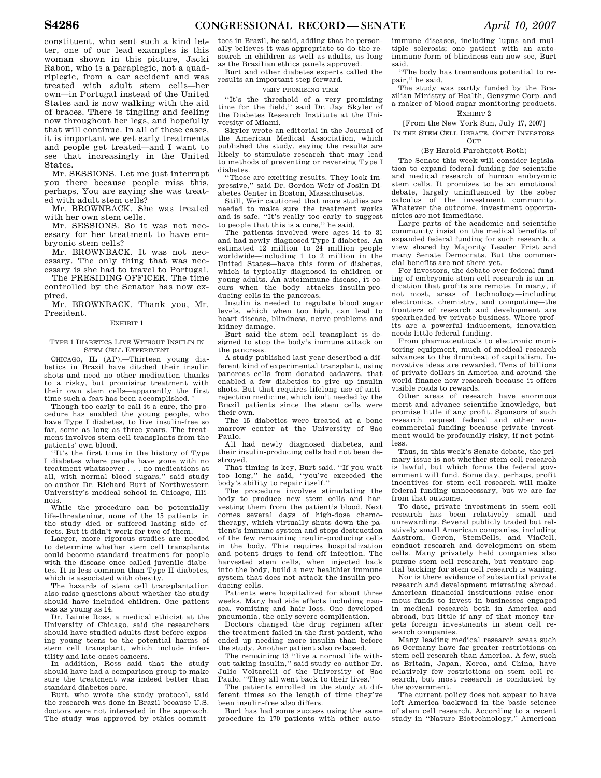constituent, who sent such a kind letter, one of our lead examples is this woman shown in this picture, Jacki Rabon, who is a paraplegic, not a quadriplegic, from a car accident and was treated with adult stem cells—her own—in Portugal instead of the United States and is now walking with the aid of braces. There is tingling and feeling now throughout her legs, and hopefully that will continue. In all of these cases, it is important we get early treatments and people get treated—and I want to see that increasingly in the United States.

Mr. SESSIONS. Let me just interrupt you there because people miss this, perhaps. You are saying she was treated with adult stem cells?

Mr. BROWNBACK. She was treated with her own stem cells.

Mr. SESSIONS. So it was not necessary for her treatment to have embryonic stem cells?

Mr. BROWNBACK. It was not necessary. The only thing that was necessary is she had to travel to Portugal. The PRESIDING OFFICER. The time

controlled by the Senator has now expired.

Mr. BROWNBACK. Thank you, Mr. President.

#### EXHIBIT 1

#### TYPE 1 DIABETICS LIVE WITHOUT INSULIN IN STEM CELL EXPERIMENT

CHICAGO, IL (AP).—Thirteen young diabetics in Brazil have ditched their insulin shots and need no other medication thanks to a risky, but promising treatment with their own stem cells—apparently the first time such a feat has been accomplished. '

Though too early to call it a cure, the procedure has enabled the young people, who have Type I diabetes, to live insulin-free so far, some as long as three years. The treatment involves stem cell transplants from the patients' own blood.

''It's the first time in the history of Type I diabetes where people have gone with no treatment whatsoever . . . no medications at all, with normal blood sugars,'' said study co-author Dr. Richard Burt of Northwestern University's medical school in Chicago, Illinois.

While the procedure can be potentially life-threatening, none of the 15 patients in the study died or suffered lasting side effects. But it didn't work for two of them.

Larger, more rigorous studies are needed to determine whether stem cell transplants could become standard treatment for people with the disease once called juvenile diabetes. It is less common than Type II diabetes, which is associated with obesity.

The hazards of stem cell transplantation also raise questions about whether the study should have included children. One patient was as young as 14.

Dr. Lainie Ross, a medical ethicist at the University of Chicago, said the researchers should have studied adults first before exposing young teens to the potential harms of stem cell transplant, which include infertility and late-onset cancers.

In addition, Ross said that the study should have had a comparison group to make sure the treatment was indeed better than standard diabetes care.

Burt, who wrote the study protocol, said the research was done in Brazil because U.S. doctors were not interested in the approach. The study was approved by ethics commit-

tees in Brazil, he said, adding that he personally believes it was appropriate to do the research in children as well as adults, as long as the Brazilian ethics panels approved.

Burt and other diabetes experts called the results an important step forward.

#### VERY PROMISING TIME

''It's the threshold of a very promising time for the field,'' said Dr. Jay Skyler of the Diabetes Research Institute at the University of Miami.

Skyler wrote an editorial in the Journal of the American Medical Association, which published the study, saying the results are likely to stimulate research that may lead to methods of preventing or reversing Type I diabetes.

''These are exciting results. They look impressive,'' said Dr. Gordon Weir of Joslin Diabetes Center in Boston, Massachusetts.

Still, Weir cautioned that more studies are needed to make sure the treatment works and is safe. ''It's really too early to suggest to people that this is a cure,'' he said.

The patients involved were ages 14 to 31 and had newly diagnosed Type I diabetes. An estimated 12 million to 24 million people worldwide—including 1 to 2 million in the United States—have this form of diabetes, which is typically diagnosed in children or young adults. An autoimmune disease, it occurs when the body attacks insulin-producing cells in the pancreas.

Insulin is needed to regulate blood sugar levels, which when too high, can lead to heart disease, blindness, nerve problems and kidney damage.

Burt said the stem cell transplant is designed to stop the body's immune attack on the pancreas.

A study published last year described a different kind of experimental transplant, using pancreas cells from donated cadavers, that enabled a few diabetics to give up insulin shots. But that requires lifelong use of antirejection medicine, which isn't needed by the Brazil patients since the stem cells were their own.

The 15 diabetics were treated at a bone marrow center at the University of Sao Paulo.

All had newly diagnosed diabetes, and their insulin-producing cells had not been destroyed.

That timing is key, Burt said. ''If you wait too long," he said, "you've exceeded the body's ability to repair itself.''

The procedure involves stimulating the body to produce new stem cells and harvesting them from the patient's blood. Next comes several days of high-dose chemotherapy, which virtually shuts down the patient's immune system and stops destruction of the few remaining insulin-producing cells in the body. This requires hospitalization and potent drugs to fend off infection. The harvested stem cells, when injected back into the body, build a new healthier immune system that does not attack the insulin-producing cells.

Patients were hospitalized for about three weeks. Many had side effects including nausea, vomiting and hair loss. One developed pneumonia, the only severe complication.

Doctors changed the drug regimen after the treatment failed in the first patient, who ended up needing more insulin than before the study. Another patient also relapsed.

The remaining 13 ''live a normal life without taking insulin,'' said study co-author Dr. Julio Voltarelli of the University of Sao Paulo. ''They all went back to their lives.''

The patients enrolled in the study at different times so the length of time they've been insulin-free also differs.

Burt has had some success using the same procedure in 170 patients with other autoimmune diseases, including lupus and multiple sclerosis; one patient with an autoimmune form of blindness can now see, Burt said.

''The body has tremendous potential to repair,'' he said.

The study was partly funded by the Brazilian Ministry of Health, Genzyme Corp. and a maker of blood sugar monitoring products. EXHIBIT 2

[From the New York Sun, July 17, 2007]

IN THE STEM CELL DEBATE, COUNT INVESTORS **OUT** 

#### (By Harold Furchtgott-Roth)

The Senate this week will consider legislation to expand federal funding for scientific and medical research of human embryonic stem cells. It promises to be an emotional debate, largely uninfluenced by the sober calculus of the investment community. Whatever the outcome, investment opportunities are not immediate.

Large parts of the academic and scientific community insist on the medical benefits of expanded federal funding for such research, a view shared by Majority Leader Frist and many Senate Democrats. But the commercial benefits are not there yet.

For investors, the debate over federal funding of embryonic stem cell research is an indication that profits are remote. In many, if not most, areas of technology—including electronics, chemistry, and computing—the frontiers of research and development are spearheaded by private business. Where profits are a powerful inducement, innovation needs little federal funding.

From pharmaceuticals to electronic monitoring equipment, much of medical research advances to the drumbeat of capitalism. Innovative ideas are rewarded. Tens of billions of private dollars in America and around the world finance new research because it offers visible roads to rewards.

Other areas of research have enormous merit and advance scientific knowledge, but promise little if any profit. Sponsors of such research request federal and other noncommercial funding because private investment would be profoundly risky, if not pointless.

Thus, in this week's Senate debate, the primary issue is not whether stem cell research is lawful, but which forms the federal government will fund. Some day, perhaps, profit incentives for stem cell research will make federal funding unnecessary, but we are far from that outcome.

To date, private investment in stem cell research has been relatively small and unrewarding. Several publicly traded but relatively small American companies, including Aastrom, Geron, StemCells, and ViaCell, conduct research and development on stem cells. Many privately held companies also pursue stem cell research, but venture capital backing for stem cell research is waning.

Nor is there evidence of substantial private research and development migrating abroad. American financial institutions raise enormous funds to invest in businesses engaged in medical research both in America and abroad, but little if any of that money targets foreign investments in stem cell research companies.

Many leading medical research areas such as Germany have far greater restrictions on stem cell research than America. A few, such as Britain, Japan, Korea, and China, have relatively few restrictions on stem cell research, but most research is conducted by the government.

The current policy does not appear to have left America backward in the basic science of stem cell research. According to a recent study in ''Nature Biotechnology,'' American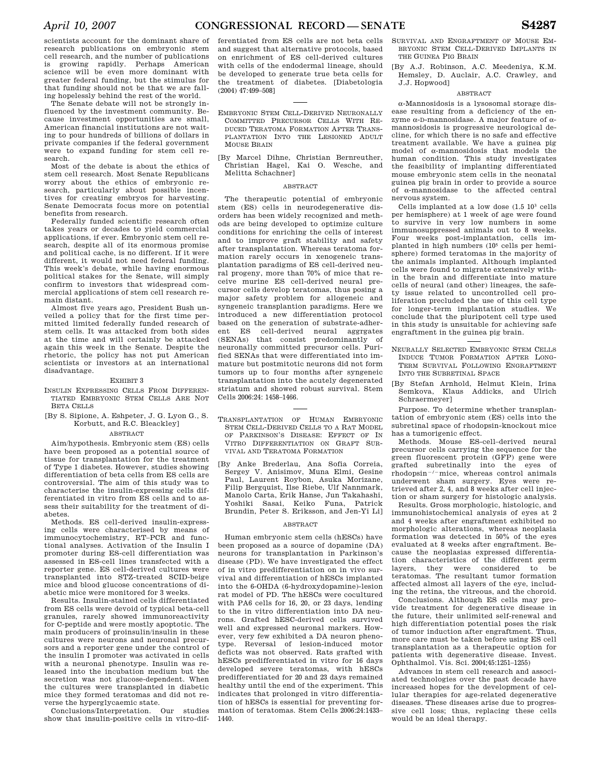scientists account for the dominant share of research publications on embryonic stem cell research, and the number of publications is growing rapidly. Perhaps American science will be even more dominant with greater federal funding, but the stimulus for that funding should not be that we are falling hopelessly behind the rest of the world.

The Senate debate will not be strongly influenced by the investment community. Because investment opportunities are small, American financial institutions are not waiting to pour hundreds of billions of dollars in private companies if the federal government were to expand funding for stem cell research.

Most of the debate is about the ethics of stem cell research. Most Senate Republicans worry about the ethics of embryonic research, particularly about possible incentives for creating embryos for harvesting. Senate Democrats focus more on potential benefits from research.

Federally funded scientific research often takes years or decades to yield commercial applications, if ever. Embryonic stem cell research, despite all of its enormous promise and political cache, is no different. If it were different, it would not need federal funding. This week's debate, while having enormous political stakes for the Senate, will simply confirm to investors that widespread commercial applications of stem cell research remain distant.

Almost five years ago, President Bush unveiled a policy that for the first time permitted limited federally funded research of stem cells. It was attacked from both sides at the time and will certainly be attacked again this week in the Senate. Despite the rhetoric, the policy has not put American scientists or investors at an international disadvantage.

#### EXHIBIT 3

- INSULIN EXPRESSING CELLS FROM DIFFEREN-TIATED EMBRYONIC STEM CELLS ARE NOT BETA CELLS
- [By S. Sipione, A. Eshpeter, J. G. Lyon G., S. Korbutt, and R.C. Bleackley]

#### ABSTRACT

Aim/hypothesis. Embryonic stem (ES) cells have been proposed as a potential source of tissue for transplantation for the treatment of Type 1 diabetes. However, studies showing differentiation of beta cells from ES cells are controversial. The aim of this study was to characterise the insulin-expressing cells differentiated in vitro from ES cells and to assess their suitability for the treatment of diabetes.

Methods. ES cell-derived insulin-expressing cells were characterised by means of immunocytochemistry, RT–PCR and functional analyses. Activation of the Insulin I promoter during ES-cell differentiation was assessed in ES-cell lines transfected with a reporter gene. ES cell-derived cultures were transplanted into STZ-treated SCID-beige mice and blood glucose concentrations of diabetic mice were monitored for 3 weeks.

Results. Insulin-stained cells differentiated from ES cells were devoid of typical beta-cell granules, rarely showed immunoreactivity for C-peptide and were mostly apoptotic. The main producers of proinsulin/insulin in these cultures were neurons and neuronal precursors and a reporter gene under the control of the insulin I promoter was activated in cells with a neuronal phenotype. Insulin was released into the incubation medium but the secretion was not glucose-dependent. When the cultures were transplanted in diabetic mice they formed teratomas and did not reverse the hyperglycaemic state.

Conclusions/Interpretation. Our studies show that insulin-positive cells in vitro-dif-

ferentiated from ES cells are not beta cells and suggest that alternative protocols, based on enrichment of ES cell-derived cultures with cells of the endodermal lineage, should be developed to generate true beta cells for the treatment of diabetes. [Diabetologia (2004) 47:499–508]

- EMBRYONIC STEM CELL-DERIVED NEURONALLY COMMITTED PRECURSOR CELLS WITH RE-DUCED TERATOMA FORMATION AFTER TRANS-PLANTATION INTO THE LESIONED ADULT MOUSE BRAIN
- [By Marcel Dihne, Christian Bernreuther, Christian Hagel, Kai O. Wesche, and Melitta Schachner]

#### ABSTRACT

The therapeutic potential of embryonic stem (ES) cells in neurodegenerative disorders has been widely recognized and methods are being developed to optimize culture conditions for enriching the cells of interest and to improve graft stability and safety after transplantation. Whereas teratoma formation rarely occurs in xenogeneic transplantation paradigms of ES cell-derived neural progeny, more than 70% of mice that receive murine ES cell-derived neural precursor cells develop teratomas, thus posing a major safety problem for allogeneic and syngeneic transplantion paradigms. Here we introduced a new differentiation protocol based on the generation of substrate-adherent ES cell-derived neural aggrgates (SENAs) that consist predominantly of neuronally committed precursor cells. Purified SENAs that were differentiated into immature but postmitotic neurons did not form tumors up to four months after syngeneic transplantation into the acutely degenerated striatum and showed robust survival. Stem Cells 2006:24: 1458–1466.

- TRANSPLANTATION OF HUMAN EMBRYONIC STEM CELL-DERIVED CELLS TO A RAT MODEL OF PARKINSON'S DISEASE: EFFECT OF IN VITRO DIFFERENTIATION ON GRAFT SUR-VIVAL AND TERATOMA FORMATION
- [By Anke Brederlau, Ana Sofia Correia, Sergey V. Anisimov, Muna Elmi, Gesine Paul, Laurent Roybon, Asuka Morizane, Filip Bergquist, Ilse Riebe, Ulf Nannmark, Manolo Carta, Erik Hanse, Jun Takahashi, Yoshiki Sasai, Keiko Funa, Patrick Brundin, Peter S. Eriksson, and Jen-Yi Li]

#### ABSTRACT

Human embryonic stem cells (hESCs) have been proposed as a source of dopamine (DA) neurons for transplantation in Parkinson's disease (PD). We have investigated the effect of in vitro predifferentiation on in vivo survival and differentiation of hESCs implanted into the 6-OHDA (6-hydroxydopamine)-lesion rat model of PD. The hESCs were cocultured with PA6 cells for 16, 20, or 23 days, lending to the in vitro differentiation into DA neurons. Grafted hESC-derived cells survived well and expressed neuronal markers. However, very few exhibited a DA neuron phenotype. Reversal of lesion-induced motor deficts was not observed. Rats grafted with hESCs predifferentiated in vitro for 16 days developed severe teratomas, with hESCs predifferentiated for 20 and 23 days remained healthy until the end of the experiment. This indicates that prolonged in vitro differentiation of hESCs is essential for preventing formation of teratomas. Stem Cells 2006:24:1433– 1440.

- SURVIVAL AND ENGRAFTMENT OF MOUSE EM-BRYONIC STEM CELL-DERIVED IMPLANTS IN THE GUINEA PIG BRAIN
- [By A.J. Robinson, A.C. Meedeniya, K.M. Hemsley, D. Auclair, A.C. Crawley, and J.J. Hopwood]

#### ABSTRACT

α-Mannosidosis is a lysosomal storage disease resulting from a deficiency of the enzyme α-D-mannosidase. A major feature of αmannosidosis is progressive neurological decline, for which there is no safe and effective treatment available. We have a guinea pig model of α-mannosidosis that models the human condition. This study investigates the feasibility of implanting differentiated mouse embryonic stem cells in the neonatal guinea pig brain in order to provide a source of α-mannosidase to the affected central nervous system.

Cells implanted at a low dose (1.5 103 cells per hemisphere) at 1 week of age were found to survive in very low numbers in some immunosuppressed animals out to 8 weeks. Four weeks post-implantation, cells implanted in high numbers (105 cells per hemisphere) formed teratomas in the majority of the animals implanted. Although implanted cells were found to migrate extensively within the brain and differentiate into mature cells of neural (and other) lineages, the safety issue related to uncontrolled cell proliferation precluded the use of this cell type for longer-term implantation studies. conclude that the pluripotent cell type used in this study is unsuitable for achieving safe engraftment in the guinea pig brain.

- NEURALLY SELECTED EMBRYONIC STEM CELLS INDUCE TUMOR FORMATION AFTER LONG-TERM SURVIVAL FOLLOWING ENGRAFTMENT INTO THE SUBRETINAL SPACE
- [By Stefan Arnhold, Helmut Klein, Irina Semkova, Klaus Addicks, and Ulrich Schraermeyer]

Purpose. To determine whether transplantation of embryonic stem (ES) cells into the subretinal space of rhodopsin-knockout mice has a tumorigenic effect.

Methods. Mouse ES-cell–derived neural precursor cells carrying the sequence for the green fluorescent protein (GFP) gene were grafted subretinally into the eyes of  $r$ hodopsin<sup>-/-</sup>mice, whereas control animals underwent sham surgery. Eyes were retrieved after 2, 4, and 8 weeks after cell injection or sham surgery for histologic analysis.

Results. Gross morphologic, histologic, and immunohistochemical analysis of eyes at 2 and 4 weeks after engraftment exhibited no morphologic alterations, whereas neoplasia formation was detected in 50% of the eyes evaluated at 8 weeks after engraftment. Because the neoplasias expressed differentiation characteristics of the different germ layers, they were considered to teratomas. The resultant tumor formation affected almost all layers of the eye, including the retina, the vitreous, and the choroid.

Conclusions. Although ES cells may provide treatment for degenerative disease in the future, their unlimited self-renewal and high differentiation potential poses the risk of tumor induction after engraftment. Thus, more care must be taken before using ES cell transplantation as a therapeutic option for patients with degenerative disease. Invest. Ophthalmol. Vis. Sci. 2004;45:1251–1255)

Advances in stem cell research and associated technologies over the past decade have increased hopes for the development of cellular therapies for age-related degenerative diseases. These diseases arise due to progressive cell loss; thus, replacing these cells would be an ideal therapy.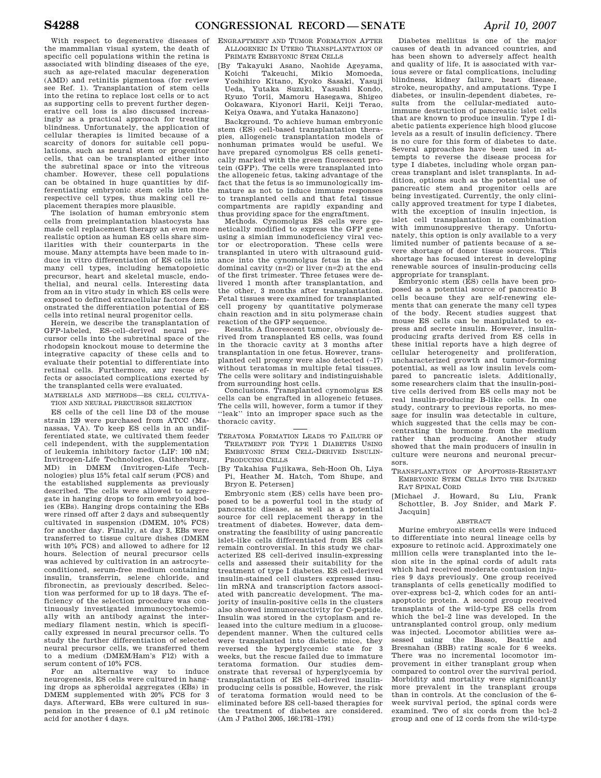With respect to degenerative diseases of the mammalian visual system, the death of specific cell populations within the retina is associated with blinding diseases of the eye, such as age-related macular degeneration (AMD) and retinitis pigmentosa (for review see Ref. 1). Transplantation of stem cells into the retina to replace lost cells or to act as supporting cells to prevent further degenerative cell loss is also discussed increasingly as a practical approach for treating blindness. Unfortunately, the application of cellular therapies is limited because of a scarcity of donors for suitable cell populations, such as neural stem or progenitor cells, that can be transplanted either into the subretinal space or into the vitreous chamber. However, these cell populations can be obtained in huge quantities by differentiating embryonic stem cells into the respective cell types, thus making cell replacement therapies more plausible.

The isolation of human embryonic stem cells from preimplantation blastocysts has made cell replacement therapy an even more realistic option as human ES cells share similarities with their counterparts in the mouse. Many attempts have been made to induce in vitro differentiation of ES cells into many cell types, including hematopoietic precursor, heart and skeletal muscle, endothelial, and neural cells. Interesting data from an in vitro study in which ES cells were exposed to defined extracellular factors demonstrated the differentiation potential of ES cells into retinal neural progenitor cells.

Herein, we describe the transplantation of GFP-labeled, ES-cell–derived neural precursor cells into the subretinal space of the rhodopsin knockout mouse to determine the integrative capacity of these cells and to evaluate their potential to differentiate into retinal cells. Furthermore, any rescue effects or associated complications exerted by the transplanted cells were evaluated.

MATERIALS AND METHODS—ES CELL CULTIVA-TION AND NEURAL PRECURSOR SELECTION

ES cells of the cell line D3 of the mouse strain 129 were purchased from ATCC (Manassas, VA). To keep ES cells in an undifferentiated state, we cultivated them feeder cell independent, with the supplementation of leukemia inhibitory factor (LIF: 100 nM; Invitrogen-Life Technologies, Gaithersburg, MD) in DMEM (Invitrogen-Life Technologies) plus 15% fetal calf serum (FCS) and the established supplements as previously described. The cells were allowed to aggregate in hanging drops to form embryoid bodies (EBs). Hanging drops containing the EBs were rinsed off after 2 days and subsequently cultivated in suspension (DMEM, 10% FCS) for another day. Finally, at day 3, EBs were transferred to tissue culture dishes (DMEM with 10% FCS) and allowed to adhere for 12 hours. Selection of neural precursor cells was achieved by cultivation in an astrocyteconditioned, serum-free medium containing insulin, transferrin, selene chloride, and fibronectin, as previously described. Selection was performed for up to 18 days. The efficiency of the selection procedure was continuously investigated immunocytochemically with an antibody against the intermediary filament nestin, which is specifically expressed in neural precursor cells. To study the further differentiation of selected neural precursor cells, we transferred them to a medium (DMEM/Ham's F12) with a serum content of 10% FCS.

For an alternative way to induce neurogenesis, ES cells were cultured in hanging drops as spheroidal aggregates (EBs) in DMEM supplemented with 20% FCS for 3 days. Afterward, EBs were cultured in suspension in the presence of 0.1 μM retinoic acid for another 4 days.

ENGRAFTMENT AND TUMOR FORMATION AFTER ALLOGENEIC IN UTERO TRANSPLANTATION OF PRIMATE EMBRYONIC STEM CELLS

[By Takayuki Asano, Naohide Ageyama, Koichi Takeuchi, Mikio Momoeda, Yoshihiro Kitano, Kyoko Sasaki, Yasuji Ueda, Yutaka Suzuki, Yasushi Kondo, Ryuzo Torii, Mamoru Hasegawa, Shigeo Ookawara, Kiyonori Harii, Keiji Terao, Keiya Ozawa, and Yutaka Hanazono]

Background. To achieve human embryonic stem (ES) cell-based transplantation therapies, allogeneic transplantation models of nonhuman primates would be useful. We have prepared cynomolgus ES cells genetically marked with the green fluorescent protein (GFP). The cells were transplanted into the allogeneic fetus, taking advantage of the fact that the fetus is so immunologically immature as not to induce immune responses to transplanted cells and that fetal tissue compartments are rapidly expanding and thus providing space for the engraftment.

Methods. Cynomolgus ES cells were genetically modified to express the GFP gene using a simian immunodeficiency viral vector or electroporation. These cells were transplanted in utero with ultrasound guidance into the cynomolgus fetus in the abdominal cavity (n=2) or liver (n=2) at the end of the first trimester. Three fetuses were delivered 1 month after transplantation, and the other, 3 months after transplantation. Fetal tissues were examined for transplanted cell progeny by quantitative polymerase chain reaction and in situ polymerase chain reaction of the GFP sequence.

Results. A fluorescent tumor, obviously derived from transplanted ES cells, was found in the thoracic cavity at 3 months after transplantation in one fetus. However, transplanted cell progeny were also detected (∼17) without teratomas in multiple fetal tissues. The cells were solitary and indistinguishable from surrounding host cells.

Conclusions. Transplanted cynomolgus ES cells can be engrafted in allogeneic fetuses. The cells will, however, form a tumor if they ''leak'' into an improper space such as the thoracic cavity.

- TERATOMA FORMATION LEADS TO FAILURE OF TREATMENT FOR TYPE 1 DIABETES USING EMBRYONIC STEM CELL-DERIVED INSULIN-PRODUCING CELLS
- [By Takahisa Fujikawa, Seh-Hoon Oh, Liya Pi, Heather M. Hatch, Tom Shupe, and Bryon E. Petersen]

Embryonic stem (ES) cells have been proposed to be a powerful tool in the study of pancreatic disease, as well as a potential source for cell replacement therapy in the treatment of diabetes. However, data demonstrating the feasibility of using pancreatic islet-like cells differentiated from ES cells remain controversial. In this study we characterized ES cell-derived insulin-expressing cells and assessed their suitability for the treatment of type I diabetes. ES cell-derived insulin-stained cell clusters expressed insulin mRNA and transcription factors associated with pancreatic development. The majority of insulin-positive cells in the clusters also showed immunoreactivity for C-peptide. Insulin was stored in the cytoplasm and released into the culture medium in a glucosedependent manner. When the cultured cells were transplanted into diabetic mice, they reversed the hyperglycemic state for 3 weeks, but the rescue failed due to immature teratoma formation. Our studies demonstrate that reversal of hyperglycemia by transplantation of ES cell-derived insulinproducing cells is possible, However, the risk of teratoma formation would need to be eliminated before ES cell-based therapies for the treatment of diabetes are considered. (Am J Pathol 2005, 166:1781–1791)

Diabetes mellitus is one of the major causes of death in advanced countries, and has been shown to adversely affect health and quality of life, It is associated with various severe or fatal complications, including blindness, kidney failure, heart disease, stroke, neuropathy, and amputations. Type I diabetes, or insulin-dependent diabetes, results from the cellular-mediated autoimmune destruction of pancreatic islet cells that are known to produce insulin. Type I diabetic patients experience high blood glucose levels as a result of insulin deficiency. There is no cure for this form of diabetes to date. Several approaches have been used in attempts to reverse the disease process for type I diabetes, including whole organ pancreas transplant and islet transplants. In addition, options such as the potential use of pancreatic stem and progenitor cells are being investigated. Currently, the only clinically approved treatment for type I diabetes, with the exception of insulin injection, is islet cell transplantation in combination with immunosuppresive therapy. Unfortunately, this option is only available to a very limited number of patients because of a severe shortage of donor tissue sources. This shortage has focused interest in developing renewable sources of insulin-producing cells appropriate for transplant.

Embryonic stem (ES) cells have been proposed as a potential source of pancreatic B cells because they are self-renewing elements that can generate the many cell types of the body. Recent studies suggest that mouse ES cells can be manipulated to express and secrete insulin. However, insulinproducing grafts derived from ES cells in these initial reports have a high degree of cellular heterogeneity and proliferation, uncharacterized growth and tumor-forming potential, as well as low insulin levels compared to pancreatic islets. Additionally, some researchers claim that the insulin-positive cells derived from ES cells may not be real insulin-producing B-like cells. In one study, contrary to previous reports, no message for insulin was detectable in culture, which suggested that the cells may be concentrating the hormone from the medium rather than producing. Another study showed that the main producers of insulin in culture were neurons and neuronal precursors.

TRANSPLANTATION OF APOPTOSIS-RESISTANT EMBRYONIC STEM CELLS INTO THE INJURED RAT SPINAL CORD

[Michael J. Howard, Su Liu, Frank Schottler, B. Joy Snider, and Mark F. Jacquin]

#### ABSTRACT

Murine embryonic stem cells were induced to differentiate into neural lineage cells by exposure to retinoic acid. Approximately one million cells were transplanted into the lesion site in the spinal cords of adult rats which had received moderate contusion injuries 9 days previously. One group received transplants of cells genetically modified to over-express bc1–2, which codes for an antiapoptotic protein. A second group received transplants of the wild-type ES cells from which the be1–2 line was developed. In the untransplanted control group, only medium was injected. Locomotor abilities were assessed using the Basso, Beattie and Bresnahan (BBB) rating scale for 6 weeks. There was no incremental locomotor improvement in either transplant group when compared to control over the survival period. Morbidity and mortality were significantly more prevalent in the transplant groups than in controls. At the conclusion of the 6 week survival period, the spinal cords were examined. Two of six cords from the bc1–2 group and one of 12 cords from the wild-type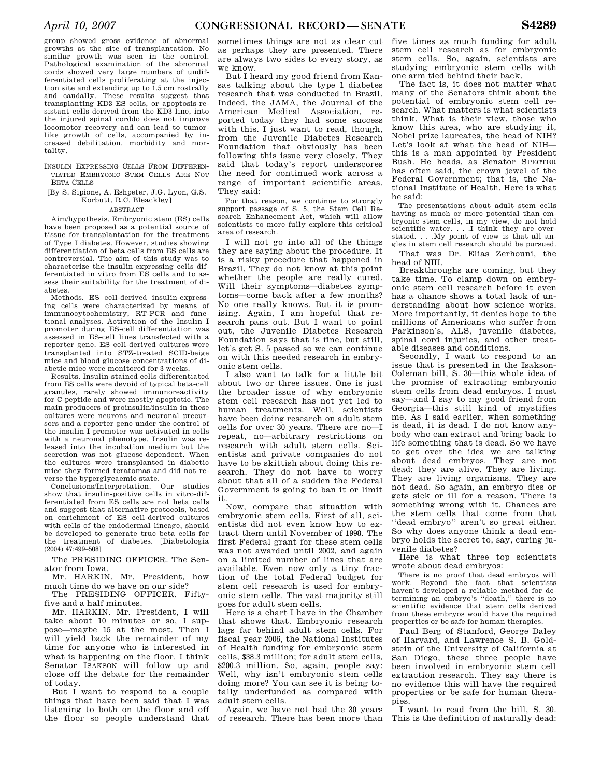group showed gross evidence of abnormal growths at the site of transplantation. No similar growth was seen in the control. Pathological examination of the abnormal cords showed very large numbers of undifferentiated cells proliferating at the injection site and extending up to 1.5 cm rostrally and caudally. These results suggest that transplanting KD3 ES cells, or apoptosis-resistant cells derived from the KD3 line, into the injured spinal corddo does not improve locomotor recovery and can lead to tumorlike growth of cells, accompanied by increased debilitation, morbidity and mortality.

- INSULIN EXPRESSING CELLS FROM DIFFEREN-TIATED EMBRYONIC STEM CELLS ARE NOT BETA CELLS
- [By S. Sipione, A. Eshpeter, J.G. Lyon, G.S. Korbutt, R.C. Bleackley] ABSTRACT

Aim/hypothesis. Embryonic stem (ES) cells have been proposed as a potential source of tissue for transplantation for the treatment of Type I diabetes. However, studies showing differentiation of beta cells from ES cells are controversial. The aim of this study was to characterize the insulin-expressing cells differentiated in vitro from ES cells and to assess their suitability for the treatment of diabetes.

Methods. ES cell-derived insulin-expressing cells were characterized by means of immunocytochemistry, RT-PCR and functional analyses. Activation of the Insulin I promoter during ES-cell differentiation was assessed in ES-cell lines transfected with a reporter gene. ES cell-derived cultures were transplanted into STZ-treated SCID-beige mice and blood glucose concentrations of diabetic mice were monitored for 3 weeks.

Results. Insulin-stained cells differentiated from ES cells were devoid of typical beta-cell granules, rarely showed immunoreactivity for C-peptide and were mostly apoptotic. The main producers of proinsulin/insulin in these cultures were neurons and neuronal precursors and a reporter gene under the control of the insulin I promoter was activated in cells with a neuronal phenotype. Insulin was released into the incubation medium but the secretion was not glucose-dependent. When the cultures were transplanted in diabetic mice they formed teratomas and did not reverse the byperglycaemic state.

Conclusions/Interpretation. Our studies show that insulin-positive cells in vitro-differentiated from ES cells are not heta cells and suggest that alternative protocols, based on enrichment of ES cell-derived cultures with cells of the endodermal lineage, should be developed to generate true beta cells for the treatment of diabetes. [Diabetologia (2004) 47:499–508]

The PRESIDING OFFICER. The Senator from Iowa.

Mr. HARKIN. Mr. President, how much time do we have on our side? The PRESIDING OFFICER. Fifty-

five and a half minutes.

Mr. HARKIN. Mr. President, I will take about 10 minutes or so, I suppose—maybe 15 at the most. Then I will yield back the remainder of my time for anyone who is interested in what is happening on the floor. I think Senator ISAKSON will follow up and close off the debate for the remainder of today.

But I want to respond to a couple things that have been said that I was listening to both on the floor and off the floor so people understand that

sometimes things are not as clear cut as perhaps they are presented. There are always two sides to every story, as we know.

But I heard my good friend from Kansas talking about the type 1 diabetes research that was conducted in Brazil. Indeed, the JAMA, the Journal of the American Medical Association, reported today they had some success with this. I just want to read, though, from the Juvenile Diabetes Research Foundation that obviously has been following this issue very closely. They said that today's report underscores the need for continued work across a range of important scientific areas. They said:

For that reason, we continue to strongly support passage of S. 5, the Stem Cell Research Enhancement Act, which will allow scientists to more fully explore this critical area of research.

I will not go into all of the things they are saying about the procedure. It is a risky procedure that happened in Brazil. They do not know at this point whether the people are really cured. Will their symptoms—diabetes symptoms—come back after a few months? No one really knows. But it is promising. Again, I am hopeful that research pans out. But I want to point out, the Juvenile Diabetes Research Foundation says that is fine, but still, let's get S. 5 passed so we can continue on with this needed research in embryonic stem cells.

I also want to talk for a little bit about two or three issues. One is just the broader issue of why embryonic stem cell research has not yet led to human treatments. Well, scientists have been doing research on adult stem cells for over 30 years. There are no—I repeat, no—arbitrary restrictions on research with adult stem cells. Scientists and private companies do not have to be skittish about doing this research. They do not have to worry about that all of a sudden the Federal Government is going to ban it or limit it.

Now, compare that situation with embryonic stem cells. First of all, scientists did not even know how to extract them until November of 1998. The first Federal grant for these stem cells was not awarded until 2002, and again on a limited number of lines that are available. Even now only a tiny fraction of the total Federal budget for stem cell research is used for embryonic stem cells. The vast majority still goes for adult stem cells.

Here is a chart I have in the Chamber that shows that. Embryonic research lags far behind adult stem cells. For fiscal year 2006, the National Institutes of Health funding for embryonic stem cells, \$38.3 million; for adult stem cells, \$200.3 million. So, again, people say: Well, why isn't embryonic stem cells doing more? You can see it is being totally underfunded as compared with adult stem cells.

Again, we have not had the 30 years of research. There has been more than five times as much funding for adult stem cell research as for embryonic stem cells. So, again, scientists are studying embryonic stem cells with one arm tied behind their back.

The fact is, it does not matter what many of the Senators think about the potential of embryonic stem cell research. What matters is what scientists think. What is their view, those who know this area, who are studying it, Nobel prize laureates, the head of NIH? Let's look at what the head of NIH this is a man appointed by President Bush. He heads, as Senator SPECTER has often said, the crown jewel of the Federal Government; that is, the National Institute of Health. Here is what he said:

The presentations about adult stem cells having as much or more potential than embryonic stem cells, in my view, do not hold scientific water. . . .I think they are overstated. . . .My point of view is that all angles in stem cell research should be pursued.

That was Dr. Elias Zerhouni, the head of NIH.

Breakthroughs are coming, but they take time. To clamp down on embryonic stem cell research before it even has a chance shows a total lack of understanding about how science works. More importantly, it denies hope to the millions of Americans who suffer from Parkinson's, ALS, juvenile diabetes, spinal cord injuries, and other treatable diseases and conditions.

Secondly, I want to respond to an issue that is presented in the Isakson-Coleman bill, S. 30—this whole idea of the promise of extracting embryonic stem cells from dead embryos. I must say—and I say to my good friend from Georgia—this still kind of mystifies me. As I said earlier, when something is dead, it is dead. I do not know anybody who can extract and bring back to life something that is dead. So we have to get over the idea we are talking about dead embryos. They are not dead; they are alive. They are living. They are living organisms. They are not dead. So again, an embryo dies or gets sick or ill for a reason. There is something wrong with it. Chances are the stem cells that come from that ''dead embryo'' aren't so great either. So why does anyone think a dead embryo holds the secret to, say, curing juvenile diabetes?

Here is what three top scientists wrote about dead embryos:

There is no proof that dead embryos will work. Beyond the fact that scientists haven't developed a reliable method for determining an embryo's ''death,'' there is no scientific evidence that stem cells derived from these embryos would have the required properties or be safe for human therapies.

Paul Berg of Stanford, George Daley of Harvard, and Lawrence S. B. Goldstein of the University of California at San Diego, these three people have been involved in embryonic stem cell extraction research. They say there is no evidence this will have the required properties or be safe for human therapies.

I want to read from the bill, S. 30. This is the definition of naturally dead: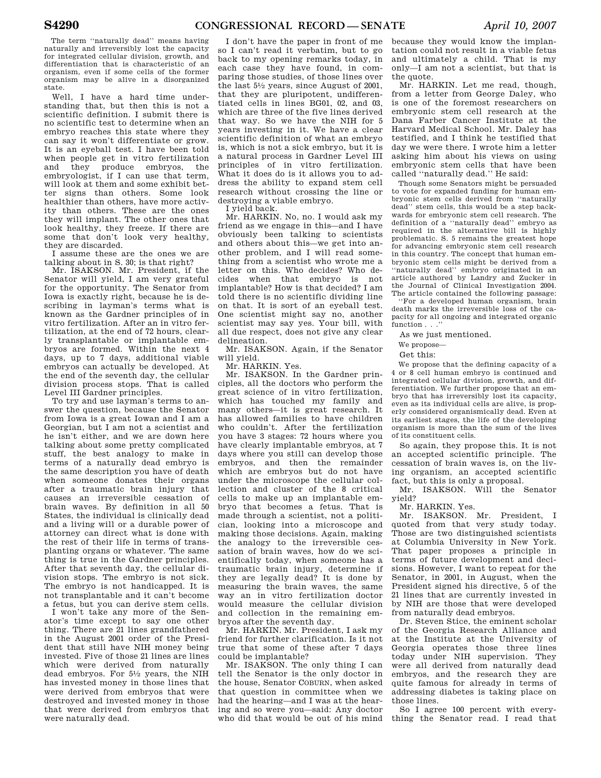The term ''naturally dead'' means having naturally and irreversibly lost the capacity for integrated cellular division, growth, and differentiation that is characteristic of an organism, even if some cells of the former organism may be alive in a disorganized state.

Well, I have a hard time understanding that, but then this is not a scientific definition. I submit there is no scientific test to determine when an embryo reaches this state where they can say it won't differentiate or grow. It is an eyeball test. I have been told when people get in vitro fertilization and they produce embryos, the embryologist, if I can use that term, will look at them and some exhibit better signs than others. Some look healthier than others, have more activity than others. These are the ones they will implant. The other ones that look healthy, they freeze. If there are some that don't look very healthy, they are discarded.

I assume these are the ones we are talking about in S. 30; is that right?

Mr. ISAKSON. Mr. President, if the Senator will yield, I am very grateful for the opportunity. The Senator from Iowa is exactly right, because he is describing in layman's terms what is known as the Gardner principles of in vitro fertilization. After an in vitro fertilization, at the end of 72 hours, clearly transplantable or implantable embryos are formed. Within the next 4 days, up to 7 days, additional viable embryos can actually be developed. At the end of the seventh day, the cellular division process stops. That is called Level III Gardner principles.

To try and use layman's terms to answer the question, because the Senator from Iowa is a great Iowan and I am a Georgian, but I am not a scientist and he isn't either, and we are down here talking about some pretty complicated stuff, the best analogy to make in terms of a naturally dead embryo is the same description you have of death when someone donates their organs after a traumatic brain injury that causes an irreversible cessation of brain waves. By definition in all 50 States, the individual is clinically dead and a living will or a durable power of attorney can direct what is done with the rest of their life in terms of transplanting organs or whatever. The same thing is true in the Gardner principles. After that seventh day, the cellular division stops. The embryo is not sick. The embryo is not handicapped. It is not transplantable and it can't become a fetus, but you can derive stem cells.

I won't take any more of the Senator's time except to say one other thing. There are 21 lines grandfathered in the August 2001 order of the President that still have NIH money being invested. Five of those 21 lines are lines which were derived from naturally dead embryos. For 51⁄2 years, the NIH has invested money in those lines that were derived from embryos that were destroyed and invested money in those that were derived from embryos that were naturally dead.

I don't have the paper in front of me so I can't read it verbatim, but to go back to my opening remarks today, in each case they have found, in comparing those studies, of those lines over the last 51⁄2 years, since August of 2001, that they are pluripotent, undifferentiated cells in lines BG01, 02, and 03, which are three of the five lines derived that way. So we have the NIH for 5 years investing in it. We have a clear scientific definition of what an embryo is, which is not a sick embryo, but it is a natural process in Gardner Level III principles of in vitro fertilization. What it does do is it allows you to address the ability to expand stem cell research without crossing the line or destroying a viable embryo.

I yield back.

Mr. HARKIN. No, no. I would ask my friend as we engage in this—and I have obviously been talking to scientists and others about this—we get into another problem, and I will read something from a scientist who wrote me a letter on this. Who decides? Who decides when that embryo is not implantable? How is that decided? I am told there is no scientific dividing line on that. It is sort of an eyeball test. One scientist might say no, another scientist may say yes. Your bill, with all due respect, does not give any clear delineation.

Mr. ISAKSON. Again, if the Senator will yield.

Mr. HARKIN. Yes.

Mr. ISAKSON. In the Gardner principles, all the doctors who perform the great science of in vitro fertilization, which has touched my family and many others—it is great research. It has allowed families to have children who couldn't. After the fertilization you have 3 stages: 72 hours where you have clearly implantable embryos, at 7 days where you still can develop those embryos, and then the remainder which are embryos but do not have under the microscope the cellular collection and cluster of the 8 critical cells to make up an implantable embryo that becomes a fetus. That is made through a scientist, not a politician, looking into a microscope and making those decisions. Again, making the analogy to the irreversible cessation of brain waves, how do we scientifically today, when someone has a traumatic brain injury, determine if they are legally dead? It is done by measuring the brain waves, the same way an in vitro fertilization doctor would measure the cellular division and collection in the remaining embryos after the seventh day.

Mr. HARKIN. Mr. President, I ask my friend for further clarification. Is it not true that some of these after 7 days could be implantable?

Mr. ISAKSON. The only thing I can tell the Senator is the only doctor in the house, Senator COBURN, when asked that question in committee when we had the hearing—and I was at the hearing and so were you—said: Any doctor who did that would be out of his mind

because they would know the implantation could not result in a viable fetus and ultimately a child. That is my only—I am not a scientist, but that is the quote.

Mr. HARKIN. Let me read, though, from a letter from George Daley, who is one of the foremost researchers on embryonic stem cell research at the Dana Farber Cancer Institute at the Harvard Medical School. Mr. Daley has testified, and I think he testified that day we were there. I wrote him a letter asking him about his views on using embryonic stem cells that have been called ''naturally dead.'' He said:

Though some Senators might be persuaded to vote for expanded funding for human embryonic stem cells derived from ''naturally dead'' stem cells, this would be a step backwards for embryonic stem cell research. The definition of a ''naturally dead'' embryo as required in the alternative bill is highly problematic. S. 5 remains the greatest hope for advancing embryonic stem cell research in this country. The concept that human embryonic stem cells might be derived from a ''naturally dead'' embryo originated in an article authored by Landry and Zucker in the Journal of Clinical Investigation 2004. The article contained the following passage:

'For a developed human organism, brain death marks the irreversible loss of the capacity for all ongoing and integrated organic function . . .<sup>'</sup>

As we just mentioned.

We propose—

Get this:

We propose that the defining capacity of a 4 or 8 cell human embryo is continued and integrated cellular division, growth, and differentiation. We further propose that an embryo that has irreversibly lost its capacity, even as its individual cells are alive, is properly considered organismically dead. Even at its earliest stages, the life of the developing organism is more than the sum of the lives of its constituent cells.

So again, they propose this. It is not an accepted scientific principle. The cessation of brain waves is, on the living organism, an accepted scientific fact, but this is only a proposal.

Mr. ISAKSON. Will the Senator yield?

Mr. HARKIN. Yes.

Mr. ISAKSON. Mr. President, I quoted from that very study today. Those are two distinguished scientists at Columbia University in New York. That paper proposes a principle in terms of future development and decisions. However, I want to repeat for the Senator, in 2001, in August, when the President signed his directive, 5 of the 21 lines that are currently invested in by NIH are those that were developed from naturally dead embryos.

Dr. Steven Stice, the eminent scholar of the Georgia Research Alliance and at the Institute at the University of Georgia operates those three lines today under NIH supervision. They were all derived from naturally dead embryos, and the research they are quite famous for already in terms of addressing diabetes is taking place on those lines.

So I agree 100 percent with everything the Senator read. I read that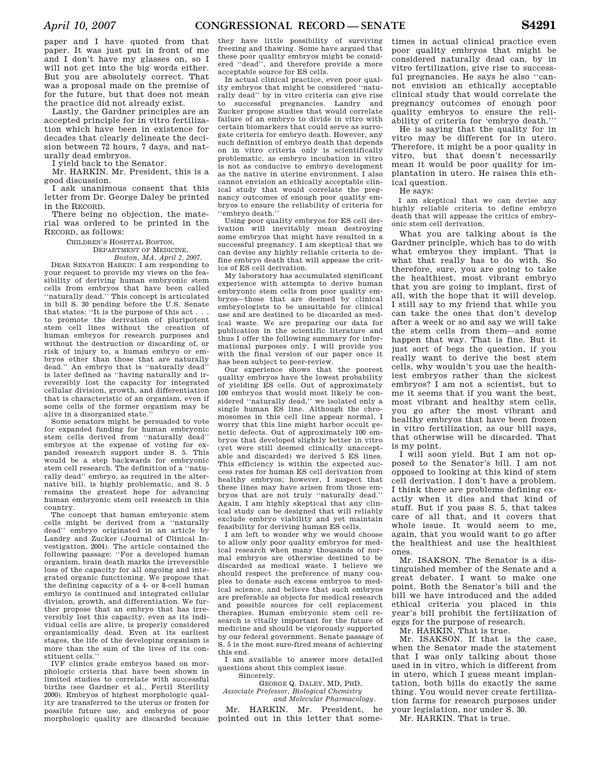paper and I have quoted from that paper. It was just put in front of me and I don't have my glasses on, so I will not get into the big words either. But you are absolutely correct. That was a proposal made on the premise of for the future, but that does not mean the practice did not already exist.

Lastly, the Gardner principles are an accepted principle for in vitro fertilization which have been in existence for decades that clearly delineate the decision between 72 hours, 7 days, and naturally dead embryos.

I yield back to the Senator.

Mr. HARKIN. Mr. President, this is a good discussion.

I ask unanimous consent that this letter from Dr. George Daley be printed in the RECORD.

There being no objection, the material was ordered to be printed in the RECORD, as follows:

> CHILDREN'S HOSPITAL BOSTON, DEPARTMENT OF MEDICINE,

> > *Boston, MA, April 2, 2007.*

DEAR SENATOR HARKIN: I am responding to your request to provide my views on the feasibility of deriving human embryonic stem cells from embryos that have been called "naturally dead." This concept is articulated in bill S. 30 pending before the U.S. Senate that states:  $\cdot$  It is the purpose of this act to promote the derivation of pluripotent stem cell lines without the creation of human embryos for research purposes and without the destruction or discarding of, or risk of injury to, a human embryo or embryos other than those that are naturally dead.'' An embryo that is ''naturally dead'' is later defined as ''having naturally and irreversibly lost the capacity for integrated cellular division, growth, and differentiation that is characteristic of an organism, even if some cells of the former organism may be alive in a disorganized state.''

Some senators might be persuaded to vote for expanded funding for human embryonic stem cells derived from ''naturally dead'' embryos at the expense of voting for expanded research support under S. 5. This would be a step backwards for embryonic stem cell research. The definition of a ''naturally dead'' embryo, as required in the alternative bill, is highly problematic, and S. 5 remains the greatest hope for advancing human embryonic stem cell research in this country.

The concept that human embryonic stem cells might be derived from a ''naturally dead'' embryo originated in an article by Landry and Zucker (Journal of Clinical Investigation, 2004). The article contained the following passage: ''For a developed human organism, brain death marks the irreversible loss of the capacity for all ongoing and integrated organic functioning. We propose that the defining capacity of a 4- or 8-cell human embryo is continued and integrated cellular division, growth, and differentiation. We further propose that an embryo that has irreversibly lost this capacity, even as its individual cells are alive, is properly considered organismically dead. Even at its earliest stages, the life of the developing organism is more than the sum of the lives of its constituent cells.''

IVF clinics grade embryos based on morphologic criteria that have been shown in limited studies to correlate with successful births (see Gardner et al., Fertil Sterility 2000). Embryos of highest morphologic quality are transferred to the uterus or frozen for possible future use, and embryos of poor morphologic quality are discarded because

they have little possibility of surviving freezing and thawing. Some have argued that these poor quality embryos might be considered ''dead'', and therefore provide a more acceptable source for ES cells.

In actual clinical practice, even poor quality embryos that might be considered ''naturally dead'' by in vitro criteria can give rise to successful pregnancies. Landry and Zucker propose studies that would correlate failure of an embryo to divide in vitro with certain biomarkers that could serve as surrogate criteria for embryo death. However, any such definition of embryo death that depends on in vitro criteria only is scientifically problematic, as embryo incubation in vitro is not as conducive to embryo development as the native in uterine environment. I also cannot envision an ethically acceptable clinical study that would correlate the pregnancy outcomes of enough poor quality embryos to ensure the reliability of criteria for 'embryo death.'

Using poor quality embryos for ES cell derivation will inevitably mean destroying some embryos that might have resulted in a successful pregnancy. I am skeptical that we can devise any highly reliable criteria to define embryo death that will appease the critics of ES cell derivation.

My laboratory has accumulated significant experience with attempts to derive human embryonic stem cells from poor quality embryos—those that are deemed by clinical embryologists to be unsuitable for clinical use and are destined to be discarded as medical waste. We are preparing our data for publication in the scientific literature and thus I offer the following summary for informational purposes only. I will provide you with the final version of our paper once it has been subject to peer-review.

Our experience shows that the poorest quality embryos have the lowest probability of yielding ES cells. Out of approximately 100 embryos that would most likely be considered ''naturally dead,'' we isolated only a single human ES line. Although the chromosomes in this cell line appear normal, I worry that this line might harbor occult genetic defects. Out of approximately 100 embryos that developed slightly better in vitro (yet were still deemed clinically unacceptable and discarded) we derived 5 ES lines. This efficiency is within the expected success rates for human ES cell derivation from healthy embryos; however, I suspect that these lines may have arisen from those embryos that are not truly ''naturally dead.'' Again, I am highly skeptical that any clinical study can be designed that will reliably exclude embryo viability and yet maintain feasibility for deriving human ES cells.

I am left to wonder why we would choose to allow only poor quality embryos for medical research when many thousands of normal embryos are otherwise destined to be discarded as medical waste. I believe we should respect the preference of many couples to donate such excess embryos to medical science, and believe that such embryos are preferable as objects for medical research and possible sources for cell replacement therapies. Human embryonic stem cell research is vitally important for the future of medicine and should be vigorously supported by our federal government. Senate passage of S. 5 is the most sure-fired means of achieving this end.

I am available to answer more detailed questions about this complex issue.

Sincerely.

GEORGE Q. DALEY, MD, PHD, *Associate Professor, Biological Chemistry and Molecular Pharmacology.* 

Mr. HARKIN. Mr. President, he pointed out in this letter that some-

times in actual clinical practice even poor quality embryos that might be considered naturally dead can, by in vitro fertilization, give rise to successful pregnancies. He says he also ''cannot envision an ethically acceptable clinical study that would correlate the pregnancy outcomes of enough poor quality embryos to ensure the reliability of criteria for 'embryo death.'''

He is saying that the quality for in vitro may be different for in utero. Therefore, it might be a poor quality in vitro, but that doesn't necessarily mean it would be poor quality for implantation in utero. He raises this ethical question.

He says:

I am skeptical that we can devise any highly reliable criteria to define embryo death that will appease the critics of embryonic stem cell derivation.

What you are talking about is the Gardner principle, which has to do with what embryos they implant. That is what that really has to do with. So therefore, sure, you are going to take the healthiest, most vibrant embryo that you are going to implant, first of all, with the hope that it will develop. I still say to my friend that while you can take the ones that don't develop after a week or so and say we will take the stem cells from them—and some happen that way. That is fine. But it just sort of begs the question, if you really want to derive the best stem cells, why wouldn't you use the healthiest embryos rather than the sickest embryos? I am not a scientist, but to me it seems that if you want the best, most vibrant and healthy stem cells, you go after the most vibrant and healthy embryos that have been frozen in vitro fertilization, as our bill says, that otherwise will be discarded. That is my point.

I will soon yield. But I am not opposed to the Senator's bill. I am not opposed to looking at this kind of stem cell derivation. I don't have a problem. I think there are problems defining exactly when it dies and that kind of stuff. But if you pass S. 5, that takes care of all that, and it covers that whole issue. It would seem to me, again, that you would want to go after the healthiest and use the healthiest ones.

Mr. ISAKSON. The Senator is a distinguished member of the Senate and a great debater. I want to make one point. Both the Senator's bill and the bill we have introduced and the added ethical criteria you placed in this year's bill prohibit the fertilization of eggs for the purpose of research.

Mr. HARKIN. That is true.

Mr. ISAKSON. If that is the case, when the Senator made the statement that I was only talking about those used in in vitro, which is different from in utero, which I guess meant implantation, both bills do exactly the same thing. You would never create fertilization farms for research purposes under your legislation, nor under S. 30.

Mr. HARKIN. That is true.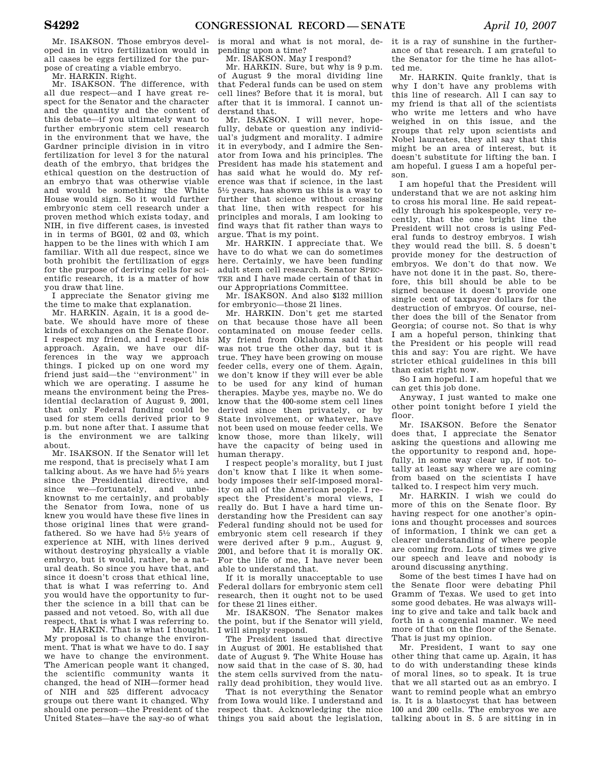Mr. ISAKSON. Those embryos developed in in vitro fertilization would in all cases be eggs fertilized for the purpose of creating a viable embryo.

Mr. HARKIN. Right.

Mr. ISAKSON. The difference, with all due respect—and I have great respect for the Senator and the character and the quantity and the content of this debate—if you ultimately want to further embryonic stem cell research in the environment that we have, the Gardner principle division in in vitro fertilization for level 3 for the natural death of the embryo, that bridges the ethical question on the destruction of an embryo that was otherwise viable and would be something the White House would sign. So it would further embryonic stem cell research under a proven method which exists today, and NIH, in five different cases, is invested in in terms of BG01, 02 and 03, which happen to be the lines with which I am familiar. With all due respect, since we both prohibit the fertilization of eggs for the purpose of deriving cells for scientific research, it is a matter of how you draw that line.

I appreciate the Senator giving me the time to make that explanation.

Mr. HARKIN. Again, it is a good debate. We should have more of these kinds of exchanges on the Senate floor. I respect my friend, and I respect his approach. Again, we have our differences in the way we approach things. I picked up on one word my friend just said—the ''environment'' in which we are operating. I assume he means the environment being the Presidential declaration of August 9, 2001, that only Federal funding could be used for stem cells derived prior to 9 p.m. but none after that. I assume that is the environment we are talking about.

Mr. ISAKSON. If the Senator will let me respond, that is precisely what I am talking about. As we have had 51⁄2 years since the Presidential directive, and since we—fortunately, and unbeknownst to me certainly, and probably the Senator from Iowa, none of us knew you would have these five lines in those original lines that were grandfathered. So we have had  $5\frac{1}{2}$  years of experience at NIH, with lines derived without destroying physically a viable embryo, but it would, rather, be a natural death. So since you have that, and since it doesn't cross that ethical line, that is what I was referring to. And you would have the opportunity to further the science in a bill that can be passed and not vetoed. So, with all due respect, that is what I was referring to.

Mr. HARKIN. That is what I thought. My proposal is to change the environment. That is what we have to do. I say we have to change the environment. The American people want it changed, the scientific community wants it changed, the head of NIH—former head of NIH and 525 different advocacy groups out there want it changed. Why should one person—the President of the United States—have the say-so of what

is moral and what is not moral, depending upon a time?

Mr. ISAKSON. May I respond?

Mr. HARKIN. Sure, but why is 9 p.m. of August 9 the moral dividing line that Federal funds can be used on stem cell lines? Before that it is moral, but after that it is immoral. I cannot understand that.

Mr. ISAKSON. I will never, hopefully, debate or question any individual's judgment and morality. I admire it in everybody, and I admire the Senator from Iowa and his principles. The President has made his statement and has said what he would do. My reference was that if science, in the last 51⁄2 years, has shown us this is a way to further that science without crossing that line, then with respect for his principles and morals, I am looking to find ways that fit rather than ways to argue. That is my point.

Mr. HARKIN. I appreciate that. We have to do what we can do sometimes here. Certainly, we have been funding adult stem cell research. Senator SPEC-TER and I have made certain of that in our Appropriations Committee.

Mr. ISAKSON. And also \$132 million for embryonic—those 21 lines.

Mr. HARKIN. Don't get me started on that because those have all been contaminated on mouse feeder cells. My friend from Oklahoma said that was not true the other day, but it is true. They have been growing on mouse feeder cells, every one of them. Again, we don't know if they will ever be able to be used for any kind of human therapies. Maybe yes, maybe no. We do know that the 400-some stem cell lines derived since then privately, or by State involvement, or whatever, have not been used on mouse feeder cells. We know those, more than likely, will have the capacity of being used in human therapy.

I respect people's morality, but I just don't know that I like it when somebody imposes their self-imposed morality on all of the American people. I respect the President's moral views, I really do. But I have a hard time understanding how the President can say Federal funding should not be used for embryonic stem cell research if they were derived after 9 p.m., August 9, 2001, and before that it is morally OK. For the life of me, I have never been able to understand that.

If it is morally unacceptable to use Federal dollars for embryonic stem cell research, then it ought not to be used for these 21 lines either.

Mr. ISAKSON. The Senator makes the point, but if the Senator will yield, I will simply respond.

The President issued that directive in August of 2001. He established that date of August 9. The White House has now said that in the case of S. 30, had the stem cells survived from the naturally dead prohibition, they would live.

That is not everything the Senator from Iowa would like. I understand and respect that. Acknowledging the nice things you said about the legislation,

it is a ray of sunshine in the furtherance of that research. I am grateful to the Senator for the time he has allotted me.

Mr. HARKIN. Quite frankly, that is why I don't have any problems with this line of research. All I can say to my friend is that all of the scientists who write me letters and who have weighed in on this issue, and the groups that rely upon scientists and Nobel laureates, they all say that this might be an area of interest, but it doesn't substitute for lifting the ban. I am hopeful. I guess I am a hopeful person.

I am hopeful that the President will understand that we are not asking him to cross his moral line. He said repeatedly through his spokespeople, very recently, that the one bright line the President will not cross is using Federal funds to destroy embryos. I wish they would read the bill. S. 5 doesn't provide money for the destruction of embryos. We don't do that now. We have not done it in the past. So, therefore, this bill should be able to be signed because it doesn't provide one single cent of taxpayer dollars for the destruction of embryos. Of course, neither does the bill of the Senator from Georgia; of course not. So that is why I am a hopeful person, thinking that the President or his people will read this and say: You are right. We have stricter ethical guidelines in this bill than exist right now.

So I am hopeful. I am hopeful that we can get this job done.

Anyway, I just wanted to make one other point tonight before I yield the floor.

Mr. ISAKSON. Before the Senator does that, I appreciate the Senator asking the questions and allowing me the opportunity to respond and, hopefully, in some way clear up, if not totally at least say where we are coming from based on the scientists I have talked to. I respect him very much.

Mr. HARKIN. I wish we could do more of this on the Senate floor. By having respect for one another's opinions and thought processes and sources of information, I think we can get a clearer understanding of where people are coming from. Lots of times we give our speech and leave and nobody is around discussing anything.

Some of the best times I have had on the Senate floor were debating Phil Gramm of Texas. We used to get into some good debates. He was always willing to give and take and talk back and forth in a congenial manner. We need more of that on the floor of the Senate. That is just my opinion.

Mr. President, I want to say one other thing that came up. Again, it has to do with understanding these kinds of moral lines, so to speak. It is true that we all started out as an embryo. I want to remind people what an embryo is. It is a blastocyst that has between 100 and 200 cells. The embryos we are talking about in S. 5 are sitting in in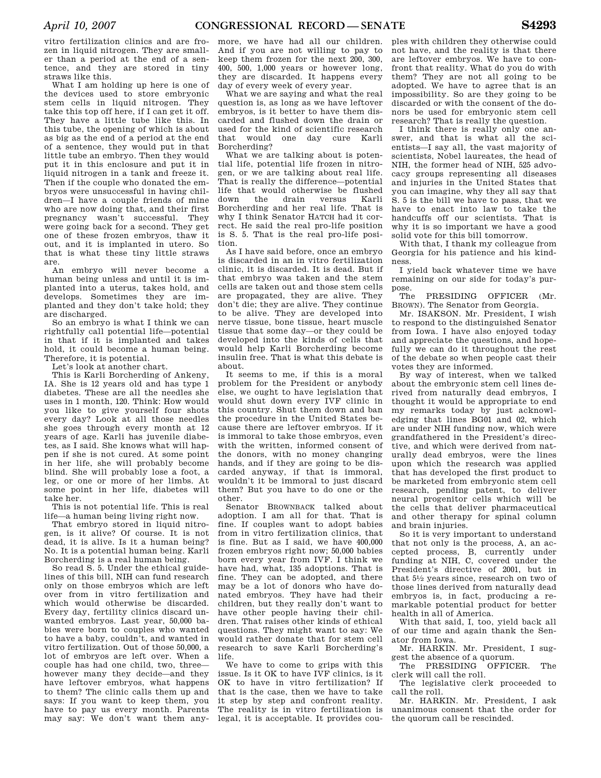vitro fertilization clinics and are frozen in liquid nitrogen. They are smaller than a period at the end of a sentence, and they are stored in tiny straws like this.

What I am holding up here is one of the devices used to store embryonic stem cells in liquid nitrogen. They take this top off here, if I can get it off. They have a little tube like this. In this tube, the opening of which is about as big as the end of a period at the end of a sentence, they would put in that little tube an embryo. Then they would put it in this enclosure and put it in liquid nitrogen in a tank and freeze it. Then if the couple who donated the embryos were unsuccessful in having children—I have a couple friends of mine who are now doing that, and their first pregnancy wasn't successful. They were going back for a second. They get one of these frozen embryos, thaw it out, and it is implanted in utero. So that is what these tiny little straws are.

An embryo will never become a human being unless and until it is implanted into a uterus, takes hold, and develops. Sometimes they are implanted and they don't take hold; they are discharged.

So an embryo is what I think we can rightfully call potential life—potential in that if it is implanted and takes hold, it could become a human being. Therefore, it is potential.

Let's look at another chart.

This is Karli Borcherding of Ankeny, IA. She is 12 years old and has type 1 diabetes. These are all the needles she uses in 1 month, 120. Think: How would you like to give yourself four shots every day? Look at all those needles she goes through every month at 12 years of age. Karli has juvenile diabetes, as I said. She knows what will happen if she is not cured. At some point in her life, she will probably become blind. She will probably lose a foot, a leg, or one or more of her limbs. At some point in her life, diabetes will take her.

This is not potential life. This is real life—a human being living right now.

That embryo stored in liquid nitrogen, is it alive? Of course. It is not dead, it is alive. Is it a human being? No. It is a potential human being. Karli Borcherding is a real human being.

So read S. 5. Under the ethical guidelines of this bill, NIH can fund research only on those embryos which are left over from in vitro fertilization and which would otherwise be discarded. Every day, fertility clinics discard unwanted embryos. Last year, 50,000 babies were born to couples who wanted to have a baby, couldn't, and wanted in vitro fertilization. Out of those 50,000, a lot of embryos are left over. When a couple has had one child, two, three however many they decide—and they have leftover embryos, what happens to them? The clinic calls them up and says: If you want to keep them, you have to pay us every month. Parents may say: We don't want them any-

more, we have had all our children. And if you are not willing to pay to keep them frozen for the next 200, 300, 400, 500, 1,000 years or however long, they are discarded. It happens every day of every week of every year.

What we are saying and what the real question is, as long as we have leftover embryos, is it better to have them discarded and flushed down the drain or used for the kind of scientific research that would one day cure Karli Borcherding?

What we are talking about is potential life, potential life frozen in nitrogen, or we are talking about real life. That is really the difference—potential life that would otherwise be flushed down the drain versus Karli Borcherding and her real life. That is why I think Senator HATCH had it correct. He said the real pro-life position is S. 5. That is the real pro-life position.

As I have said before, once an embryo is discarded in an in vitro fertilization clinic, it is discarded. It is dead. But if that embryo was taken and the stem cells are taken out and those stem cells are propagated, they are alive. They don't die; they are alive. They continue to be alive. They are developed into nerve tissue, bone tissue, heart muscle tissue that some day—or they could be developed into the kinds of cells that would help Karli Borcherding become insulin free. That is what this debate is about.

It seems to me, if this is a moral problem for the President or anybody else, we ought to have legislation that would shut down every IVF clinic in this country. Shut them down and ban the procedure in the United States because there are leftover embryos. If it is immoral to take those embryos, even with the written, informed consent of the donors, with no money changing hands, and if they are going to be discarded anyway, if that is immoral, wouldn't it be immoral to just discard them? But you have to do one or the other.

Senator BROWNBACK talked about adoption. I am all for that. That is fine. If couples want to adopt babies from in vitro fertilization clinics, that is fine. But as I said, we have 400,000 frozen embryos right now; 50,000 babies born every year from IVF. I think we have had, what, 135 adoptions. That is fine. They can be adopted, and there may be a lot of donors who have donated embryos. They have had their children, but they really don't want to have other people having their children. That raises other kinds of ethical questions. They might want to say: We would rather donate that for stem cell research to save Karli Borcherding's life.

We have to come to grips with this issue. Is it OK to have IVF clinics, is it OK to have in vitro fertilization? If that is the case, then we have to take it step by step and confront reality. The reality is in vitro fertilization is legal, it is acceptable. It provides cou-

ples with children they otherwise could not have, and the reality is that there are leftover embryos. We have to confront that reality. What do you do with them? They are not all going to be adopted. We have to agree that is an impossibility. So are they going to be discarded or with the consent of the donors be used for embryonic stem cell research? That is really the question.

I think there is really only one answer, and that is what all the scientists—I say all, the vast majority of scientists, Nobel laureates, the head of NIH, the former head of NIH, 525 advocacy groups representing all diseases and injuries in the United States that you can imagine, why they all say that S. 5 is the bill we have to pass, that we have to enact into law to take the handcuffs off our scientists. That is why it is so important we have a good solid vote for this bill tomorrow.

With that, I thank my colleague from Georgia for his patience and his kindness.

I yield back whatever time we have remaining on our side for today's purpose.<br>The

PRESIDING OFFICER (Mr. BROWN). The Senator from Georgia.

Mr. ISAKSON. Mr. President, I wish to respond to the distinguished Senator from Iowa. I have also enjoyed today and appreciate the questions, and hopefully we can do it throughout the rest of the debate so when people cast their votes they are informed.

By way of interest, when we talked about the embryonic stem cell lines derived from naturally dead embryos, I thought it would be appropriate to end my remarks today by just acknowledging that lines BG01 and 02, which are under NIH funding now, which were grandfathered in the President's directive, and which were derived from naturally dead embryos, were the lines upon which the research was applied that has developed the first product to be marketed from embryonic stem cell research, pending patent, to deliver neural progenitor cells which will be the cells that deliver pharmaceutical and other therapy for spinal column and brain injuries.

So it is very important to understand that not only is the process, A, an accepted process, B, currently under funding at NIH, C, covered under the President's directive of 2001, but in that 51⁄2 years since, research on two of those lines derived from naturally dead embryos is, in fact, producing a remarkable potential product for better health in all of America.

With that said, I, too, yield back all of our time and again thank the Senator from Iowa.

Mr. HARKIN. Mr. President, I suggest the absence of a quorum.<br>The PRESIDING OFFICER.

The PRESIDING OFFICER. The clerk will call the roll.

The legislative clerk proceeded to call the roll.

Mr. HARKIN. Mr. President, I ask unanimous consent that the order for the quorum call be rescinded.